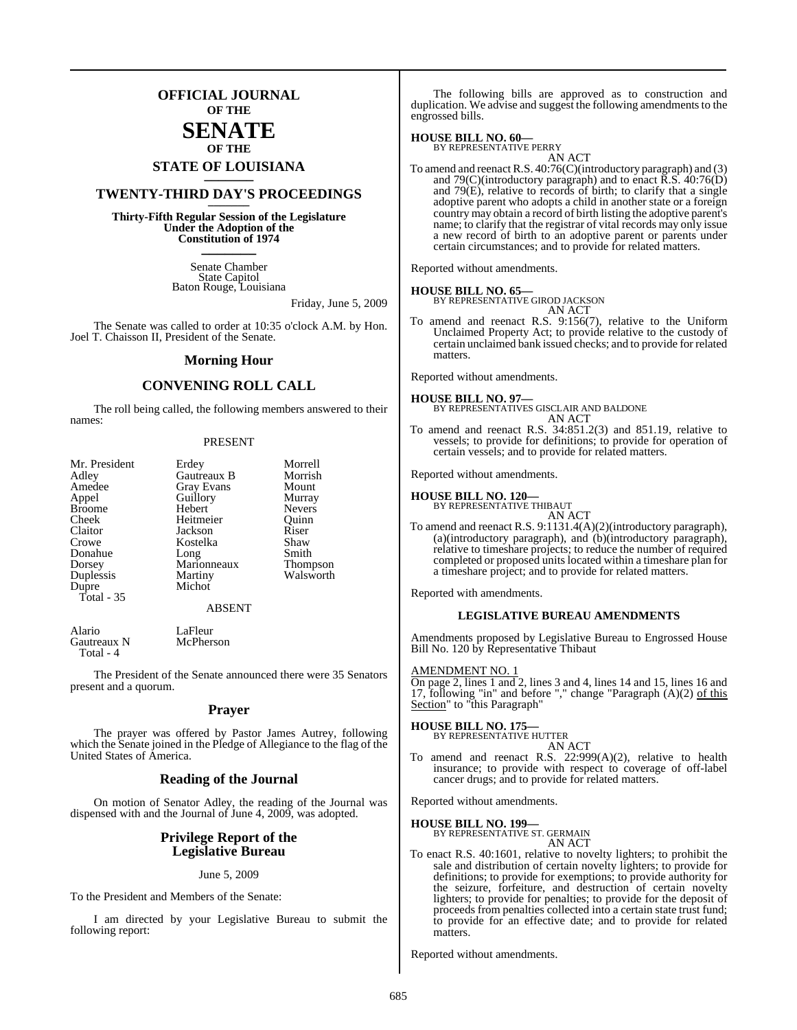## **OFFICIAL JOURNAL OF THE**

## **SENATE OF THE**

# **STATE OF LOUISIANA \_\_\_\_\_\_\_**

## **TWENTY-THIRD DAY'S PROCEEDINGS \_\_\_\_\_\_\_**

**Thirty-Fifth Regular Session of the Legislature Under the Adoption of the Constitution of 1974 \_\_\_\_\_\_\_**

> Senate Chamber State Capitol Baton Rouge, Louisiana

> > Friday, June 5, 2009

The Senate was called to order at 10:35 o'clock A.M. by Hon. Joel T. Chaisson II, President of the Senate.

#### **Morning Hour**

## **CONVENING ROLL CALL**

The roll being called, the following members answered to their names:

#### PRESENT

| Mr. President | Erdey             | Morrell         |
|---------------|-------------------|-----------------|
| Adley         | Gautreaux B       | Morrish         |
| Amedee        | <b>Gray Evans</b> | Mount           |
| Appel         | Guillory          | Murray          |
| <b>Broome</b> | Hebert            | <b>Nevers</b>   |
| Cheek         | Heitmeier         | Ouinn           |
| Claitor       | Jackson           | Riser           |
| Crowe         | Kostelka          | Shaw            |
| Donahue       | Long              | Smith           |
| Dorsey        | Marionneaux       | <b>Thompson</b> |
| Duplessis     | Martiny           | Walsworth       |
| Dupre         | Michot            |                 |
| Total - 35    |                   |                 |
|               | <b>ABSENT</b>     |                 |

Alario LaFleur<br>Gautreaux N McPherson Gautreaux N

Total - 4

The President of the Senate announced there were 35 Senators present and a quorum.

#### **Prayer**

The prayer was offered by Pastor James Autrey, following which the Senate joined in the Pledge of Allegiance to the flag of the United States of America.

#### **Reading of the Journal**

On motion of Senator Adley, the reading of the Journal was dispensed with and the Journal of June 4, 2009, was adopted.

## **Privilege Report of the Legislative Bureau**

#### June 5, 2009

To the President and Members of the Senate:

I am directed by your Legislative Bureau to submit the following report:

The following bills are approved as to construction and duplication. We advise and suggest the following amendments to the engrossed bills.

#### **HOUSE BILL NO. 60—**

BY REPRESENTATIVE PERRY AN ACT

To amend and reenact R.S. 40:76(C)(introductory paragraph) and (3) and 79 $(C)$ (introductory paragraph) and to enact  $\overline{R}$ . S. 40:76 $(D)$ and 79(E), relative to records of birth; to clarify that a single adoptive parent who adopts a child in another state or a foreign country may obtain a record of birth listing the adoptive parent's name; to clarify that the registrar of vital records may only issue a new record of birth to an adoptive parent or parents under certain circumstances; and to provide for related matters.

Reported without amendments.

**HOUSE BILL NO. 65—** BY REPRESENTATIVE GIROD JACKSON AN ACT

To amend and reenact R.S. 9:156(7), relative to the Uniform Unclaimed Property Act; to provide relative to the custody of certain unclaimed bank issued checks; and to provide for related matters.

Reported without amendments.

**HOUSE BILL NO. 97—** BY REPRESENTATIVES GISCLAIR AND BALDONE AN ACT

To amend and reenact R.S. 34:851.2(3) and 851.19, relative to vessels; to provide for definitions; to provide for operation of certain vessels; and to provide for related matters.

Reported without amendments.

# **HOUSE BILL NO. 120—** BY REPRESENTATIVE THIBAUT

## AN ACT

To amend and reenact R.S. 9:1131.4(A)(2)(introductory paragraph), (a)(introductory paragraph), and (b)(introductory paragraph), relative to timeshare projects; to reduce the number of required completed or proposed units located within a timeshare plan for a timeshare project; and to provide for related matters.

Reported with amendments.

#### **LEGISLATIVE BUREAU AMENDMENTS**

Amendments proposed by Legislative Bureau to Engrossed House Bill No. 120 by Representative Thibaut

#### AMENDMENT NO. 1

On page 2, lines 1 and 2, lines 3 and 4, lines 14 and 15, lines 16 and 17, following "in" and before "," change "Paragraph  $(A)(2)$  of this Section" to "this Paragraph"

# **HOUSE BILL NO. 175—** BY REPRESENTATIVE HUTTER

AN ACT

To amend and reenact R.S. 22:999(A)(2), relative to health insurance; to provide with respect to coverage of off-label cancer drugs; and to provide for related matters.

Reported without amendments.

#### **HOUSE BILL NO. 199—**

BY REPRESENTATIVE ST. GERMAIN

AN ACT To enact R.S. 40:1601, relative to novelty lighters; to prohibit the sale and distribution of certain novelty lighters; to provide for definitions; to provide for exemptions; to provide authority for the seizure, forfeiture, and destruction of certain novelty lighters; to provide for penalties; to provide for the deposit of proceeds from penalties collected into a certain state trust fund; to provide for an effective date; and to provide for related matters.

Reported without amendments.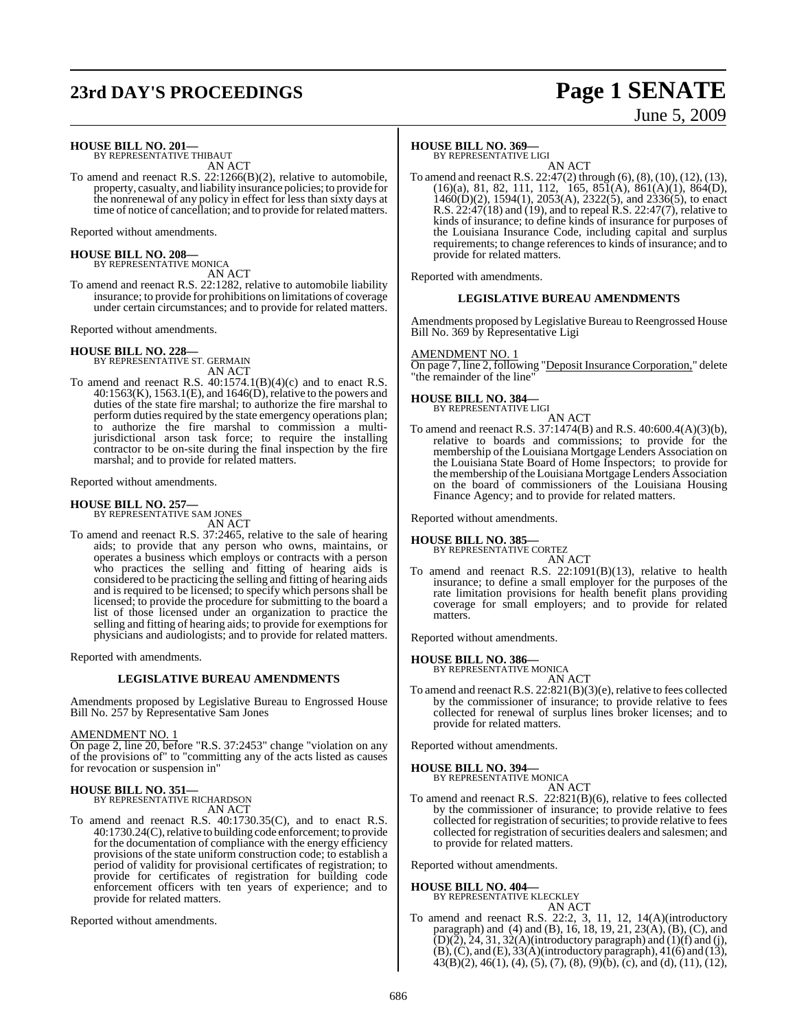# **23rd DAY'S PROCEEDINGS Page 1 SENATE**

# June 5, 2009

**HOUSE BILL NO. 201—** BY REPRESENTATIVE THIBAUT

AN ACT

To amend and reenact R.S. 22:1266(B)(2), relative to automobile, property, casualty, and liability insurance policies; to provide for the nonrenewal of any policy in effect for less than sixty days at time of notice of cancellation; and to provide for related matters.

Reported without amendments.

**HOUSE BILL NO. 208—** BY REPRESENTATIVE MONICA

AN ACT To amend and reenact R.S. 22:1282, relative to automobile liability insurance; to provide for prohibitions on limitations of coverage under certain circumstances; and to provide for related matters.

Reported without amendments.

**HOUSE BILL NO. 228—** BY REPRESENTATIVE ST. GERMAIN AN ACT

To amend and reenact R.S. 40:1574.1(B)(4)(c) and to enact R.S. 40:1563(K), 1563.1(E), and 1646(D),relative to the powers and duties of the state fire marshal; to authorize the fire marshal to perform duties required by the state emergency operations plan; to authorize the fire marshal to commission a multijurisdictional arson task force; to require the installing contractor to be on-site during the final inspection by the fire marshal; and to provide for related matters.

Reported without amendments.

#### **HOUSE BILL NO. 257—**

BY REPRESENTATIVE SAM JONES AN ACT

To amend and reenact R.S. 37:2465, relative to the sale of hearing aids; to provide that any person who owns, maintains, or operates a business which employs or contracts with a person who practices the selling and fitting of hearing aids is considered to be practicing the selling and fitting of hearing aids and is required to be licensed; to specify which persons shall be licensed; to provide the procedure for submitting to the board a list of those licensed under an organization to practice the selling and fitting of hearing aids; to provide for exemptions for physicians and audiologists; and to provide for related matters.

Reported with amendments.

#### **LEGISLATIVE BUREAU AMENDMENTS**

Amendments proposed by Legislative Bureau to Engrossed House Bill No. 257 by Representative Sam Jones

#### AMENDMENT NO. 1

On page 2, line 20, before "R.S. 37:2453" change "violation on any of the provisions of" to "committing any of the acts listed as causes for revocation or suspension in"

# **HOUSE BILL NO. 351—** BY REPRESENTATIVE RICHARDSON

AN ACT

To amend and reenact R.S. 40:1730.35(C), and to enact R.S. 40:1730.24(C), relative to building code enforcement; to provide for the documentation of compliance with the energy efficiency provisions of the state uniform construction code; to establish a period of validity for provisional certificates of registration; to provide for certificates of registration for building code enforcement officers with ten years of experience; and to provide for related matters.

Reported without amendments.

## **HOUSE BILL NO. 369—**

BY REPRESENTATIVE LIGI

AN ACT To amend and reenact R.S. 22:47(2) through (6), (8), (10), (12), (13), (16)(a), 81, 82, 111, 112, 165, 851(A), 861(A)(1), 864(D), 1460(D)(2), 1594(1), 2053(A), 2322(5), and 2336(5), to enact R.S. 22:47(18) and (19), and to repeal R.S. 22:47(7), relative to kinds of insurance; to define kinds of insurance for purposes of the Louisiana Insurance Code, including capital and surplus requirements; to change references to kinds of insurance; and to provide for related matters.

Reported with amendments.

#### **LEGISLATIVE BUREAU AMENDMENTS**

Amendments proposed by Legislative Bureau to Reengrossed House Bill No. 369 by Representative Ligi

#### AMENDMENT NO. 1

On page 7, line 2, following "Deposit Insurance Corporation," delete "the remainder of the line"

#### **HOUSE BILL NO. 384—**

BY REPRESENTATIVE LIGI AN ACT

To amend and reenact R.S. 37:1474(B) and R.S. 40:600.4(A)(3)(b), relative to boards and commissions; to provide for the membership of the Louisiana Mortgage Lenders Association on the Louisiana State Board of Home Inspectors; to provide for the membership ofthe Louisiana Mortgage Lenders Association on the board of commissioners of the Louisiana Housing Finance Agency; and to provide for related matters.

Reported without amendments.

**HOUSE BILL NO. 385—**

BY REPRESENTATIVE CORTEZ AN ACT

To amend and reenact R.S. 22:1091(B)(13), relative to health insurance; to define a small employer for the purposes of the rate limitation provisions for health benefit plans providing coverage for small employers; and to provide for related matters.

Reported without amendments.

# **HOUSE BILL NO. 386—** BY REPRESENTATIVE MONICA

AN ACT

To amend and reenact R.S. 22:821(B)(3)(e), relative to fees collected by the commissioner of insurance; to provide relative to fees collected for renewal of surplus lines broker licenses; and to provide for related matters.

Reported without amendments.

## **HOUSE BILL NO. 394—**

BY REPRESENTATIVE MONICA AN ACT

To amend and reenact R.S. 22:821(B)(6), relative to fees collected by the commissioner of insurance; to provide relative to fees collected for registration of securities; to provide relative to fees collected for registration of securities dealers and salesmen; and to provide for related matters.

Reported without amendments.

# **HOUSE BILL NO. 404—** BY REPRESENTATIVE KLECKLEY

AN ACT

To amend and reenact R.S. 22:2, 3, 11, 12, 14(A)(introductory paragraph) and (4) and (B), 16, 18, 19, 21, 23(A), (B), (C), and  $(D)(\bar{2}), \bar{2}4, 31, 32(A)$ (introductory paragraph) and (1)(f) and (j),  $(B)$ ,  $(C)$ , and  $(E)$ ,  $33(A)$ (introductory paragraph),  $41(6)$  and  $(13)$ ,  $43(B)(2), 46(1), (4), (5), (7), (8), (9)(b), (c), and (d), (11), (12),$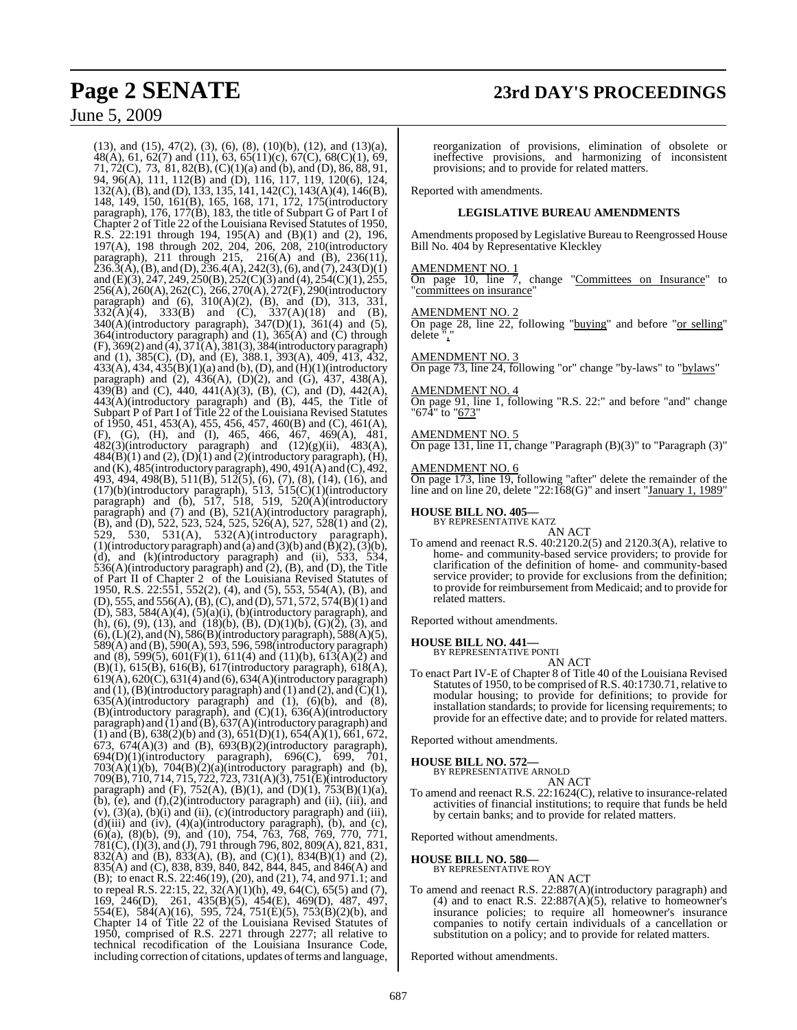June 5, 2009

(13), and (15), 47(2), (3), (6), (8), (10)(b), (12), and (13)(a), 48(A), 61, 62(7) and (11), 63, 65(11)(c), 67(C), 68(C)(1), 69, 71, 72(C), 73, 81, 82(B), (C)(1)(a) and (b), and (D), 86, 88, 91, 94, 96(A), 111, 112(B) and (D), 116, 117, 119, 120(6), 124, 132(A),(B), and (D), 133, 135, 141, 142(C), 143(A)(4), 146(B), 148, 149, 150, 161(B), 165, 168, 171, 172, 175(introductory paragraph), 176, 177(B), 183, the title of Subpart G of Part I of Chapter 2 of Title 22 of the Louisiana Revised Statutes of 1950, R.S. 22:191 through 194, 195(A) and (B)(1) and (2), 196, 197(A), 198 through 202, 204, 206, 208, 210(introductory paragraph), 211 through 215, 216(A) and (B), 236(11),  $236.\overline{3}(\hat{A}),$   $(B),$  and  $(D), 236.4(A), 242(3),$   $(6),$  and  $(7), 243(D)(1)$ and (E)(3), 247, 249, 250(B), 252(C)(3) and (4), 254(C)(1), 255, 256(A), 260(A), 262(C), 266, 270(A), 272(F), 290(introductory paragraph) and  $(6)$ ,  $310(A)(2)$ ,  $(B)$ , and  $(D)$ ,  $313$ ,  $331$ ,  $332(A)(4)$ ,  $333(B)$  and  $(C)$ ,  $337(A)(18)$  and  $(B)$ , 340(A)(introductory paragraph), 347(D)(1), 361(4) and (5), 364(introductory paragraph) and (1), 365(A) and (C) through (F), 369(2) and (4), 371(A), 381(3), 384(introductory paragraph) and (1), 385(C), (D), and (E), 388.1, 393(A), 409, 413, 432, 433(A), 434, 435(B)(1)(a) and (b), (D), and (H)(1)(introductory paragraph) and (2), 436(A), (D)(2), and (G), 437, 438(A),  $439(B)$  and (C),  $440$ ,  $441(A)(3)$ , (B), (C), and (D),  $442(A)$ , 443(A)(introductory paragraph) and (B), 445, the Title of Subpart P of Part I of Title 22 of the Louisiana Revised Statutes of 1950, 451, 453(A), 455, 456, 457, 460(B) and (C), 461(A), (F), (G), (H), and (I), 465, 466, 467, 469(A), 481,  $482(3)(\text{introducing paragnah})$  and  $(12)(g)(ii)$ ,  $483(A)$ ,  $484(B)(1)$  and  $(2), (D)(1)$  and  $(2)$ (introductory paragraph), (H), and (K),  $485$ (introductory paragraph),  $490$ ,  $491(A)$  and (C),  $492$ , 493, 494, 498(B), 511(B), 512(5), (6), (7), (8), (14), (16), and (17)(b)(introductory paragraph), 513, 515(C)(1)(introductory paragraph) and  $(b)$ , 517, 518, 519, 520 $(A)$ (introductory paragraph) and (7) and (B), 521(A)(introductory paragraph), (B), and (D), 522, 523, 524, 525, 526(A), 527, 528(1) and (2), 529, 530, 531(A), 532(A)(introductory paragraph), (1)(introductory paragraph) and (a) and (3)(b) and  $(\hat{B})(2)$ ,  $(\hat{3})(\hat{b})$ , (d), and (k)(introductory paragraph) and (ii), 533, 534, 536(A)(introductory paragraph) and (2), (B), and (D), the Title of Part II of Chapter 2 of the Louisiana Revised Statutes of 1950, R.S. 22:551, 552(2), (4), and (5), 553, 554(A), (B), and  $(D), 555, and 556(A), (B), (C), and (D), 571, 572, 574(B)(1)$  and (D), 583, 584(A)(4), (5)(a)(i), (b)(introductory paragraph), and (h), (6), (9), (13), and (18)(b), (B), (D)(1)(b), (G)(2), (3), and  $(6)$ ,  $(L)(2)$ , and  $(N)$ , 586 $(B)$ (introductory paragraph), 588 $(A)(5)$ , 589(A) and (B), 590(A), 593, 596, 598(introductory paragraph) and (8), 599(5), 601(F)(1), 611(4) and (11)(b), 613(A)(2) and (B)(1), 615(B), 616(B), 617(introductory paragraph), 618(A), 619(A), 620(C), 631(4) and (6), 634(A)(introductory paragraph) and (1), (B)(introductory paragraph) and (1) and (2), and  $\overline{C}$ ) $\overline{(1)}$ ,  $635(A)$ (introductory paragraph) and (1), (6)(b), and (8), (B)(introductory paragraph), and (C)(1), 636(A)(introductory paragraph) and (1) and (B), 637(A)(introductory paragraph) and (1) and (B),  $638(2)(b)$  and (3),  $651(D)(1)$ ,  $654(A)(1)$ ,  $661$ ,  $672$ , 673, 674(A)(3) and (B), 693(B)(2)(introductory paragraph),  $694(D)(1)(introductory)$  paragraph),  $696(C)$ ,  $699$ ,  $701$ ,  $703(A)(1)(b)$ ,  $704(B)(2)(a)(introducing the maximum  $0.703(A)(1)(b)$ ,$ 709(B), 710, 714, 715, 722, 723, 731(A)(3), 751(E)(introductory paragraph) and (F), 752(A), (B)(1), and (D)(1), 753(B)(1)(a),  $(b)$ ,  $(e)$ , and  $(f)$ , $(2)$ (introductory paragraph) and (ii), (iii), and  $(v)$ ,  $(3)(a)$ ,  $(b)(i)$  and  $(ii)$ ,  $(c)(introductory$  paragraph) and  $(iii)$ ,  $(d)(iii)$  and  $(iv)$ ,  $(4)(a)(introductory paragraph)$ ,  $(b)$ , and  $(c)$ , (6)(a), (8)(b), (9), and (10), 754, 763, 768, 769, 770, 771,  $781(C)$ , (I)(3), and (J), 791 through 796, 802, 809(A), 821, 831, 832(A) and (B), 833(A), (B), and (C)(1), 834(B)(1) and (2), 835(A) and (C), 838, 839, 840, 842, 844, 845, and 846(A) and (B); to enact R.S. 22:46(19), (20), and (21), 74, and 971.1; and to repeal R.S. 22:15, 22, 32(A)(1)(h), 49, 64(C), 65(5) and (7), 169, 246(D), 261, 435(B)(5), 454(E), 469(D), 487, 497, 554(E), 584(A)(16), 595, 724, 751(E)(5), 753(B)(2)(b), and Chapter 14 of Title 22 of the Louisiana Revised Statutes of 1950, comprised of R.S. 2271 through 2277; all relative to technical recodification of the Louisiana Insurance Code, including correction of citations, updates of terms and language,

reorganization of provisions, elimination of obsolete or ineffective provisions, and harmonizing of inconsistent provisions; and to provide for related matters.

Reported with amendments.

#### **LEGISLATIVE BUREAU AMENDMENTS**

Amendments proposed by Legislative Bureau to Reengrossed House Bill No. 404 by Representative Kleckley

#### AMENDMENT NO. 1

On page 10, line 7, change "Committees on Insurance" to "committees on insurance"

#### AMENDMENT NO. 2

On page  $28$ , line  $22$ , following "buying" and before " $or$  selling" delete ","

#### AMENDMENT NO. 3

On page 73, line 24, following "or" change "by-laws" to "bylaws"

#### AMENDMENT NO. 4

On page 91, line 1, following "R.S. 22:" and before "and" change "674" to "<u>673</u>"

### AMENDMENT NO. 5

On page 131, line 11, change "Paragraph (B)(3)" to "Paragraph (3)"

# AMENDMENT NO. 6

On page 173, line 19, following "after" delete the remainder of the line and on line 20, delete "22:168(G)" and insert "January 1, 1989"

**HOUSE BILL NO. 405—** BY REPRESENTATIVE KATZ

- AN ACT
- To amend and reenact R.S. 40:2120.2(5) and 2120.3(A), relative to home- and community-based service providers; to provide for clarification of the definition of home- and community-based service provider; to provide for exclusions from the definition; to provide for reimbursement from Medicaid; and to provide for related matters.

Reported without amendments.

#### **HOUSE BILL NO. 441—**

BY REPRESENTATIVE PONTI AN ACT

To enact Part IV-E of Chapter 8 of Title 40 of the Louisiana Revised Statutes of 1950, to be comprised ofR.S. 40:1730.71, relative to modular housing; to provide for definitions; to provide for installation standards; to provide for licensing requirements; to provide for an effective date; and to provide for related matters.

Reported without amendments.

**HOUSE BILL NO. 572—** BY REPRESENTATIVE ARNOLD

AN ACT To amend and reenact R.S. 22:1624(C), relative to insurance-related activities of financial institutions; to require that funds be held

by certain banks; and to provide for related matters.

Reported without amendments.

# **HOUSE BILL NO. 580—** BY REPRESENTATIVE ROY

AN ACT

To amend and reenact R.S. 22:887(A)(introductory paragraph) and (4) and to enact R.S.  $22:887(A)(5)$ , relative to homeowner's insurance policies; to require all homeowner's insurance companies to notify certain individuals of a cancellation or substitution on a policy; and to provide for related matters.

Reported without amendments.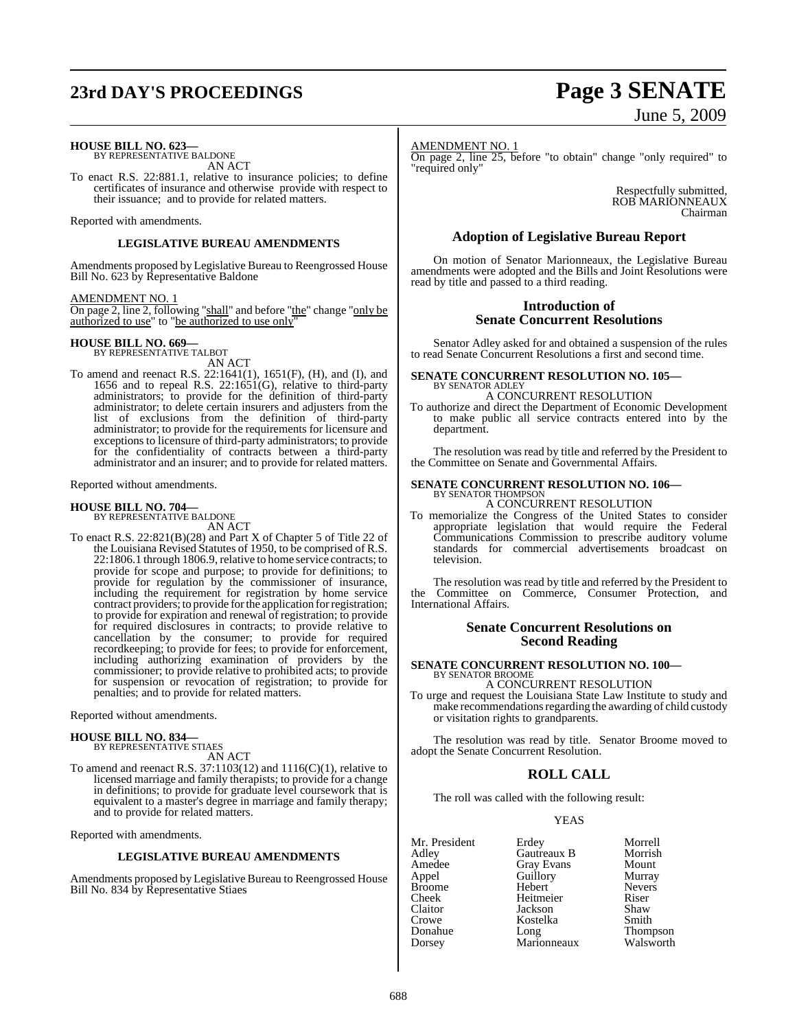# **23rd DAY'S PROCEEDINGS Page 3 SENATE**

# **HOUSE BILL NO. 623—** BY REPRESENTATIVE BALDONE

AN ACT

To enact R.S. 22:881.1, relative to insurance policies; to define certificates of insurance and otherwise provide with respect to their issuance; and to provide for related matters.

Reported with amendments.

#### **LEGISLATIVE BUREAU AMENDMENTS**

Amendments proposed by Legislative Bureau to Reengrossed House Bill No. 623 by Representative Baldone

#### AMENDMENT NO. 1

On page 2, line 2, following "shall" and before "the" change "only be authorized to use" to "be authorized to use only"

**HOUSE BILL NO. 669—** BY REPRESENTATIVE TALBOT

- AN ACT
- To amend and reenact R.S. 22:1641(1), 1651(F), (H), and (I), and 1656 and to repeal R.S. 22:1651(G), relative to third-party administrators; to provide for the definition of third-party administrator; to delete certain insurers and adjusters from the list of exclusions from the definition of third-party administrator; to provide for the requirements for licensure and exceptions to licensure of third-party administrators; to provide for the confidentiality of contracts between a third-party administrator and an insurer; and to provide for related matters.

Reported without amendments.

# **HOUSE BILL NO. 704—** BY REPRESENTATIVE BALDONE

AN ACT

To enact R.S. 22:821(B)(28) and Part X of Chapter 5 of Title 22 of the Louisiana Revised Statutes of 1950, to be comprised of R.S. 22:1806.1 through 1806.9, relative to home service contracts; to provide for scope and purpose; to provide for definitions; to provide for regulation by the commissioner of insurance, including the requirement for registration by home service contract providers; to provide for the application for registration; to provide for expiration and renewal of registration; to provide for required disclosures in contracts; to provide relative to cancellation by the consumer; to provide for required recordkeeping; to provide for fees; to provide for enforcement, including authorizing examination of providers by the commissioner; to provide relative to prohibited acts; to provide for suspension or revocation of registration; to provide for penalties; and to provide for related matters.

Reported without amendments.

#### **HOUSE BILL NO. 834—** BY REPRESENTATIVE STIAES

AN ACT

To amend and reenact R.S. 37:1103(12) and 1116(C)(1), relative to licensed marriage and family therapists; to provide for a change in definitions; to provide for graduate level coursework that is equivalent to a master's degree in marriage and family therapy; and to provide for related matters.

Reported with amendments.

#### **LEGISLATIVE BUREAU AMENDMENTS**

Amendments proposed by Legislative Bureau to Reengrossed House Bill No. 834 by Representative Stiaes

## AMENDMENT NO. 1

On page 2, line 25, before "to obtain" change "only required" to required only"

> Respectfully submitted, ROB MARIONNEAUX Chairman

## **Adoption of Legislative Bureau Report**

On motion of Senator Marionneaux, the Legislative Bureau amendments were adopted and the Bills and Joint Resolutions were read by title and passed to a third reading.

### **Introduction of Senate Concurrent Resolutions**

Senator Adley asked for and obtained a suspension of the rules to read Senate Concurrent Resolutions a first and second time.

#### **SENATE CONCURRENT RESOLUTION NO. 105—** BY SENATOR ADLEY

A CONCURRENT RESOLUTION

To authorize and direct the Department of Economic Development to make public all service contracts entered into by the department.

The resolution was read by title and referred by the President to the Committee on Senate and Governmental Affairs.

#### **SENATE CONCURRENT RESOLUTION NO. 106—** BY SENATOR THOMPSON

A CONCURRENT RESOLUTION

To memorialize the Congress of the United States to consider appropriate legislation that would require the Federal Communications Commission to prescribe auditory volume standards for commercial advertisements broadcast on television.

The resolution was read by title and referred by the President to the Committee on Commerce, Consumer Protection, and International Affairs.

## **Senate Concurrent Resolutions on Second Reading**

#### **SENATE CONCURRENT RESOLUTION NO. 100—** BY SENATOR BROOME

A CONCURRENT RESOLUTION

To urge and request the Louisiana State Law Institute to study and make recommendations regarding the awarding of child custody or visitation rights to grandparents.

The resolution was read by title. Senator Broome moved to adopt the Senate Concurrent Resolution.

## **ROLL CALL**

The roll was called with the following result:

#### YEAS

| Mr. President | Erdey               | Morrell               |
|---------------|---------------------|-----------------------|
| Adley         | Gautreaux B         | Morrish               |
| Amedee        | <b>Gray Evans</b>   | Mount                 |
| Appel         | Guillory            | Murray                |
| <b>Broome</b> | Hebert              | <b>Nevers</b>         |
| Cheek         | Heitmeier           | Riser                 |
| Claitor       | Jackson             | Shaw                  |
| Crowe         | Kostelka            | Smith                 |
| Donahue       |                     |                       |
| Dorsey        | Long<br>Marionneaux | Thompson<br>Walsworth |

# June 5, 2009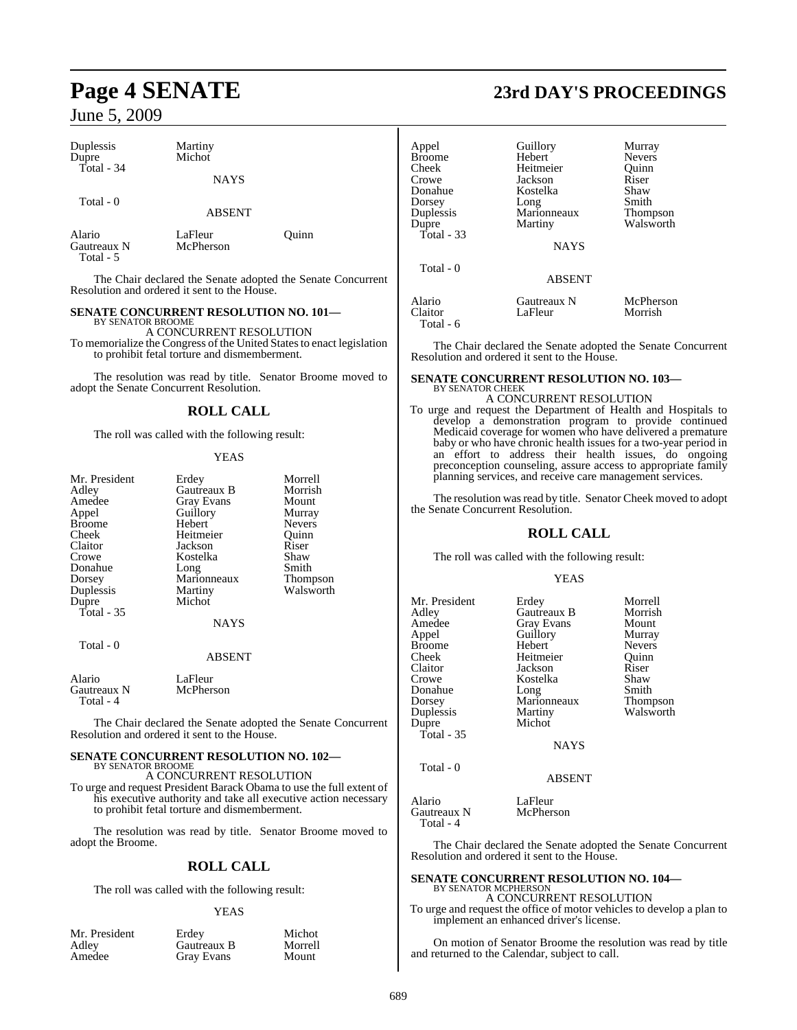## June 5, 2009

| Duplessis<br>Dupre                 | Martiny<br>Michot    |       |
|------------------------------------|----------------------|-------|
| Total - $34$                       | <b>NAYS</b>          |       |
| Total $-0$                         | <b>ABSENT</b>        |       |
| Alario<br>Gautreaux N<br>Total - 5 | LaFleur<br>McPherson | Ouinn |

The Chair declared the Senate adopted the Senate Concurrent Resolution and ordered it sent to the House.

#### **SENATE CONCURRENT RESOLUTION NO. 101—** BY SENATOR BROOME

A CONCURRENT RESOLUTION To memorialize the Congress of the United States to enact legislation to prohibit fetal torture and dismemberment.

The resolution was read by title. Senator Broome moved to adopt the Senate Concurrent Resolution.

## **ROLL CALL**

The roll was called with the following result:

#### YEAS

| Mr. President<br>Adley<br>Amedee<br>Appel<br><b>Broome</b><br>Cheek<br>Claitor<br>Crowe<br>Donahue<br>Dorsey<br>Duplessis<br>Dupre<br>Total $-35$ | Erdey<br>Gautreaux B<br><b>Gray Evans</b><br>Guillory<br>Hebert<br>Heitmeier<br>Jackson<br>Kostelka<br>Long<br>Marionneaux<br>Martiny<br>Michot | Morrell<br>Morrish<br>Mount<br>Murray<br><b>Nevers</b><br>Ouinn<br>Riser<br>Shaw<br>Smith<br>Thompson<br>Walsworth |
|---------------------------------------------------------------------------------------------------------------------------------------------------|-------------------------------------------------------------------------------------------------------------------------------------------------|--------------------------------------------------------------------------------------------------------------------|
|                                                                                                                                                   | <b>NAYS</b>                                                                                                                                     |                                                                                                                    |
| Total - 0                                                                                                                                         | <b>ABSENT</b>                                                                                                                                   |                                                                                                                    |

Alario LaFleur<br>Gautreaux N McPherson Gautreaux N Total - 4

The Chair declared the Senate adopted the Senate Concurrent Resolution and ordered it sent to the House.

## **SENATE CONCURRENT RESOLUTION NO. 102—** BY SENATOR BROOME A CONCURRENT RESOLUTION

To urge and request President Barack Obama to use the full extent of his executive authority and take all executive action necessary to prohibit fetal torture and dismemberment.

The resolution was read by title. Senator Broome moved to adopt the Broome.

## **ROLL CALL**

The roll was called with the following result:

#### YEAS

| Mr. President | Erdey             | Michot  |
|---------------|-------------------|---------|
| Adley         | Gautreaux B       | Morrell |
| Amedee        | <b>Gray Evans</b> | Mount   |

# **Page 4 SENATE 23rd DAY'S PROCEEDINGS**

| Appel<br>Broome<br>Cheek<br>Crowe<br>Donahue<br>Dorsey<br>Duplessis<br>Dupre<br>Total - 33 | Guillory<br>Hebert<br>Heitmeier<br>Jackson<br>Kostelka<br>Long<br>Marionneaux<br>Martiny<br><b>NAYS</b> | Murray<br><b>Nevers</b><br>Ouinn<br>Riser<br>Shaw<br>Smith<br>Thompson<br>Walsworth |
|--------------------------------------------------------------------------------------------|---------------------------------------------------------------------------------------------------------|-------------------------------------------------------------------------------------|
| Total - 0                                                                                  | <b>ABSENT</b>                                                                                           |                                                                                     |
| Alario<br>Claitor<br>Total - 6                                                             | Gautreaux N<br>LaFleur                                                                                  | McPherson<br>Morrish                                                                |

The Chair declared the Senate adopted the Senate Concurrent Resolution and ordered it sent to the House.

#### **SENATE CONCURRENT RESOLUTION NO. 103—** BY SENATOR CHEEK

## A CONCURRENT RESOLUTION

To urge and request the Department of Health and Hospitals to develop a demonstration program to provide continued Medicaid coverage for women who have delivered a premature baby or who have chronic health issues for a two-year period in an effort to address their health issues, do ongoing preconception counseling, assure access to appropriate family planning services, and receive care management services.

The resolution was read by title. Senator Cheek moved to adopt the Senate Concurrent Resolution.

## **ROLL CALL**

The roll was called with the following result:

#### YEAS

| Mr. President<br>Adley<br>Amedee<br>Appel<br>Broome<br>Cheek<br>Claitor<br>Crowe<br>Donahue<br>Dorsey<br>Duplessis<br>Dupre<br>Total - 35 | Erdey<br>Gautreaux B<br>Gray Evans<br>Guillory<br>Hebert<br>Heitmeier<br>Jackson<br>Kostelka<br>Long<br>Marionneaux<br>Martiny<br>Michot<br><b>NAYS</b> | Morrell<br>Morrish<br>Mount<br>Murray<br><b>Nevers</b><br>Ouinn<br>Riser<br>Shaw<br>Smith<br><b>Thompson</b><br>Walsworth |
|-------------------------------------------------------------------------------------------------------------------------------------------|---------------------------------------------------------------------------------------------------------------------------------------------------------|---------------------------------------------------------------------------------------------------------------------------|
| Total - 0                                                                                                                                 | <b>ABSENT</b>                                                                                                                                           |                                                                                                                           |
|                                                                                                                                           |                                                                                                                                                         |                                                                                                                           |

#### Alario LaFleur<br>Gautreaux N McPherson Gautreaux N Total - 4

The Chair declared the Senate adopted the Senate Concurrent Resolution and ordered it sent to the House.

#### **SENATE CONCURRENT RESOLUTION NO. 104—** BY SENATOR MCPHERSON

A CONCURRENT RESOLUTION To urge and request the office of motor vehicles to develop a plan to implement an enhanced driver's license.

On motion of Senator Broome the resolution was read by title and returned to the Calendar, subject to call.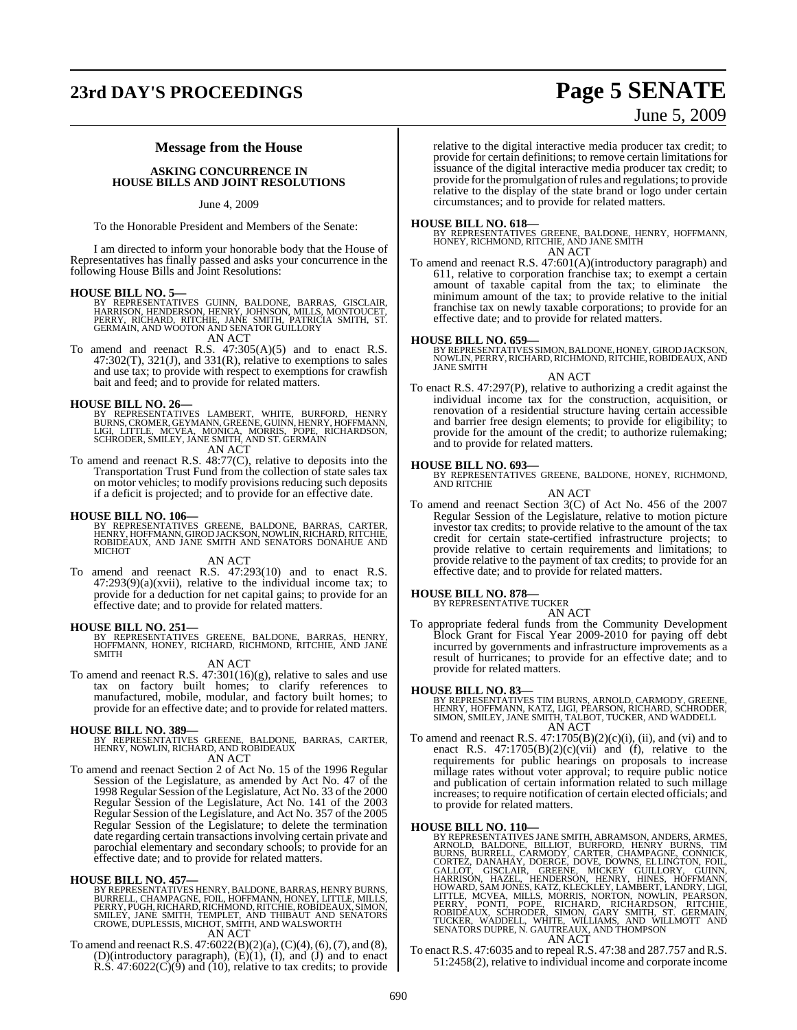# **23rd DAY'S PROCEEDINGS Page 5 SENATE**

# June 5, 2009

## **Message from the House**

**ASKING CONCURRENCE IN HOUSE BILLS AND JOINT RESOLUTIONS**

#### June 4, 2009

To the Honorable President and Members of the Senate:

I am directed to inform your honorable body that the House of Representatives has finally passed and asks your concurrence in the following House Bills and Joint Resolutions:

**HOUSE BILL NO. 5—**<br>BY REPRESENTATIVES GUINN, BALDONE, BARRAS, GISCLAIR<br>HARRISON, HENDERSON, HENRY, JOHNSON, MILLS, MONTOUCET,<br>PERRY, RICHARD, RITCHIE, JANE SMITH, PATRICIA SMITH, ST.<br>GERMAIN, AND WOOTON AND SENATOR GUILLO

AN ACT

To amend and reenact R.S. 47:305(A)(5) and to enact R.S.  $47:302(T)$ ,  $321(J)$ , and  $331(R)$ , relative to exemptions to sales and use tax; to provide with respect to exemptions for crawfish bait and feed; and to provide for related matters.

#### **HOUSE BILL NO. 26—**

BY REPRESENTATIVES LAMBERT, WHITE, BURFORD, HENRY<br>BURNS,CROMER,GEYMANN,GREENE,GUINN,HENRY,HOFFMANN,<br>LIGI, LITTLE, MCVEA, MONICA, MORRIS, POPE, RICHARDSON,<br>SCHRODER,SMILEY,JANE SMITH,AND ST.GERMAIN AN ACT

To amend and reenact R.S. 48:77(C), relative to deposits into the Transportation Trust Fund from the collection of state sales tax on motor vehicles; to modify provisions reducing such deposits if a deficit is projected; and to provide for an effective date.

**HOUSE BILL NO. 106—** BY REPRESENTATIVES GREENE, BALDONE, BARRAS, CARTER, HENRY, HOFFMANN, GIROD JACKSON, NOWLIN, RICHARD, RITCHIE, ROBIDEAUX, AND JANE SMITH AND SENATORS DONAHUE AND **MICHOT** 

AN ACT

To amend and reenact R.S. 47:293(10) and to enact R.S.  $47:293(9)(a)(xvii)$ , relative to the individual income tax; to provide for a deduction for net capital gains; to provide for an effective date; and to provide for related matters.

#### **HOUSE BILL NO. 251—**

BY REPRESENTATIVES GREENE, BALDONE, BARRAS, HENRY, HOFFMANN, HONEY, RICHARD, RICHMOND, RITCHIE, AND JANE SMITH

AN ACT

To amend and reenact R.S. 47:301(16)(g), relative to sales and use tax on factory built homes; to clarify references to manufactured, mobile, modular, and factory built homes; to provide for an effective date; and to provide for related matters.

**HOUSE BILL NO. 389—** BY REPRESENTATIVES GREENE, BALDONE, BARRAS, CARTER, HENRY, NOWLIN, RICHARD, AND ROBIDEAUX AN ACT

To amend and reenact Section 2 of Act No. 15 of the 1996 Regular Session of the Legislature, as amended by Act No. 47 of the 1998 Regular Session of the Legislature, Act No. 33 of the 2000 Regular Session of the Legislature, Act No. 141 of the 2003 Regular Session of the Legislature, and Act No. 357 of the 2005 Regular Session of the Legislature; to delete the termination date regarding certain transactions involving certain private and parochial elementary and secondary schools; to provide for an effective date; and to provide for related matters.

**HOUSE BILL NO. 457—**<br>BY REPRESENTATIVES HENRY, BALDONE, BARRAS, HENRY BURNS, BURRELL, CHAMPAGNE, FOIL, HOFFMANN, HONEY, LITTLE, MILLS,<br>BERRY, PUGH, RICHARD, RICHMOND, RITCHIE, ROBIDEAUX, SIMON,<br>SMILEY, JANE SMITH, TEMPLET

To amend and reenact R.S.  $47:6022(B)(2)(a)$ ,  $(C)(4)$ ,  $(6)$ ,  $(7)$ , and  $(8)$ , To amend and reenact R.S.  $47:6022(B)(2)(a)$ ,  $(C)(4)$ ,  $(6)$ ,  $(7)$ , and  $(8)$ ,  $(D)(introductory paragraph), (E)(1), (I), and (J)$  and to enact R.S.  $47:6022(\overrightarrow{C})(9)$  and  $(10)$ , relative to tax credits; to provide relative to the digital interactive media producer tax credit; to provide for certain definitions; to remove certain limitations for issuance of the digital interactive media producer tax credit; to provide forthe promulgation ofrules and regulations; to provide relative to the display of the state brand or logo under certain circumstances; and to provide for related matters.

**HOUSE BILL NO. 618—** BY REPRESENTATIVES GREENE, BALDONE, HENRY, HOFFMANN, HONEY, RICHMOND, RITCHIE, AND JANE SMITH AN ACT

To amend and reenact R.S. 47:601(A)(introductory paragraph) and 611, relative to corporation franchise tax; to exempt a certain amount of taxable capital from the tax; to eliminate the minimum amount of the tax; to provide relative to the initial franchise tax on newly taxable corporations; to provide for an effective date; and to provide for related matters.

**HOUSE BILL NO. 659—**<br>BY REPRESENTATIVES SIMON, BALDONE, HONEY, GIROD JACKSON,<br>NOWLIN, PERRY, RICHARD, RICHMOND, RITCHIE, ROBIDEAUX, AND<br>JANE SMITH

#### AN ACT

To enact R.S. 47:297(P), relative to authorizing a credit against the individual income tax for the construction, acquisition, or renovation of a residential structure having certain accessible and barrier free design elements; to provide for eligibility; to provide for the amount of the credit; to authorize rulemaking; and to provide for related matters.

## **HOUSE BILL NO. 693—**

BY REPRESENTATIVES GREENE, BALDONE, HONEY, RICHMOND, AND RITCHIE

AN ACT

To amend and reenact Section 3(C) of Act No. 456 of the 2007 Regular Session of the Legislature, relative to motion picture investor tax credits; to provide relative to the amount of the tax credit for certain state-certified infrastructure projects; to provide relative to certain requirements and limitations; to provide relative to the payment of tax credits; to provide for an effective date; and to provide for related matters.

#### **HOUSE BILL NO. 878—**

BY REPRESENTATIVE TUCKER AN ACT

To appropriate federal funds from the Community Development Block Grant for Fiscal Year 2009-2010 for paying off debt incurred by governments and infrastructure improvements as a result of hurricanes; to provide for an effective date; and to provide for related matters.

**HOUSE BILL NO. 83—** BY REPRESENTATIVES TIM BURNS, ARNOLD, CARMODY, GREENE, HENRY, HOFFMANN, KATZ, LIGI, PEARSON, RICHARD, SCHRODER, SIMON, SMILEY, JANE SMITH, TALBOT, TUCKER, AND WADDELL AN ACT

To amend and reenact R.S.  $47:1705(B)(2)(c)(i)$ , (ii), and (vi) and to enact R.S. 47:1705(B)(2)(c)(vii) and (f), relative to the requirements for public hearings on proposals to increase millage rates without voter approval; to require public notice and publication of certain information related to such millage increases; to require notification of certain elected officials; and to provide for related matters.

HOUSE BILL NO. 110—<br>
BY REPRESENTATIVES JANE SMITH, ABRAMSON, ANDERS, ARMES, ARNOLD, BALDONE, BILLIOT, BURFORD, HENRY BURNS, TIM<br>
BURNS, BURRELL, CARMODY, CARTER, CHAMPAGNE, CONNICK,<br>
CORTEZ, DANAHAY, DOERGE, DOVE, DOWNS,

To enact R.S. 47:6035 and to repeal R.S. 47:38 and 287.757 and R.S. 51:2458(2), relative to individual income and corporate income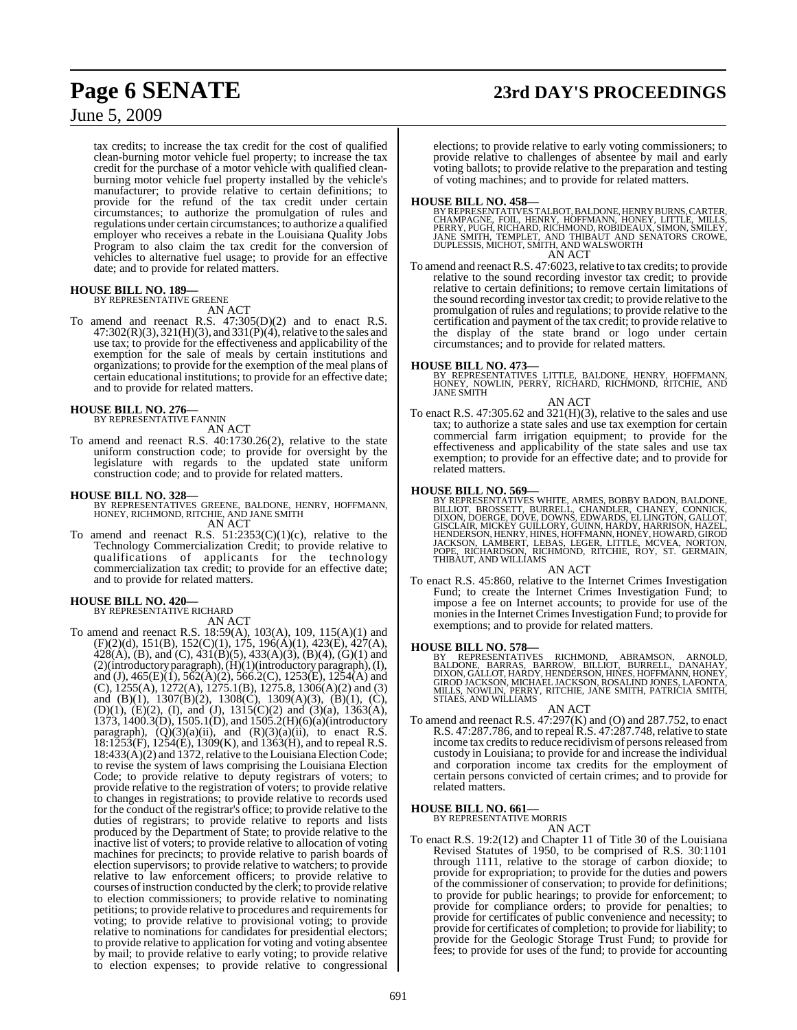# **Page 6 SENATE 23rd DAY'S PROCEEDINGS**

## June 5, 2009

tax credits; to increase the tax credit for the cost of qualified clean-burning motor vehicle fuel property; to increase the tax credit for the purchase of a motor vehicle with qualified cleanburning motor vehicle fuel property installed by the vehicle's manufacturer; to provide relative to certain definitions; to provide for the refund of the tax credit under certain circumstances; to authorize the promulgation of rules and regulations under certain circumstances; to authorize a qualified employer who receives a rebate in the Louisiana Quality Jobs Program to also claim the tax credit for the conversion of vehicles to alternative fuel usage; to provide for an effective date; and to provide for related matters.

#### **HOUSE BILL NO. 189—**

BY REPRESENTATIVE GREENE AN ACT

To amend and reenact R.S. 47:305(D)(2) and to enact R.S.  $47:302(R)(3), 321(H)(3),$  and  $331(P)(4)$ , relative to the sales and use tax; to provide for the effectiveness and applicability of the exemption for the sale of meals by certain institutions and organizations; to provide for the exemption of the meal plans of certain educational institutions; to provide for an effective date; and to provide for related matters.

# **HOUSE BILL NO. 276—** BY REPRESENTATIVE FANNIN

- AN ACT To amend and reenact R.S. 40:1730.26(2), relative to the state uniform construction code; to provide for oversight by the
- legislature with regards to the updated state uniform construction code; and to provide for related matters.

- **HOUSE BILL NO. 328—** BY REPRESENTATIVES GREENE, BALDONE, HENRY, HOFFMANN, HONEY, RICHMOND, RITCHIE, AND JANE SMITH AN ACT
	-
- To amend and reenact R.S.  $51:2353(C)(1)(c)$ , relative to the Technology Commercialization Credit; to provide relative to qualifications of applicants for the technology commercialization tax credit; to provide for an effective date; and to provide for related matters.

#### **HOUSE BILL NO. 420—** BY REPRESENTATIVE RICHARD

AN ACT

To amend and reenact R.S. 18:59(A), 103(A), 109, 115(A)(1) and (F)(2)(d), 151(B), 152(C)(1), 175, 196(A)(1), 423(E), 427(A),  $\overline{428(A)}$ , (B), and (C),  $\overline{431(B)}(5)$ ,  $\overline{433(A)}(3)$ , (B)(4), (G)(1) and (2)(introductory paragraph), (H)(1)(introductory paragraph), (I), and (J),  $465(E)(1)$ ,  $562(A)(2)$ ,  $566.2(C)$ ,  $1253(E)$ ,  $1254(A)$  and (C), 1255(A), 1272(A), 1275.1(B), 1275.8, 1306(A)(2) and (3) and (B)(1), 1307(B)(2), 1308(C), 1309(A)(3), (B)(1), (C), (D)(1), (E)(2), (I), and (J), 1315(C)(2) and (3)(a), 1363(A), 1373, 1400.3(D), 1505.1(D), and 1505.2(H)(6)(a)(introductory paragraph),  $(Q)(3)(a)(ii)$ , and  $(R)(3)(a)(ii)$ , to enact R.S. 18:1253(F), 1254(E), 1309(K), and 1363(H), and to repeal R.S. 18:433(A)(2) and 1372, relative to the Louisiana Election Code; to revise the system of laws comprising the Louisiana Election Code; to provide relative to deputy registrars of voters; to provide relative to the registration of voters; to provide relative to changes in registrations; to provide relative to records used for the conduct of the registrar's office; to provide relative to the duties of registrars; to provide relative to reports and lists produced by the Department of State; to provide relative to the inactive list of voters; to provide relative to allocation of voting machines for precincts; to provide relative to parish boards of election supervisors; to provide relative to watchers; to provide relative to law enforcement officers; to provide relative to courses ofinstruction conducted by the clerk; to provide relative to election commissioners; to provide relative to nominating petitions; to provide relative to procedures and requirements for voting; to provide relative to provisional voting; to provide relative to nominations for candidates for presidential electors; to provide relative to application for voting and voting absentee by mail; to provide relative to early voting; to provide relative to election expenses; to provide relative to congressional elections; to provide relative to early voting commissioners; to provide relative to challenges of absentee by mail and early voting ballots; to provide relative to the preparation and testing of voting machines; and to provide for related matters.

#### **HOUSE BILL NO. 458—**

BY REPRESENTATIVES TALBOT, BALDONE, HENRY BURNS, CARTER,<br>CHAMPAGNE, FOIL, HENRY, HOFFMANN, HONEY, LITTLE, MILLS,<br>PERRY, PUGH, RICHARD, RICHMOND, ROBIDEAUX, SIMON, SMILEY,<br>JANE SMITH, TEMPLET, AND THIBAUT AND SENATORS CROWE

AN ACT

To amend and reenact R.S. 47:6023, relative to tax credits; to provide relative to the sound recording investor tax credit; to provide relative to certain definitions; to remove certain limitations of the sound recording investor tax credit; to provide relative to the promulgation of rules and regulations; to provide relative to the certification and payment of the tax credit; to provide relative to the display of the state brand or logo under certain circumstances; and to provide for related matters.

**HOUSE BILL NO. 473—** BY REPRESENTATIVES LITTLE, BALDONE, HENRY, HOFFMANN, HONEY, NOWLIN, PERRY, RICHARD, RICHMOND, RITCHIE, AND JANE SMITH

#### AN ACT

To enact R.S.  $47:305.62$  and  $321(H)(3)$ , relative to the sales and use tax; to authorize a state sales and use tax exemption for certain commercial farm irrigation equipment; to provide for the effectiveness and applicability of the state sales and use tax exemption; to provide for an effective date; and to provide for related matters.

#### **HOUSE BILL NO. 569—**

BY REPRESENTATIVES WHITE, ARMES, BOBBY BADON, BALDONE,<br>BILLIOT, BROSSETT, BURRELL, CHANDLER, CHANEY, CONNICK,<br>DIXON, DOERGE, DOVE, DOWNS, EDWARDS, EL LINGTON, GALLOT,<br>GISCLAIR, MICKEY GUILLORY, GUINN, HARDY, HARRISON, HAZE

#### AN ACT

To enact R.S. 45:860, relative to the Internet Crimes Investigation Fund; to create the Internet Crimes Investigation Fund; to impose a fee on Internet accounts; to provide for use of the monies in the Internet Crimes Investigation Fund; to provide for exemptions; and to provide for related matters.

**HOUSE BILL NO. 578—**<br>BY REPRESENTATIVES RICHMOND, ABRAMSON, ARNOLD,<br>BALDONE, BARRAS, BARROW, BILLIOT, BURRELL, DANAHAY,<br>DIXON, GALLOT, HARDY, HENDERSON, HINES, HOFFMANN, HONEY,<br>GIROD JACKSON, MICHAEL JACKSON, ROSALIND JON

AN ACT

To amend and reenact R.S. 47:297(K) and (O) and 287.752, to enact R.S. 47:287.786, and to repeal R.S. 47:287.748, relative to state income tax credits to reduce recidivism of persons released from custody in Louisiana; to provide for and increase the individual and corporation income tax credits for the employment of certain persons convicted of certain crimes; and to provide for related matters.

#### **HOUSE BILL NO. 661—** BY REPRESENTATIVE MORRIS

AN ACT

To enact R.S. 19:2(12) and Chapter 11 of Title 30 of the Louisiana Revised Statutes of 1950, to be comprised of R.S. 30:1101 through 1111, relative to the storage of carbon dioxide; to provide for expropriation; to provide for the duties and powers of the commissioner of conservation; to provide for definitions; to provide for public hearings; to provide for enforcement; to provide for compliance orders; to provide for penalties; to provide for certificates of public convenience and necessity; to provide for certificates of completion; to provide for liability; to provide for the Geologic Storage Trust Fund; to provide for fees; to provide for uses of the fund; to provide for accounting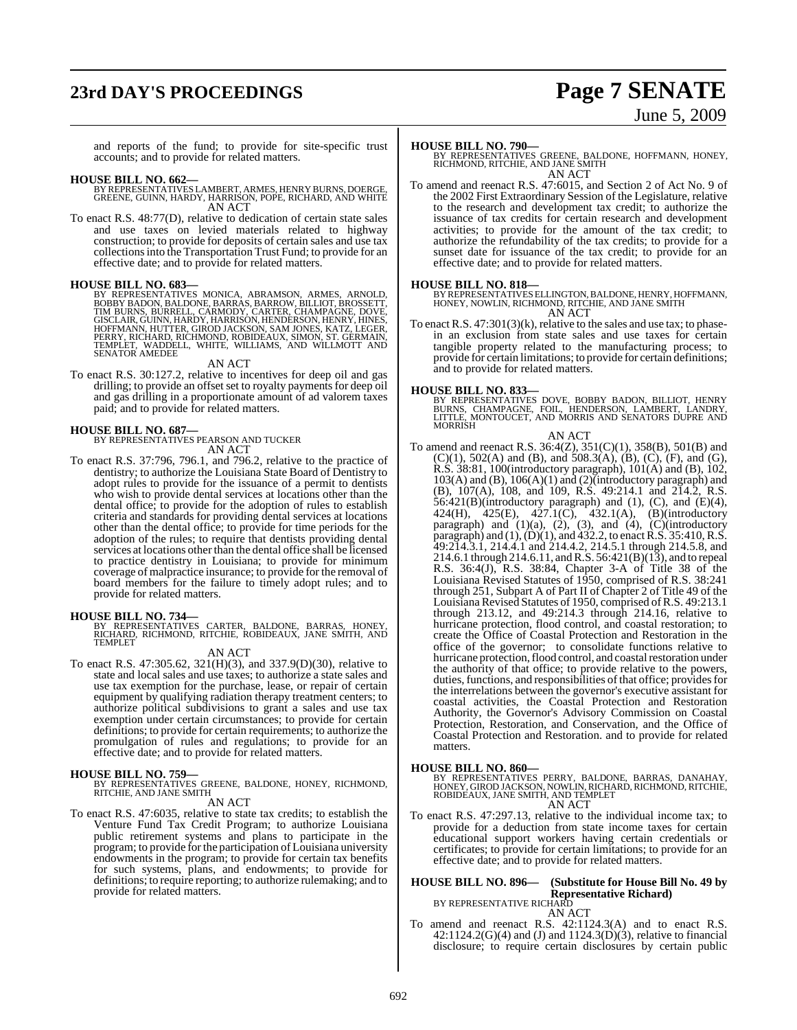# **23rd DAY'S PROCEEDINGS Page 7 SENATE**

# June 5, 2009

and reports of the fund; to provide for site-specific trust accounts; and to provide for related matters.

- **HOUSE BILL NO. 662—** BY REPRESENTATIVES LAMBERT, ARMES, HENRY BURNS, DOERGE, GREENE, GUINN, HARDY, HARRISON, POPE, RICHARD, AND WHITE AN ACT
- To enact R.S. 48:77(D), relative to dedication of certain state sales and use taxes on levied materials related to highway construction; to provide for deposits of certain sales and use tax collectionsinto the Transportation Trust Fund; to provide for an effective date; and to provide for related matters.

#### **HOUSE BILL NO. 683—**

BY REPRESENTATIVES MONICA, ABRAMSON, ARMES, ARNOLD,<br>BOBBY BADON, BALDONE, BARRAS, BARROW, BILLIOT, BROSSETT,<br>TIM BURNS, BURRELL, CARMODY, CARTER, CHAMPAGNE, DOVE,<br>GISCLAIR, GUINN, HARDY, HARRISON, HENDERSON, HENRY, HINES, HOFFMANN, HUTTER, GIROD JACKSON, SAM JONES, KATZ, LEGER, PERRY, RICHARD, RICHMOND, ROBIDEAUX, SIMON, ST. GERMAIN, TEMPLET, WADDELL, WHITE, WILLIAMS, AND WILLMOTT AND SENATOR AMEDEE

AN ACT

To enact R.S. 30:127.2, relative to incentives for deep oil and gas drilling; to provide an offset set to royalty payments for deep oil and gas drilling in a proportionate amount of ad valorem taxes paid; and to provide for related matters.

**HOUSE BILL NO. 687—** BY REPRESENTATIVES PEARSON AND TUCKER AN ACT

To enact R.S. 37:796, 796.1, and 796.2, relative to the practice of dentistry; to authorize the Louisiana State Board of Dentistry to adopt rules to provide for the issuance of a permit to dentists who wish to provide dental services at locations other than the dental office; to provide for the adoption of rules to establish criteria and standards for providing dental services at locations other than the dental office; to provide for time periods for the adoption of the rules; to require that dentists providing dental services at locations other than the dental office shall be licensed to practice dentistry in Louisiana; to provide for minimum coverage of malpractice insurance; to provide for the removal of board members for the failure to timely adopt rules; and to provide for related matters.

**HOUSE BILL NO. 734—** BY REPRESENTATIVES CARTER, BALDONE, BARRAS, HONEY, RICHARD, RICHMOND, RITCHIE, ROBIDEAUX, JANE SMITH, AND TEMPLET

#### AN ACT

To enact R.S. 47:305.62, 321(H)(3), and 337.9(D)(30), relative to state and local sales and use taxes; to authorize a state sales and use tax exemption for the purchase, lease, or repair of certain equipment by qualifying radiation therapy treatment centers; to authorize political subdivisions to grant a sales and use tax exemption under certain circumstances; to provide for certain definitions; to provide for certain requirements; to authorize the promulgation of rules and regulations; to provide for an effective date; and to provide for related matters.

## **HOUSE BILL NO. 759—**

BY REPRESENTATIVES GREENE, BALDONE, HONEY, RICHMOND, RITCHIE, AND JANE SMITH AN ACT

To enact R.S. 47:6035, relative to state tax credits; to establish the Venture Fund Tax Credit Program; to authorize Louisiana public retirement systems and plans to participate in the program; to provide forthe participation of Louisiana university endowments in the program; to provide for certain tax benefits for such systems, plans, and endowments; to provide for definitions; to require reporting; to authorize rulemaking; and to provide for related matters.

#### **HOUSE BILL NO. 790—**

BY REPRESENTATIVES GREENE, BALDONE, HOFFMANN, HONEY, RICHMOND, RITCHIE, AND JANE SMITH AN ACT

To amend and reenact R.S. 47:6015, and Section 2 of Act No. 9 of the 2002 First Extraordinary Session of the Legislature, relative to the research and development tax credit; to authorize the issuance of tax credits for certain research and development activities; to provide for the amount of the tax credit; to authorize the refundability of the tax credits; to provide for a sunset date for issuance of the tax credit; to provide for an effective date; and to provide for related matters.

#### **HOUSE BILL NO. 818—**

BY REPRESENTATIVES ELLINGTON, BALDONE, HENRY, HOFFMANN,<br>HONEY, NOWLIN, RICHMOND, RITCHIE, AND JANE SMITH<br>AN ACT

To enact R.S. 47:301(3)(k), relative to the sales and use tax; to phasein an exclusion from state sales and use taxes for certain tangible property related to the manufacturing process; to provide for certain limitations; to provide for certain definitions; and to provide for related matters.

**HOUSE BILL NO. 833—**<br>BY REPRESENTATIVES DOVE, BOBBY BADON, BILLIOT, HENRY<br>BURNS, CHAMPAGNE, FOIL, HENDERSON, LAMBERT, LANDRY,<br>LITTLE, MONTOUCET, AND MORRIS AND SENATORS DUPRE AND MORRISH<sup>1</sup>

#### AN ACT

To amend and reenact R.S. 36:4(Z), 351(C)(1), 358(B), 501(B) and  $(C)(1)$ , 502(A) and (B), and 508.3(A), (B), (C), (F), and (G), R.S. 38:81, 100(introductory paragraph), 101(A) and (B), 102, 103(A) and (B), 106(A)(1) and (2)(introductory paragraph) and (B), 107(A), 108, and 109, R.S. 49:214.1 and 214.2, R.S.  $56:421(B)$ (introductory paragraph) and (1), (C), and (E)(4), 424(H),  $425(E)$ ,  $427.1(C)$ ,  $432.1(A)$ ,  $(B)$ (introductory paragraph) and  $(1)(a)$ ,  $(2)$ ,  $(3)$ , and  $(4)$ ,  $(C)(introducing$ paragraph) and  $(1)$ ,  $(D)(1)$ , and  $432.2$ , to enact R.S. 35:410, R.S. 49:214.3.1, 214.4.1 and 214.4.2, 214.5.1 through 214.5.8, and 214.6.1 through 214.6.11, andR.S. 56:421(B)(13), and to repeal R.S. 36:4(J), R.S. 38:84, Chapter 3-A of Title 38 of the Louisiana Revised Statutes of 1950, comprised of R.S. 38:241 through 251, Subpart A of Part II of Chapter 2 of Title 49 of the Louisiana Revised Statutes of 1950, comprised ofR.S. 49:213.1 through 213.12, and 49:214.3 through 214.16, relative to hurricane protection, flood control, and coastal restoration; to create the Office of Coastal Protection and Restoration in the office of the governor; to consolidate functions relative to hurricane protection, flood control, and coastal restoration under the authority of that office; to provide relative to the powers, duties, functions, and responsibilities of that office; provides for the interrelations between the governor's executive assistant for coastal activities, the Coastal Protection and Restoration Authority, the Governor's Advisory Commission on Coastal Protection, Restoration, and Conservation, and the Office of Coastal Protection and Restoration. and to provide for related matters.

#### **HOUSE BILL NO. 860—**

BY REPRESENTATIVES PERRY, BALDONE, BARRAS, DANAHAY,<br>HONEY,GIROD JACKSON,NOWLIN,RICHARD,RICHMOND,RITCHIE,<br>ROBIDEAUX,JANE SMITH,AND TEMPLET AN ACT

To enact R.S. 47:297.13, relative to the individual income tax; to provide for a deduction from state income taxes for certain educational support workers having certain credentials or certificates; to provide for certain limitations; to provide for an effective date; and to provide for related matters.

## **HOUSE BILL NO. 896— (Substitute for House Bill No. 49 by Representative Richard)**<br>BY REPRESENTATIVE RICHARD

AN ACT

To amend and reenact R.S. 42:1124.3(A) and to enact R.S. 42:1124.2(G)(4) and (J) and 1124.3(D)(3), relative to financial disclosure; to require certain disclosures by certain public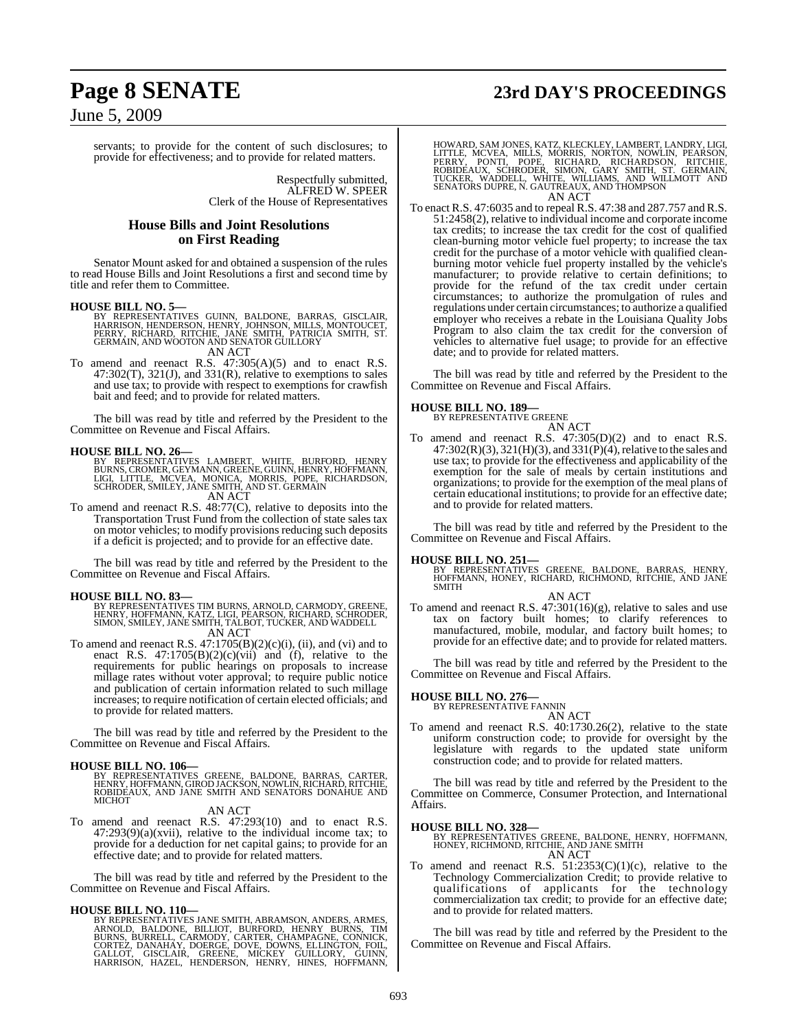# **Page 8 SENATE 23rd DAY'S PROCEEDINGS**

## June 5, 2009

servants; to provide for the content of such disclosures; to provide for effectiveness; and to provide for related matters.

> Respectfully submitted, ALFRED W. SPEER Clerk of the House of Representatives

#### **House Bills and Joint Resolutions on First Reading**

Senator Mount asked for and obtained a suspension of the rules to read House Bills and Joint Resolutions a first and second time by title and refer them to Committee.

#### **HOUSE BILL NO. 5—**

BY REPRESENTATIVES GUINN, BALDONE, BARRAS, GISCLAIR,<br>HARRISON, HENDERSON, HENRY, JOHNSON, MILLS, MONTOUCET,<br>PERRY, RICHARD, RITCHIE, JANE SMITH, PATRICIA SMITH, ST.<br>GERMAIN, AND WOOTON AND SENATOR GUILLORY AN ACT

To amend and reenact R.S. 47:305(A)(5) and to enact R.S.  $47:302(T)$ ,  $321(J)$ , and  $331(R)$ , relative to exemptions to sales and use tax; to provide with respect to exemptions for crawfish bait and feed; and to provide for related matters.

The bill was read by title and referred by the President to the Committee on Revenue and Fiscal Affairs.

**HOUSE BILL NO. 26—**<br>BY REPRESENTATIVES LAMBERT, WHITE, BURFORD, HENRY<br>BURNS, CROMER, GEYMANN, GREENE, GUINN, HENRY, HOFFMANN,<br>LIGI, LITTLE, MCVEA, MONICA, MORRIS, POPE, RICHARDSON,<br>SCHRODER, SMILEY, JANE SMITH, AND ST. GE AN ACT

To amend and reenact R.S. 48:77(C), relative to deposits into the Transportation Trust Fund from the collection of state sales tax on motor vehicles; to modify provisions reducing such deposits if a deficit is projected; and to provide for an effective date.

The bill was read by title and referred by the President to the Committee on Revenue and Fiscal Affairs.

- **HOUSE BILL NO. 83—** BY REPRESENTATIVES TIM BURNS, ARNOLD, CARMODY, GREENE, HENRY, HOFFMANN, KATZ, LIGI, PEARSON, RICHARD, SCHRODER, SIMON, SMILEY, JANE SMITH, TALBOT, TUCKER, AND WADDELL AN ACT
- To amend and reenact R.S. 47:1705(B)(2)(c)(i), (ii), and (vi) and to enact R.S.  $47:1705(B)(2)(c)(vii)$  and (f), relative to the requirements for public hearings on proposals to increase millage rates without voter approval; to require public notice and publication of certain information related to such millage increases; to require notification of certain elected officials; and to provide for related matters.

The bill was read by title and referred by the President to the Committee on Revenue and Fiscal Affairs.

#### **HOUSE BILL NO. 106—**

BY REPRESENTATIVES GREENE, BALDONE, BARRAS, CARTER,<br>HENRY,HOFFMANN,GIROD JACKSON,NOWLIN,RICHARD,RITCHIE,<br>ROBIDEAUX, AND JANE SMITH AND SENATORS DONAHUE AND **MICHOT** 

#### AN ACT

To amend and reenact R.S. 47:293(10) and to enact R.S.  $47:293(9)(a)(xvii)$ , relative to the individual income tax; to provide for a deduction for net capital gains; to provide for an effective date; and to provide for related matters.

The bill was read by title and referred by the President to the Committee on Revenue and Fiscal Affairs.

**HOUSE BILL NO. 110—**<br>BY REPRESENTATIVES JANE SMITH, ABRAMSON, ANDERS, ARMES,<br>ARNOLD, BALDONE, BILLIOT, BURFORD, HENRY BURNS, TIM<br>BURNS, BURRELL, CARMODY, CARTER, CHAMPAGNE, CONNICK,<br>CORTEZ, DANAHAY, DOERGE, DOVE, DOWNS, E

HOWARD, SAM JONES, KATZ, KLECKLEY, LAMBERT, LANDRY, LIGI, ILITILE, MCVEA, MILLS, MORRIS, NORTON, NOWLIN, PEARSON, ETCHIE, ROBIDÉAUX, SCHRODER, SIMON, GARY SMITH, ST. GERMAIN, TUCKER, WADDELL, WHITH, MADELL, WHITH, ST. GERM

To enact R.S. 47:6035 and to repeal R.S. 47:38 and 287.757 and R.S. 51:2458(2), relative to individual income and corporate income tax credits; to increase the tax credit for the cost of qualified clean-burning motor vehicle fuel property; to increase the tax credit for the purchase of a motor vehicle with qualified cleanburning motor vehicle fuel property installed by the vehicle's manufacturer; to provide relative to certain definitions; to provide for the refund of the tax credit under certain circumstances; to authorize the promulgation of rules and regulations under certain circumstances; to authorize a qualified employer who receives a rebate in the Louisiana Quality Jobs Program to also claim the tax credit for the conversion of vehicles to alternative fuel usage; to provide for an effective date; and to provide for related matters.

The bill was read by title and referred by the President to the Committee on Revenue and Fiscal Affairs.

#### **HOUSE BILL NO. 189—**

BY REPRESENTATIVE GREENE

AN ACT To amend and reenact R.S. 47:305(D)(2) and to enact R.S.  $47:302(R)(3), 321(H)(3),$  and  $331(P)(4)$ , relative to the sales and use tax; to provide for the effectiveness and applicability of the exemption for the sale of meals by certain institutions and organizations; to provide for the exemption of the meal plans of certain educational institutions; to provide for an effective date; and to provide for related matters.

The bill was read by title and referred by the President to the Committee on Revenue and Fiscal Affairs.

#### **HOUSE BILL NO. 251—**

BY REPRESENTATIVES GREENE, BALDONE, BARRAS, HENRY,<br>HOFFMANN, HONEY, RICHARD, RICHMOND, RITCHIE, AND JANE<br>SMITH

#### AN ACT

To amend and reenact R.S. 47:301(16)(g), relative to sales and use tax on factory built homes; to clarify references to manufactured, mobile, modular, and factory built homes; to provide for an effective date; and to provide for related matters.

The bill was read by title and referred by the President to the Committee on Revenue and Fiscal Affairs.

#### **HOUSE BILL NO. 276—**

BY REPRESENTATIVE FANNIN AN ACT

To amend and reenact R.S. 40:1730.26(2), relative to the state uniform construction code; to provide for oversight by the legislature with regards to the updated state uniform construction code; and to provide for related matters.

The bill was read by title and referred by the President to the Committee on Commerce, Consumer Protection, and International Affairs.

**HOUSE BILL NO. 328—** BY REPRESENTATIVES GREENE, BALDONE, HENRY, HOFFMANN, HONEY, RICHMOND, RITCHIE, AND JANE SMITH AN ACT

To amend and reenact R.S.  $51:2353(C)(1)(c)$ , relative to the Technology Commercialization Credit; to provide relative to qualifications of applicants for the technology commercialization tax credit; to provide for an effective date; and to provide for related matters.

The bill was read by title and referred by the President to the Committee on Revenue and Fiscal Affairs.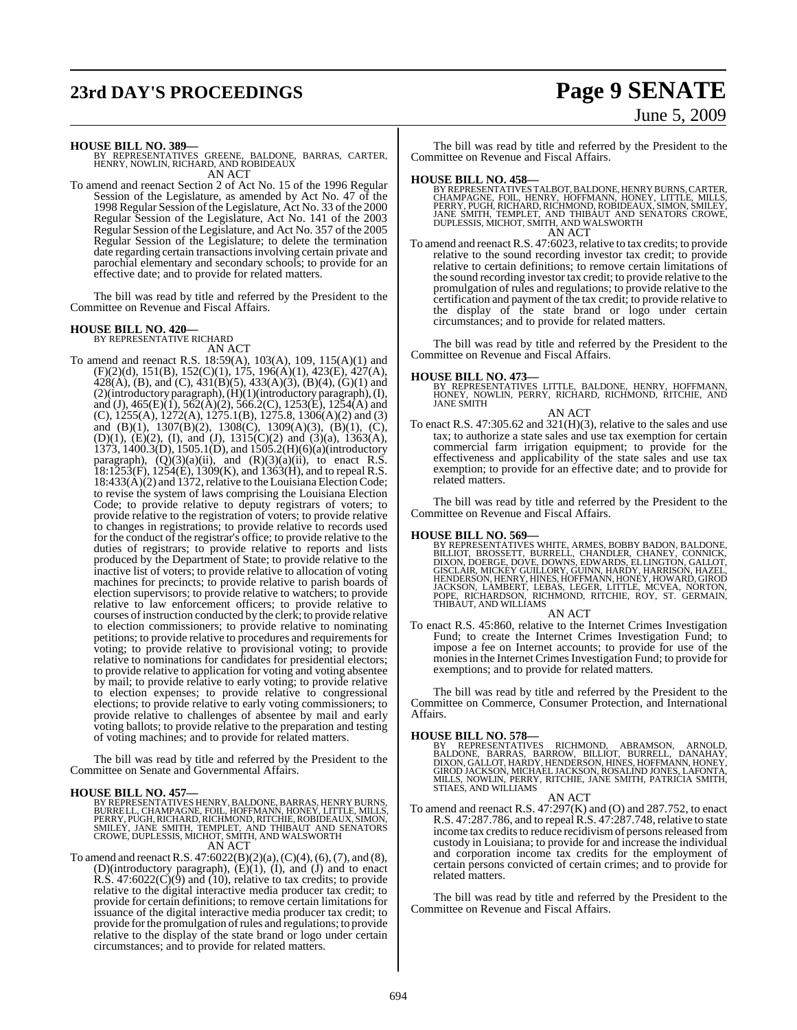# **23rd DAY'S PROCEEDINGS Page 9 SENATE**

# June 5, 2009

**HOUSE BILL NO. 389—**

BY REPRESENTATIVES GREENE, BALDONE, BARRAS, CARTER, HENRY, NOWLIN, RICHARD, AND ROBIDEAUX AN ACT

To amend and reenact Section 2 of Act No. 15 of the 1996 Regular Session of the Legislature, as amended by Act No. 47 of the 1998 Regular Session of the Legislature, Act No. 33 of the 2000 Regular Session of the Legislature, Act No. 141 of the 2003 Regular Session of the Legislature, and Act No. 357 of the 2005 Regular Session of the Legislature; to delete the termination date regarding certain transactionsinvolving certain private and parochial elementary and secondary schools; to provide for an effective date; and to provide for related matters.

The bill was read by title and referred by the President to the Committee on Revenue and Fiscal Affairs.

#### **HOUSE BILL NO. 420—**

BY REPRESENTATIVE RICHARD

AN ACT To amend and reenact R.S. 18:59(A), 103(A), 109, 115(A)(1) and (F)(2)(d), 151(B), 152(C)(1), 175, 196(A)(1), 423(E), 427(A),  $428(A)$ , (B), and (C),  $431(B)(5)$ ,  $433(A)(3)$ , (B)(4), (G)(1) and (2)(introductory paragraph), (H)(1)(introductory paragraph), (I), and (J),  $465(E)(1)$ ,  $562(A)(2)$ ,  $566.2(C)$ ,  $1253(E)$ ,  $1254(A)$  and (C), 1255(A), 1272(A), 1275.1(B), 1275.8, 1306(A)(2) and (3) and (B)(1), 1307(B)(2), 1308(C), 1309(A)(3), (B)(1), (C), (D)(1), (E)(2), (I), and (J), 1315(C)(2) and (3)(a), 1363(A),  $1373, 1400.3(D), 1505.1(D),$  and  $1505.2(H)(6)(a)$ (introductory paragraph),  $(Q)(3)(a)(ii)$ , and  $(R)(3)(a)(ii)$ , to enact R.S. 18:1253(F), 1254(E), 1309(K), and 1363(H), and to repeal R.S. 18:433(A)(2) and 1372, relative to the Louisiana ElectionCode; to revise the system of laws comprising the Louisiana Election Code; to provide relative to deputy registrars of voters; to provide relative to the registration of voters; to provide relative to changes in registrations; to provide relative to records used for the conduct of the registrar's office; to provide relative to the duties of registrars; to provide relative to reports and lists produced by the Department of State; to provide relative to the inactive list of voters; to provide relative to allocation of voting machines for precincts; to provide relative to parish boards of election supervisors; to provide relative to watchers; to provide relative to law enforcement officers; to provide relative to courses of instruction conducted by the clerk; to provide relative to election commissioners; to provide relative to nominating petitions; to provide relative to procedures and requirements for voting; to provide relative to provisional voting; to provide relative to nominations for candidates for presidential electors; to provide relative to application for voting and voting absentee by mail; to provide relative to early voting; to provide relative to election expenses; to provide relative to congressional elections; to provide relative to early voting commissioners; to provide relative to challenges of absentee by mail and early voting ballots; to provide relative to the preparation and testing of voting machines; and to provide for related matters.

The bill was read by title and referred by the President to the Committee on Senate and Governmental Affairs.

#### **HOUSE BILL NO. 457—**

BY REPRESENTATIVES HENRY, BALDONE, BARRAS, HENRY BURNS,<br>BURRELL, CHAMPAGNE, FOIL, HOFFMANN, HONEY, LITTLE, MILLS,<br>PERRY, PUGH, RICHARD, RICHMOND, RITCHIE, ROBIDEAUX, SIMON,<br>SMILEY, JANE SMITH, TEMPLET, AND THIBAUT AND SENA AN ACT

To amend and reenact R.S.  $47:6022(B)(2)(a)$ , (C)(4), (6), (7), and (8), (D)(introductory paragraph),  $(E)(1)$ ,  $(I)$ , and  $(J)$  and to enact  $R.S. 47:6022(C)(9)$  and  $(10)$ , relative to tax credits; to provide relative to the digital interactive media producer tax credit; to provide for certain definitions; to remove certain limitations for issuance of the digital interactive media producer tax credit; to provide forthe promulgation ofrules and regulations; to provide relative to the display of the state brand or logo under certain circumstances; and to provide for related matters.

The bill was read by title and referred by the President to the Committee on Revenue and Fiscal Affairs.

**HOUSE BILL NO. 458—** BY REPRESENTATIVES TALBOT, BALDONE, HENRY BURNS, CARTER, CHAMPAGNE, FOIL, HENRY, HOFFMANN, HONEY, LITTLE, MILLS,<br>PERRY, PUGH, RICHARD, RICHMOND, ROBIDEAUX, SIMON, SMILEY,<br>JANE SMITH, TEMPLET, AND THIBAUT AND SENATORS CROWE,<br>DUPLESSIS, MICHOT, SMITH, AND WALSWORTH AN ACT

To amend and reenact R.S. 47:6023, relative to tax credits; to provide relative to the sound recording investor tax credit; to provide relative to certain definitions; to remove certain limitations of the sound recording investor tax credit; to provide relative to the promulgation of rules and regulations; to provide relative to the certification and payment of the tax credit; to provide relative to the display of the state brand or logo under certain circumstances; and to provide for related matters.

The bill was read by title and referred by the President to the Committee on Revenue and Fiscal Affairs.

**HOUSE BILL NO. 473—** BY REPRESENTATIVES LITTLE, BALDONE, HENRY, HOFFMANN, HONEY, NOWLIN, PERRY, RICHARD, RICHMOND, RITCHIE, AND JANE SMITH AN ACT

To enact R.S.  $47:305.62$  and  $321(H)(3)$ , relative to the sales and use tax; to authorize a state sales and use tax exemption for certain commercial farm irrigation equipment; to provide for the effectiveness and applicability of the state sales and use tax exemption; to provide for an effective date; and to provide for related matters.

The bill was read by title and referred by the President to the Committee on Revenue and Fiscal Affairs.

#### **HOUSE BILL NO. 569—**

BY REPRESENTATIVES WHITE, ARMES, BOBBY BADON, BALDONE,<br>BILLIOT, BROSSETT, BURRELL, CHANDLER, CHANEY, CONNICK,<br>DIXON, DOERGE, DOVE, DOWNS, EDWARDS, ELLINGTON, GALLOT,<br>GISCLAIR, MICKEY GUILLORY, GUINN, HARDY, HARRISON, HAZEL THIBAUT, AND WILLIAMS

#### AN ACT

To enact R.S. 45:860, relative to the Internet Crimes Investigation Fund; to create the Internet Crimes Investigation Fund; to impose a fee on Internet accounts; to provide for use of the monies in the Internet Crimes Investigation Fund; to provide for exemptions; and to provide for related matters.

The bill was read by title and referred by the President to the Committee on Commerce, Consumer Protection, and International Affairs.

**HOUSE BILL NO. 578—**<br>BY REPRESENTATIVES RICHMOND, ABRAMSON, ARNOLD,<br>BALDONE, BARRAS, BARROW, BILLIOT, BURRELL, DANAHAY,<br>DIXON, GALLOT, HARDY, HENDERSON, HINES, HOFFMANN, HONEY,<br>GIROD JACKSON, MICHAEL JACKSON, ROSALIND JON

#### AN ACT

To amend and reenact R.S. 47:297(K) and (O) and 287.752, to enact R.S. 47:287.786, and to repeal R.S. 47:287.748, relative to state income tax credits to reduce recidivism of persons released from custody in Louisiana; to provide for and increase the individual and corporation income tax credits for the employment of certain persons convicted of certain crimes; and to provide for related matters.

The bill was read by title and referred by the President to the Committee on Revenue and Fiscal Affairs.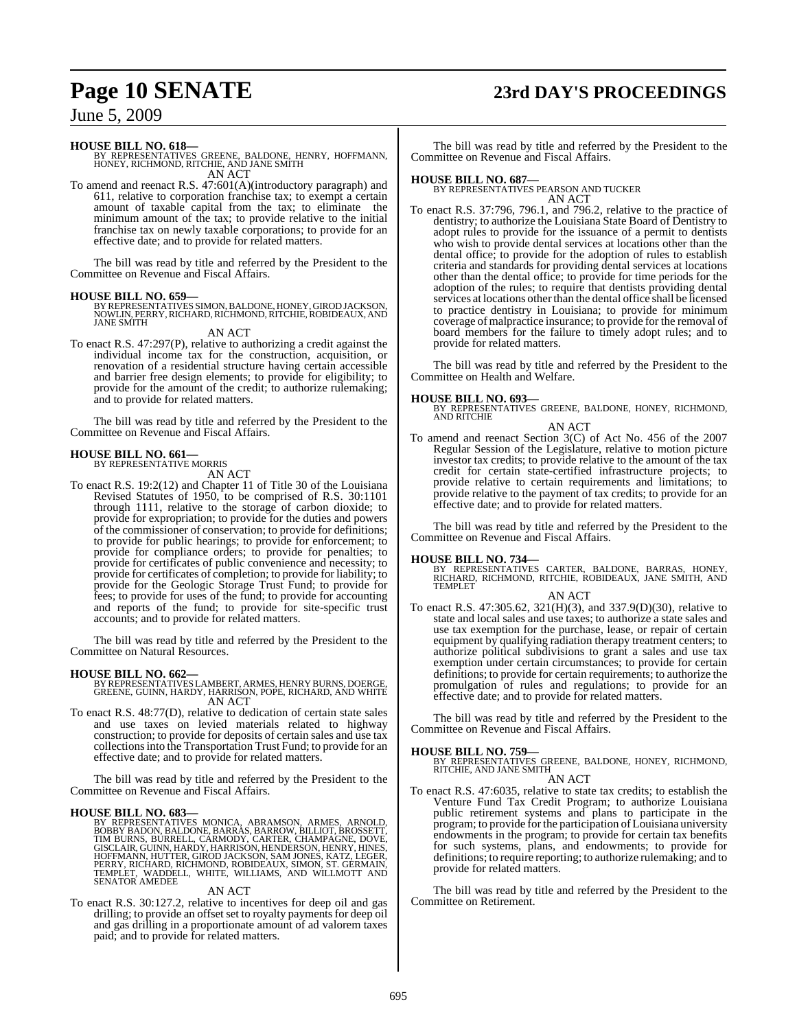# **Page 10 SENATE 23rd DAY'S PROCEEDINGS**

June 5, 2009

#### **HOUSE BILL NO. 618—**

BY REPRESENTATIVES GREENE, BALDONE, HENRY, HOFFMANN, HONEY, RICHMOND, RITCHIE, AND JANE SMITH AN ACT

To amend and reenact R.S. 47:601(A)(introductory paragraph) and 611, relative to corporation franchise tax; to exempt a certain amount of taxable capital from the tax; to eliminate the minimum amount of the tax; to provide relative to the initial franchise tax on newly taxable corporations; to provide for an effective date; and to provide for related matters.

The bill was read by title and referred by the President to the Committee on Revenue and Fiscal Affairs.

#### **HOUSE BILL NO. 659—**

BY REPRESENTATIVES SIMON, BALDONE, HONEY, GIROD JACKSON,<br>NOWLIN, PERRY, RICHARD, RICHMOND, RITCHIE, ROBIDEAUX, AND JANE SMITH

AN ACT To enact R.S. 47:297(P), relative to authorizing a credit against the individual income tax for the construction, acquisition, or renovation of a residential structure having certain accessible and barrier free design elements; to provide for eligibility; to provide for the amount of the credit; to authorize rulemaking; and to provide for related matters.

The bill was read by title and referred by the President to the Committee on Revenue and Fiscal Affairs.

# **HOUSE BILL NO. 661—** BY REPRESENTATIVE MORRIS

- AN ACT
- To enact R.S. 19:2(12) and Chapter 11 of Title 30 of the Louisiana Revised Statutes of 1950, to be comprised of R.S. 30:1101 through 1111, relative to the storage of carbon dioxide; to provide for expropriation; to provide for the duties and powers of the commissioner of conservation; to provide for definitions; to provide for public hearings; to provide for enforcement; to provide for compliance orders; to provide for penalties; to provide for certificates of public convenience and necessity; to provide for certificates of completion; to provide for liability; to provide for the Geologic Storage Trust Fund; to provide for fees; to provide for uses of the fund; to provide for accounting and reports of the fund; to provide for site-specific trust accounts; and to provide for related matters.

The bill was read by title and referred by the President to the Committee on Natural Resources.

- **HOUSE BILL NO. 662—** BY REPRESENTATIVESLAMBERT, ARMES, HENRY BURNS, DOERGE, GREENE, GUINN, HARDY, HARRISON, POPE, RICHARD, AND WHITE AN ACT
- To enact R.S. 48:77(D), relative to dedication of certain state sales and use taxes on levied materials related to highway construction; to provide for deposits of certain sales and use tax collectionsinto the Transportation Trust Fund; to provide for an effective date; and to provide for related matters.

The bill was read by title and referred by the President to the Committee on Revenue and Fiscal Affairs.

**HOUSE BILL NO. 683—**<br>BY REPRESENTATIVES MONICA, ABRAMSON, ARMES, ARNOLD,<br>BOBBY BADON, BALDONE, BARRAS, BARROW, BILLIOT, BROSSETT,<br>TIM BURNS, BURRELL, CARMODY, CARTER, CHAMPAGNE, DOVE,<br>GISCLAIR, GUINN, HARDY, HARRISON, HEN

AN ACT

To enact R.S. 30:127.2, relative to incentives for deep oil and gas drilling; to provide an offset set to royalty payments for deep oil and gas drilling in a proportionate amount of ad valorem taxes paid; and to provide for related matters.

The bill was read by title and referred by the President to the Committee on Revenue and Fiscal Affairs.

**HOUSE BILL NO. 687—** BY REPRESENTATIVES PEARSON AND TUCKER

AN ACT To enact R.S. 37:796, 796.1, and 796.2, relative to the practice of dentistry; to authorize the Louisiana State Board of Dentistry to adopt rules to provide for the issuance of a permit to dentists who wish to provide dental services at locations other than the dental office; to provide for the adoption of rules to establish criteria and standards for providing dental services at locations other than the dental office; to provide for time periods for the adoption of the rules; to require that dentists providing dental services at locations other than the dental office shall be licensed to practice dentistry in Louisiana; to provide for minimum coverage of malpractice insurance; to provide for the removal of board members for the failure to timely adopt rules; and to provide for related matters.

The bill was read by title and referred by the President to the Committee on Health and Welfare.

#### **HOUSE BILL NO. 693—**

BY REPRESENTATIVES GREENE, BALDONE, HONEY, RICHMOND, AND RITCHIE

AN ACT To amend and reenact Section 3(C) of Act No. 456 of the 2007 Regular Session of the Legislature, relative to motion picture investor tax credits; to provide relative to the amount of the tax credit for certain state-certified infrastructure projects; to provide relative to certain requirements and limitations; to provide relative to the payment of tax credits; to provide for an effective date; and to provide for related matters.

The bill was read by title and referred by the President to the Committee on Revenue and Fiscal Affairs.

#### **HOUSE BILL NO. 734—**

BY REPRESENTATIVES CARTER, BALDONE, BARRAS, HONEY, RICHARD, RICHMOND, RITCHIE, ROBIDEAUX, JANE SMITH, AND TEMPLET

AN ACT To enact R.S. 47:305.62, 321(H)(3), and 337.9(D)(30), relative to state and local sales and use taxes; to authorize a state sales and use tax exemption for the purchase, lease, or repair of certain equipment by qualifying radiation therapy treatment centers; to authorize political subdivisions to grant a sales and use tax exemption under certain circumstances; to provide for certain definitions; to provide for certain requirements; to authorize the promulgation of rules and regulations; to provide for an effective date; and to provide for related matters.

The bill was read by title and referred by the President to the Committee on Revenue and Fiscal Affairs.

#### **HOUSE BILL NO. 759—**

BY REPRESENTATIVES GREENE, BALDONE, HONEY, RICHMOND, RITCHIE, AND JANE SMITH AN ACT

To enact R.S. 47:6035, relative to state tax credits; to establish the Venture Fund Tax Credit Program; to authorize Louisiana public retirement systems and plans to participate in the program; to provide for the participation ofLouisiana university endowments in the program; to provide for certain tax benefits for such systems, plans, and endowments; to provide for definitions; to require reporting; to authorize rulemaking; and to provide for related matters.

The bill was read by title and referred by the President to the Committee on Retirement.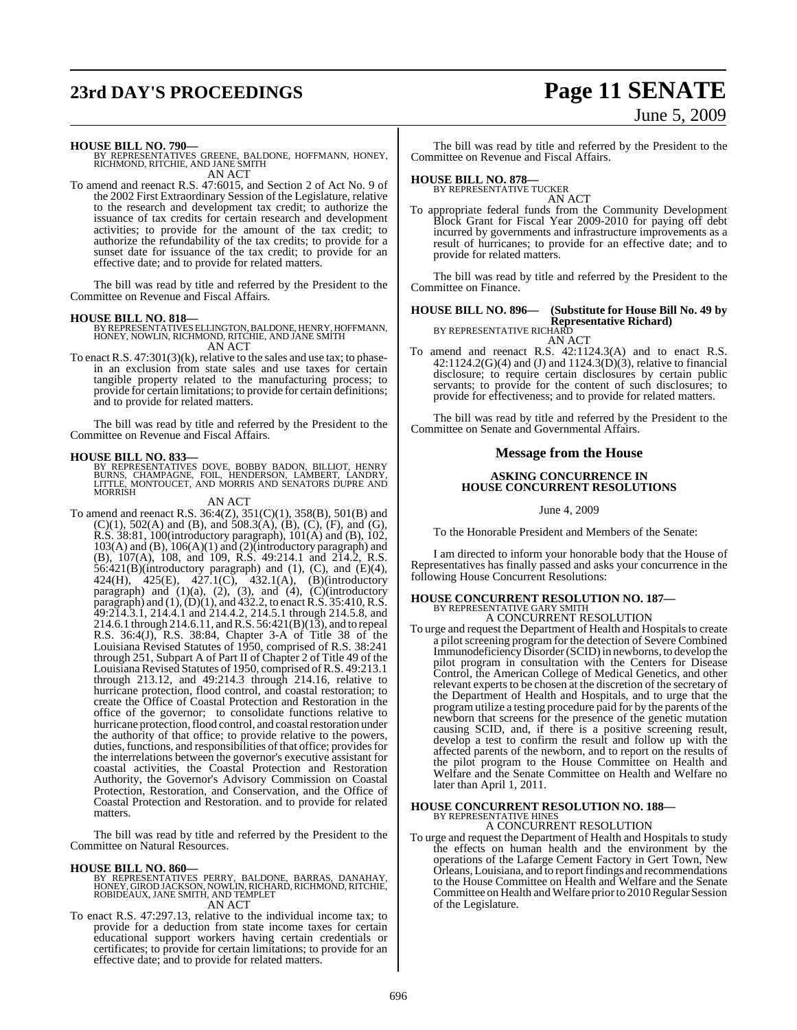# **23rd DAY'S PROCEEDINGS Page 11 SENATE** June 5, 2009

#### **HOUSE BILL NO. 790—**

BY REPRESENTATIVES GREENE, BALDONE, HOFFMANN, HONEY, RICHMOND, RITCHIE, AND JANE SMITH AN ACT

To amend and reenact R.S. 47:6015, and Section 2 of Act No. 9 of the 2002 First Extraordinary Session of the Legislature, relative to the research and development tax credit; to authorize the issuance of tax credits for certain research and development activities; to provide for the amount of the tax credit; to authorize the refundability of the tax credits; to provide for a sunset date for issuance of the tax credit; to provide for an effective date; and to provide for related matters.

The bill was read by title and referred by the President to the Committee on Revenue and Fiscal Affairs.

#### **HOUSE BILL NO. 818—**

BY REPRESENTATIVES ELLINGTON, BALDONE, HENRY, HOFFMANN,<br>HONEY, NOWLIN, RICHMOND, RITCHIE, AND JANE SMITH AN ACT

To enact R.S. 47:301(3)(k), relative to the sales and use tax; to phasein an exclusion from state sales and use taxes for certain tangible property related to the manufacturing process; to provide for certain limitations; to provide for certain definitions; and to provide for related matters.

The bill was read by title and referred by the President to the Committee on Revenue and Fiscal Affairs.

**HOUSE BILL NO. 833—**<br>BY REPRESENTATIVES DOVE, BOBBY BADON, BILLIOT, HENRY<br>BURNS, CHAMPAGNE, FOIL, HENDERSON, LAMBERT, LANDRY,<br>LITTLE, MONTOUCET, AND MORRIS AND SENATORS DUPRE AND<br>MORRISH

AN ACT To amend and reenact R.S. 36:4(Z), 351(C)(1), 358(B), 501(B) and (C)(1), 502(A) and (B), and 508.3(A), (B), (C), (F), and (G), R.S. 38:81, 100(introductory paragraph),  $101(A)$  and (B),  $102$ . 103(A) and (B), 106(A)(1) and (2)(introductory paragraph) and (B), 107(A), 108, and 109, R.S. 49:214.1 and 214.2, R.S. 56:421(B)(introductory paragraph) and (1), (C), and (E)(4), 424(H), 425(E), 427.1(C), 432.1(A), (B)(introductory paragraph) and  $(1)(a)$ ,  $(2)$ ,  $(3)$ , and  $(4)$ ,  $(C)(introducing$ paragraph) and  $(1)$ ,  $(D)(1)$ , and  $432.2$ , to enact R.S. 35:410, R.S. 49:214.3.1, 214.4.1 and 214.4.2, 214.5.1 through 214.5.8, and 214.6.1 through 214.6.11, and R.S. 56:421(B)(13), and to repeal R.S. 36:4(J), R.S. 38:84, Chapter 3-A of Title 38 of the Louisiana Revised Statutes of 1950, comprised of R.S. 38:241 through 251, Subpart A of Part II of Chapter 2 of Title 49 of the Louisiana Revised Statutes of 1950, comprised ofR.S. 49:213.1 through 213.12, and 49:214.3 through 214.16, relative to hurricane protection, flood control, and coastal restoration; to create the Office of Coastal Protection and Restoration in the office of the governor; to consolidate functions relative to hurricane protection, flood control, and coastal restoration under the authority of that office; to provide relative to the powers, duties, functions, and responsibilities of that office; provides for the interrelations between the governor's executive assistant for coastal activities, the Coastal Protection and Restoration Authority, the Governor's Advisory Commission on Coastal Protection, Restoration, and Conservation, and the Office of Coastal Protection and Restoration. and to provide for related matters.

The bill was read by title and referred by the President to the Committee on Natural Resources.

#### **HOUSE BILL NO. 860—**

BY REPRESENTATIVES PERRY, BALDONE, BARRAS, DANAHAY,<br>HONEY,GIROD JACKSON,NOWLIN,RICHARD,RICHMOND,RITCHIE,<br>ROBIDEAUX,JANE SMITH,AND TEMPLET AN ACT

To enact R.S. 47:297.13, relative to the individual income tax; to provide for a deduction from state income taxes for certain educational support workers having certain credentials or certificates; to provide for certain limitations; to provide for an effective date; and to provide for related matters.

The bill was read by title and referred by the President to the Committee on Revenue and Fiscal Affairs.

# **HOUSE BILL NO. 878—** BY REPRESENTATIVE TUCKER

AN ACT

To appropriate federal funds from the Community Development Block Grant for Fiscal Year 2009-2010 for paying off debt incurred by governments and infrastructure improvements as a result of hurricanes; to provide for an effective date; and to provide for related matters.

The bill was read by title and referred by the President to the Committee on Finance.

#### **HOUSE BILL NO. 896— (Substitute for House Bill No. 49 by Representative Richard)** BY REPRESENTATIVE RICHARD

AN ACT

To amend and reenact R.S. 42:1124.3(A) and to enact R.S.  $42:1124.2(G)(4)$  and (J) and  $1124.3(D)(3)$ , relative to financial disclosure; to require certain disclosures by certain public servants; to provide for the content of such disclosures; to provide for effectiveness; and to provide for related matters.

The bill was read by title and referred by the President to the Committee on Senate and Governmental Affairs.

#### **Message from the House**

#### **ASKING CONCURRENCE IN HOUSE CONCURRENT RESOLUTIONS**

June 4, 2009

To the Honorable President and Members of the Senate:

I am directed to inform your honorable body that the House of Representatives has finally passed and asks your concurrence in the following House Concurrent Resolutions:

# **HOUSE CONCURRENT RESOLUTION NO. 187—** BY REPRESENTATIVE GARY SMITH

A CONCURRENT RESOLUTION

To urge and request the Department of Health and Hospitals to create a pilot screening program for the detection of Severe Combined Immunodeficiency Disorder (SCID) in newborns, to develop the pilot program in consultation with the Centers for Disease Control, the American College of Medical Genetics, and other relevant experts to be chosen at the discretion of the secretary of the Department of Health and Hospitals, and to urge that the program utilize a testing procedure paid for by the parents of the newborn that screens for the presence of the genetic mutation causing SCID, and, if there is a positive screening result, develop a test to confirm the result and follow up with the affected parents of the newborn, and to report on the results of the pilot program to the House Committee on Health and Welfare and the Senate Committee on Health and Welfare no later than April 1, 2011.

## **HOUSE CONCURRENT RESOLUTION NO. 188—** BY REPRESENTATIVE HINES A CONCURRENT RESOLUTION

of the Legislature.

To urge and request the Department of Health and Hospitals to study the effects on human health and the environment by the operations of the Lafarge Cement Factory in Gert Town, New Orleans,Louisiana, and to reportfindings and recommendations to the House Committee on Health and Welfare and the Senate Committee on Health and Welfare prior to 2010 Regular Session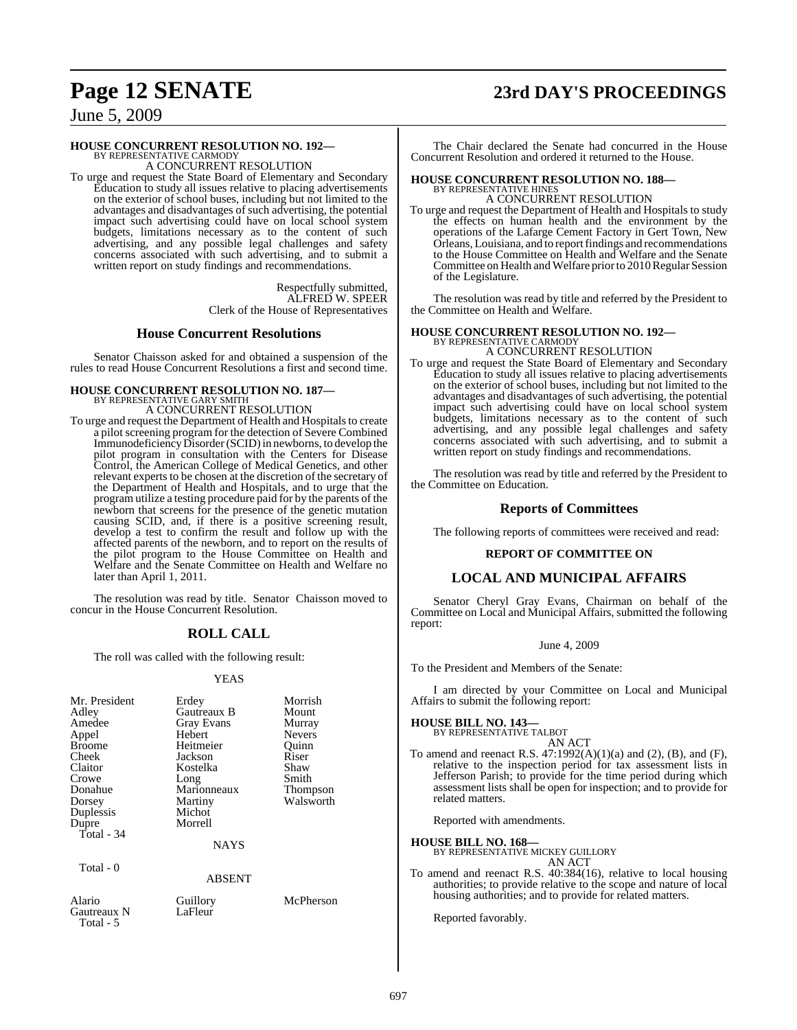# **Page 12 SENATE 23rd DAY'S PROCEEDINGS**

June 5, 2009

## **HOUSE CONCURRENT RESOLUTION NO. 192—**

BY REPRESENTATIVE CARMODY A CONCURRENT RESOLUTION

To urge and request the State Board of Elementary and Secondary Education to study all issues relative to placing advertisements on the exterior of school buses, including but not limited to the advantages and disadvantages of such advertising, the potential impact such advertising could have on local school system budgets, limitations necessary as to the content of such advertising, and any possible legal challenges and safety concerns associated with such advertising, and to submit a written report on study findings and recommendations.

> Respectfully submitted, ALFRED W. SPEER Clerk of the House of Representatives

#### **House Concurrent Resolutions**

Senator Chaisson asked for and obtained a suspension of the rules to read House Concurrent Resolutions a first and second time.

**HOUSE CONCURRENT RESOLUTION NO. 187—** BY REPRESENTATIVE GARY SMITH A CONCURRENT RESOLUTION

To urge and request the Department of Health and Hospitals to create a pilot screening program for the detection of Severe Combined ImmunodeficiencyDisorder(SCID)in newborns, to develop the pilot program in consultation with the Centers for Disease Control, the American College of Medical Genetics, and other relevant experts to be chosen at the discretion of the secretary of the Department of Health and Hospitals, and to urge that the program utilize a testing procedure paid for by the parents of the newborn that screens for the presence of the genetic mutation causing SCID, and, if there is a positive screening result, develop a test to confirm the result and follow up with the affected parents of the newborn, and to report on the results of the pilot program to the House Committee on Health and Welfare and the Senate Committee on Health and Welfare no later than April 1, 2011.

The resolution was read by title. Senator Chaisson moved to concur in the House Concurrent Resolution.

## **ROLL CALL**

The roll was called with the following result:

#### YEAS

| Mr. President<br>Adley<br>Amedee<br>Appel<br><b>Broome</b><br>Cheek<br>Claitor<br>Crowe<br>Donahue<br>Dorsey<br>Duplessis<br>Dupre<br>Total - 34<br>Total - 0 | Erdey<br>Gautreaux B<br><b>Gray Evans</b><br>Hebert<br>Heitmeier<br>Jackson<br>Kostelka<br>Long<br>Marionneaux<br>Martiny<br>Michot<br>Morrell<br><b>NAYS</b><br><b>ABSENT</b> | Morrish<br>Mount<br>Murray<br><b>Nevers</b><br>Ouinn<br>Riser<br>Shaw<br>Smith<br>Thompson<br>Walsworth |  |
|---------------------------------------------------------------------------------------------------------------------------------------------------------------|--------------------------------------------------------------------------------------------------------------------------------------------------------------------------------|---------------------------------------------------------------------------------------------------------|--|
|                                                                                                                                                               |                                                                                                                                                                                |                                                                                                         |  |
| Alario<br>Gautreaux N                                                                                                                                         | Guillory<br>LaFleur                                                                                                                                                            | McPherson                                                                                               |  |

Total - 5

The Chair declared the Senate had concurred in the House Concurrent Resolution and ordered it returned to the House.

#### **HOUSE CONCURRENT RESOLUTION NO. 188—** BY REPRESENTATIVE HINE

A CONCURRENT RESOLUTION

To urge and request the Department of Health and Hospitals to study the effects on human health and the environment by the operations of the Lafarge Cement Factory in Gert Town, New Orleans, Louisiana, and to report findings and recommendations to the House Committee on Health and Welfare and the Senate Committee on Health and Welfare priorto 2010Regular Session of the Legislature.

The resolution was read by title and referred by the President to the Committee on Health and Welfare.

# **HOUSE CONCURRENT RESOLUTION NO. 192—** BY REPRESENTATIVE CARMODY

A CONCURRENT RESOLUTION

To urge and request the State Board of Elementary and Secondary Education to study all issues relative to placing advertisements on the exterior of school buses, including but not limited to the advantages and disadvantages of such advertising, the potential impact such advertising could have on local school system budgets, limitations necessary as to the content of such advertising, and any possible legal challenges and safety concerns associated with such advertising, and to submit a written report on study findings and recommendations.

The resolution was read by title and referred by the President to the Committee on Education.

## **Reports of Committees**

The following reports of committees were received and read:

#### **REPORT OF COMMITTEE ON**

#### **LOCAL AND MUNICIPAL AFFAIRS**

Senator Cheryl Gray Evans, Chairman on behalf of the Committee on Local and Municipal Affairs, submitted the following report:

#### June 4, 2009

To the President and Members of the Senate:

I am directed by your Committee on Local and Municipal Affairs to submit the following report:

# **HOUSE BILL NO. 143—** BY REPRESENTATIVE TALBOT

AN ACT

To amend and reenact R.S. 47:1992(A)(1)(a) and (2), (B), and (F), relative to the inspection period for tax assessment lists in Jefferson Parish; to provide for the time period during which assessment lists shall be open for inspection; and to provide for related matters.

Reported with amendments.

**HOUSE BILL NO. 168—** BY REPRESENTATIVE MICKEY GUILLORY

- AN ACT
- To amend and reenact R.S. 40:384(16), relative to local housing authorities; to provide relative to the scope and nature of local housing authorities; and to provide for related matters.

Reported favorably.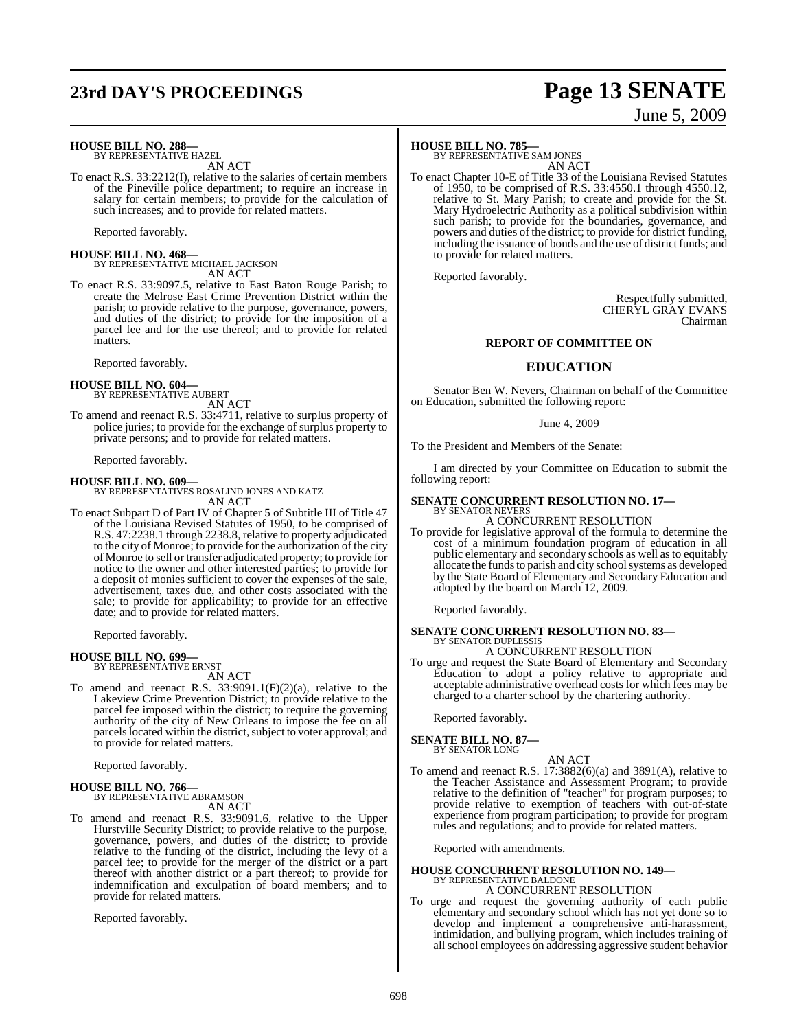# **23rd DAY'S PROCEEDINGS Page 13 SENATE**

# June 5, 2009

#### **HOUSE BILL NO. 288—**

BY REPRESENTATIVE HAZEL AN ACT

To enact R.S. 33:2212(I), relative to the salaries of certain members of the Pineville police department; to require an increase in salary for certain members; to provide for the calculation of such increases; and to provide for related matters.

Reported favorably.

**HOUSE BILL NO. 468—** BY REPRESENTATIVE MICHAEL JACKSON AN ACT

To enact R.S. 33:9097.5, relative to East Baton Rouge Parish; to create the Melrose East Crime Prevention District within the parish; to provide relative to the purpose, governance, powers, and duties of the district; to provide for the imposition of a parcel fee and for the use thereof; and to provide for related matters.

Reported favorably.

**HOUSE BILL NO. 604—** BY REPRESENTATIVE AUBERT

AN ACT To amend and reenact R.S. 33:4711, relative to surplus property of police juries; to provide for the exchange of surplus property to private persons; and to provide for related matters.

Reported favorably.

**HOUSE BILL NO. 609—** BY REPRESENTATIVES ROSALIND JONES AND KATZ AN ACT

To enact Subpart D of Part IV of Chapter 5 of Subtitle III of Title 47 of the Louisiana Revised Statutes of 1950, to be comprised of R.S. 47:2238.1 through 2238.8, relative to property adjudicated to the city of Monroe; to provide for the authorization of the city of Monroe to sell or transfer adjudicated property; to provide for notice to the owner and other interested parties; to provide for a deposit of monies sufficient to cover the expenses of the sale, advertisement, taxes due, and other costs associated with the sale; to provide for applicability; to provide for an effective date; and to provide for related matters.

Reported favorably.

#### **HOUSE BILL NO. 699—** BY REPRESENTATIVE ERNST

AN ACT

To amend and reenact R.S. 33:9091.1(F)(2)(a), relative to the Lakeview Crime Prevention District; to provide relative to the parcel fee imposed within the district; to require the governing authority of the city of New Orleans to impose the fee on all parcels located within the district, subject to voter approval; and to provide for related matters.

Reported favorably.

# **HOUSE BILL NO. 766—** BY REPRESENTATIVE ABRAMSON

AN ACT

To amend and reenact R.S. 33:9091.6, relative to the Upper Hurstville Security District; to provide relative to the purpose, governance, powers, and duties of the district; to provide relative to the funding of the district, including the levy of a parcel fee; to provide for the merger of the district or a part thereof with another district or a part thereof; to provide for indemnification and exculpation of board members; and to provide for related matters.

Reported favorably.

#### **HOUSE BILL NO. 785—**

BY REPRESENTATIVE SAM JONES AN ACT

To enact Chapter 10-E of Title 33 of the Louisiana Revised Statutes of 1950, to be comprised of R.S. 33:4550.1 through 4550.12, relative to St. Mary Parish; to create and provide for the St. Mary Hydroelectric Authority as a political subdivision within such parish; to provide for the boundaries, governance, and powers and duties of the district; to provide for district funding, including the issuance of bonds and the use of district funds; and to provide for related matters.

Reported favorably.

Respectfully submitted, CHERYL GRAY EVANS Chairman

## **REPORT OF COMMITTEE ON**

## **EDUCATION**

Senator Ben W. Nevers, Chairman on behalf of the Committee on Education, submitted the following report:

June 4, 2009

To the President and Members of the Senate:

I am directed by your Committee on Education to submit the following report:

#### **SENATE CONCURRENT RESOLUTION NO. 17—** BY SENATOR NEVERS

A CONCURRENT RESOLUTION

To provide for legislative approval of the formula to determine the cost of a minimum foundation program of education in all public elementary and secondary schools as well as to equitably allocate the funds to parish and city school systems as developed by the State Board of Elementary and Secondary Education and adopted by the board on March 12, 2009.

Reported favorably.

#### **SENATE CONCURRENT RESOLUTION NO. 83—** BY SENATOR DUPLESSIS

A CONCURRENT RESOLUTION

To urge and request the State Board of Elementary and Secondary Education to adopt a policy relative to appropriate and acceptable administrative overhead costs for which fees may be charged to a charter school by the chartering authority.

Reported favorably.

#### **SENATE BILL NO. 87—**

BY SENATOR LONG

AN ACT To amend and reenact R.S.  $17:3882(6)(a)$  and  $3891(A)$ , relative to the Teacher Assistance and Assessment Program; to provide relative to the definition of "teacher" for program purposes; to provide relative to exemption of teachers with out-of-state experience from program participation; to provide for program rules and regulations; and to provide for related matters.

Reported with amendments.

#### **HOUSE CONCURRENT RESOLUTION NO. 149—** BY REPRESENTATIVE BALDONE A CONCURRENT RESOLUTION

To urge and request the governing authority of each public elementary and secondary school which has not yet done so to develop and implement a comprehensive anti-harassment, intimidation, and bullying program, which includes training of all school employees on addressing aggressive student behavior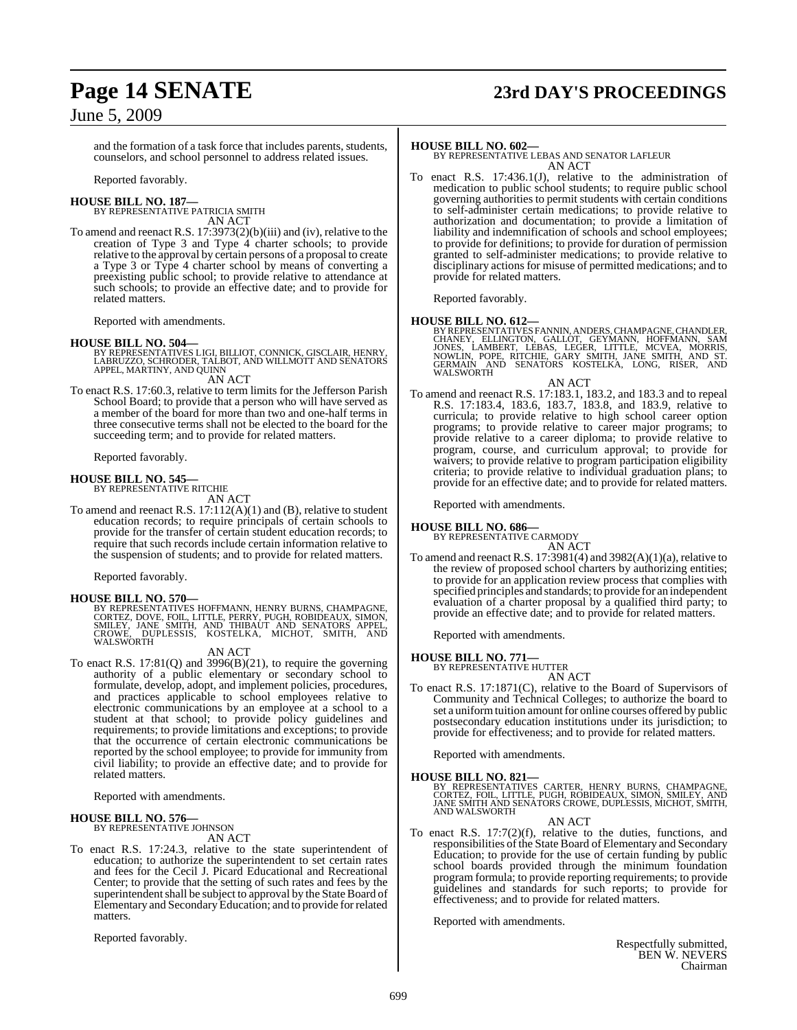## June 5, 2009

and the formation of a task force that includes parents, students, counselors, and school personnel to address related issues.

Reported favorably.

#### **HOUSE BILL NO. 187—** BY REPRESENTATIVE PATRICIA SMITH

AN ACT

To amend and reenact R.S. 17:3973(2)(b)(iii) and (iv), relative to the creation of Type 3 and Type 4 charter schools; to provide relative to the approval by certain persons of a proposal to create a Type 3 or Type 4 charter school by means of converting a preexisting public school; to provide relative to attendance at such schools; to provide an effective date; and to provide for related matters.

Reported with amendments.

#### **HOUSE BILL NO. 504—**

- BY REPRESENTATIVES LIGI, BILLIOT, CONNICK, GISCLAIR, HENRY, LABRUZZO, SCHRODER, TALBOT, AND WILLMOTT AND SENATORS APPEL, MARTINY, AND QUINN AN ACT
- To enact R.S. 17:60.3, relative to term limits for the Jefferson Parish School Board; to provide that a person who will have served as a member of the board for more than two and one-half terms in three consecutive terms shall not be elected to the board for the succeeding term; and to provide for related matters.

Reported favorably.

# **HOUSE BILL NO. 545—** BY REPRESENTATIVE RITCHIE

AN ACT

To amend and reenact R.S. 17:112(A)(1) and (B), relative to student education records; to require principals of certain schools to provide for the transfer of certain student education records; to require that such records include certain information relative to the suspension of students; and to provide for related matters.

Reported favorably.

**HOUSE BILL NO. 570—**<br>BY REPRESENTATIVES HOFFMANN, HENRY BURNS, CHAMPAGNE,<br>CORTEZ, DOVE, FOIL, LITTLE, PERRY, PUGH, ROBIDEAUX, SIMON,<br>SMILEY, JANE SMITH, AND THIBAUT AND SENATORS APPEL,<br>CROWE, DUPLESSIS, KOSTELKA, MICHOT,

#### AN ACT

To enact R.S.  $17:81(Q)$  and  $3996(B)(21)$ , to require the governing authority of a public elementary or secondary school to formulate, develop, adopt, and implement policies, procedures, and practices applicable to school employees relative to electronic communications by an employee at a school to a student at that school; to provide policy guidelines and requirements; to provide limitations and exceptions; to provide that the occurrence of certain electronic communications be reported by the school employee; to provide for immunity from civil liability; to provide an effective date; and to provide for related matters.

Reported with amendments.

#### **HOUSE BILL NO. 576—**

BY REPRESENTATIVE JOHNSON AN ACT

To enact R.S. 17:24.3, relative to the state superintendent of education; to authorize the superintendent to set certain rates and fees for the Cecil J. Picard Educational and Recreational Center; to provide that the setting of such rates and fees by the superintendent shall be subject to approval by the State Board of Elementary and Secondary Education; and to provide forrelated matters.

Reported favorably.

# **Page 14 SENATE 23rd DAY'S PROCEEDINGS**

#### **HOUSE BILL NO. 602—**

BY REPRESENTATIVE LEBAS AND SENATOR LAFLEUR AN ACT

To enact R.S. 17:436.1(J), relative to the administration of medication to public school students; to require public school governing authorities to permit students with certain conditions to self-administer certain medications; to provide relative to authorization and documentation; to provide a limitation of liability and indemnification of schools and school employees; to provide for definitions; to provide for duration of permission granted to self-administer medications; to provide relative to disciplinary actions for misuse of permitted medications; and to provide for related matters.

Reported favorably.

- **HOUSE BILL NO. 612—** BY REPRESENTATIVES FANNIN, ANDERS, CHAMPAGNE, CHANDLER,<br>CHANEY, ELLINGTON, GALLOT, GEYMANN, HOFFMANN, SAM<br>JONES, LAMBERT, LEBAS, LEGER, LITTLE, MCVEA, MORRIS,<br>NOWLIN, AND SENATORS
- AN ACT To amend and reenact R.S. 17:183.1, 183.2, and 183.3 and to repeal R.S. 17:183.4, 183.6, 183.7, 183.8, and 183.9, relative to curricula; to provide relative to high school career option programs; to provide relative to career major programs; to provide relative to a career diploma; to provide relative to program, course, and curriculum approval; to provide for waivers; to provide relative to program participation eligibility criteria; to provide relative to individual graduation plans; to provide for an effective date; and to provide for related matters.

Reported with amendments.

#### **HOUSE BILL NO. 686—**

BY REPRESENTATIVE CARMODY

AN ACT To amend and reenact R.S. 17:3981(4) and 3982(A)(1)(a), relative to the review of proposed school charters by authorizing entities; to provide for an application review process that complies with specified principles and standards; to provide for an independent evaluation of a charter proposal by a qualified third party; to provide an effective date; and to provide for related matters.

Reported with amendments.

#### **HOUSE BILL NO. 771—**

BY REPRESENTATIVE HUTTER AN ACT

To enact R.S. 17:1871(C), relative to the Board of Supervisors of Community and Technical Colleges; to authorize the board to set a uniform tuition amount for online courses offered by public postsecondary education institutions under its jurisdiction; to provide for effectiveness; and to provide for related matters.

Reported with amendments.

**HOUSE BILL NO. 821—** BY REPRESENTATIVES CARTER, HENRY BURNS, CHAMPAGNE, CORTEZ, FOIL, LITTLE, PUGH, ROBIDEAUX, SIMON, SMILEY, AND JANE SMITH AND SENATORS CROWE, DUPLESSIS, MICHOT, SMITH, AND WALSWORTH

AN ACT

To enact R.S. 17:7(2)(f), relative to the duties, functions, and responsibilities of the State Board of Elementary and Secondary Education; to provide for the use of certain funding by public school boards provided through the minimum foundation program formula; to provide reporting requirements; to provide guidelines and standards for such reports; to provide for effectiveness; and to provide for related matters.

Reported with amendments.

Respectfully submitted, BEN W. NEVERS Chairman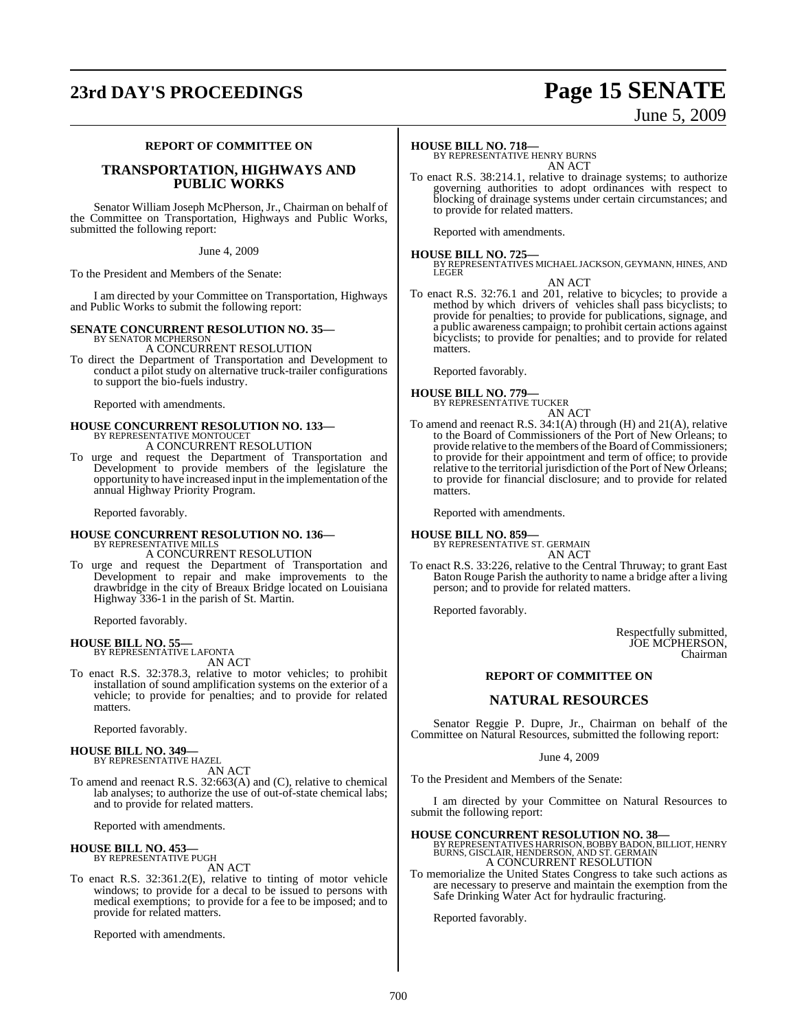# **23rd DAY'S PROCEEDINGS Page 15 SENATE**

# June 5, 2009

#### **REPORT OF COMMITTEE ON**

#### **TRANSPORTATION, HIGHWAYS AND PUBLIC WORKS**

Senator William Joseph McPherson, Jr., Chairman on behalf of the Committee on Transportation, Highways and Public Works, submitted the following report:

June 4, 2009

To the President and Members of the Senate:

I am directed by your Committee on Transportation, Highways and Public Works to submit the following report:

#### **SENATE CONCURRENT RESOLUTION NO. 35—** BY SENATOR MCPHERSON

A CONCURRENT RESOLUTION To direct the Department of Transportation and Development to conduct a pilot study on alternative truck-trailer configurations to support the bio-fuels industry.

Reported with amendments.

# **HOUSE CONCURRENT RESOLUTION NO. 133—** BY REPRESENTATIVE MONTOUCET

A CONCURRENT RESOLUTION

To urge and request the Department of Transportation and Development to provide members of the legislature the opportunity to have increased input in the implementation of the annual Highway Priority Program.

Reported favorably.

# **HOUSE CONCURRENT RESOLUTION NO. 136—** BY REPRESENTATIVE MILLS

A CONCURRENT RESOLUTION

To urge and request the Department of Transportation and Development to repair and make improvements to the drawbridge in the city of Breaux Bridge located on Louisiana Highway 336-1 in the parish of St. Martin.

Reported favorably.

# **HOUSE BILL NO. 55—** BY REPRESENTATIVE LAFONTA

AN ACT

To enact R.S. 32:378.3, relative to motor vehicles; to prohibit installation of sound amplification systems on the exterior of a vehicle; to provide for penalties; and to provide for related matters.

Reported favorably.

## **HOUSE BILL NO. 349—**

BY REPRESENTATIVE HAZEL AN ACT

To amend and reenact R.S. 32:663(A) and (C), relative to chemical lab analyses; to authorize the use of out-of-state chemical labs; and to provide for related matters.

Reported with amendments.

#### **HOUSE BILL NO. 453—** BY REPRESENTATIVE PUGH

AN ACT

To enact R.S. 32:361.2(E), relative to tinting of motor vehicle windows; to provide for a decal to be issued to persons with medical exemptions; to provide for a fee to be imposed; and to provide for related matters.

Reported with amendments.

# **HOUSE BILL NO. 718—** BY REPRESENTATIVE HENRY BURNS

AN ACT

To enact R.S. 38:214.1, relative to drainage systems; to authorize governing authorities to adopt ordinances with respect to blocking of drainage systems under certain circumstances; and to provide for related matters.

Reported with amendments.

**HOUSE BILL NO. 725—** BY REPRESENTATIVES MICHAELJACKSON, GEYMANN, HINES, AND LEGER

AN ACT

To enact R.S. 32:76.1 and 201, relative to bicycles; to provide a method by which drivers of vehicles shall pass bicyclists; to provide for penalties; to provide for publications, signage, and a public awareness campaign; to prohibit certain actions against bicyclists; to provide for penalties; and to provide for related matters.

Reported favorably.

**HOUSE BILL NO. 779—**

BY REPRESENTATIVE TUCKER

AN ACT To amend and reenact R.S. 34:1(A) through (H) and 21(A), relative to the Board of Commissioners of the Port of New Orleans; to provide relative to the members of the Board of Commissioners; to provide for their appointment and term of office; to provide relative to the territorial jurisdiction of the Port of New Orleans; to provide for financial disclosure; and to provide for related matters.

Reported with amendments.

**HOUSE BILL NO. 859—** BY REPRESENTATIVE ST. GERMAIN

AN ACT

To enact R.S. 33:226, relative to the Central Thruway; to grant East Baton Rouge Parish the authority to name a bridge after a living person; and to provide for related matters.

Reported favorably.

Respectfully submitted, JOE MCPHERSON, Chairman

#### **REPORT OF COMMITTEE ON**

#### **NATURAL RESOURCES**

Senator Reggie P. Dupre, Jr., Chairman on behalf of the Committee on Natural Resources, submitted the following report:

June 4, 2009

To the President and Members of the Senate:

I am directed by your Committee on Natural Resources to submit the following report:

**HOUSE CONCURRENT RESOLUTION NO. 38—** BY REPRESENTATIVES HARRISON, BOBBY BADON, BILLIOT, HENRY BURNS, GISCLAIR, HENDERSON, AND ST. GERMAIN A CONCURRENT RESOLUTION

To memorialize the United States Congress to take such actions as

are necessary to preserve and maintain the exemption from the Safe Drinking Water Act for hydraulic fracturing.

Reported favorably.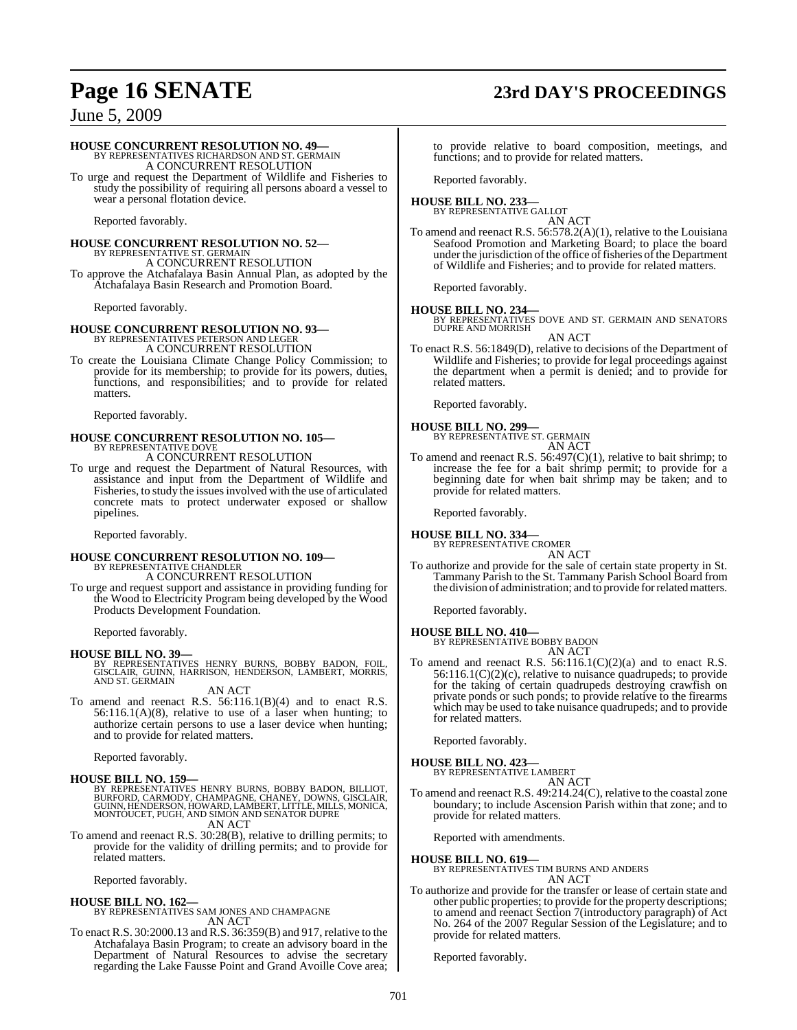# **Page 16 SENATE 23rd DAY'S PROCEEDINGS**

## June 5, 2009

## **HOUSE CONCURRENT RESOLUTION NO. 49—**

BY REPRESENTATIVES RICHARDSON AND ST. GERMAIN A CONCURRENT RESOLUTION To urge and request the Department of Wildlife and Fisheries to study the possibility of requiring all persons aboard a vessel to wear a personal flotation device.

Reported favorably.

## **HOUSE CONCURRENT RESOLUTION NO. 52—** BY REPRESENTATIVE ST. GERMAIN A CONCURRENT RESOLUTION

To approve the Atchafalaya Basin Annual Plan, as adopted by the Atchafalaya Basin Research and Promotion Board.

Reported favorably.

#### **HOUSE CONCURRENT RESOLUTION NO. 93—** BY REPRESENTATIVES PETERSON AND LEGER

A CONCURRENT RESOLUTION

To create the Louisiana Climate Change Policy Commission; to provide for its membership; to provide for its powers, duties, functions, and responsibilities; and to provide for related matters.

Reported favorably.

#### **HOUSE CONCURRENT RESOLUTION NO. 105—** BY REPRESENTATIVE DOVE

A CONCURRENT RESOLUTION

To urge and request the Department of Natural Resources, with assistance and input from the Department of Wildlife and Fisheries, to study the issues involved with the use of articulated concrete mats to protect underwater exposed or shallow pipelines.

Reported favorably.

# **HOUSE CONCURRENT RESOLUTION NO. 109—** BY REPRESENTATIVE CHANDLER

A CONCURRENT RESOLUTION

To urge and request support and assistance in providing funding for the Wood to Electricity Program being developed by the Wood Products Development Foundation.

Reported favorably.

**HOUSE BILL NO. 39—**<br>BY REPRESENTATIVES HENRY BURNS, BOBBY BADON, FOIL,<br>GISCLAIR, GUINN, HARRISON, HENDERSON, LAMBERT, MORRIS,<br>AND ST. GERMAIN

AN ACT

To amend and reenact R.S. 56:116.1(B)(4) and to enact R.S. 56:116.1(A)(8), relative to use of a laser when hunting; to authorize certain persons to use a laser device when hunting; and to provide for related matters.

Reported favorably.

#### **HOUSE BILL NO. 159—**

BY REPRESENTATIVES HENRY BURNS, BOBBY BADON, BILLIOT,<br>BURFORD, CARMODY, CHAMPAGNE, CHANEY, DOWNS, GISCLAIR,<br>GUINN, HENDERSON, HOWARD, LAMBERT, LITTLE, MILLS, MONICA,<br>MONTOUCET, PUGH, AND SIMON AND SENATOR DUPRE AN ACT

To amend and reenact R.S. 30:28(B), relative to drilling permits; to provide for the validity of drilling permits; and to provide for related matters.

Reported favorably.

## **HOUSE BILL NO. 162—**

BY REPRESENTATIVES SAM JONES AND CHAMPAGNE AN ACT

To enact R.S. 30:2000.13 and R.S. 36:359(B) and 917, relative to the Atchafalaya Basin Program; to create an advisory board in the Department of Natural Resources to advise the secretary regarding the Lake Fausse Point and Grand Avoille Cove area;

to provide relative to board composition, meetings, and functions; and to provide for related matters.

Reported favorably.

#### **HOUSE BILL NO. 233—** BY REPRESENTATIVE GALLOT

AN ACT

To amend and reenact R.S. 56:578.2(A)(1), relative to the Louisiana Seafood Promotion and Marketing Board; to place the board under the jurisdiction of the office of fisheries of the Department of Wildlife and Fisheries; and to provide for related matters.

Reported favorably.

### **HOUSE BILL NO. 234—**

BY REPRESENTATIVES DOVE AND ST. GERMAIN AND SENATORS DUPRE AND MORRISH AN ACT

To enact R.S. 56:1849(D), relative to decisions of the Department of Wildlife and Fisheries; to provide for legal proceedings against the department when a permit is denied; and to provide for related matters.

Reported favorably.

# **HOUSE BILL NO. 299—** BY REPRESENTATIVE ST. GERMAIN

AN ACT

To amend and reenact R.S. 56:497(C)(1), relative to bait shrimp; to increase the fee for a bait shrimp permit; to provide for a beginning date for when bait shrimp may be taken; and to provide for related matters.

Reported favorably.

**HOUSE BILL NO. 334—** BY REPRESENTATIVE CROMER

- AN ACT
- To authorize and provide for the sale of certain state property in St. Tammany Parish to the St. Tammany Parish School Board from the division of administration; and to provide forrelatedmatters.

Reported favorably.

# **HOUSE BILL NO. 410—** BY REPRESENTATIVE BOBBY BADON

AN ACT

To amend and reenact R.S. 56:116.1(C)(2)(a) and to enact R.S. 56:116.1(C)(2)(c), relative to nuisance quadrupeds; to provide for the taking of certain quadrupeds destroying crawfish on private ponds or such ponds; to provide relative to the firearms which may be used to take nuisance quadrupeds; and to provide for related matters.

Reported favorably.

#### **HOUSE BILL NO. 423—** BY REPRESENTATIVE LAMBERT

AN ACT

To amend and reenact R.S. 49:214.24(C), relative to the coastal zone boundary; to include Ascension Parish within that zone; and to provide for related matters.

Reported with amendments.

**HOUSE BILL NO. 619—** BY REPRESENTATIVES TIM BURNS AND ANDERS AN ACT

To authorize and provide for the transfer or lease of certain state and other public properties; to provide for the property descriptions; to amend and reenact Section 7(introductory paragraph) of Act No. 264 of the 2007 Regular Session of the Legislature; and to provide for related matters.

Reported favorably.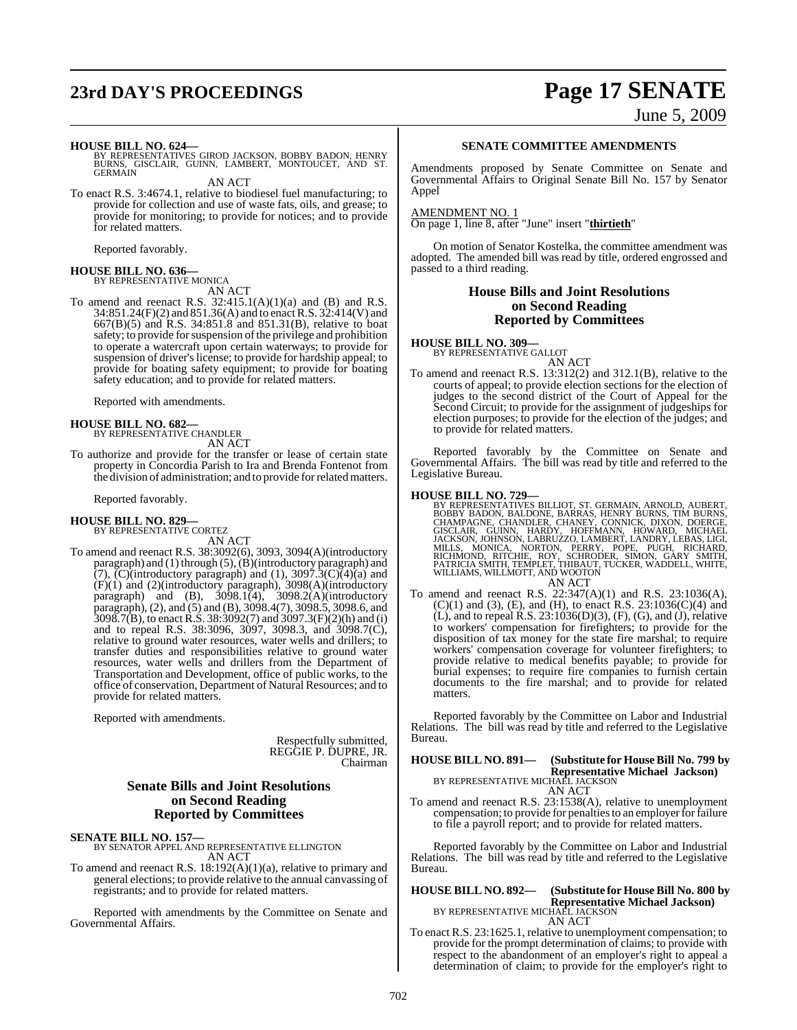# **23rd DAY'S PROCEEDINGS Page 17 SENATE**

June 5, 2009

**HOUSE BILL NO. 624—**<br>BY REPRESENTATIVES GIROD JACKSON, BOBBY BADON, HENRY<br>BURNS, GISCLAIR, GUINN, LAMBERT, MONTOUCET, AND ST.<br>GERMAIN

AN ACT

To enact R.S. 3:4674.1, relative to biodiesel fuel manufacturing; to provide for collection and use of waste fats, oils, and grease; to provide for monitoring; to provide for notices; and to provide for related matters.

Reported favorably.

## **HOUSE BILL NO. 636—**

BY REPRESENTATIVE MONICA AN ACT

To amend and reenact R.S.  $32:415.1(A)(1)(a)$  and (B) and R.S. 34:851.24(F)(2) and 851.36(A) and to enactR.S. 32:414(V) and 667(B)(5) and R.S. 34:851.8 and 851.31(B), relative to boat safety; to provide for suspension of the privilege and prohibition to operate a watercraft upon certain waterways; to provide for suspension of driver's license; to provide for hardship appeal; to provide for boating safety equipment; to provide for boating safety education; and to provide for related matters.

Reported with amendments.

# **HOUSE BILL NO. 682—** BY REPRESENTATIVE CHANDLER

AN ACT

To authorize and provide for the transfer or lease of certain state property in Concordia Parish to Ira and Brenda Fontenot from the division of administration; and to provide forrelated matters.

Reported favorably.

## **HOUSE BILL NO. 829—**

BY REPRESENTATIVE CORTEZ AN ACT

To amend and reenact R.S. 38:3092(6), 3093, 3094(A)(introductory paragraph) and (1) through (5),(B)(introductory paragraph) and  $(7)$ ,  $(C)$ (introductory paragraph) and (1), 3097.3 $(C)$  $(4)$  $(a)$  and (F)(1) and (2)(introductory paragraph), 3098(A)(introductory paragraph) and  $(B)$ ,  $3098.1(4)$ ,  $3098.2(A)$ (introductory paragraph), (2), and (5) and (B), 3098.4(7), 3098.5, 3098.6, and 3098.7(B), to enact R.S. 38:3092(7) and 3097.3(F)(2)(h) and (i) and to repeal R.S. 38:3096, 3097, 3098.3, and 3098.7(C), relative to ground water resources, water wells and drillers; to transfer duties and responsibilities relative to ground water resources, water wells and drillers from the Department of Transportation and Development, office of public works, to the office of conservation, Department of Natural Resources; and to provide for related matters.

Reported with amendments.

Respectfully submitted, REGGIE P. DUPRE, JR. Chairman

## **Senate Bills and Joint Resolutions on Second Reading Reported by Committees**

**SENATE BILL NO. 157—**

BY SENATOR APPEL AND REPRESENTATIVE ELLINGTON AN ACT

To amend and reenact R.S. 18:192(A)(1)(a), relative to primary and general elections; to provide relative to the annual canvassing of registrants; and to provide for related matters.

Reported with amendments by the Committee on Senate and Governmental Affairs.

## **SENATE COMMITTEE AMENDMENTS**

Amendments proposed by Senate Committee on Senate and Governmental Affairs to Original Senate Bill No. 157 by Senator Appel

#### AMENDMENT NO. 1

On page 1, line 8, after "June" insert "**thirtieth**"

On motion of Senator Kostelka, the committee amendment was adopted. The amended bill was read by title, ordered engrossed and passed to a third reading.

## **House Bills and Joint Resolutions on Second Reading Reported by Committees**

#### **HOUSE BILL NO. 309—**

BY REPRESENTATIVE GALLOT AN ACT

To amend and reenact R.S. 13:312(2) and 312.1(B), relative to the courts of appeal; to provide election sections for the election of judges to the second district of the Court of Appeal for the Second Circuit; to provide for the assignment of judgeships for election purposes; to provide for the election of the judges; and to provide for related matters.

Reported favorably by the Committee on Senate and Governmental Affairs. The bill was read by title and referred to the Legislative Bureau.

**HOUSE BILL NO. 729—**<br>BY REPRESENTATIVES BILLIOT, ST. GERMAIN, ARNOLD, AUBERT, BOBBY BADON, BALDONE, BARRAS, HENRY BURNS, TIM BURNS, CHAMPAGNE, CHANDLER, CHANDLER, CONNICK, DIXON, DOERGE, GISCLAIR, GUINN, HARDY, HOFFMANN,

AN ACT

To amend and reenact R.S. 22:347(A)(1) and R.S. 23:1036(A),  $(C)(1)$  and  $(3)$ ,  $(E)$ , and  $(H)$ , to enact R.S. 23:1036 $(C)(4)$  and (L), and to repeal R.S. 23:1036(D)(3), (F), (G), and (J), relative to workers' compensation for firefighters; to provide for the disposition of tax money for the state fire marshal; to require workers' compensation coverage for volunteer firefighters; to provide relative to medical benefits payable; to provide for burial expenses; to require fire companies to furnish certain documents to the fire marshal; and to provide for related matters.

Reported favorably by the Committee on Labor and Industrial Relations. The bill was read by title and referred to the Legislative Bureau.

## **HOUSE BILL NO. 891— (Substitute for HouseBill No. 799 by Representative Michael Jackson)** BY REPRESENTATIVE MICHAEL JACKSON

AN ACT To amend and reenact R.S. 23:1538(A), relative to unemployment compensation; to provide for penalties to an employer for failure to file a payroll report; and to provide for related matters.

Reported favorably by the Committee on Labor and Industrial Relations. The bill was read by title and referred to the Legislative Bureau.

#### **HOUSE BILL NO. 892— (Substitute for House Bill No. 800 by Representative Michael Jackson)** BY REPRESENTATIVE MICHAEL JACKSON AN ACT

To enact R.S. 23:1625.1, relative to unemployment compensation; to provide for the prompt determination of claims; to provide with respect to the abandonment of an employer's right to appeal a determination of claim; to provide for the employer's right to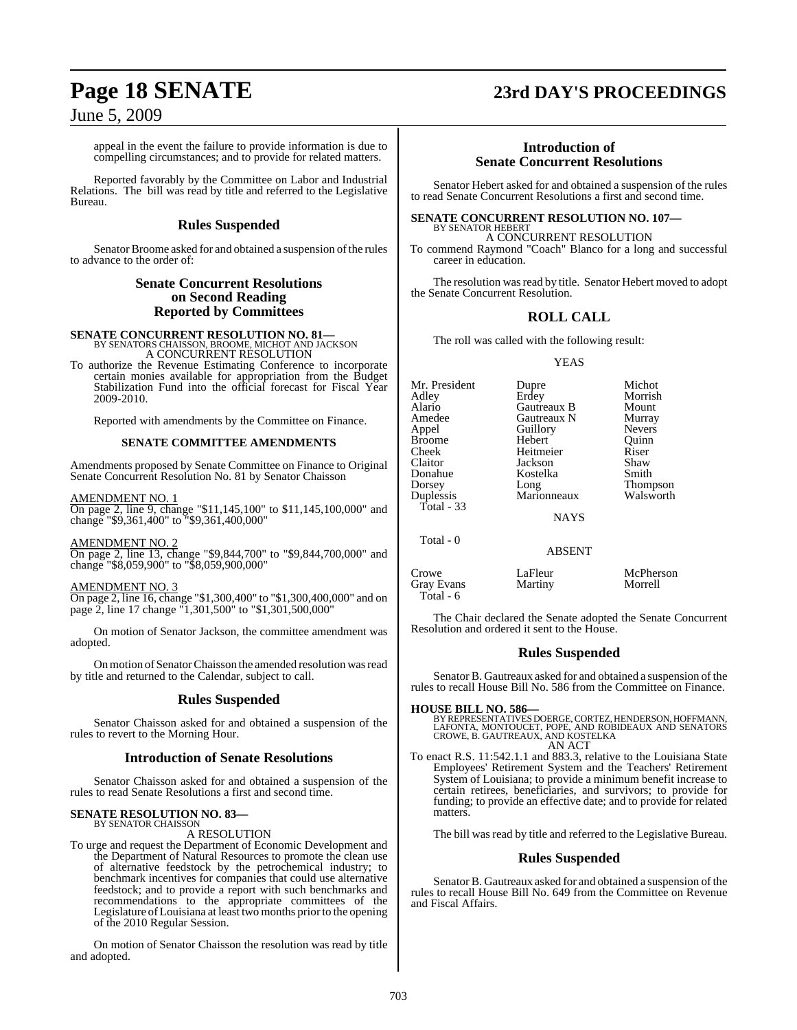# **Page 18 SENATE 23rd DAY'S PROCEEDINGS**

## June 5, 2009

appeal in the event the failure to provide information is due to compelling circumstances; and to provide for related matters.

Reported favorably by the Committee on Labor and Industrial Relations. The bill was read by title and referred to the Legislative Bureau.

## **Rules Suspended**

Senator Broome asked for and obtained a suspension of the rules to advance to the order of:

## **Senate Concurrent Resolutions on Second Reading Reported by Committees**

# **SENATE CONCURRENT RESOLUTION NO. 81—**<br>BY SENATORS CHAISSON, BROOME, MICHOT AND JACKSON<br>A CONCURRENT RESOLUTION

To authorize the Revenue Estimating Conference to incorporate certain monies available for appropriation from the Budget Stabilization Fund into the official forecast for Fiscal Year 2009-2010.

Reported with amendments by the Committee on Finance.

#### **SENATE COMMITTEE AMENDMENTS**

Amendments proposed by Senate Committee on Finance to Original Senate Concurrent Resolution No. 81 by Senator Chaisson

AMENDMENT NO. 1

On page 2, line 9, change "\$11,145,100" to \$11,145,100,000" and change "\$9,361,400" to "\$9,361,400,000"

#### AMENDMENT NO. 2

On page 2, line 13, change "\$9,844,700" to "\$9,844,700,000" and change "\$8,059,900" to "\$8,059,900,000"

#### AMENDMENT NO. 3

On page 2, line 16, change "\$1,300,400" to "\$1,300,400,000" and on page 2, line 17 change "1,301,500" to "\$1,301,500,000"

On motion of Senator Jackson, the committee amendment was adopted.

On motion of Senator Chaisson the amended resolution was read by title and returned to the Calendar, subject to call.

#### **Rules Suspended**

Senator Chaisson asked for and obtained a suspension of the rules to revert to the Morning Hour.

#### **Introduction of Senate Resolutions**

Senator Chaisson asked for and obtained a suspension of the rules to read Senate Resolutions a first and second time.

#### **SENATE RESOLUTION NO. 83—** BY SENATOR CHAISSON

A RESOLUTION

To urge and request the Department of Economic Development and the Department of Natural Resources to promote the clean use of alternative feedstock by the petrochemical industry; to benchmark incentives for companies that could use alternative feedstock; and to provide a report with such benchmarks and recommendations to the appropriate committees of the Legislature of Louisiana at least two months prior to the opening of the 2010 Regular Session.

On motion of Senator Chaisson the resolution was read by title and adopted.

## **Introduction of Senate Concurrent Resolutions**

Senator Hebert asked for and obtained a suspension of the rules to read Senate Concurrent Resolutions a first and second time.

#### **SENATE CONCURRENT RESOLUTION NO. 107—**

BY SENATOR HEBERT A CONCURRENT RESOLUTION To commend Raymond "Coach" Blanco for a long and successful career in education.

The resolution was read by title. Senator Hebert moved to adopt the Senate Concurrent Resolution.

## **ROLL CALL**

The roll was called with the following result:

#### **YEAS**

| Mr. President | Dupre         | Michot          |
|---------------|---------------|-----------------|
| Adley         | Erdey         | Morrish         |
| Alario        | Gautreaux B   | Mount           |
| Amedee        | Gautreaux N   | Murray          |
| Appel         | Guillory      | <b>Nevers</b>   |
| <b>Broome</b> | Hebert        | Ouinn           |
| Cheek         | Heitmeier     | Riser           |
| Claitor       | Jackson       | Shaw            |
| Donahue       | Kostelka      | Smith           |
| Dorsey        | Long          | <b>Thompson</b> |
| Duplessis     | Marionneaux   | Walsworth       |
| Total - 33    |               |                 |
|               | <b>NAYS</b>   |                 |
| Total - 0     |               |                 |
|               | <b>ABSENT</b> |                 |
| Crowe         | LaFleur       | McPherson       |
| Grav Evans    | Martiny       | Morrell         |

The Chair declared the Senate adopted the Senate Concurrent Resolution and ordered it sent to the House.

#### **Rules Suspended**

Senator B. Gautreaux asked for and obtained a suspension of the rules to recall House Bill No. 586 from the Committee on Finance.

#### **HOUSE BILL NO. 586—**

Gray Evans Martiny

Total - 6

BY REPRESENTATIVES DOERGE, CORTEZ, HENDERSON, HOFFMANN, LAFONTA, MONTOUCET, POPE, AND ROBIDEAUX AND SENATORS CROWE, B. GAUTREAUX, AND KOSTELKA AN ACT

To enact R.S. 11:542.1.1 and 883.3, relative to the Louisiana State Employees' Retirement System and the Teachers' Retirement System of Louisiana; to provide a minimum benefit increase to certain retirees, beneficiaries, and survivors; to provide for funding; to provide an effective date; and to provide for related matters.

The bill was read by title and referred to the Legislative Bureau.

#### **Rules Suspended**

Senator B. Gautreaux asked for and obtained a suspension of the rules to recall House Bill No. 649 from the Committee on Revenue and Fiscal Affairs.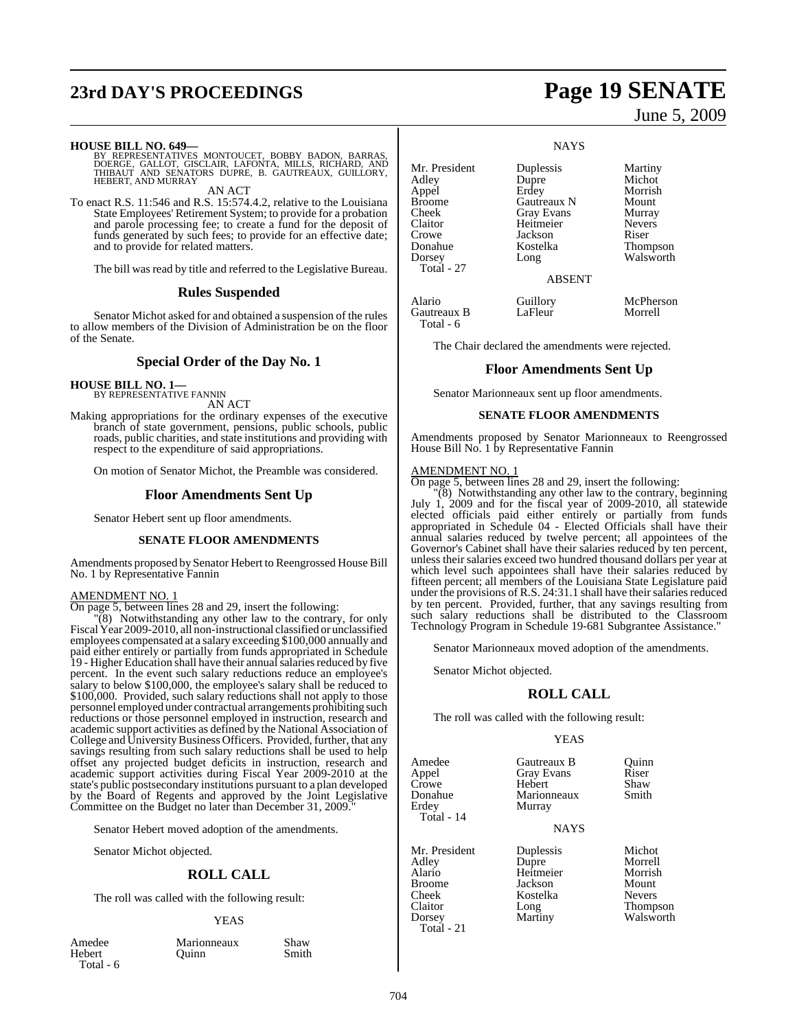# **23rd DAY'S PROCEEDINGS Page 19 SENATE**

#### **HOUSE BILL NO. 649—**

BY REPRESENTATIVES MONTOUCET, BOBBY BADON, BARRAS,<br>DOERGE, GALLOT, GISCLAIR, LAFONTA, MILLS, RICHARD, AND<br>THIBAUT AND SENATORS DUPRE, B. GAUTREAUX, GUILLORY, HEBERT, AND MURRAY AN ACT

To enact R.S. 11:546 and R.S. 15:574.4.2, relative to the Louisiana State Employees' Retirement System; to provide for a probation and parole processing fee; to create a fund for the deposit of funds generated by such fees; to provide for an effective date; and to provide for related matters.

The bill was read by title and referred to the Legislative Bureau.

#### **Rules Suspended**

Senator Michot asked for and obtained a suspension of the rules to allow members of the Division of Administration be on the floor of the Senate.

## **Special Order of the Day No. 1**

**HOUSE BILL NO. 1—** BY REPRESENTATIVE FANNIN

AN ACT

Making appropriations for the ordinary expenses of the executive branch of state government, pensions, public schools, public roads, public charities, and state institutions and providing with respect to the expenditure of said appropriations.

On motion of Senator Michot, the Preamble was considered.

#### **Floor Amendments Sent Up**

Senator Hebert sent up floor amendments.

#### **SENATE FLOOR AMENDMENTS**

Amendments proposed by Senator Hebert to Reengrossed House Bill No. 1 by Representative Fannin

#### AMENDMENT NO. 1

On page 5, between lines 28 and 29, insert the following:

"(8) Notwithstanding any other law to the contrary, for only Fiscal Year 2009-2010, all non-instructional classified or unclassified employees compensated at a salary exceeding \$100,000 annually and paid either entirely or partially from funds appropriated in Schedule 19 - Higher Education shall have their annual salaries reduced by five percent. In the event such salary reductions reduce an employee's salary to below \$100,000, the employee's salary shall be reduced to \$100,000. Provided, such salary reductions shall not apply to those personnel employed under contractual arrangements prohibiting such reductions or those personnel employed in instruction, research and academic support activities as defined by the National Association of College and University Business Officers. Provided, further, that any savings resulting from such salary reductions shall be used to help offset any projected budget deficits in instruction, research and academic support activities during Fiscal Year 2009-2010 at the state's public postsecondary institutions pursuant to a plan developed by the Board of Regents and approved by the Joint Legislative Committee on the Budget no later than December 31, 2009.

Senator Hebert moved adoption of the amendments.

Senator Michot objected.

#### **ROLL CALL**

The roll was called with the following result:

#### YEAS

Total - 6

Amedee Marionneaux Shaw<br>
Hebert Quinn Smith Quinn

## June 5, 2009

#### **NAYS**

Mr. President Duplessis Martiny<br>
Adley Dupre Michot Adley Dupre<br>
Appel Erdey Appel Erdey Morrish Broome Gautreaux N Mount Cheek Gray Evans Murray<br>Claitor Heitmeier Nevers Crowe Jackson Riser Donahue Kostelka Thompson Total - 27

Heitmeier

#### ABSENT

Alario Guillory McPherson Gautreaux B Total - 6

Walsworth

The Chair declared the amendments were rejected.

#### **Floor Amendments Sent Up**

Senator Marionneaux sent up floor amendments.

#### **SENATE FLOOR AMENDMENTS**

Amendments proposed by Senator Marionneaux to Reengrossed House Bill No. 1 by Representative Fannin

#### AMENDMENT NO. 1

On page 5, between lines 28 and 29, insert the following:

"(8) Notwithstanding any other law to the contrary, beginning July 1, 2009 and for the fiscal year of 2009-2010, all statewide elected officials paid either entirely or partially from funds appropriated in Schedule 04 - Elected Officials shall have their annual salaries reduced by twelve percent; all appointees of the Governor's Cabinet shall have their salaries reduced by ten percent, unless their salaries exceed two hundred thousand dollars per year at which level such appointees shall have their salaries reduced by fifteen percent; all members of the Louisiana State Legislature paid under the provisions of R.S.  $24:31.1$  shall have their salaries reduced by ten percent. Provided, further, that any savings resulting from such salary reductions shall be distributed to the Classroom Technology Program in Schedule 19-681 Subgrantee Assistance."

Senator Marionneaux moved adoption of the amendments.

Senator Michot objected.

## **ROLL CALL**

The roll was called with the following result:

#### YEAS

Erdey Murray Total - 14

Total - 21

Amedee Gautreaux B Quinn<br>
Appel Gray Evans Riser Gray Evans Riser<br>
Hebert Shaw Crowe Hebert Shaw Marionneaux

NAYS

Mr. President Duplessis Michot<br>Adley Dupre Morrell Adley Dupre Morrell Alario Heitmeier<br>Broome Jackson Broome Jackson Mount<br>Cheek Kostelka Nevers Cheek Kostelka<br>Claitor Long

Claitor Long Thompson<br>
Dorsey Martiny Walsworth Walsworth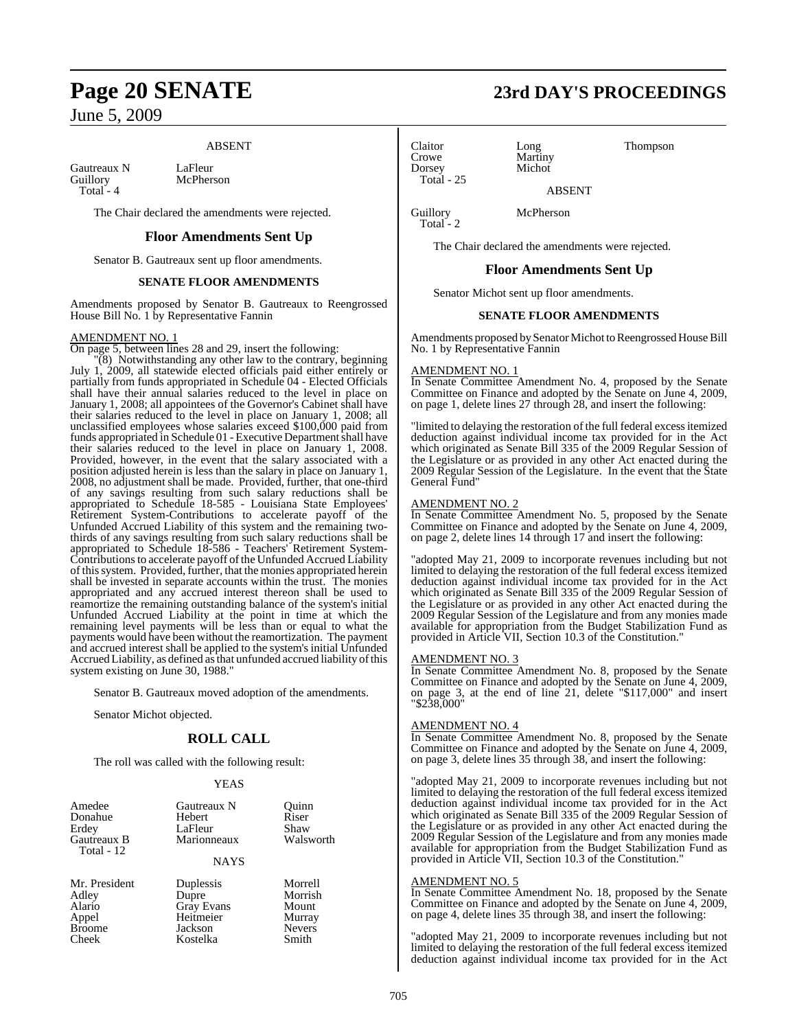June 5, 2009

#### ABSENT

Gautreaux N LaFleur<br>Guillory McPher McPherson Total - 4

The Chair declared the amendments were rejected.

#### **Floor Amendments Sent Up**

Senator B. Gautreaux sent up floor amendments.

#### **SENATE FLOOR AMENDMENTS**

Amendments proposed by Senator B. Gautreaux to Reengrossed House Bill No. 1 by Representative Fannin

#### AMENDMENT NO. 1

On page 5, between lines 28 and 29, insert the following:

"(8) Notwithstanding any other law to the contrary, beginning July 1, 2009, all statewide elected officials paid either entirely or partially from funds appropriated in Schedule 04 - Elected Officials shall have their annual salaries reduced to the level in place on January 1, 2008; all appointees of the Governor's Cabinet shall have their salaries reduced to the level in place on January 1, 2008; all unclassified employees whose salaries exceed \$100,000 paid from funds appropriated in Schedule 01 - Executive Department shall have their salaries reduced to the level in place on January 1, 2008. Provided, however, in the event that the salary associated with a position adjusted herein is less than the salary in place on January 1, 2008, no adjustment shall be made. Provided, further, that one-third of any savings resulting from such salary reductions shall be appropriated to Schedule 18-585 - Louisiana State Employees' Retirement System-Contributions to accelerate payoff of the Unfunded Accrued Liability of this system and the remaining twothirds of any savings resulting from such salary reductions shall be appropriated to Schedule 18-586 - Teachers' Retirement System-Contributions to accelerate payoff of the Unfunded Accrued Liability of thissystem. Provided, further, that the monies appropriated herein shall be invested in separate accounts within the trust. The monies appropriated and any accrued interest thereon shall be used to reamortize the remaining outstanding balance of the system's initial Unfunded Accrued Liability at the point in time at which the remaining level payments will be less than or equal to what the payments would have been without the reamortization. The payment and accrued interest shall be applied to the system's initial Unfunded Accrued Liability, as defined as that unfunded accrued liability of this system existing on June 30, 1988."

Senator B. Gautreaux moved adoption of the amendments.

Senator Michot objected.

#### **ROLL CALL**

The roll was called with the following result:

#### YEAS

| Amedee<br>Donahue<br>Erdey<br>Gautreaux B<br>Total - 12 | Gautreaux N<br>Hebert<br>LaFleur<br>Marionneaux<br><b>NAYS</b> | Ouinn<br>Riser<br>Shaw<br>Walsworth |
|---------------------------------------------------------|----------------------------------------------------------------|-------------------------------------|
| Mr. President                                           | Duplessis                                                      | Morrell                             |
| Adley                                                   | Dupre                                                          | Morrish                             |
| Alario                                                  | <b>Gray Evans</b>                                              | Mount                               |
| Appel                                                   | Heitmeier                                                      | Murray                              |
| <b>Broome</b>                                           | Jackson                                                        | <b>Nevers</b>                       |
| Cheek                                                   | Kostelka                                                       | Smith                               |

# **Page 20 SENATE 23rd DAY'S PROCEEDINGS**

Claitor Long Thompson<br>Crowe Martiny Thompson Crowe Martiny<br>
Dorsey Michot Total - 25

 $Total - 2$ 

Michot

ABSENT

Guillory McPherson

The Chair declared the amendments were rejected.

### **Floor Amendments Sent Up**

Senator Michot sent up floor amendments.

#### **SENATE FLOOR AMENDMENTS**

Amendments proposed by Senator Michot to Reengrossed House Bill No. 1 by Representative Fannin

#### **AMENDMENT NO.**

In Senate Committee Amendment No. 4, proposed by the Senate Committee on Finance and adopted by the Senate on June 4, 2009, on page 1, delete lines 27 through 28, and insert the following:

"limited to delaying the restoration of the full federal excessitemized deduction against individual income tax provided for in the Act which originated as Senate Bill 335 of the 2009 Regular Session of the Legislature or as provided in any other Act enacted during the 2009 Regular Session of the Legislature. In the event that the State General Fund"

#### AMENDMENT NO. 2

In Senate Committee Amendment No. 5, proposed by the Senate Committee on Finance and adopted by the Senate on June 4, 2009, on page 2, delete lines 14 through 17 and insert the following:

"adopted May 21, 2009 to incorporate revenues including but not limited to delaying the restoration of the full federal excess itemized deduction against individual income tax provided for in the Act which originated as Senate Bill 335 of the 2009 Regular Session of the Legislature or as provided in any other Act enacted during the 2009 Regular Session of the Legislature and from any monies made available for appropriation from the Budget Stabilization Fund as provided in Article VII, Section 10.3 of the Constitution."

#### AMENDMENT NO. 3

In Senate Committee Amendment No. 8, proposed by the Senate Committee on Finance and adopted by the Senate on June 4, 2009, on page 3, at the end of line 21, delete "\$117,000" and insert "\$238,000"

#### AMENDMENT NO. 4

In Senate Committee Amendment No. 8, proposed by the Senate Committee on Finance and adopted by the Senate on June 4, 2009, on page 3, delete lines 35 through 38, and insert the following:

"adopted May 21, 2009 to incorporate revenues including but not limited to delaying the restoration of the full federal excess itemized deduction against individual income tax provided for in the Act which originated as Senate Bill 335 of the 2009 Regular Session of the Legislature or as provided in any other Act enacted during the 2009 Regular Session of the Legislature and from any monies made available for appropriation from the Budget Stabilization Fund as provided in Article VII, Section 10.3 of the Constitution."

#### AMENDMENT NO. 5

In Senate Committee Amendment No. 18, proposed by the Senate Committee on Finance and adopted by the Senate on June 4, 2009, on page 4, delete lines 35 through 38, and insert the following:

"adopted May 21, 2009 to incorporate revenues including but not limited to delaying the restoration of the full federal excess itemized deduction against individual income tax provided for in the Act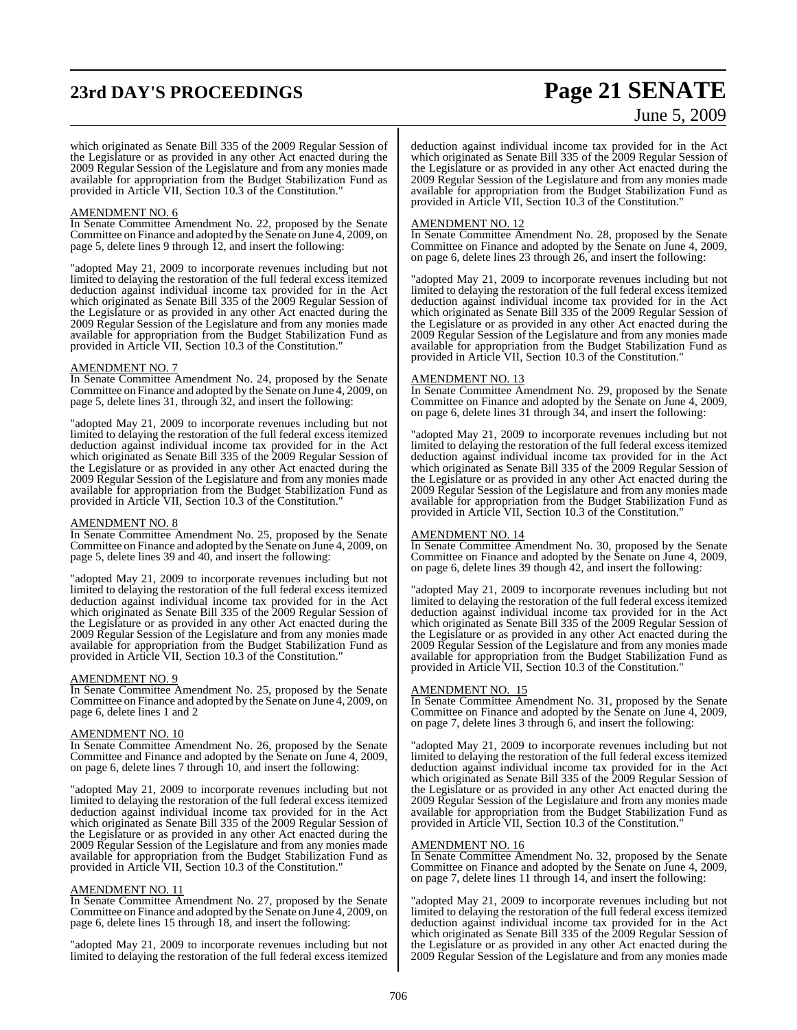# **23rd DAY'S PROCEEDINGS Page 21 SENATE**

# June 5, 2009

which originated as Senate Bill 335 of the 2009 Regular Session of the Legislature or as provided in any other Act enacted during the 2009 Regular Session of the Legislature and from any monies made available for appropriation from the Budget Stabilization Fund as provided in Article VII, Section 10.3 of the Constitution."

#### AMENDMENT NO. 6

In Senate Committee Amendment No. 22, proposed by the Senate Committee on Finance and adopted by the Senate on June 4, 2009, on page 5, delete lines 9 through 12, and insert the following:

"adopted May 21, 2009 to incorporate revenues including but not limited to delaying the restoration of the full federal excess itemized deduction against individual income tax provided for in the Act which originated as Senate Bill 335 of the 2009 Regular Session of the Legislature or as provided in any other Act enacted during the 2009 Regular Session of the Legislature and from any monies made available for appropriation from the Budget Stabilization Fund as provided in Article VII, Section 10.3 of the Constitution."

#### AMENDMENT NO. 7

In Senate Committee Amendment No. 24, proposed by the Senate Committee on Finance and adopted by the Senate on June 4, 2009, on page 5, delete lines 31, through 32, and insert the following:

"adopted May 21, 2009 to incorporate revenues including but not limited to delaying the restoration of the full federal excess itemized deduction against individual income tax provided for in the Act which originated as Senate Bill 335 of the 2009 Regular Session of the Legislature or as provided in any other Act enacted during the 2009 Regular Session of the Legislature and from any monies made available for appropriation from the Budget Stabilization Fund as provided in Article VII, Section 10.3 of the Constitution."

## AMENDMENT NO. 8

In Senate Committee Amendment No. 25, proposed by the Senate Committee on Finance and adopted by the Senate on June 4, 2009, on page 5, delete lines 39 and 40, and insert the following:

"adopted May 21, 2009 to incorporate revenues including but not limited to delaying the restoration of the full federal excess itemized deduction against individual income tax provided for in the Act which originated as Senate Bill 335 of the 2009 Regular Session of the Legislature or as provided in any other Act enacted during the 2009 Regular Session of the Legislature and from any monies made available for appropriation from the Budget Stabilization Fund as provided in Article VII, Section 10.3 of the Constitution."

#### AMENDMENT NO. 9

In Senate Committee Amendment No. 25, proposed by the Senate Committee on Finance and adopted by the Senate on June 4, 2009, on page 6, delete lines 1 and 2

#### AMENDMENT NO. 10

In Senate Committee Amendment No. 26, proposed by the Senate Committee and Finance and adopted by the Senate on June 4, 2009, on page 6, delete lines 7 through 10, and insert the following:

"adopted May 21, 2009 to incorporate revenues including but not limited to delaying the restoration of the full federal excess itemized deduction against individual income tax provided for in the Act which originated as Senate Bill 335 of the 2009 Regular Session of the Legislature or as provided in any other Act enacted during the 2009 Regular Session of the Legislature and from any monies made available for appropriation from the Budget Stabilization Fund as provided in Article VII, Section 10.3 of the Constitution."

#### AMENDMENT NO. 11

In Senate Committee Amendment No. 27, proposed by the Senate Committee on Finance and adopted by the Senate on June 4, 2009, on page 6, delete lines 15 through 18, and insert the following:

"adopted May 21, 2009 to incorporate revenues including but not limited to delaying the restoration of the full federal excess itemized

deduction against individual income tax provided for in the Act which originated as Senate Bill 335 of the 2009 Regular Session of the Legislature or as provided in any other Act enacted during the 2009 Regular Session of the Legislature and from any monies made available for appropriation from the Budget Stabilization Fund as provided in Article VII, Section 10.3 of the Constitution."

#### AMENDMENT NO. 12

In Senate Committee Amendment No. 28, proposed by the Senate Committee on Finance and adopted by the Senate on June 4, 2009, on page 6, delete lines 23 through 26, and insert the following:

"adopted May 21, 2009 to incorporate revenues including but not limited to delaying the restoration of the full federal excess itemized deduction against individual income tax provided for in the Act which originated as Senate Bill 335 of the 2009 Regular Session of the Legislature or as provided in any other Act enacted during the 2009 Regular Session of the Legislature and from any monies made available for appropriation from the Budget Stabilization Fund as provided in Article VII, Section 10.3 of the Constitution."

#### AMENDMENT NO. 13

In Senate Committee Amendment No. 29, proposed by the Senate Committee on Finance and adopted by the Senate on June 4, 2009, on page 6, delete lines 31 through 34, and insert the following:

"adopted May 21, 2009 to incorporate revenues including but not limited to delaying the restoration of the full federal excess itemized deduction against individual income tax provided for in the Act which originated as Senate Bill 335 of the 2009 Regular Session of the Legislature or as provided in any other Act enacted during the 2009 Regular Session of the Legislature and from any monies made available for appropriation from the Budget Stabilization Fund as provided in Article VII, Section 10.3 of the Constitution."

#### AMENDMENT NO. 14

In Senate Committee Amendment No. 30, proposed by the Senate Committee on Finance and adopted by the Senate on June 4, 2009, on page 6, delete lines 39 though 42, and insert the following:

"adopted May 21, 2009 to incorporate revenues including but not limited to delaying the restoration of the full federal excess itemized deduction against individual income tax provided for in the Act which originated as Senate Bill 335 of the 2009 Regular Session of the Legislature or as provided in any other Act enacted during the 2009 Regular Session of the Legislature and from any monies made available for appropriation from the Budget Stabilization Fund as provided in Article VII, Section 10.3 of the Constitution."

#### AMENDMENT NO. 15

In Senate Committee Amendment No. 31, proposed by the Senate Committee on Finance and adopted by the Senate on June 4, 2009, on page 7, delete lines 3 through 6, and insert the following:

"adopted May 21, 2009 to incorporate revenues including but not limited to delaying the restoration of the full federal excess itemized deduction against individual income tax provided for in the Act which originated as Senate Bill 335 of the 2009 Regular Session of the Legislature or as provided in any other Act enacted during the 2009 Regular Session of the Legislature and from any monies made available for appropriation from the Budget Stabilization Fund as provided in Article VII, Section 10.3 of the Constitution."

#### AMENDMENT NO. 16

In Senate Committee Amendment No. 32, proposed by the Senate Committee on Finance and adopted by the Senate on June 4, 2009, on page 7, delete lines 11 through 14, and insert the following:

"adopted May 21, 2009 to incorporate revenues including but not limited to delaying the restoration of the full federal excess itemized deduction against individual income tax provided for in the Act which originated as Senate Bill 335 of the 2009 Regular Session of the Legislature or as provided in any other Act enacted during the 2009 Regular Session of the Legislature and from any monies made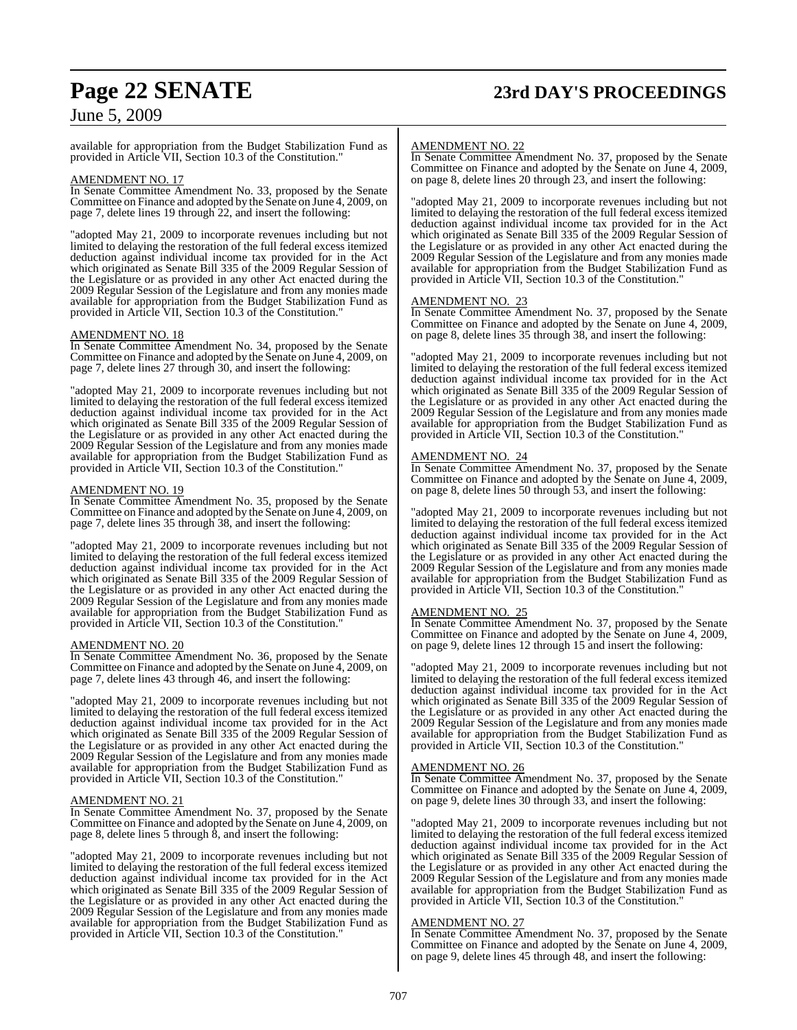# **Page 22 SENATE 23rd DAY'S PROCEEDINGS**

## June 5, 2009

available for appropriation from the Budget Stabilization Fund as provided in Article VII, Section 10.3 of the Constitution."

## AMENDMENT NO. 17

In Senate Committee Amendment No. 33, proposed by the Senate Committee on Finance and adopted by the Senate on June 4, 2009, on page 7, delete lines 19 through 22, and insert the following:

"adopted May 21, 2009 to incorporate revenues including but not limited to delaying the restoration of the full federal excess itemized deduction against individual income tax provided for in the Act which originated as Senate Bill 335 of the 2009 Regular Session of the Legislature or as provided in any other Act enacted during the 2009 Regular Session of the Legislature and from any monies made available for appropriation from the Budget Stabilization Fund as provided in Article VII, Section 10.3 of the Constitution."

#### AMENDMENT NO. 18

In Senate Committee Amendment No. 34, proposed by the Senate Committee on Finance and adopted by the Senate on June 4, 2009, on page 7, delete lines 27 through 30, and insert the following:

"adopted May 21, 2009 to incorporate revenues including but not limited to delaying the restoration of the full federal excess itemized deduction against individual income tax provided for in the Act which originated as Senate Bill 335 of the 2009 Regular Session of the Legislature or as provided in any other Act enacted during the 2009 Regular Session of the Legislature and from any monies made available for appropriation from the Budget Stabilization Fund as provided in Article VII, Section 10.3 of the Constitution."

#### AMENDMENT NO. 19

In Senate Committee Amendment No. 35, proposed by the Senate Committee on Finance and adopted by the Senate on June 4, 2009, on page 7, delete lines 35 through 38, and insert the following:

"adopted May 21, 2009 to incorporate revenues including but not limited to delaying the restoration of the full federal excess itemized deduction against individual income tax provided for in the Act which originated as Senate Bill 335 of the 2009 Regular Session of the Legislature or as provided in any other Act enacted during the 2009 Regular Session of the Legislature and from any monies made available for appropriation from the Budget Stabilization Fund as provided in Article VII, Section 10.3 of the Constitution."

#### AMENDMENT NO. 20

In Senate Committee Amendment No. 36, proposed by the Senate Committee on Finance and adopted by the Senate on June 4, 2009, on page 7, delete lines 43 through 46, and insert the following:

"adopted May 21, 2009 to incorporate revenues including but not limited to delaying the restoration of the full federal excess itemized deduction against individual income tax provided for in the Act which originated as Senate Bill 335 of the 2009 Regular Session of the Legislature or as provided in any other Act enacted during the 2009 Regular Session of the Legislature and from any monies made available for appropriation from the Budget Stabilization Fund as provided in Article VII, Section 10.3 of the Constitution."

## AMENDMENT NO. 21

In Senate Committee Amendment No. 37, proposed by the Senate Committee on Finance and adopted by the Senate on June 4, 2009, on page 8, delete lines 5 through 8, and insert the following:

"adopted May 21, 2009 to incorporate revenues including but not limited to delaying the restoration of the full federal excess itemized deduction against individual income tax provided for in the Act which originated as Senate Bill 335 of the 2009 Regular Session of the Legislature or as provided in any other Act enacted during the 2009 Regular Session of the Legislature and from any monies made available for appropriation from the Budget Stabilization Fund as provided in Article VII, Section 10.3 of the Constitution."

#### AMENDMENT NO. 22

In Senate Committee Amendment No. 37, proposed by the Senate Committee on Finance and adopted by the Senate on June 4, 2009, on page 8, delete lines 20 through 23, and insert the following:

"adopted May 21, 2009 to incorporate revenues including but not limited to delaying the restoration of the full federal excess itemized deduction against individual income tax provided for in the Act which originated as Senate Bill 335 of the 2009 Regular Session of the Legislature or as provided in any other Act enacted during the 2009 Regular Session of the Legislature and from any monies made available for appropriation from the Budget Stabilization Fund as provided in Article VII, Section 10.3 of the Constitution."

#### AMENDMENT NO.

In Senate Committee Amendment No. 37, proposed by the Senate Committee on Finance and adopted by the Senate on June 4, 2009, on page 8, delete lines 35 through 38, and insert the following:

"adopted May 21, 2009 to incorporate revenues including but not limited to delaying the restoration of the full federal excess itemized deduction against individual income tax provided for in the Act which originated as Senate Bill 335 of the 2009 Regular Session of the Legislature or as provided in any other Act enacted during the 2009 Regular Session of the Legislature and from any monies made available for appropriation from the Budget Stabilization Fund as provided in Article VII, Section 10.3 of the Constitution."

#### AMENDMENT NO. 24

In Senate Committee Amendment No. 37, proposed by the Senate Committee on Finance and adopted by the Senate on June 4, 2009, on page 8, delete lines 50 through 53, and insert the following:

"adopted May 21, 2009 to incorporate revenues including but not limited to delaying the restoration of the full federal excess itemized deduction against individual income tax provided for in the Act which originated as Senate Bill 335 of the 2009 Regular Session of the Legislature or as provided in any other Act enacted during the 2009 Regular Session of the Legislature and from any monies made available for appropriation from the Budget Stabilization Fund as provided in Article VII, Section 10.3 of the Constitution."

#### AMENDMENT NO. 25

In Senate Committee Amendment No. 37, proposed by the Senate Committee on Finance and adopted by the Senate on June 4, 2009, on page 9, delete lines 12 through 15 and insert the following:

"adopted May 21, 2009 to incorporate revenues including but not limited to delaying the restoration of the full federal excess itemized deduction against individual income tax provided for in the Act which originated as Senate Bill 335 of the 2009 Regular Session of the Legislature or as provided in any other Act enacted during the 2009 Regular Session of the Legislature and from any monies made available for appropriation from the Budget Stabilization Fund as provided in Article VII, Section 10.3 of the Constitution."

#### AMENDMENT NO. 26

In Senate Committee Amendment No. 37, proposed by the Senate Committee on Finance and adopted by the Senate on June 4, 2009, on page 9, delete lines 30 through 33, and insert the following:

"adopted May 21, 2009 to incorporate revenues including but not limited to delaying the restoration of the full federal excess itemized deduction against individual income tax provided for in the Act which originated as Senate Bill 335 of the 2009 Regular Session of the Legislature or as provided in any other Act enacted during the 2009 Regular Session of the Legislature and from any monies made available for appropriation from the Budget Stabilization Fund as provided in Article VII, Section 10.3 of the Constitution."

#### AMENDMENT NO. 27

In Senate Committee Amendment No. 37, proposed by the Senate Committee on Finance and adopted by the Senate on June 4, 2009, on page 9, delete lines 45 through 48, and insert the following: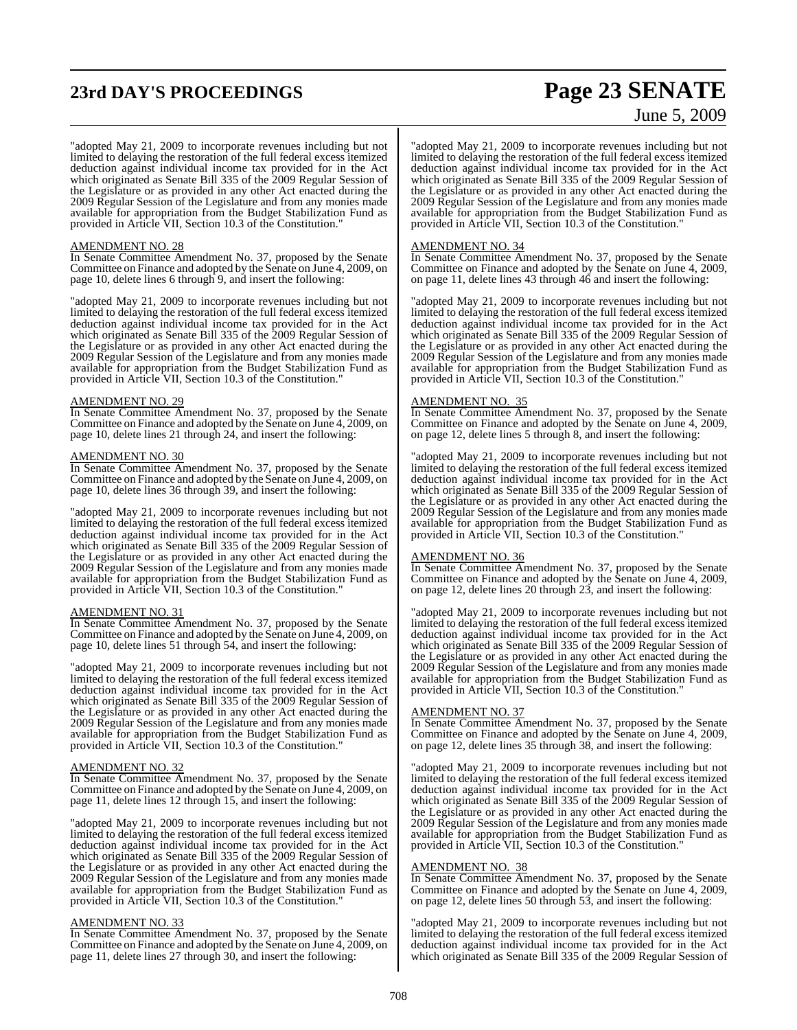# **23rd DAY'S PROCEEDINGS Page 23 SENATE**

# June 5, 2009

"adopted May 21, 2009 to incorporate revenues including but not limited to delaying the restoration of the full federal excess itemized deduction against individual income tax provided for in the Act which originated as Senate Bill 335 of the 2009 Regular Session of the Legislature or as provided in any other Act enacted during the 2009 Regular Session of the Legislature and from any monies made available for appropriation from the Budget Stabilization Fund as provided in Article VII, Section 10.3 of the Constitution."

#### AMENDMENT NO. 28

In Senate Committee Amendment No. 37, proposed by the Senate Committee on Finance and adopted by the Senate on June 4, 2009, on page 10, delete lines 6 through 9, and insert the following:

"adopted May 21, 2009 to incorporate revenues including but not limited to delaying the restoration of the full federal excess itemized deduction against individual income tax provided for in the Act which originated as Senate Bill 335 of the 2009 Regular Session of the Legislature or as provided in any other Act enacted during the 2009 Regular Session of the Legislature and from any monies made available for appropriation from the Budget Stabilization Fund as provided in Article VII, Section 10.3 of the Constitution."

#### AMENDMENT NO. 29

In Senate Committee Amendment No. 37, proposed by the Senate Committee on Finance and adopted by the Senate on June 4, 2009, on page 10, delete lines 21 through 24, and insert the following:

#### AMENDMENT NO. 30

In Senate Committee Amendment No. 37, proposed by the Senate Committee on Finance and adopted by the Senate on June 4, 2009, on page 10, delete lines 36 through 39, and insert the following:

"adopted May 21, 2009 to incorporate revenues including but not limited to delaying the restoration of the full federal excess itemized deduction against individual income tax provided for in the Act which originated as Senate Bill 335 of the 2009 Regular Session of the Legislature or as provided in any other Act enacted during the 2009 Regular Session of the Legislature and from any monies made available for appropriation from the Budget Stabilization Fund as provided in Article VII, Section 10.3 of the Constitution."

## AMENDMENT NO. 31

In Senate Committee Amendment No. 37, proposed by the Senate Committee on Finance and adopted by the Senate on June 4, 2009, on page 10, delete lines 51 through 54, and insert the following:

"adopted May 21, 2009 to incorporate revenues including but not limited to delaying the restoration of the full federal excess itemized deduction against individual income tax provided for in the Act which originated as Senate Bill 335 of the 2009 Regular Session of the Legislature or as provided in any other Act enacted during the 2009 Regular Session of the Legislature and from any monies made available for appropriation from the Budget Stabilization Fund as provided in Article VII, Section 10.3 of the Constitution."

#### AMENDMENT NO. 32

In Senate Committee Amendment No. 37, proposed by the Senate Committee on Finance and adopted by the Senate on June 4, 2009, on page 11, delete lines 12 through 15, and insert the following:

"adopted May 21, 2009 to incorporate revenues including but not limited to delaying the restoration of the full federal excess itemized deduction against individual income tax provided for in the Act which originated as Senate Bill 335 of the 2009 Regular Session of the Legislature or as provided in any other Act enacted during the 2009 Regular Session of the Legislature and from any monies made available for appropriation from the Budget Stabilization Fund as provided in Article VII, Section 10.3 of the Constitution."

#### AMENDMENT NO. 33

In Senate Committee Amendment No. 37, proposed by the Senate Committee on Finance and adopted by the Senate on June 4, 2009, on page 11, delete lines 27 through 30, and insert the following:

"adopted May 21, 2009 to incorporate revenues including but not limited to delaying the restoration of the full federal excess itemized deduction against individual income tax provided for in the Act which originated as Senate Bill 335 of the 2009 Regular Session of the Legislature or as provided in any other Act enacted during the 2009 Regular Session of the Legislature and from any monies made available for appropriation from the Budget Stabilization Fund as provided in Article VII, Section 10.3 of the Constitution."

#### AMENDMENT NO. 34

In Senate Committee Amendment No. 37, proposed by the Senate Committee on Finance and adopted by the Senate on June 4, 2009, on page 11, delete lines 43 through 46 and insert the following:

"adopted May 21, 2009 to incorporate revenues including but not limited to delaying the restoration of the full federal excess itemized deduction against individual income tax provided for in the Act which originated as Senate Bill 335 of the 2009 Regular Session of the Legislature or as provided in any other Act enacted during the 2009 Regular Session of the Legislature and from any monies made available for appropriation from the Budget Stabilization Fund as provided in Article VII, Section 10.3 of the Constitution."

#### AMENDMENT NO. 35

In Senate Committee Amendment No. 37, proposed by the Senate Committee on Finance and adopted by the Senate on June 4, 2009, on page 12, delete lines 5 through 8, and insert the following:

"adopted May 21, 2009 to incorporate revenues including but not limited to delaying the restoration of the full federal excess itemized deduction against individual income tax provided for in the Act which originated as Senate Bill 335 of the 2009 Regular Session of the Legislature or as provided in any other Act enacted during the 2009 Regular Session of the Legislature and from any monies made available for appropriation from the Budget Stabilization Fund as provided in Article VII, Section 10.3 of the Constitution."

#### AMENDMENT NO. 36

In Senate Committee Amendment No. 37, proposed by the Senate Committee on Finance and adopted by the Senate on June 4, 2009, on page 12, delete lines 20 through 23, and insert the following:

"adopted May 21, 2009 to incorporate revenues including but not limited to delaying the restoration of the full federal excess itemized deduction against individual income tax provided for in the Act which originated as Senate Bill 335 of the 2009 Regular Session of the Legislature or as provided in any other Act enacted during the 2009 Regular Session of the Legislature and from any monies made available for appropriation from the Budget Stabilization Fund as provided in Article VII, Section 10.3 of the Constitution."

#### AMENDMENT NO. 37

In Senate Committee Amendment No. 37, proposed by the Senate Committee on Finance and adopted by the Senate on June 4, 2009, on page 12, delete lines 35 through 38, and insert the following:

"adopted May 21, 2009 to incorporate revenues including but not limited to delaying the restoration of the full federal excess itemized deduction against individual income tax provided for in the Act which originated as Senate Bill 335 of the 2009 Regular Session of the Legislature or as provided in any other Act enacted during the 2009 Regular Session of the Legislature and from any monies made available for appropriation from the Budget Stabilization Fund as provided in Article VII, Section 10.3 of the Constitution."

#### AMENDMENT NO. 38

In Senate Committee Amendment No. 37, proposed by the Senate Committee on Finance and adopted by the Senate on June 4, 2009, on page 12, delete lines 50 through 53, and insert the following:

"adopted May 21, 2009 to incorporate revenues including but not limited to delaying the restoration of the full federal excess itemized deduction against individual income tax provided for in the Act which originated as Senate Bill 335 of the 2009 Regular Session of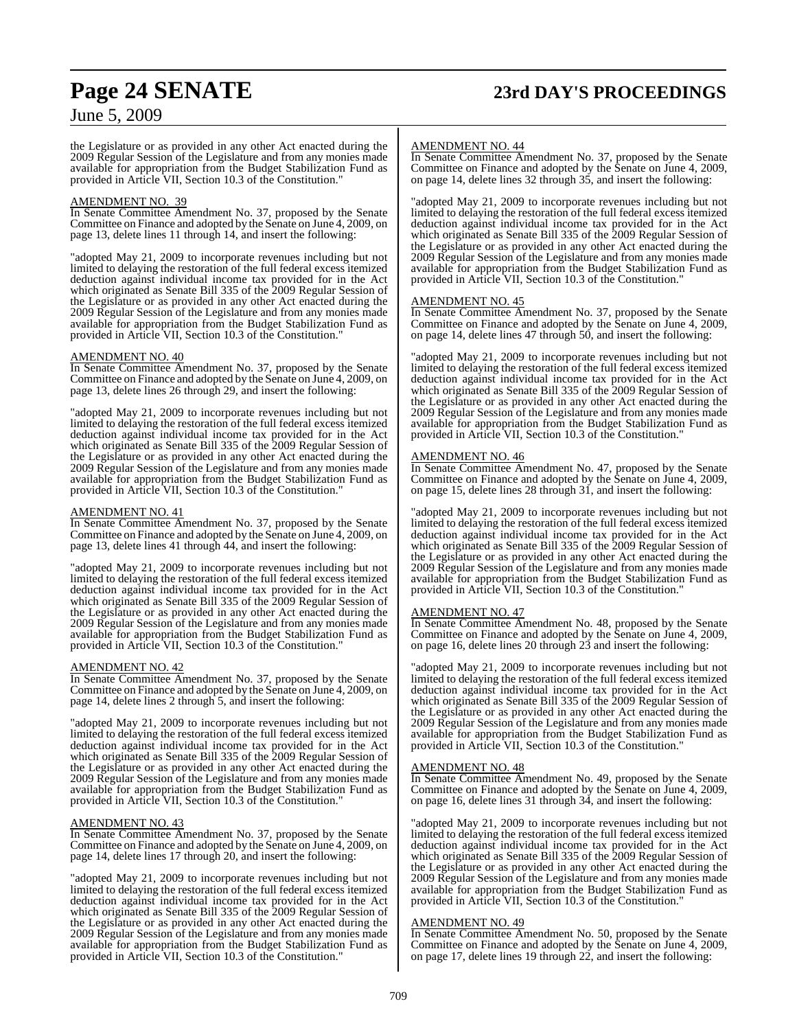# **Page 24 SENATE 23rd DAY'S PROCEEDINGS**

## June 5, 2009

the Legislature or as provided in any other Act enacted during the 2009 Regular Session of the Legislature and from any monies made available for appropriation from the Budget Stabilization Fund as provided in Article VII, Section 10.3 of the Constitution."

#### AMENDMENT NO. 39

In Senate Committee Amendment No. 37, proposed by the Senate Committee on Finance and adopted by the Senate on June 4, 2009, on page 13, delete lines 11 through 14, and insert the following:

"adopted May 21, 2009 to incorporate revenues including but not limited to delaying the restoration of the full federal excess itemized deduction against individual income tax provided for in the Act which originated as Senate Bill 335 of the 2009 Regular Session of the Legislature or as provided in any other Act enacted during the 2009 Regular Session of the Legislature and from any monies made available for appropriation from the Budget Stabilization Fund as provided in Article VII, Section 10.3 of the Constitution."

#### AMENDMENT NO. 40

In Senate Committee Amendment No. 37, proposed by the Senate Committee on Finance and adopted by the Senate on June 4, 2009, on page 13, delete lines 26 through 29, and insert the following:

"adopted May 21, 2009 to incorporate revenues including but not limited to delaying the restoration of the full federal excess itemized deduction against individual income tax provided for in the Act which originated as Senate Bill 335 of the 2009 Regular Session of the Legislature or as provided in any other Act enacted during the 2009 Regular Session of the Legislature and from any monies made available for appropriation from the Budget Stabilization Fund as provided in Article VII, Section 10.3 of the Constitution."

#### AMENDMENT NO. 41

In Senate Committee Amendment No. 37, proposed by the Senate Committee on Finance and adopted by the Senate on June 4, 2009, on page 13, delete lines 41 through 44, and insert the following:

"adopted May 21, 2009 to incorporate revenues including but not limited to delaying the restoration of the full federal excess itemized deduction against individual income tax provided for in the Act which originated as Senate Bill 335 of the 2009 Regular Session of the Legislature or as provided in any other Act enacted during the 2009 Regular Session of the Legislature and from any monies made available for appropriation from the Budget Stabilization Fund as provided in Article VII, Section 10.3 of the Constitution."

#### AMENDMENT NO. 42

In Senate Committee Amendment No. 37, proposed by the Senate Committee on Finance and adopted by the Senate on June 4, 2009, on page 14, delete lines 2 through 5, and insert the following:

"adopted May 21, 2009 to incorporate revenues including but not limited to delaying the restoration of the full federal excess itemized deduction against individual income tax provided for in the Act which originated as Senate Bill 335 of the 2009 Regular Session of the Legislature or as provided in any other Act enacted during the 2009 Regular Session of the Legislature and from any monies made available for appropriation from the Budget Stabilization Fund as provided in Article VII, Section 10.3 of the Constitution."

#### AMENDMENT NO. 43

In Senate Committee Amendment No. 37, proposed by the Senate Committee on Finance and adopted by the Senate on June 4, 2009, on page 14, delete lines 17 through 20, and insert the following:

"adopted May 21, 2009 to incorporate revenues including but not limited to delaying the restoration of the full federal excess itemized deduction against individual income tax provided for in the Act which originated as Senate Bill 335 of the 2009 Regular Session of the Legislature or as provided in any other Act enacted during the 2009 Regular Session of the Legislature and from any monies made available for appropriation from the Budget Stabilization Fund as provided in Article VII, Section 10.3 of the Constitution."

#### AMENDMENT NO. 44

In Senate Committee Amendment No. 37, proposed by the Senate Committee on Finance and adopted by the Senate on June 4, 2009, on page 14, delete lines 32 through 35, and insert the following:

"adopted May 21, 2009 to incorporate revenues including but not limited to delaying the restoration of the full federal excess itemized deduction against individual income tax provided for in the Act which originated as Senate Bill 335 of the 2009 Regular Session of the Legislature or as provided in any other Act enacted during the 2009 Regular Session of the Legislature and from any monies made available for appropriation from the Budget Stabilization Fund as provided in Article VII, Section 10.3 of the Constitution."

#### AMENDMENT NO. 45

In Senate Committee Amendment No. 37, proposed by the Senate Committee on Finance and adopted by the Senate on June 4, 2009, on page 14, delete lines 47 through 50, and insert the following:

"adopted May 21, 2009 to incorporate revenues including but not limited to delaying the restoration of the full federal excess itemized deduction against individual income tax provided for in the Act which originated as Senate Bill 335 of the 2009 Regular Session of the Legislature or as provided in any other Act enacted during the 2009 Regular Session of the Legislature and from any monies made available for appropriation from the Budget Stabilization Fund as provided in Article VII, Section 10.3 of the Constitution."

#### AMENDMENT NO. 46

In Senate Committee Amendment No. 47, proposed by the Senate Committee on Finance and adopted by the Senate on June 4, 2009, on page 15, delete lines 28 through 31, and insert the following:

"adopted May 21, 2009 to incorporate revenues including but not limited to delaying the restoration of the full federal excess itemized deduction against individual income tax provided for in the Act which originated as Senate Bill 335 of the 2009 Regular Session of the Legislature or as provided in any other Act enacted during the 2009 Regular Session of the Legislature and from any monies made available for appropriation from the Budget Stabilization Fund as provided in Article VII, Section 10.3 of the Constitution."

### AMENDMENT NO. 47

In Senate Committee Amendment No. 48, proposed by the Senate Committee on Finance and adopted by the Senate on June 4, 2009, on page 16, delete lines 20 through 23 and insert the following:

"adopted May 21, 2009 to incorporate revenues including but not limited to delaying the restoration of the full federal excess itemized deduction against individual income tax provided for in the Act which originated as Senate Bill 335 of the 2009 Regular Session of the Legislature or as provided in any other Act enacted during the 2009 Regular Session of the Legislature and from any monies made available for appropriation from the Budget Stabilization Fund as provided in Article VII, Section 10.3 of the Constitution."

#### AMENDMENT NO. 48

In Senate Committee Amendment No. 49, proposed by the Senate Committee on Finance and adopted by the Senate on June 4, 2009, on page 16, delete lines 31 through 34, and insert the following:

"adopted May 21, 2009 to incorporate revenues including but not limited to delaying the restoration of the full federal excess itemized deduction against individual income tax provided for in the Act which originated as Senate Bill 335 of the 2009 Regular Session of the Legislature or as provided in any other Act enacted during the 2009 Regular Session of the Legislature and from any monies made available for appropriation from the Budget Stabilization Fund as provided in Article VII, Section 10.3 of the Constitution."

#### AMENDMENT NO. 49

In Senate Committee Amendment No. 50, proposed by the Senate Committee on Finance and adopted by the Senate on June 4, 2009, on page 17, delete lines 19 through 22, and insert the following: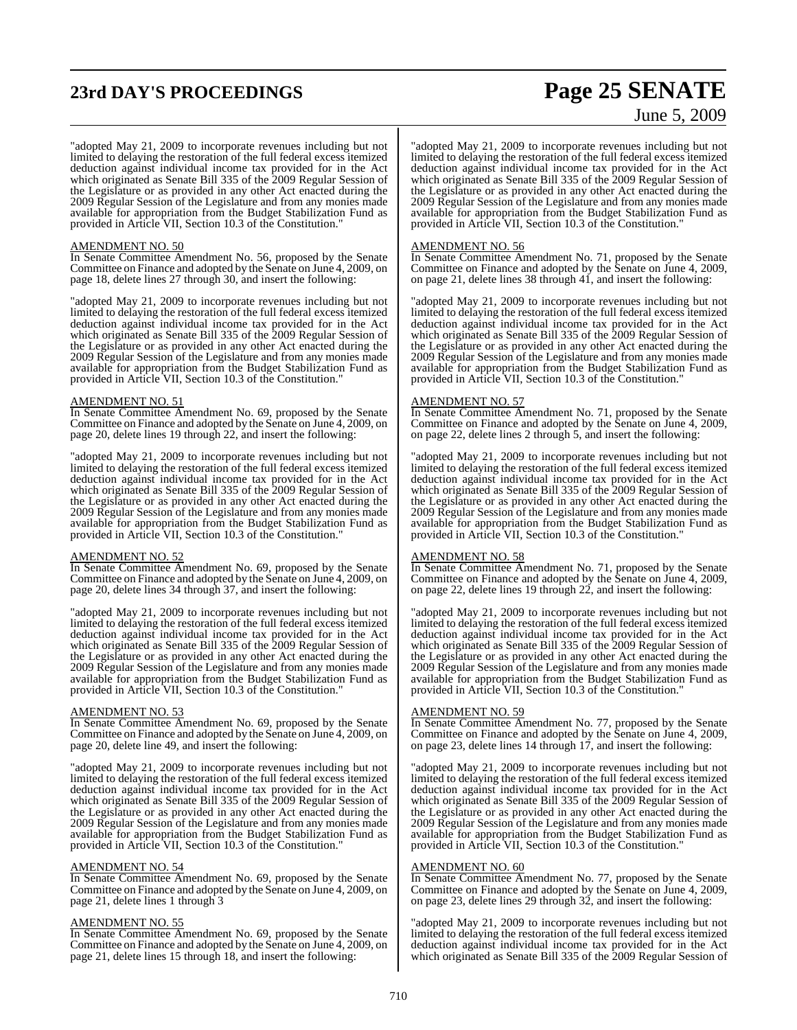# **23rd DAY'S PROCEEDINGS Page 25 SENATE**

# June 5, 2009

"adopted May 21, 2009 to incorporate revenues including but not limited to delaying the restoration of the full federal excess itemized deduction against individual income tax provided for in the Act which originated as Senate Bill 335 of the 2009 Regular Session of the Legislature or as provided in any other Act enacted during the 2009 Regular Session of the Legislature and from any monies made available for appropriation from the Budget Stabilization Fund as provided in Article VII, Section 10.3 of the Constitution."

#### AMENDMENT NO. 50

In Senate Committee Amendment No. 56, proposed by the Senate Committee on Finance and adopted by the Senate on June 4, 2009, on page 18, delete lines 27 through 30, and insert the following:

"adopted May 21, 2009 to incorporate revenues including but not limited to delaying the restoration of the full federal excess itemized deduction against individual income tax provided for in the Act which originated as Senate Bill 335 of the 2009 Regular Session of the Legislature or as provided in any other Act enacted during the 2009 Regular Session of the Legislature and from any monies made available for appropriation from the Budget Stabilization Fund as provided in Article VII, Section 10.3 of the Constitution."

#### AMENDMENT NO. 51

In Senate Committee Amendment No. 69, proposed by the Senate Committee on Finance and adopted by the Senate on June 4, 2009, on page 20, delete lines 19 through 22, and insert the following:

"adopted May 21, 2009 to incorporate revenues including but not limited to delaying the restoration of the full federal excess itemized deduction against individual income tax provided for in the Act which originated as Senate Bill 335 of the 2009 Regular Session of the Legislature or as provided in any other Act enacted during the 2009 Regular Session of the Legislature and from any monies made available for appropriation from the Budget Stabilization Fund as provided in Article VII, Section 10.3 of the Constitution."

#### AMENDMENT NO. 52

In Senate Committee Amendment No. 69, proposed by the Senate Committee on Finance and adopted by the Senate on June 4, 2009, on page 20, delete lines 34 through 37, and insert the following:

"adopted May 21, 2009 to incorporate revenues including but not limited to delaying the restoration of the full federal excess itemized deduction against individual income tax provided for in the Act which originated as Senate Bill 335 of the 2009 Regular Session of the Legislature or as provided in any other Act enacted during the 2009 Regular Session of the Legislature and from any monies made available for appropriation from the Budget Stabilization Fund as provided in Article VII, Section 10.3 of the Constitution."

#### AMENDMENT NO. 53

In Senate Committee Amendment No. 69, proposed by the Senate Committee on Finance and adopted by the Senate on June 4, 2009, on page 20, delete line 49, and insert the following:

"adopted May 21, 2009 to incorporate revenues including but not limited to delaying the restoration of the full federal excess itemized deduction against individual income tax provided for in the Act which originated as Senate Bill 335 of the 2009 Regular Session of the Legislature or as provided in any other Act enacted during the 2009 Regular Session of the Legislature and from any monies made available for appropriation from the Budget Stabilization Fund as provided in Article VII, Section 10.3 of the Constitution."

#### AMENDMENT NO. 54

In Senate Committee Amendment No. 69, proposed by the Senate Committee on Finance and adopted by the Senate on June 4, 2009, on page 21, delete lines 1 through 3

#### AMENDMENT NO. 55

In Senate Committee Amendment No. 69, proposed by the Senate Committee on Finance and adopted by the Senate on June 4, 2009, on page 21, delete lines 15 through 18, and insert the following:

"adopted May 21, 2009 to incorporate revenues including but not limited to delaying the restoration of the full federal excess itemized deduction against individual income tax provided for in the Act which originated as Senate Bill 335 of the 2009 Regular Session of the Legislature or as provided in any other Act enacted during the 2009 Regular Session of the Legislature and from any monies made available for appropriation from the Budget Stabilization Fund as provided in Article VII, Section 10.3 of the Constitution."

#### AMENDMENT NO. 56

In Senate Committee Amendment No. 71, proposed by the Senate Committee on Finance and adopted by the Senate on June 4, 2009, on page 21, delete lines 38 through 41, and insert the following:

adopted May 21, 2009 to incorporate revenues including but not limited to delaying the restoration of the full federal excess itemized deduction against individual income tax provided for in the Act which originated as Senate Bill 335 of the 2009 Regular Session of the Legislature or as provided in any other Act enacted during the 2009 Regular Session of the Legislature and from any monies made available for appropriation from the Budget Stabilization Fund as provided in Article VII, Section 10.3 of the Constitution."

#### AMENDMENT NO. 57

In Senate Committee Amendment No. 71, proposed by the Senate Committee on Finance and adopted by the Senate on June 4, 2009, on page 22, delete lines 2 through 5, and insert the following:

"adopted May 21, 2009 to incorporate revenues including but not limited to delaying the restoration of the full federal excess itemized deduction against individual income tax provided for in the Act which originated as Senate Bill 335 of the 2009 Regular Session of the Legislature or as provided in any other Act enacted during the 2009 Regular Session of the Legislature and from any monies made available for appropriation from the Budget Stabilization Fund as provided in Article VII, Section 10.3 of the Constitution."

#### AMENDMENT NO. 58

In Senate Committee Amendment No. 71, proposed by the Senate Committee on Finance and adopted by the Senate on June 4, 2009, on page 22, delete lines 19 through 22, and insert the following:

"adopted May 21, 2009 to incorporate revenues including but not limited to delaying the restoration of the full federal excess itemized deduction against individual income tax provided for in the Act which originated as Senate Bill 335 of the 2009 Regular Session of the Legislature or as provided in any other Act enacted during the 2009 Regular Session of the Legislature and from any monies made available for appropriation from the Budget Stabilization Fund as provided in Article VII, Section 10.3 of the Constitution."

#### AMENDMENT NO. 59

In Senate Committee Amendment No. 77, proposed by the Senate Committee on Finance and adopted by the Senate on June 4, 2009, on page 23, delete lines 14 through 17, and insert the following:

"adopted May 21, 2009 to incorporate revenues including but not limited to delaying the restoration of the full federal excess itemized deduction against individual income tax provided for in the Act which originated as Senate Bill 335 of the 2009 Regular Session of the Legislature or as provided in any other Act enacted during the 2009 Regular Session of the Legislature and from any monies made available for appropriation from the Budget Stabilization Fund as provided in Article VII, Section 10.3 of the Constitution."

#### AMENDMENT NO. 60

In Senate Committee Amendment No. 77, proposed by the Senate Committee on Finance and adopted by the Senate on June 4, 2009, on page 23, delete lines 29 through 32, and insert the following:

"adopted May 21, 2009 to incorporate revenues including but not limited to delaying the restoration of the full federal excess itemized deduction against individual income tax provided for in the Act which originated as Senate Bill 335 of the 2009 Regular Session of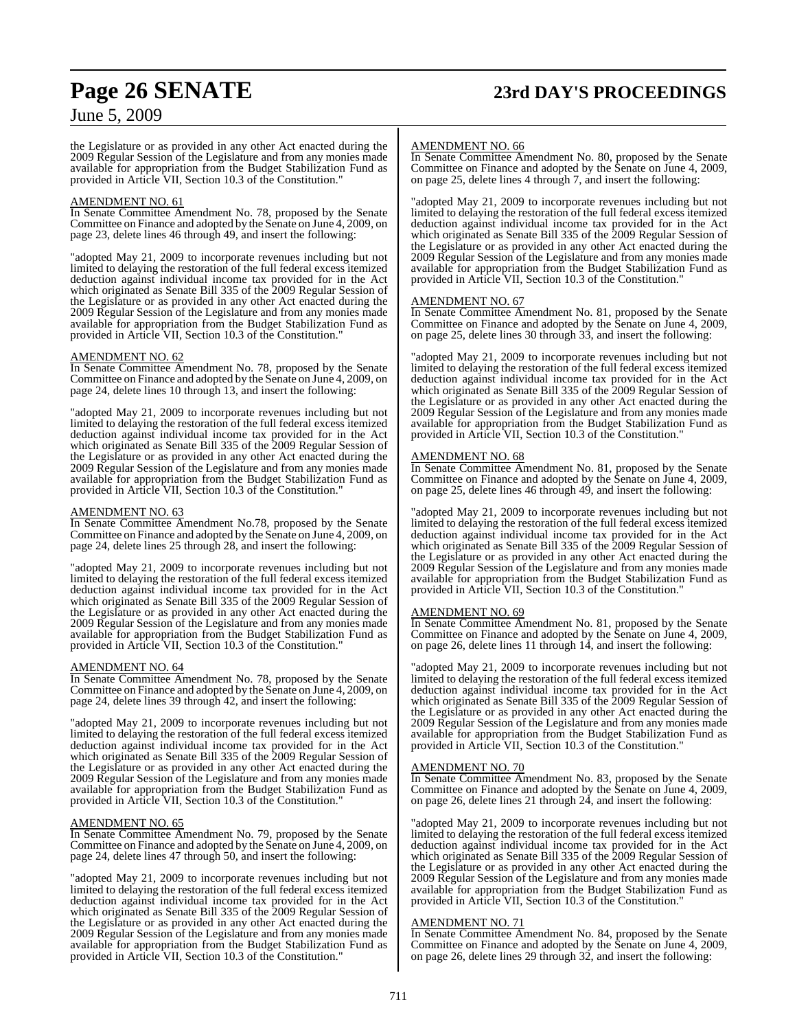# **Page 26 SENATE 23rd DAY'S PROCEEDINGS**

## June 5, 2009

the Legislature or as provided in any other Act enacted during the 2009 Regular Session of the Legislature and from any monies made available for appropriation from the Budget Stabilization Fund as provided in Article VII, Section 10.3 of the Constitution."

#### AMENDMENT NO. 61

In Senate Committee Amendment No. 78, proposed by the Senate Committee on Finance and adopted by the Senate on June 4, 2009, on page 23, delete lines 46 through 49, and insert the following:

"adopted May 21, 2009 to incorporate revenues including but not limited to delaying the restoration of the full federal excess itemized deduction against individual income tax provided for in the Act which originated as Senate Bill 335 of the 2009 Regular Session of the Legislature or as provided in any other Act enacted during the 2009 Regular Session of the Legislature and from any monies made available for appropriation from the Budget Stabilization Fund as provided in Article VII, Section 10.3 of the Constitution."

#### AMENDMENT NO. 62

In Senate Committee Amendment No. 78, proposed by the Senate Committee on Finance and adopted by the Senate on June 4, 2009, on page 24, delete lines 10 through 13, and insert the following:

"adopted May 21, 2009 to incorporate revenues including but not limited to delaying the restoration of the full federal excess itemized deduction against individual income tax provided for in the Act which originated as Senate Bill 335 of the 2009 Regular Session of the Legislature or as provided in any other Act enacted during the 2009 Regular Session of the Legislature and from any monies made available for appropriation from the Budget Stabilization Fund as provided in Article VII, Section 10.3 of the Constitution."

### AMENDMENT NO. 63

In Senate Committee Amendment No.78, proposed by the Senate Committee on Finance and adopted by the Senate on June 4, 2009, on page 24, delete lines 25 through 28, and insert the following:

"adopted May 21, 2009 to incorporate revenues including but not limited to delaying the restoration of the full federal excess itemized deduction against individual income tax provided for in the Act which originated as Senate Bill 335 of the 2009 Regular Session of the Legislature or as provided in any other Act enacted during the 2009 Regular Session of the Legislature and from any monies made available for appropriation from the Budget Stabilization Fund as provided in Article VII, Section 10.3 of the Constitution."

#### AMENDMENT NO. 64

In Senate Committee Amendment No. 78, proposed by the Senate Committee on Finance and adopted by the Senate on June 4, 2009, on page 24, delete lines 39 through 42, and insert the following:

"adopted May 21, 2009 to incorporate revenues including but not limited to delaying the restoration of the full federal excess itemized deduction against individual income tax provided for in the Act which originated as Senate Bill 335 of the 2009 Regular Session of the Legislature or as provided in any other Act enacted during the 2009 Regular Session of the Legislature and from any monies made available for appropriation from the Budget Stabilization Fund as provided in Article VII, Section 10.3 of the Constitution."

#### AMENDMENT NO. 65

In Senate Committee Amendment No. 79, proposed by the Senate Committee on Finance and adopted by the Senate on June 4, 2009, on page 24, delete lines 47 through 50, and insert the following:

"adopted May 21, 2009 to incorporate revenues including but not limited to delaying the restoration of the full federal excess itemized deduction against individual income tax provided for in the Act which originated as Senate Bill 335 of the 2009 Regular Session of the Legislature or as provided in any other Act enacted during the 2009 Regular Session of the Legislature and from any monies made available for appropriation from the Budget Stabilization Fund as provided in Article VII, Section 10.3 of the Constitution."

#### AMENDMENT NO. 66

In Senate Committee Amendment No. 80, proposed by the Senate Committee on Finance and adopted by the Senate on June 4, 2009, on page 25, delete lines 4 through 7, and insert the following:

"adopted May 21, 2009 to incorporate revenues including but not limited to delaying the restoration of the full federal excess itemized deduction against individual income tax provided for in the Act which originated as Senate Bill 335 of the 2009 Regular Session of the Legislature or as provided in any other Act enacted during the 2009 Regular Session of the Legislature and from any monies made available for appropriation from the Budget Stabilization Fund as provided in Article VII, Section 10.3 of the Constitution."

#### AMENDMENT NO. 67

In Senate Committee Amendment No. 81, proposed by the Senate Committee on Finance and adopted by the Senate on June 4, 2009, on page 25, delete lines 30 through 33, and insert the following:

"adopted May 21, 2009 to incorporate revenues including but not limited to delaying the restoration of the full federal excess itemized deduction against individual income tax provided for in the Act which originated as Senate Bill 335 of the 2009 Regular Session of the Legislature or as provided in any other Act enacted during the 2009 Regular Session of the Legislature and from any monies made available for appropriation from the Budget Stabilization Fund as provided in Article VII, Section 10.3 of the Constitution."

#### AMENDMENT NO. 68

In Senate Committee Amendment No. 81, proposed by the Senate Committee on Finance and adopted by the Senate on June 4, 2009, on page 25, delete lines 46 through 49, and insert the following:

"adopted May 21, 2009 to incorporate revenues including but not limited to delaying the restoration of the full federal excess itemized deduction against individual income tax provided for in the Act which originated as Senate Bill 335 of the 2009 Regular Session of the Legislature or as provided in any other Act enacted during the 2009 Regular Session of the Legislature and from any monies made available for appropriation from the Budget Stabilization Fund as provided in Article VII, Section 10.3 of the Constitution."

#### AMENDMENT NO. 69

In Senate Committee Amendment No. 81, proposed by the Senate Committee on Finance and adopted by the Senate on June 4, 2009, on page 26, delete lines 11 through 14, and insert the following:

"adopted May 21, 2009 to incorporate revenues including but not limited to delaying the restoration of the full federal excess itemized deduction against individual income tax provided for in the Act which originated as Senate Bill 335 of the 2009 Regular Session of the Legislature or as provided in any other Act enacted during the 2009 Regular Session of the Legislature and from any monies made available for appropriation from the Budget Stabilization Fund as provided in Article VII, Section 10.3 of the Constitution."

#### AMENDMENT NO. 70

In Senate Committee Amendment No. 83, proposed by the Senate Committee on Finance and adopted by the Senate on June 4, 2009, on page 26, delete lines 21 through 24, and insert the following:

"adopted May 21, 2009 to incorporate revenues including but not limited to delaying the restoration of the full federal excess itemized deduction against individual income tax provided for in the Act which originated as Senate Bill 335 of the 2009 Regular Session of the Legislature or as provided in any other Act enacted during the 2009 Regular Session of the Legislature and from any monies made available for appropriation from the Budget Stabilization Fund as provided in Article VII, Section 10.3 of the Constitution."

#### AMENDMENT NO. 71

In Senate Committee Amendment No. 84, proposed by the Senate Committee on Finance and adopted by the Senate on June 4, 2009, on page 26, delete lines 29 through 32, and insert the following: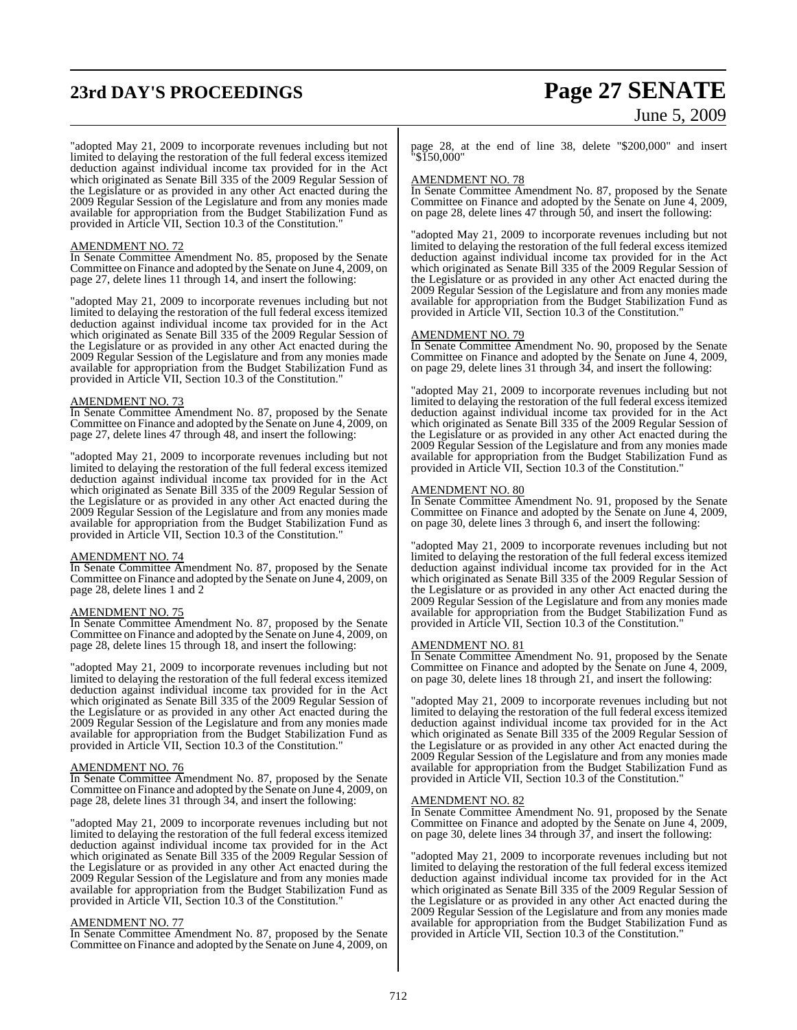# **23rd DAY'S PROCEEDINGS Page 27 SENATE** June 5, 2009

"adopted May 21, 2009 to incorporate revenues including but not limited to delaying the restoration of the full federal excess itemized deduction against individual income tax provided for in the Act which originated as Senate Bill 335 of the 2009 Regular Session of the Legislature or as provided in any other Act enacted during the 2009 Regular Session of the Legislature and from any monies made available for appropriation from the Budget Stabilization Fund as provided in Article VII, Section 10.3 of the Constitution."

#### AMENDMENT NO. 72

In Senate Committee Amendment No. 85, proposed by the Senate Committee on Finance and adopted by the Senate on June 4, 2009, on page 27, delete lines 11 through 14, and insert the following:

"adopted May 21, 2009 to incorporate revenues including but not limited to delaying the restoration of the full federal excess itemized deduction against individual income tax provided for in the Act which originated as Senate Bill 335 of the 2009 Regular Session of the Legislature or as provided in any other Act enacted during the 2009 Regular Session of the Legislature and from any monies made available for appropriation from the Budget Stabilization Fund as provided in Article VII, Section 10.3 of the Constitution."

#### AMENDMENT NO. 73

In Senate Committee Amendment No. 87, proposed by the Senate Committee on Finance and adopted by the Senate on June 4, 2009, on page 27, delete lines 47 through 48, and insert the following:

"adopted May 21, 2009 to incorporate revenues including but not limited to delaying the restoration of the full federal excess itemized deduction against individual income tax provided for in the Act which originated as Senate Bill 335 of the 2009 Regular Session of the Legislature or as provided in any other Act enacted during the 2009 Regular Session of the Legislature and from any monies made available for appropriation from the Budget Stabilization Fund as provided in Article VII, Section 10.3 of the Constitution."

## AMENDMENT NO. 74

In Senate Committee Amendment No. 87, proposed by the Senate Committee on Finance and adopted by the Senate on June 4, 2009, on page 28, delete lines 1 and 2

## AMENDMENT NO. 75

In Senate Committee Amendment No. 87, proposed by the Senate Committee on Finance and adopted by the Senate on June 4, 2009, on page 28, delete lines 15 through 18, and insert the following:

"adopted May 21, 2009 to incorporate revenues including but not limited to delaying the restoration of the full federal excess itemized deduction against individual income tax provided for in the Act which originated as Senate Bill 335 of the 2009 Regular Session of the Legislature or as provided in any other Act enacted during the 2009 Regular Session of the Legislature and from any monies made available for appropriation from the Budget Stabilization Fund as provided in Article VII, Section 10.3 of the Constitution."

#### AMENDMENT NO. 76

In Senate Committee Amendment No. 87, proposed by the Senate Committee on Finance and adopted by the Senate on June 4, 2009, on page 28, delete lines 31 through 34, and insert the following:

"adopted May 21, 2009 to incorporate revenues including but not limited to delaying the restoration of the full federal excess itemized deduction against individual income tax provided for in the Act which originated as Senate Bill 335 of the 2009 Regular Session of the Legislature or as provided in any other Act enacted during the 2009 Regular Session of the Legislature and from any monies made available for appropriation from the Budget Stabilization Fund as provided in Article VII, Section 10.3 of the Constitution."

#### AMENDMENT NO. 77

In Senate Committee Amendment No. 87, proposed by the Senate Committee on Finance and adopted by the Senate on June 4, 2009, on

page 28, at the end of line 38, delete "\$200,000" and insert "\$150,000"

## AMENDMENT NO. 78

In Senate Committee Amendment No. 87, proposed by the Senate Committee on Finance and adopted by the Senate on June 4, 2009, on page 28, delete lines 47 through 50, and insert the following:

"adopted May 21, 2009 to incorporate revenues including but not limited to delaying the restoration of the full federal excess itemized deduction against individual income tax provided for in the Act which originated as Senate Bill 335 of the 2009 Regular Session of the Legislature or as provided in any other Act enacted during the 2009 Regular Session of the Legislature and from any monies made available for appropriation from the Budget Stabilization Fund as provided in Article VII, Section 10.3 of the Constitution."

#### AMENDMENT NO. 79

In Senate Committee Amendment No. 90, proposed by the Senate Committee on Finance and adopted by the Senate on June 4, 2009, on page 29, delete lines 31 through 34, and insert the following:

'adopted May 21, 2009 to incorporate revenues including but not limited to delaying the restoration of the full federal excess itemized deduction against individual income tax provided for in the Act which originated as Senate Bill 335 of the 2009 Regular Session of the Legislature or as provided in any other Act enacted during the 2009 Regular Session of the Legislature and from any monies made available for appropriation from the Budget Stabilization Fund as provided in Article VII, Section 10.3 of the Constitution."

#### AMENDMENT NO. 80

In Senate Committee Amendment No. 91, proposed by the Senate Committee on Finance and adopted by the Senate on June 4, 2009, on page 30, delete lines 3 through 6, and insert the following:

"adopted May 21, 2009 to incorporate revenues including but not limited to delaying the restoration of the full federal excess itemized deduction against individual income tax provided for in the Act which originated as Senate Bill 335 of the 2009 Regular Session of the Legislature or as provided in any other Act enacted during the 2009 Regular Session of the Legislature and from any monies made available for appropriation from the Budget Stabilization Fund as provided in Article VII, Section 10.3 of the Constitution."

#### AMENDMENT NO. 81

In Senate Committee Amendment No. 91, proposed by the Senate Committee on Finance and adopted by the Senate on June 4, 2009, on page 30, delete lines 18 through 21, and insert the following:

"adopted May 21, 2009 to incorporate revenues including but not limited to delaying the restoration of the full federal excess itemized deduction against individual income tax provided for in the Act which originated as Senate Bill 335 of the 2009 Regular Session of the Legislature or as provided in any other Act enacted during the 2009 Regular Session of the Legislature and from any monies made available for appropriation from the Budget Stabilization Fund as provided in Article VII, Section 10.3 of the Constitution."

#### AMENDMENT NO. 82

In Senate Committee Amendment No. 91, proposed by the Senate Committee on Finance and adopted by the Senate on June 4, 2009, on page 30, delete lines 34 through 37, and insert the following:

"adopted May 21, 2009 to incorporate revenues including but not limited to delaying the restoration of the full federal excess itemized deduction against individual income tax provided for in the Act which originated as Senate Bill 335 of the 2009 Regular Session of the Legislature or as provided in any other Act enacted during the 2009 Regular Session of the Legislature and from any monies made available for appropriation from the Budget Stabilization Fund as provided in Article VII, Section 10.3 of the Constitution."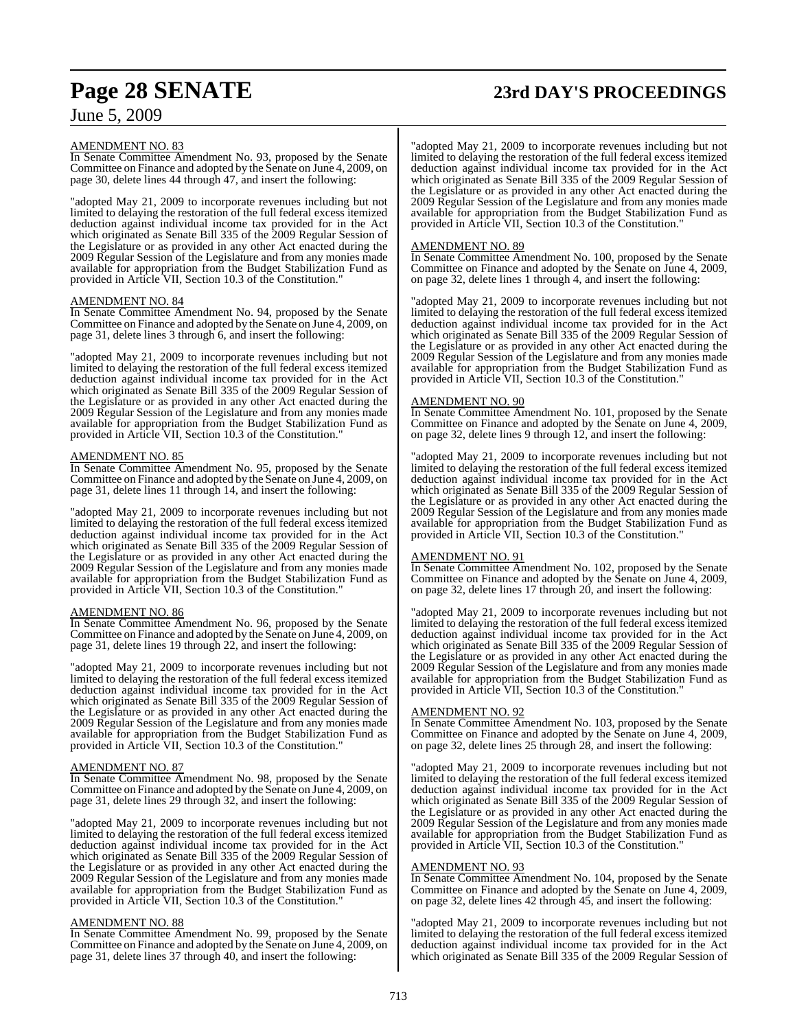# **Page 28 SENATE 23rd DAY'S PROCEEDINGS**

## June 5, 2009

#### AMENDMENT NO. 83

In Senate Committee Amendment No. 93, proposed by the Senate Committee on Finance and adopted by the Senate on June 4, 2009, on page 30, delete lines 44 through 47, and insert the following:

"adopted May 21, 2009 to incorporate revenues including but not limited to delaying the restoration of the full federal excess itemized deduction against individual income tax provided for in the Act which originated as Senate Bill 335 of the 2009 Regular Session of the Legislature or as provided in any other Act enacted during the 2009 Regular Session of the Legislature and from any monies made available for appropriation from the Budget Stabilization Fund as provided in Article VII, Section 10.3 of the Constitution."

#### AMENDMENT NO. 84

In Senate Committee Amendment No. 94, proposed by the Senate Committee on Finance and adopted by the Senate on June 4, 2009, on page 31, delete lines 3 through 6, and insert the following:

"adopted May 21, 2009 to incorporate revenues including but not limited to delaying the restoration of the full federal excess itemized deduction against individual income tax provided for in the Act which originated as Senate Bill 335 of the 2009 Regular Session of the Legislature or as provided in any other Act enacted during the 2009 Regular Session of the Legislature and from any monies made available for appropriation from the Budget Stabilization Fund as provided in Article VII, Section 10.3 of the Constitution."

#### AMENDMENT NO. 85

In Senate Committee Amendment No. 95, proposed by the Senate Committee on Finance and adopted by the Senate on June 4, 2009, on page 31, delete lines 11 through 14, and insert the following:

"adopted May 21, 2009 to incorporate revenues including but not limited to delaying the restoration of the full federal excess itemized deduction against individual income tax provided for in the Act which originated as Senate Bill 335 of the 2009 Regular Session of the Legislature or as provided in any other Act enacted during the 2009 Regular Session of the Legislature and from any monies made available for appropriation from the Budget Stabilization Fund as provided in Article VII, Section 10.3 of the Constitution."

### AMENDMENT NO. 86

In Senate Committee Amendment No. 96, proposed by the Senate Committee on Finance and adopted by the Senate on June 4, 2009, on page 31, delete lines 19 through 22, and insert the following:

"adopted May 21, 2009 to incorporate revenues including but not limited to delaying the restoration of the full federal excess itemized deduction against individual income tax provided for in the Act which originated as Senate Bill 335 of the 2009 Regular Session of the Legislature or as provided in any other Act enacted during the 2009 Regular Session of the Legislature and from any monies made available for appropriation from the Budget Stabilization Fund as provided in Article VII, Section 10.3 of the Constitution."

#### AMENDMENT NO. 87

In Senate Committee Amendment No. 98, proposed by the Senate Committee on Finance and adopted by the Senate on June 4, 2009, on page 31, delete lines 29 through 32, and insert the following:

"adopted May 21, 2009 to incorporate revenues including but not limited to delaying the restoration of the full federal excess itemized deduction against individual income tax provided for in the Act which originated as Senate Bill 335 of the 2009 Regular Session of the Legislature or as provided in any other Act enacted during the 2009 Regular Session of the Legislature and from any monies made available for appropriation from the Budget Stabilization Fund as provided in Article VII, Section 10.3 of the Constitution."

#### AMENDMENT NO. 88

In Senate Committee Amendment No. 99, proposed by the Senate Committee on Finance and adopted by the Senate on June 4, 2009, on page 31, delete lines 37 through 40, and insert the following:

"adopted May 21, 2009 to incorporate revenues including but not limited to delaying the restoration of the full federal excess itemized deduction against individual income tax provided for in the Act which originated as Senate Bill 335 of the 2009 Regular Session of the Legislature or as provided in any other Act enacted during the 2009 Regular Session of the Legislature and from any monies made available for appropriation from the Budget Stabilization Fund as provided in Article VII, Section 10.3 of the Constitution."

#### AMENDMENT NO. 89

In Senate Committee Amendment No. 100, proposed by the Senate Committee on Finance and adopted by the Senate on June 4, 2009, on page 32, delete lines 1 through 4, and insert the following:

"adopted May 21, 2009 to incorporate revenues including but not limited to delaying the restoration of the full federal excess itemized deduction against individual income tax provided for in the Act which originated as Senate Bill 335 of the 2009 Regular Session of the Legislature or as provided in any other Act enacted during the 2009 Regular Session of the Legislature and from any monies made available for appropriation from the Budget Stabilization Fund as provided in Article VII, Section 10.3 of the Constitution."

#### AMENDMENT NO. 90

In Senate Committee Amendment No. 101, proposed by the Senate Committee on Finance and adopted by the Senate on June 4, 2009, on page 32, delete lines 9 through 12, and insert the following:

"adopted May 21, 2009 to incorporate revenues including but not limited to delaying the restoration of the full federal excess itemized deduction against individual income tax provided for in the Act which originated as Senate Bill 335 of the 2009 Regular Session of the Legislature or as provided in any other Act enacted during the 2009 Regular Session of the Legislature and from any monies made available for appropriation from the Budget Stabilization Fund as provided in Article VII, Section 10.3 of the Constitution."

#### AMENDMENT NO. 91

In Senate Committee Amendment No. 102, proposed by the Senate Committee on Finance and adopted by the Senate on June 4, 2009, on page 32, delete lines 17 through 20, and insert the following:

"adopted May 21, 2009 to incorporate revenues including but not limited to delaying the restoration of the full federal excess itemized deduction against individual income tax provided for in the Act which originated as Senate Bill 335 of the 2009 Regular Session of the Legislature or as provided in any other Act enacted during the 2009 Regular Session of the Legislature and from any monies made available for appropriation from the Budget Stabilization Fund as provided in Article VII, Section 10.3 of the Constitution."

#### AMENDMENT NO. 92

In Senate Committee Amendment No. 103, proposed by the Senate Committee on Finance and adopted by the Senate on June 4, 2009, on page 32, delete lines 25 through 28, and insert the following:

"adopted May 21, 2009 to incorporate revenues including but not limited to delaying the restoration of the full federal excess itemized deduction against individual income tax provided for in the Act which originated as Senate Bill 335 of the 2009 Regular Session of the Legislature or as provided in any other Act enacted during the 2009 Regular Session of the Legislature and from any monies made available for appropriation from the Budget Stabilization Fund as provided in Article VII, Section 10.3 of the Constitution."

#### AMENDMENT NO. 93

In Senate Committee Amendment No. 104, proposed by the Senate Committee on Finance and adopted by the Senate on June 4, 2009, on page 32, delete lines 42 through 45, and insert the following:

"adopted May 21, 2009 to incorporate revenues including but not limited to delaying the restoration of the full federal excess itemized deduction against individual income tax provided for in the Act which originated as Senate Bill 335 of the 2009 Regular Session of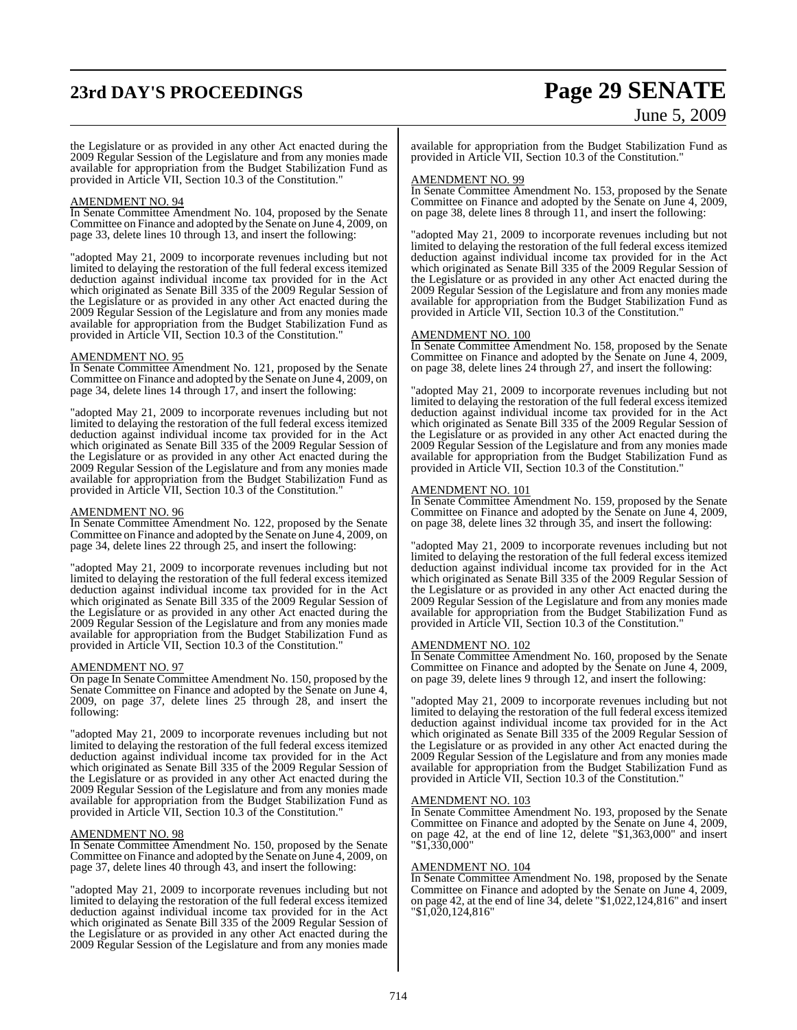# **23rd DAY'S PROCEEDINGS Page 29 SENATE**

# June 5, 2009

the Legislature or as provided in any other Act enacted during the 2009 Regular Session of the Legislature and from any monies made available for appropriation from the Budget Stabilization Fund as provided in Article VII, Section 10.3 of the Constitution."

#### AMENDMENT NO. 94

In Senate Committee Amendment No. 104, proposed by the Senate Committee on Finance and adopted by the Senate on June 4, 2009, on page 33, delete lines 10 through 13, and insert the following:

"adopted May 21, 2009 to incorporate revenues including but not limited to delaying the restoration of the full federal excess itemized deduction against individual income tax provided for in the Act which originated as Senate Bill 335 of the 2009 Regular Session of the Legislature or as provided in any other Act enacted during the 2009 Regular Session of the Legislature and from any monies made available for appropriation from the Budget Stabilization Fund as provided in Article VII, Section 10.3 of the Constitution."

#### AMENDMENT NO. 95

In Senate Committee Amendment No. 121, proposed by the Senate Committee on Finance and adopted by the Senate on June 4, 2009, on page 34, delete lines 14 through 17, and insert the following:

"adopted May 21, 2009 to incorporate revenues including but not limited to delaying the restoration of the full federal excess itemized deduction against individual income tax provided for in the Act which originated as Senate Bill 335 of the 2009 Regular Session of the Legislature or as provided in any other Act enacted during the 2009 Regular Session of the Legislature and from any monies made available for appropriation from the Budget Stabilization Fund as provided in Article VII, Section 10.3 of the Constitution."

#### AMENDMENT NO. 96

In Senate Committee Amendment No. 122, proposed by the Senate Committee on Finance and adopted by the Senate on June 4, 2009, on page 34, delete lines 22 through 25, and insert the following:

"adopted May 21, 2009 to incorporate revenues including but not limited to delaying the restoration of the full federal excess itemized deduction against individual income tax provided for in the Act which originated as Senate Bill 335 of the 2009 Regular Session of the Legislature or as provided in any other Act enacted during the 2009 Regular Session of the Legislature and from any monies made available for appropriation from the Budget Stabilization Fund as provided in Article VII, Section 10.3 of the Constitution."

#### AMENDMENT NO. 97

On page In Senate Committee Amendment No. 150, proposed by the Senate Committee on Finance and adopted by the Senate on June 4, 2009, on page 37, delete lines 25 through 28, and insert the following:

"adopted May 21, 2009 to incorporate revenues including but not limited to delaying the restoration of the full federal excess itemized deduction against individual income tax provided for in the Act which originated as Senate Bill 335 of the 2009 Regular Session of the Legislature or as provided in any other Act enacted during the 2009 Regular Session of the Legislature and from any monies made available for appropriation from the Budget Stabilization Fund as provided in Article VII, Section 10.3 of the Constitution."

#### AMENDMENT NO. 98

In Senate Committee Amendment No. 150, proposed by the Senate Committee on Finance and adopted by the Senate on June 4, 2009, on page 37, delete lines 40 through 43, and insert the following:

"adopted May 21, 2009 to incorporate revenues including but not limited to delaying the restoration of the full federal excess itemized deduction against individual income tax provided for in the Act which originated as Senate Bill 335 of the 2009 Regular Session of the Legislature or as provided in any other Act enacted during the 2009 Regular Session of the Legislature and from any monies made

available for appropriation from the Budget Stabilization Fund as provided in Article VII, Section 10.3 of the Constitution."

## AMENDMENT NO. 99

In Senate Committee Amendment No. 153, proposed by the Senate Committee on Finance and adopted by the Senate on June 4, 2009, on page 38, delete lines 8 through 11, and insert the following:

"adopted May 21, 2009 to incorporate revenues including but not limited to delaying the restoration of the full federal excess itemized deduction against individual income tax provided for in the Act which originated as Senate Bill 335 of the 2009 Regular Session of the Legislature or as provided in any other Act enacted during the 2009 Regular Session of the Legislature and from any monies made available for appropriation from the Budget Stabilization Fund as provided in Article VII, Section 10.3 of the Constitution."

#### AMENDMENT NO. 100

In Senate Committee Amendment No. 158, proposed by the Senate Committee on Finance and adopted by the Senate on June 4, 2009, on page 38, delete lines 24 through 27, and insert the following:

"adopted May 21, 2009 to incorporate revenues including but not limited to delaying the restoration of the full federal excess itemized deduction against individual income tax provided for in the Act which originated as Senate Bill 335 of the 2009 Regular Session of the Legislature or as provided in any other Act enacted during the 2009 Regular Session of the Legislature and from any monies made available for appropriation from the Budget Stabilization Fund as provided in Article VII, Section 10.3 of the Constitution."

#### AMENDMENT NO. 101

In Senate Committee Amendment No. 159, proposed by the Senate Committee on Finance and adopted by the Senate on June 4, 2009, on page 38, delete lines 32 through 35, and insert the following:

"adopted May 21, 2009 to incorporate revenues including but not limited to delaying the restoration of the full federal excess itemized deduction against individual income tax provided for in the Act which originated as Senate Bill 335 of the 2009 Regular Session of the Legislature or as provided in any other Act enacted during the 2009 Regular Session of the Legislature and from any monies made available for appropriation from the Budget Stabilization Fund as provided in Article VII, Section 10.3 of the Constitution."

#### AMENDMENT NO. 102

In Senate Committee Amendment No. 160, proposed by the Senate Committee on Finance and adopted by the Senate on June 4, 2009, on page 39, delete lines 9 through 12, and insert the following:

"adopted May 21, 2009 to incorporate revenues including but not limited to delaying the restoration of the full federal excess itemized deduction against individual income tax provided for in the Act which originated as Senate Bill 335 of the 2009 Regular Session of the Legislature or as provided in any other Act enacted during the 2009 Regular Session of the Legislature and from any monies made available for appropriation from the Budget Stabilization Fund as provided in Article VII, Section 10.3 of the Constitution."

#### AMENDMENT NO. 103

In Senate Committee Amendment No. 193, proposed by the Senate Committee on Finance and adopted by the Senate on June 4, 2009, on page 42, at the end of line 12, delete "\$1,363,000" and insert "\$1,330,000"

#### AMENDMENT NO. 104

In Senate Committee Amendment No. 198, proposed by the Senate Committee on Finance and adopted by the Senate on June 4, 2009, on page 42, at the end of line 34, delete "\$1,022,124,816" and insert "\$1,020,124,816"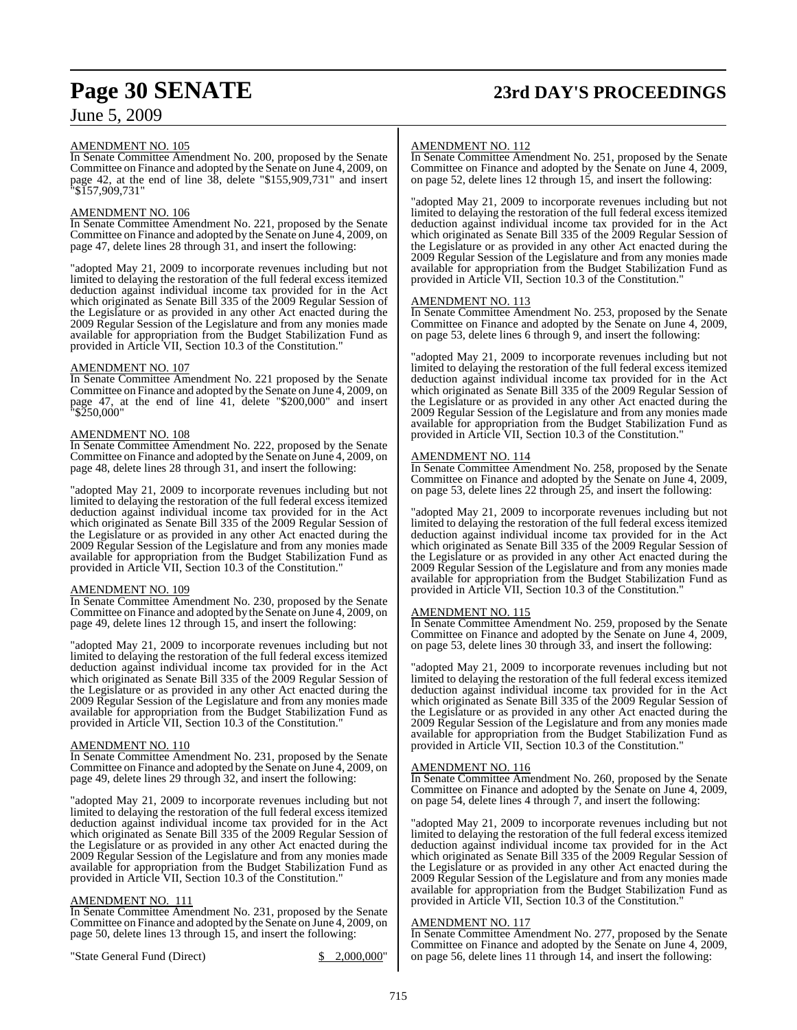## June 5, 2009

# **Page 30 SENATE 23rd DAY'S PROCEEDINGS**

#### AMENDMENT NO. 105

In Senate Committee Amendment No. 200, proposed by the Senate Committee on Finance and adopted by the Senate on June 4, 2009, on page 42, at the end of line 38, delete "\$155,909,731" and insert "\$157,909,731"

#### AMENDMENT NO. 106

In Senate Committee Amendment No. 221, proposed by the Senate Committee on Finance and adopted by the Senate on June 4, 2009, on page 47, delete lines 28 through 31, and insert the following:

"adopted May 21, 2009 to incorporate revenues including but not limited to delaying the restoration of the full federal excess itemized deduction against individual income tax provided for in the Act which originated as Senate Bill 335 of the 2009 Regular Session of the Legislature or as provided in any other Act enacted during the 2009 Regular Session of the Legislature and from any monies made available for appropriation from the Budget Stabilization Fund as provided in Article VII, Section 10.3 of the Constitution."

## AMENDMENT NO. 107

In Senate Committee Amendment No. 221 proposed by the Senate Committee on Finance and adopted by the Senate on June 4, 2009, on page 47, at the end of line 41, delete "\$200,000" and insert "\$250,000"

## AMENDMENT NO. 108

In Senate Committee Amendment No. 222, proposed by the Senate Committee on Finance and adopted by the Senate on June 4, 2009, on page 48, delete lines 28 through 31, and insert the following:

"adopted May 21, 2009 to incorporate revenues including but not limited to delaying the restoration of the full federal excess itemized deduction against individual income tax provided for in the Act which originated as Senate Bill 335 of the 2009 Regular Session of the Legislature or as provided in any other Act enacted during the 2009 Regular Session of the Legislature and from any monies made available for appropriation from the Budget Stabilization Fund as provided in Article VII, Section 10.3 of the Constitution."

#### AMENDMENT NO. 109

In Senate Committee Amendment No. 230, proposed by the Senate Committee on Finance and adopted by the Senate on June 4, 2009, on page 49, delete lines 12 through 15, and insert the following:

"adopted May 21, 2009 to incorporate revenues including but not limited to delaying the restoration of the full federal excess itemized deduction against individual income tax provided for in the Act which originated as Senate Bill 335 of the 2009 Regular Session of the Legislature or as provided in any other Act enacted during the 2009 Regular Session of the Legislature and from any monies made available for appropriation from the Budget Stabilization Fund as provided in Article VII, Section 10.3 of the Constitution."

#### AMENDMENT NO. 110

In Senate Committee Amendment No. 231, proposed by the Senate Committee on Finance and adopted by the Senate on June 4, 2009, on page 49, delete lines 29 through 32, and insert the following:

"adopted May 21, 2009 to incorporate revenues including but not limited to delaying the restoration of the full federal excess itemized deduction against individual income tax provided for in the Act which originated as Senate Bill 335 of the 2009 Regular Session of the Legislature or as provided in any other Act enacted during the 2009 Regular Session of the Legislature and from any monies made available for appropriation from the Budget Stabilization Fund as provided in Article VII, Section 10.3 of the Constitution."

## AMENDMENT NO. 111

In Senate Committee Amendment No. 231, proposed by the Senate Committee on Finance and adopted by the Senate on June 4, 2009, on page 50, delete lines 13 through 15, and insert the following:

"State General Fund (Direct) \$ 2,000,000"

### AMENDMENT NO. 112

In Senate Committee Amendment No. 251, proposed by the Senate Committee on Finance and adopted by the Senate on June 4, 2009, on page 52, delete lines 12 through 15, and insert the following:

"adopted May 21, 2009 to incorporate revenues including but not limited to delaying the restoration of the full federal excess itemized deduction against individual income tax provided for in the Act which originated as Senate Bill 335 of the 2009 Regular Session of the Legislature or as provided in any other Act enacted during the 2009 Regular Session of the Legislature and from any monies made available for appropriation from the Budget Stabilization Fund as provided in Article VII, Section 10.3 of the Constitution."

#### AMENDMENT NO. 113

In Senate Committee Amendment No. 253, proposed by the Senate Committee on Finance and adopted by the Senate on June 4, 2009, on page 53, delete lines 6 through 9, and insert the following:

'adopted May 21, 2009 to incorporate revenues including but not limited to delaying the restoration of the full federal excess itemized deduction against individual income tax provided for in the Act which originated as Senate Bill 335 of the 2009 Regular Session of the Legislature or as provided in any other Act enacted during the 2009 Regular Session of the Legislature and from any monies made available for appropriation from the Budget Stabilization Fund as provided in Article VII, Section 10.3 of the Constitution."

#### AMENDMENT NO. 114

In Senate Committee Amendment No. 258, proposed by the Senate Committee on Finance and adopted by the Senate on June 4, 2009, on page 53, delete lines 22 through 25, and insert the following:

"adopted May 21, 2009 to incorporate revenues including but not limited to delaying the restoration of the full federal excess itemized deduction against individual income tax provided for in the Act which originated as Senate Bill 335 of the 2009 Regular Session of the Legislature or as provided in any other Act enacted during the 2009 Regular Session of the Legislature and from any monies made available for appropriation from the Budget Stabilization Fund as provided in Article VII, Section 10.3 of the Constitution."

#### AMENDMENT NO. 115

In Senate Committee Amendment No. 259, proposed by the Senate Committee on Finance and adopted by the Senate on June 4, 2009, on page 53, delete lines 30 through 33, and insert the following:

"adopted May 21, 2009 to incorporate revenues including but not limited to delaying the restoration of the full federal excess itemized deduction against individual income tax provided for in the Act which originated as Senate Bill 335 of the 2009 Regular Session of the Legislature or as provided in any other Act enacted during the 2009 Regular Session of the Legislature and from any monies made available for appropriation from the Budget Stabilization Fund as provided in Article VII, Section 10.3 of the Constitution."

#### AMENDMENT NO. 116

In Senate Committee Amendment No. 260, proposed by the Senate Committee on Finance and adopted by the Senate on June 4, 2009, on page 54, delete lines 4 through 7, and insert the following:

"adopted May 21, 2009 to incorporate revenues including but not limited to delaying the restoration of the full federal excess itemized deduction against individual income tax provided for in the Act which originated as Senate Bill 335 of the 2009 Regular Session of the Legislature or as provided in any other Act enacted during the 2009 Regular Session of the Legislature and from any monies made available for appropriation from the Budget Stabilization Fund as provided in Article VII, Section 10.3 of the Constitution."

#### AMENDMENT NO. 117

In Senate Committee Amendment No. 277, proposed by the Senate Committee on Finance and adopted by the Senate on June 4, 2009, on page 56, delete lines 11 through  $14$ , and insert the following: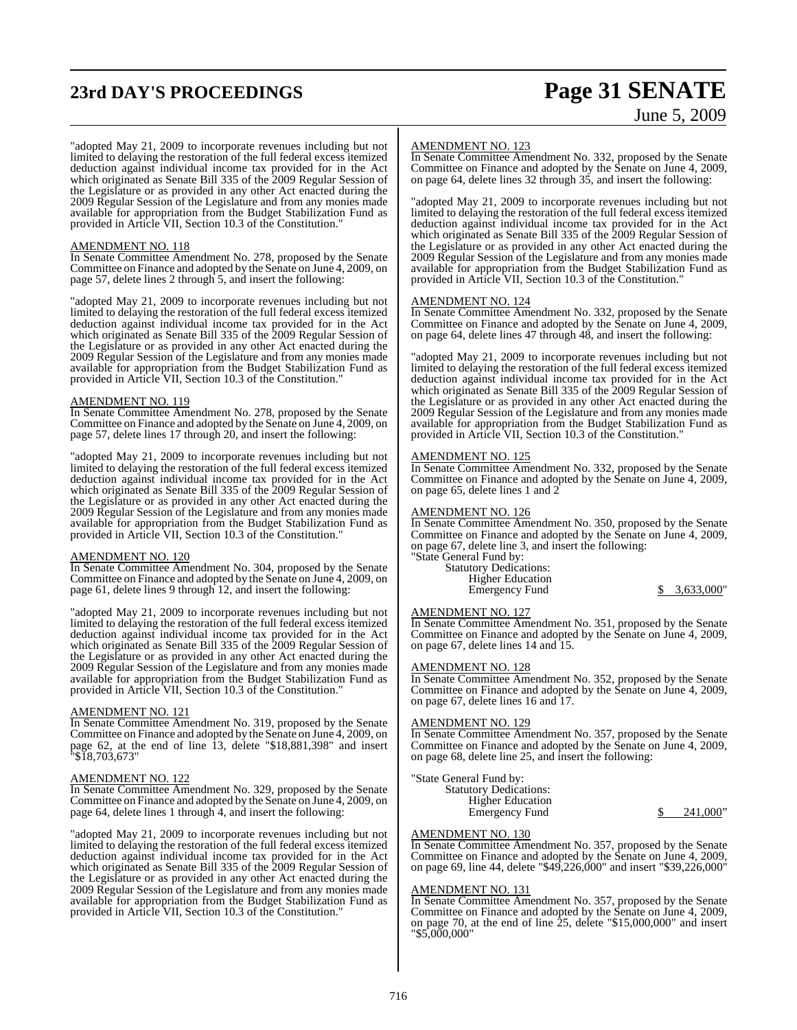# **23rd DAY'S PROCEEDINGS Page 31 SENATE**

# June 5, 2009

"adopted May 21, 2009 to incorporate revenues including but not limited to delaying the restoration of the full federal excess itemized deduction against individual income tax provided for in the Act which originated as Senate Bill 335 of the 2009 Regular Session of the Legislature or as provided in any other Act enacted during the 2009 Regular Session of the Legislature and from any monies made available for appropriation from the Budget Stabilization Fund as provided in Article VII, Section 10.3 of the Constitution."

#### AMENDMENT NO. 118

In Senate Committee Amendment No. 278, proposed by the Senate Committee on Finance and adopted by the Senate on June 4, 2009, on page 57, delete lines 2 through 5, and insert the following:

"adopted May 21, 2009 to incorporate revenues including but not limited to delaying the restoration of the full federal excess itemized deduction against individual income tax provided for in the Act which originated as Senate Bill 335 of the 2009 Regular Session of the Legislature or as provided in any other Act enacted during the 2009 Regular Session of the Legislature and from any monies made available for appropriation from the Budget Stabilization Fund as provided in Article VII, Section 10.3 of the Constitution."

#### AMENDMENT NO. 119

In Senate Committee Amendment No. 278, proposed by the Senate Committee on Finance and adopted by the Senate on June 4, 2009, on page 57, delete lines 17 through 20, and insert the following:

"adopted May 21, 2009 to incorporate revenues including but not limited to delaying the restoration of the full federal excess itemized deduction against individual income tax provided for in the Act which originated as Senate Bill 335 of the 2009 Regular Session of the Legislature or as provided in any other Act enacted during the 2009 Regular Session of the Legislature and from any monies made available for appropriation from the Budget Stabilization Fund as provided in Article VII, Section 10.3 of the Constitution."

#### AMENDMENT NO. 120

In Senate Committee Amendment No. 304, proposed by the Senate Committee on Finance and adopted by the Senate on June 4, 2009, on page 61, delete lines 9 through 12, and insert the following:

"adopted May 21, 2009 to incorporate revenues including but not limited to delaying the restoration of the full federal excess itemized deduction against individual income tax provided for in the Act which originated as Senate Bill 335 of the 2009 Regular Session of the Legislature or as provided in any other Act enacted during the 2009 Regular Session of the Legislature and from any monies made available for appropriation from the Budget Stabilization Fund as provided in Article VII, Section 10.3 of the Constitution."

#### AMENDMENT NO. 121

In Senate Committee Amendment No. 319, proposed by the Senate Committee on Finance and adopted by the Senate on June 4, 2009, on page 62, at the end of line 13, delete "\$18,881,398" and insert "\$18,703,673"

#### AMENDMENT NO. 122

In Senate Committee Amendment No. 329, proposed by the Senate Committee on Finance and adopted by the Senate on June 4, 2009, on page 64, delete lines 1 through 4, and insert the following:

"adopted May 21, 2009 to incorporate revenues including but not limited to delaying the restoration of the full federal excess itemized deduction against individual income tax provided for in the Act which originated as Senate Bill 335 of the 2009 Regular Session of the Legislature or as provided in any other Act enacted during the 2009 Regular Session of the Legislature and from any monies made available for appropriation from the Budget Stabilization Fund as provided in Article VII, Section 10.3 of the Constitution."

#### AMENDMENT NO. 123

In Senate Committee Amendment No. 332, proposed by the Senate Committee on Finance and adopted by the Senate on June 4, 2009, on page 64, delete lines 32 through 35, and insert the following:

"adopted May 21, 2009 to incorporate revenues including but not limited to delaying the restoration of the full federal excess itemized deduction against individual income tax provided for in the Act which originated as Senate Bill 335 of the 2009 Regular Session of the Legislature or as provided in any other Act enacted during the 2009 Regular Session of the Legislature and from any monies made available for appropriation from the Budget Stabilization Fund as provided in Article VII, Section 10.3 of the Constitution."

#### AMENDMENT NO. 124

In Senate Committee Amendment No. 332, proposed by the Senate Committee on Finance and adopted by the Senate on June 4, 2009, on page 64, delete lines 47 through 48, and insert the following:

adopted May 21, 2009 to incorporate revenues including but not limited to delaying the restoration of the full federal excess itemized deduction against individual income tax provided for in the Act which originated as Senate Bill 335 of the 2009 Regular Session of the Legislature or as provided in any other Act enacted during the 2009 Regular Session of the Legislature and from any monies made available for appropriation from the Budget Stabilization Fund as provided in Article VII, Section 10.3 of the Constitution."

#### AMENDMENT NO. 125

In Senate Committee Amendment No. 332, proposed by the Senate Committee on Finance and adopted by the Senate on June 4, 2009, on page 65, delete lines 1 and 2

#### AMENDMENT NO. 126

In Senate Committee Amendment No. 350, proposed by the Senate Committee on Finance and adopted by the Senate on June 4, 2009, on page 67, delete line 3, and insert the following:

"State General Fund by: Statutory Dedications: Higher Education

Emergency Fund \$ 3,633,000"

### AMENDMENT NO. 127

In Senate Committee Amendment No. 351, proposed by the Senate Committee on Finance and adopted by the Senate on June 4, 2009, on page 67, delete lines 14 and 15.

#### <u>AMENDMENT NO. 128</u>

In Senate Committee Amendment No. 352, proposed by the Senate Committee on Finance and adopted by the Senate on June 4, 2009, on page 67, delete lines 16 and 17.

#### AMENDMENT NO. 129

In Senate Committee Amendment No. 357, proposed by the Senate Committee on Finance and adopted by the Senate on June 4, 2009, on page 68, delete line 25, and insert the following:

"State General Fund by:

| <b>Statutory Dedications:</b> |  |
|-------------------------------|--|
| <b>Higher Education</b>       |  |
| <b>Emergency Fund</b>         |  |

 $241,000"$ 

#### AMENDMENT NO. 130

In Senate Committee Amendment No. 357, proposed by the Senate Committee on Finance and adopted by the Senate on June 4, 2009, on page 69, line 44, delete "\$49,226,000" and insert "\$39,226,000"

#### AMENDMENT NO. 131

In Senate Committee Amendment No. 357, proposed by the Senate Committee on Finance and adopted by the Senate on June 4, 2009, on page 70, at the end of line 25, delete "\$15,000,000" and insert "\$5,000,000"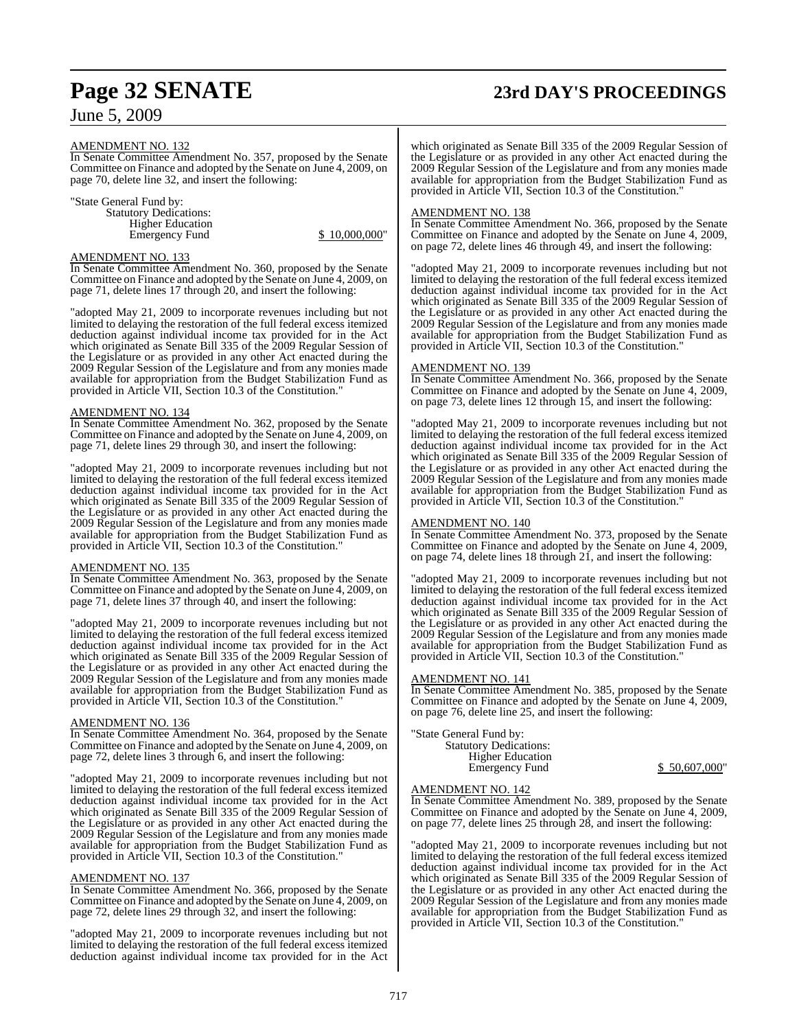## June 5, 2009

#### AMENDMENT NO. 132

In Senate Committee Amendment No. 357, proposed by the Senate Committee on Finance and adopted by the Senate on June 4, 2009, on page 70, delete line 32, and insert the following:

"State General Fund by: Statutory Dedications: Higher Education Emergency Fund \$ 10,000,000"

#### AMENDMENT NO. 133

In Senate Committee Amendment No. 360, proposed by the Senate Committee on Finance and adopted by the Senate on June 4, 2009, on page 71, delete lines 17 through 20, and insert the following:

"adopted May 21, 2009 to incorporate revenues including but not limited to delaying the restoration of the full federal excess itemized deduction against individual income tax provided for in the Act which originated as Senate Bill 335 of the 2009 Regular Session of the Legislature or as provided in any other Act enacted during the 2009 Regular Session of the Legislature and from any monies made available for appropriation from the Budget Stabilization Fund as provided in Article VII, Section 10.3 of the Constitution."

#### AMENDMENT NO. 134

In Senate Committee Amendment No. 362, proposed by the Senate Committee on Finance and adopted by the Senate on June 4, 2009, on page 71, delete lines 29 through 30, and insert the following:

"adopted May 21, 2009 to incorporate revenues including but not limited to delaying the restoration of the full federal excess itemized deduction against individual income tax provided for in the Act which originated as Senate Bill 335 of the 2009 Regular Session of the Legislature or as provided in any other Act enacted during the 2009 Regular Session of the Legislature and from any monies made available for appropriation from the Budget Stabilization Fund as provided in Article VII, Section 10.3 of the Constitution."

#### AMENDMENT NO. 135

In Senate Committee Amendment No. 363, proposed by the Senate Committee on Finance and adopted by the Senate on June 4, 2009, on page 71, delete lines 37 through 40, and insert the following:

"adopted May 21, 2009 to incorporate revenues including but not limited to delaying the restoration of the full federal excess itemized deduction against individual income tax provided for in the Act which originated as Senate Bill 335 of the 2009 Regular Session of the Legislature or as provided in any other Act enacted during the 2009 Regular Session of the Legislature and from any monies made available for appropriation from the Budget Stabilization Fund as provided in Article VII, Section 10.3 of the Constitution."

#### AMENDMENT NO. 136

In Senate Committee Amendment No. 364, proposed by the Senate Committee on Finance and adopted by the Senate on June 4, 2009, on page 72, delete lines 3 through 6, and insert the following:

"adopted May 21, 2009 to incorporate revenues including but not limited to delaying the restoration of the full federal excess itemized deduction against individual income tax provided for in the Act which originated as Senate Bill 335 of the 2009 Regular Session of the Legislature or as provided in any other Act enacted during the 2009 Regular Session of the Legislature and from any monies made available for appropriation from the Budget Stabilization Fund as provided in Article VII, Section 10.3 of the Constitution."

#### AMENDMENT NO. 137

In Senate Committee Amendment No. 366, proposed by the Senate Committee on Finance and adopted by the Senate on June 4, 2009, on page 72, delete lines 29 through 32, and insert the following:

"adopted May 21, 2009 to incorporate revenues including but not limited to delaying the restoration of the full federal excess itemized deduction against individual income tax provided for in the Act

# **Page 32 SENATE 23rd DAY'S PROCEEDINGS**

which originated as Senate Bill 335 of the 2009 Regular Session of the Legislature or as provided in any other Act enacted during the 2009 Regular Session of the Legislature and from any monies made available for appropriation from the Budget Stabilization Fund as provided in Article VII, Section 10.3 of the Constitution."

#### AMENDMENT NO. 138

In Senate Committee Amendment No. 366, proposed by the Senate Committee on Finance and adopted by the Senate on June 4, 2009, on page 72, delete lines 46 through 49, and insert the following:

"adopted May 21, 2009 to incorporate revenues including but not limited to delaying the restoration of the full federal excess itemized deduction against individual income tax provided for in the Act which originated as Senate Bill 335 of the 2009 Regular Session of the Legislature or as provided in any other Act enacted during the 2009 Regular Session of the Legislature and from any monies made available for appropriation from the Budget Stabilization Fund as provided in Article VII, Section 10.3 of the Constitution."

#### AMENDMENT NO. 139

In Senate Committee Amendment No. 366, proposed by the Senate Committee on Finance and adopted by the Senate on June 4, 2009, on page 73, delete lines 12 through 15, and insert the following:

"adopted May 21, 2009 to incorporate revenues including but not limited to delaying the restoration of the full federal excess itemized deduction against individual income tax provided for in the Act which originated as Senate Bill 335 of the 2009 Regular Session of the Legislature or as provided in any other Act enacted during the 2009 Regular Session of the Legislature and from any monies made available for appropriation from the Budget Stabilization Fund as provided in Article VII, Section 10.3 of the Constitution."

#### AMENDMENT NO. 140

In Senate Committee Amendment No. 373, proposed by the Senate Committee on Finance and adopted by the Senate on June 4, 2009, on page 74, delete lines 18 through 21, and insert the following:

"adopted May 21, 2009 to incorporate revenues including but not limited to delaying the restoration of the full federal excess itemized deduction against individual income tax provided for in the Act which originated as Senate Bill 335 of the 2009 Regular Session of the Legislature or as provided in any other Act enacted during the 2009 Regular Session of the Legislature and from any monies made available for appropriation from the Budget Stabilization Fund as provided in Article VII, Section 10.3 of the Constitution."

#### AMENDMENT NO. 141

In Senate Committee Amendment No. 385, proposed by the Senate Committee on Finance and adopted by the Senate on June 4, 2009, on page 76, delete line 25, and insert the following:

| "State General Fund by:       |  |
|-------------------------------|--|
| <b>Statutory Dedications:</b> |  |
| <b>Higher Education</b>       |  |
| <b>Emergency Fund</b>         |  |

 $$50,607,000"$ 

#### AMENDMENT NO. 142

In Senate Committee Amendment No. 389, proposed by the Senate Committee on Finance and adopted by the Senate on June 4, 2009, on page 77, delete lines 25 through 28, and insert the following:

"adopted May 21, 2009 to incorporate revenues including but not limited to delaying the restoration of the full federal excess itemized deduction against individual income tax provided for in the Act which originated as Senate Bill 335 of the 2009 Regular Session of the Legislature or as provided in any other Act enacted during the 2009 Regular Session of the Legislature and from any monies made available for appropriation from the Budget Stabilization Fund as provided in Article VII, Section 10.3 of the Constitution."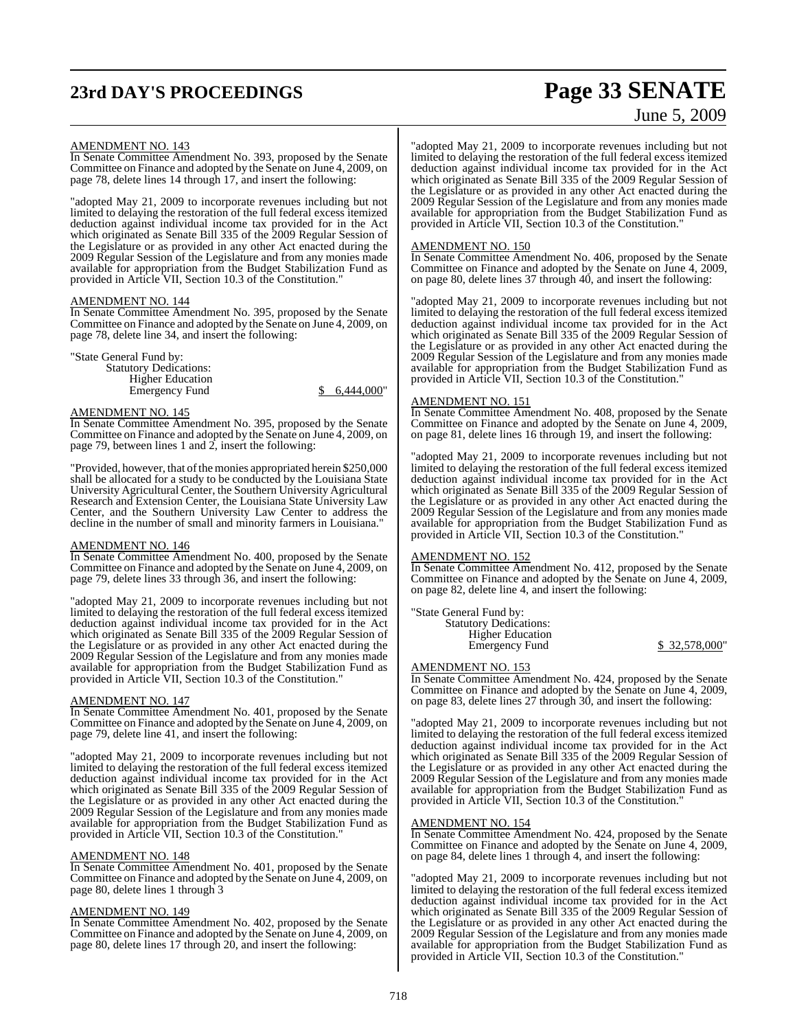# **23rd DAY'S PROCEEDINGS Page 33 SENATE**

# June 5, 2009

#### AMENDMENT NO. 143

In Senate Committee Amendment No. 393, proposed by the Senate Committee on Finance and adopted by the Senate on June 4, 2009, on page 78, delete lines 14 through 17, and insert the following:

"adopted May 21, 2009 to incorporate revenues including but not limited to delaying the restoration of the full federal excess itemized deduction against individual income tax provided for in the Act which originated as Senate Bill 335 of the 2009 Regular Session of the Legislature or as provided in any other Act enacted during the 2009 Regular Session of the Legislature and from any monies made available for appropriation from the Budget Stabilization Fund as provided in Article VII, Section 10.3 of the Constitution."

#### AMENDMENT NO. 144

In Senate Committee Amendment No. 395, proposed by the Senate Committee on Finance and adopted by the Senate on June 4, 2009, on page 78, delete line 34, and insert the following:

"State General Fund by:

Statutory Dedications: Higher Education Emergency Fund  $\frac{\$}{0.444,000}$ "

#### AMENDMENT NO. 145

In Senate Committee Amendment No. 395, proposed by the Senate Committee on Finance and adopted by the Senate on June 4, 2009, on page 79, between lines 1 and 2, insert the following:

"Provided, however, that of the monies appropriated herein \$250,000 shall be allocated for a study to be conducted by the Louisiana State University Agricultural Center, the Southern University Agricultural Research and Extension Center, the Louisiana State University Law Center, and the Southern University Law Center to address the decline in the number of small and minority farmers in Louisiana.'

#### AMENDMENT NO. 146

In Senate Committee Amendment No. 400, proposed by the Senate Committee on Finance and adopted by the Senate on June 4, 2009, on page 79, delete lines 33 through 36, and insert the following:

"adopted May 21, 2009 to incorporate revenues including but not limited to delaying the restoration of the full federal excess itemized deduction against individual income tax provided for in the Act which originated as Senate Bill 335 of the 2009 Regular Session of the Legislature or as provided in any other Act enacted during the 2009 Regular Session of the Legislature and from any monies made available for appropriation from the Budget Stabilization Fund as provided in Article VII, Section 10.3 of the Constitution."

#### AMENDMENT NO. 147

In Senate Committee Amendment No. 401, proposed by the Senate Committee on Finance and adopted by the Senate on June 4, 2009, on page 79, delete line 41, and insert the following:

"adopted May 21, 2009 to incorporate revenues including but not limited to delaying the restoration of the full federal excess itemized deduction against individual income tax provided for in the Act which originated as Senate Bill 335 of the 2009 Regular Session of the Legislature or as provided in any other Act enacted during the 2009 Regular Session of the Legislature and from any monies made available for appropriation from the Budget Stabilization Fund as provided in Article VII, Section 10.3 of the Constitution."

#### AMENDMENT NO. 148

In Senate Committee Amendment No. 401, proposed by the Senate Committee on Finance and adopted by the Senate on June 4, 2009, on page 80, delete lines 1 through 3

#### AMENDMENT NO. 149

In Senate Committee Amendment No. 402, proposed by the Senate Committee on Finance and adopted by the Senate on June 4, 2009, on page 80, delete lines 17 through 20, and insert the following:

"adopted May 21, 2009 to incorporate revenues including but not limited to delaying the restoration of the full federal excess itemized deduction against individual income tax provided for in the Act which originated as Senate Bill 335 of the 2009 Regular Session of the Legislature or as provided in any other Act enacted during the 2009 Regular Session of the Legislature and from any monies made available for appropriation from the Budget Stabilization Fund as provided in Article VII, Section 10.3 of the Constitution."

#### AMENDMENT NO. 150

In Senate Committee Amendment No. 406, proposed by the Senate Committee on Finance and adopted by the Senate on June 4, 2009, on page 80, delete lines 37 through 40, and insert the following:

"adopted May 21, 2009 to incorporate revenues including but not limited to delaying the restoration of the full federal excess itemized deduction against individual income tax provided for in the Act which originated as Senate Bill 335 of the 2009 Regular Session of the Legislature or as provided in any other Act enacted during the 2009 Regular Session of the Legislature and from any monies made available for appropriation from the Budget Stabilization Fund as provided in Article VII, Section 10.3 of the Constitution."

#### AMENDMENT NO. 151

In Senate Committee Amendment No. 408, proposed by the Senate Committee on Finance and adopted by the Senate on June 4, 2009, on page 81, delete lines 16 through 19, and insert the following:

"adopted May 21, 2009 to incorporate revenues including but not limited to delaying the restoration of the full federal excess itemized deduction against individual income tax provided for in the Act which originated as Senate Bill 335 of the 2009 Regular Session of the Legislature or as provided in any other Act enacted during the 2009 Regular Session of the Legislature and from any monies made available for appropriation from the Budget Stabilization Fund as provided in Article VII, Section 10.3 of the Constitution."

## AMENDMENT NO. 152

In Senate Committee Amendment No. 412, proposed by the Senate Committee on Finance and adopted by the Senate on June 4, 2009, on page 82, delete line 4, and insert the following:

"State General Fund by:

| <b>Statutory Dedications:</b> |                |
|-------------------------------|----------------|
| <b>Higher Education</b>       |                |
| <b>Emergency Fund</b>         | \$ 32,578,000" |

## AMENDMENT NO. 153

In Senate Committee Amendment No. 424, proposed by the Senate Committee on Finance and adopted by the Senate on June 4, 2009, on page 83, delete lines 27 through 30, and insert the following:

"adopted May 21, 2009 to incorporate revenues including but not limited to delaying the restoration of the full federal excess itemized deduction against individual income tax provided for in the Act which originated as Senate Bill 335 of the 2009 Regular Session of the Legislature or as provided in any other Act enacted during the 2009 Regular Session of the Legislature and from any monies made available for appropriation from the Budget Stabilization Fund as provided in Article VII, Section 10.3 of the Constitution."

#### AMENDMENT NO. 154

In Senate Committee Amendment No. 424, proposed by the Senate Committee on Finance and adopted by the Senate on June 4, 2009, on page 84, delete lines 1 through 4, and insert the following:

"adopted May 21, 2009 to incorporate revenues including but not limited to delaying the restoration of the full federal excess itemized deduction against individual income tax provided for in the Act which originated as Senate Bill 335 of the 2009 Regular Session of the Legislature or as provided in any other Act enacted during the 2009 Regular Session of the Legislature and from any monies made available for appropriation from the Budget Stabilization Fund as provided in Article VII, Section 10.3 of the Constitution."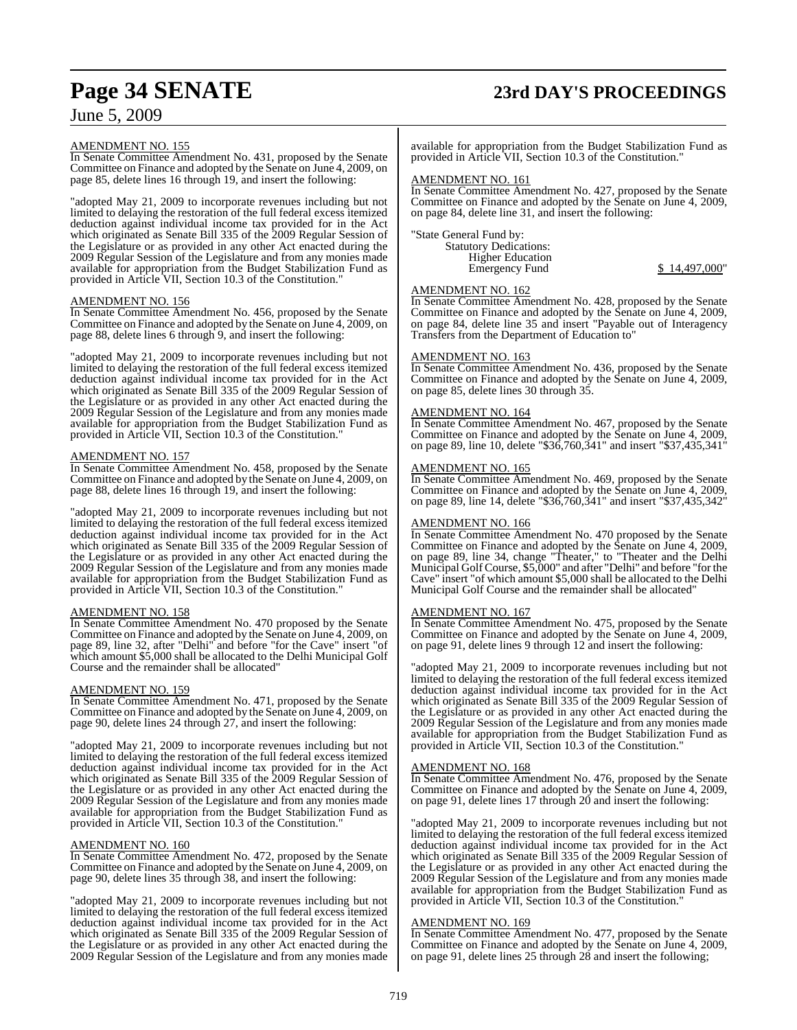# **Page 34 SENATE 23rd DAY'S PROCEEDINGS**

## June 5, 2009

#### AMENDMENT NO. 155

In Senate Committee Amendment No. 431, proposed by the Senate Committee on Finance and adopted by the Senate on June 4, 2009, on page 85, delete lines 16 through 19, and insert the following:

"adopted May 21, 2009 to incorporate revenues including but not limited to delaying the restoration of the full federal excess itemized deduction against individual income tax provided for in the Act which originated as Senate Bill 335 of the 2009 Regular Session of the Legislature or as provided in any other Act enacted during the 2009 Regular Session of the Legislature and from any monies made available for appropriation from the Budget Stabilization Fund as provided in Article VII, Section 10.3 of the Constitution."

#### AMENDMENT NO. 156

In Senate Committee Amendment No. 456, proposed by the Senate Committee on Finance and adopted by the Senate on June 4, 2009, on page 88, delete lines 6 through 9, and insert the following:

"adopted May 21, 2009 to incorporate revenues including but not limited to delaying the restoration of the full federal excess itemized deduction against individual income tax provided for in the Act which originated as Senate Bill 335 of the 2009 Regular Session of the Legislature or as provided in any other Act enacted during the 2009 Regular Session of the Legislature and from any monies made available for appropriation from the Budget Stabilization Fund as provided in Article VII, Section 10.3 of the Constitution."

#### AMENDMENT NO. 157

In Senate Committee Amendment No. 458, proposed by the Senate Committee on Finance and adopted by the Senate on June 4, 2009, on page 88, delete lines 16 through 19, and insert the following:

"adopted May 21, 2009 to incorporate revenues including but not limited to delaying the restoration of the full federal excess itemized deduction against individual income tax provided for in the Act which originated as Senate Bill 335 of the 2009 Regular Session of the Legislature or as provided in any other Act enacted during the 2009 Regular Session of the Legislature and from any monies made available for appropriation from the Budget Stabilization Fund as provided in Article VII, Section 10.3 of the Constitution."

## AMENDMENT NO. 158

In Senate Committee Amendment No. 470 proposed by the Senate Committee on Finance and adopted by the Senate on June 4, 2009, on page 89, line 32, after "Delhi" and before "for the Cave" insert "of which amount \$5,000 shall be allocated to the Delhi Municipal Golf Course and the remainder shall be allocated"

#### AMENDMENT NO. 159

In Senate Committee Amendment No. 471, proposed by the Senate Committee on Finance and adopted by the Senate on June 4, 2009, on page 90, delete lines 24 through 27, and insert the following:

"adopted May 21, 2009 to incorporate revenues including but not limited to delaying the restoration of the full federal excess itemized deduction against individual income tax provided for in the Act which originated as Senate Bill 335 of the 2009 Regular Session of the Legislature or as provided in any other Act enacted during the 2009 Regular Session of the Legislature and from any monies made available for appropriation from the Budget Stabilization Fund as provided in Article VII, Section 10.3 of the Constitution."

## AMENDMENT NO. 160

In Senate Committee Amendment No. 472, proposed by the Senate Committee on Finance and adopted by the Senate on June 4, 2009, on page 90, delete lines 35 through 38, and insert the following:

"adopted May 21, 2009 to incorporate revenues including but not limited to delaying the restoration of the full federal excess itemized deduction against individual income tax provided for in the Act which originated as Senate Bill 335 of the 2009 Regular Session of the Legislature or as provided in any other Act enacted during the 2009 Regular Session of the Legislature and from any monies made

available for appropriation from the Budget Stabilization Fund as provided in Article VII, Section 10.3 of the Constitution."

## AMENDMENT NO. 161

In Senate Committee Amendment No. 427, proposed by the Senate Committee on Finance and adopted by the Senate on June 4, 2009, on page 84, delete line 31, and insert the following:

"State General Fund by:

Statutory Dedications: Higher Education Emergency Fund \$ 14,497,000"

#### AMENDMENT NO. 162

In Senate Committee Amendment No. 428, proposed by the Senate Committee on Finance and adopted by the Senate on June 4, 2009, on page 84, delete line 35 and insert "Payable out of Interagency Transfers from the Department of Education to"

#### AMENDMENT NO. 163

In Senate Committee Amendment No. 436, proposed by the Senate Committee on Finance and adopted by the Senate on June 4, 2009, on page 85, delete lines 30 through 35.

#### AMENDMENT NO. 164

In Senate Committee Amendment No. 467, proposed by the Senate Committee on Finance and adopted by the Senate on June 4, 2009, on page 89, line 10, delete "\$36,760,341" and insert "\$37,435,341"

#### AMENDMENT NO. 165

In Senate Committee Amendment No. 469, proposed by the Senate Committee on Finance and adopted by the Senate on June 4, 2009, on page 89, line 14, delete "\$36,760,341" and insert "\$37,435,342"

#### AMENDMENT NO. 166

In Senate Committee Amendment No. 470 proposed by the Senate Committee on Finance and adopted by the Senate on June 4, 2009, on page 89, line 34, change "Theater," to "Theater and the Delhi Municipal GolfCourse, \$5,000" and after "Delhi" and before "for the Cave" insert "of which amount \$5,000 shall be allocated to the Delhi Municipal Golf Course and the remainder shall be allocated"

## AMENDMENT NO. 167

In Senate Committee Amendment No. 475, proposed by the Senate Committee on Finance and adopted by the Senate on June 4, 2009, on page 91, delete lines 9 through 12 and insert the following:

"adopted May 21, 2009 to incorporate revenues including but not limited to delaying the restoration of the full federal excess itemized deduction against individual income tax provided for in the Act which originated as Senate Bill 335 of the 2009 Regular Session of the Legislature or as provided in any other Act enacted during the 2009 Regular Session of the Legislature and from any monies made available for appropriation from the Budget Stabilization Fund as provided in Article VII, Section 10.3 of the Constitution."

#### **MENDMENT NO. 168**

In Senate Committee Amendment No. 476, proposed by the Senate Committee on Finance and adopted by the Senate on June 4, 2009, on page 91, delete lines 17 through 20 and insert the following:

"adopted May 21, 2009 to incorporate revenues including but not limited to delaying the restoration of the full federal excess itemized deduction against individual income tax provided for in the Act which originated as Senate Bill 335 of the 2009 Regular Session of the Legislature or as provided in any other Act enacted during the 2009 Regular Session of the Legislature and from any monies made available for appropriation from the Budget Stabilization Fund as provided in Article VII, Section 10.3 of the Constitution."

#### AMENDMENT NO. 169

In Senate Committee Amendment No. 477, proposed by the Senate Committee on Finance and adopted by the Senate on June 4, 2009, on page 91, delete lines 25 through 28 and insert the following;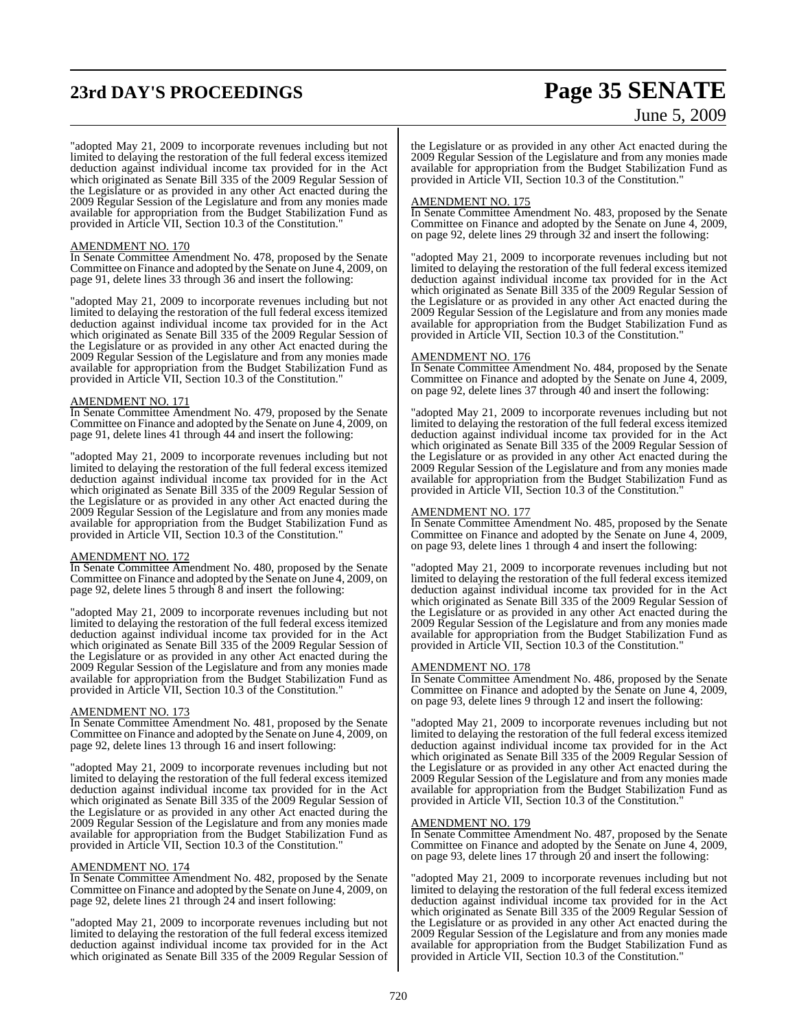# **23rd DAY'S PROCEEDINGS Page 35 SENATE**

# June 5, 2009

"adopted May 21, 2009 to incorporate revenues including but not limited to delaying the restoration of the full federal excess itemized deduction against individual income tax provided for in the Act which originated as Senate Bill 335 of the 2009 Regular Session of the Legislature or as provided in any other Act enacted during the 2009 Regular Session of the Legislature and from any monies made available for appropriation from the Budget Stabilization Fund as provided in Article VII, Section 10.3 of the Constitution."

#### AMENDMENT NO. 170

In Senate Committee Amendment No. 478, proposed by the Senate Committee on Finance and adopted by the Senate on June 4, 2009, on page 91, delete lines 33 through 36 and insert the following:

"adopted May 21, 2009 to incorporate revenues including but not limited to delaying the restoration of the full federal excess itemized deduction against individual income tax provided for in the Act which originated as Senate Bill 335 of the 2009 Regular Session of the Legislature or as provided in any other Act enacted during the 2009 Regular Session of the Legislature and from any monies made available for appropriation from the Budget Stabilization Fund as provided in Article VII, Section 10.3 of the Constitution."

#### AMENDMENT NO. 171

In Senate Committee Amendment No. 479, proposed by the Senate Committee on Finance and adopted by the Senate on June 4, 2009, on page 91, delete lines 41 through 44 and insert the following:

"adopted May 21, 2009 to incorporate revenues including but not limited to delaying the restoration of the full federal excess itemized deduction against individual income tax provided for in the Act which originated as Senate Bill 335 of the 2009 Regular Session of the Legislature or as provided in any other Act enacted during the 2009 Regular Session of the Legislature and from any monies made available for appropriation from the Budget Stabilization Fund as provided in Article VII, Section 10.3 of the Constitution."

#### AMENDMENT NO. 172

In Senate Committee Amendment No. 480, proposed by the Senate Committee on Finance and adopted by the Senate on June 4, 2009, on page 92, delete lines 5 through 8 and insert the following:

"adopted May 21, 2009 to incorporate revenues including but not limited to delaying the restoration of the full federal excess itemized deduction against individual income tax provided for in the Act which originated as Senate Bill 335 of the 2009 Regular Session of the Legislature or as provided in any other Act enacted during the 2009 Regular Session of the Legislature and from any monies made available for appropriation from the Budget Stabilization Fund as provided in Article VII, Section 10.3 of the Constitution."

#### AMENDMENT NO. 173

In Senate Committee Amendment No. 481, proposed by the Senate Committee on Finance and adopted by the Senate on June 4, 2009, on page 92, delete lines 13 through 16 and insert following:

"adopted May 21, 2009 to incorporate revenues including but not limited to delaying the restoration of the full federal excess itemized deduction against individual income tax provided for in the Act which originated as Senate Bill 335 of the 2009 Regular Session of the Legislature or as provided in any other Act enacted during the 2009 Regular Session of the Legislature and from any monies made available for appropriation from the Budget Stabilization Fund as provided in Article VII, Section 10.3 of the Constitution."

#### AMENDMENT NO. 174

In Senate Committee Amendment No. 482, proposed by the Senate Committee on Finance and adopted by the Senate on June 4, 2009, on page 92, delete lines 21 through 24 and insert following:

"adopted May 21, 2009 to incorporate revenues including but not limited to delaying the restoration of the full federal excess itemized deduction against individual income tax provided for in the Act which originated as Senate Bill 335 of the 2009 Regular Session of

the Legislature or as provided in any other Act enacted during the 2009 Regular Session of the Legislature and from any monies made available for appropriation from the Budget Stabilization Fund as provided in Article VII, Section 10.3 of the Constitution."

#### AMENDMENT NO. 175

In Senate Committee Amendment No. 483, proposed by the Senate Committee on Finance and adopted by the Senate on June 4, 2009, on page 92, delete lines 29 through 32 and insert the following:

"adopted May 21, 2009 to incorporate revenues including but not limited to delaying the restoration of the full federal excess itemized deduction against individual income tax provided for in the Act which originated as Senate Bill 335 of the 2009 Regular Session of the Legislature or as provided in any other Act enacted during the 2009 Regular Session of the Legislature and from any monies made available for appropriation from the Budget Stabilization Fund as provided in Article VII, Section 10.3 of the Constitution."

#### AMENDMENT NO. 176

In Senate Committee Amendment No. 484, proposed by the Senate Committee on Finance and adopted by the Senate on June 4, 2009, on page 92, delete lines 37 through 40 and insert the following:

"adopted May 21, 2009 to incorporate revenues including but not limited to delaying the restoration of the full federal excess itemized deduction against individual income tax provided for in the Act which originated as Senate Bill 335 of the 2009 Regular Session of the Legislature or as provided in any other Act enacted during the 2009 Regular Session of the Legislature and from any monies made available for appropriation from the Budget Stabilization Fund as provided in Article VII, Section 10.3 of the Constitution."

#### AMENDMENT NO. 177

In Senate Committee Amendment No. 485, proposed by the Senate Committee on Finance and adopted by the Senate on June 4, 2009, on page 93, delete lines 1 through 4 and insert the following:

"adopted May 21, 2009 to incorporate revenues including but not limited to delaying the restoration of the full federal excess itemized deduction against individual income tax provided for in the Act which originated as Senate Bill 335 of the 2009 Regular Session of the Legislature or as provided in any other Act enacted during the 2009 Regular Session of the Legislature and from any monies made available for appropriation from the Budget Stabilization Fund as provided in Article VII, Section 10.3 of the Constitution."

#### AMENDMENT NO. 178

In Senate Committee Amendment No. 486, proposed by the Senate Committee on Finance and adopted by the Senate on June 4, 2009, on page 93, delete lines 9 through 12 and insert the following:

"adopted May 21, 2009 to incorporate revenues including but not limited to delaying the restoration of the full federal excess itemized deduction against individual income tax provided for in the Act which originated as Senate Bill 335 of the 2009 Regular Session of the Legislature or as provided in any other Act enacted during the 2009 Regular Session of the Legislature and from any monies made available for appropriation from the Budget Stabilization Fund as provided in Article VII, Section 10.3 of the Constitution."

#### AMENDMENT NO. 179

In Senate Committee Amendment No. 487, proposed by the Senate Committee on Finance and adopted by the Senate on June 4, 2009, on page 93, delete lines 17 through 20 and insert the following:

adopted May 21, 2009 to incorporate revenues including but not limited to delaying the restoration of the full federal excess itemized deduction against individual income tax provided for in the Act which originated as Senate Bill 335 of the 2009 Regular Session of the Legislature or as provided in any other Act enacted during the 2009 Regular Session of the Legislature and from any monies made available for appropriation from the Budget Stabilization Fund as provided in Article VII, Section 10.3 of the Constitution."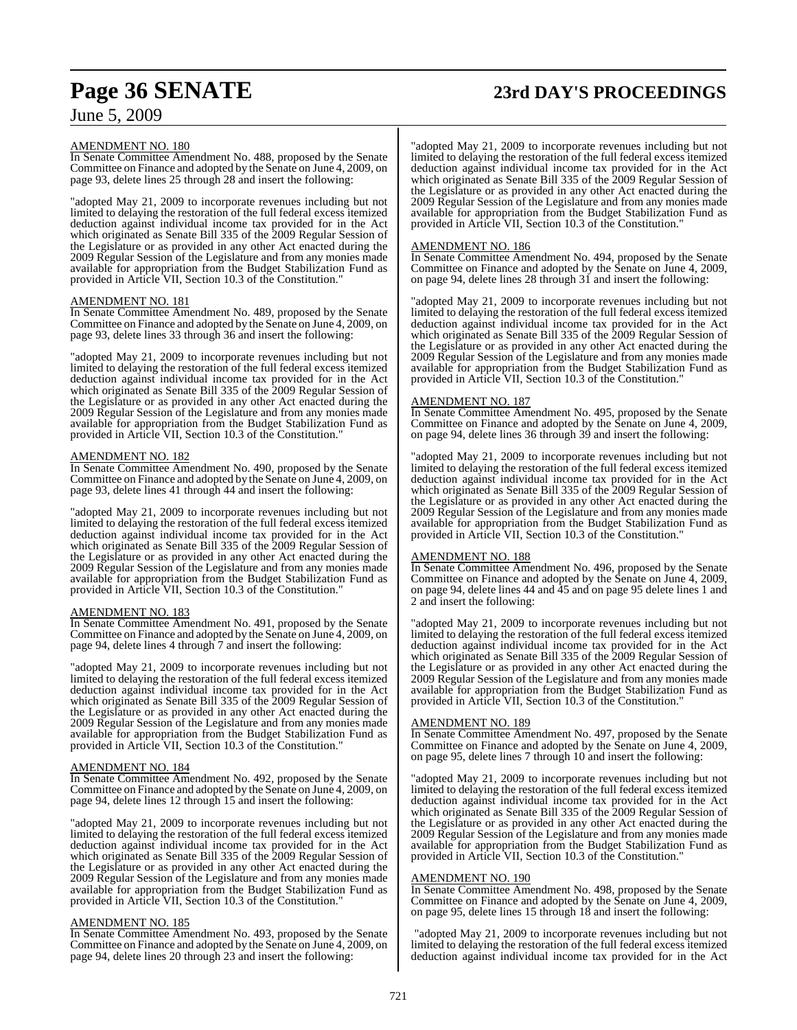# **Page 36 SENATE 23rd DAY'S PROCEEDINGS**

## June 5, 2009

### AMENDMENT NO. 180

In Senate Committee Amendment No. 488, proposed by the Senate Committee on Finance and adopted by the Senate on June 4, 2009, on page 93, delete lines 25 through 28 and insert the following:

"adopted May 21, 2009 to incorporate revenues including but not limited to delaying the restoration of the full federal excess itemized deduction against individual income tax provided for in the Act which originated as Senate Bill 335 of the 2009 Regular Session of the Legislature or as provided in any other Act enacted during the 2009 Regular Session of the Legislature and from any monies made available for appropriation from the Budget Stabilization Fund as provided in Article VII, Section 10.3 of the Constitution."

### AMENDMENT NO. 181

In Senate Committee Amendment No. 489, proposed by the Senate Committee on Finance and adopted by the Senate on June 4, 2009, on page 93, delete lines 33 through 36 and insert the following:

"adopted May 21, 2009 to incorporate revenues including but not limited to delaying the restoration of the full federal excess itemized deduction against individual income tax provided for in the Act which originated as Senate Bill 335 of the 2009 Regular Session of the Legislature or as provided in any other Act enacted during the 2009 Regular Session of the Legislature and from any monies made available for appropriation from the Budget Stabilization Fund as provided in Article VII, Section 10.3 of the Constitution."

### AMENDMENT NO. 182

In Senate Committee Amendment No. 490, proposed by the Senate Committee on Finance and adopted by the Senate on June 4, 2009, on page 93, delete lines 41 through 44 and insert the following:

"adopted May 21, 2009 to incorporate revenues including but not limited to delaying the restoration of the full federal excess itemized deduction against individual income tax provided for in the Act which originated as Senate Bill 335 of the 2009 Regular Session of the Legislature or as provided in any other Act enacted during the 2009 Regular Session of the Legislature and from any monies made available for appropriation from the Budget Stabilization Fund as provided in Article VII, Section 10.3 of the Constitution."

## AMENDMENT NO. 183

In Senate Committee Amendment No. 491, proposed by the Senate Committee on Finance and adopted by the Senate on June 4, 2009, on page 94, delete lines 4 through 7 and insert the following:

"adopted May 21, 2009 to incorporate revenues including but not limited to delaying the restoration of the full federal excess itemized deduction against individual income tax provided for in the Act which originated as Senate Bill 335 of the 2009 Regular Session of the Legislature or as provided in any other Act enacted during the 2009 Regular Session of the Legislature and from any monies made available for appropriation from the Budget Stabilization Fund as provided in Article VII, Section 10.3 of the Constitution."

### AMENDMENT NO. 184

In Senate Committee Amendment No. 492, proposed by the Senate Committee on Finance and adopted by the Senate on June 4, 2009, on page 94, delete lines 12 through 15 and insert the following:

"adopted May 21, 2009 to incorporate revenues including but not limited to delaying the restoration of the full federal excess itemized deduction against individual income tax provided for in the Act which originated as Senate Bill 335 of the 2009 Regular Session of the Legislature or as provided in any other Act enacted during the 2009 Regular Session of the Legislature and from any monies made available for appropriation from the Budget Stabilization Fund as provided in Article VII, Section 10.3 of the Constitution."

### AMENDMENT NO. 185

In Senate Committee Amendment No. 493, proposed by the Senate Committee on Finance and adopted by the Senate on June 4, 2009, on page 94, delete lines 20 through 23 and insert the following:

"adopted May 21, 2009 to incorporate revenues including but not limited to delaying the restoration of the full federal excess itemized deduction against individual income tax provided for in the Act which originated as Senate Bill 335 of the 2009 Regular Session of the Legislature or as provided in any other Act enacted during the 2009 Regular Session of the Legislature and from any monies made available for appropriation from the Budget Stabilization Fund as provided in Article VII, Section 10.3 of the Constitution."

### AMENDMENT NO. 186

In Senate Committee Amendment No. 494, proposed by the Senate Committee on Finance and adopted by the Senate on June 4, 2009, on page 94, delete lines 28 through 31 and insert the following:

"adopted May 21, 2009 to incorporate revenues including but not limited to delaying the restoration of the full federal excess itemized deduction against individual income tax provided for in the Act which originated as Senate Bill 335 of the 2009 Regular Session of the Legislature or as provided in any other Act enacted during the 2009 Regular Session of the Legislature and from any monies made available for appropriation from the Budget Stabilization Fund as provided in Article VII, Section 10.3 of the Constitution."

### AMENDMENT NO. 187

In Senate Committee Amendment No. 495, proposed by the Senate Committee on Finance and adopted by the Senate on June 4, 2009, on page 94, delete lines 36 through 39 and insert the following:

"adopted May 21, 2009 to incorporate revenues including but not limited to delaying the restoration of the full federal excess itemized deduction against individual income tax provided for in the Act which originated as Senate Bill 335 of the 2009 Regular Session of the Legislature or as provided in any other Act enacted during the 2009 Regular Session of the Legislature and from any monies made available for appropriation from the Budget Stabilization Fund as provided in Article VII, Section 10.3 of the Constitution."

### AMENDMENT NO. 188

In Senate Committee Amendment No. 496, proposed by the Senate Committee on Finance and adopted by the Senate on June 4, 2009, on page 94, delete lines 44 and 45 and on page 95 delete lines 1 and 2 and insert the following:

"adopted May 21, 2009 to incorporate revenues including but not limited to delaying the restoration of the full federal excess itemized deduction against individual income tax provided for in the Act which originated as Senate Bill 335 of the 2009 Regular Session of the Legislature or as provided in any other Act enacted during the 2009 Regular Session of the Legislature and from any monies made available for appropriation from the Budget Stabilization Fund as provided in Article VII, Section 10.3 of the Constitution."

### AMENDMENT NO. 189

In Senate Committee Amendment No. 497, proposed by the Senate Committee on Finance and adopted by the Senate on June 4, 2009, on page 95, delete lines 7 through 10 and insert the following:

"adopted May 21, 2009 to incorporate revenues including but not limited to delaying the restoration of the full federal excess itemized deduction against individual income tax provided for in the Act which originated as Senate Bill 335 of the 2009 Regular Session of the Legislature or as provided in any other Act enacted during the 2009 Regular Session of the Legislature and from any monies made available for appropriation from the Budget Stabilization Fund as provided in Article VII, Section 10.3 of the Constitution."

### AMENDMENT NO. 190

In Senate Committee Amendment No. 498, proposed by the Senate Committee on Finance and adopted by the Senate on June 4, 2009, on page 95, delete lines 15 through 18 and insert the following:

 "adopted May 21, 2009 to incorporate revenues including but not limited to delaying the restoration of the full federal excess itemized deduction against individual income tax provided for in the Act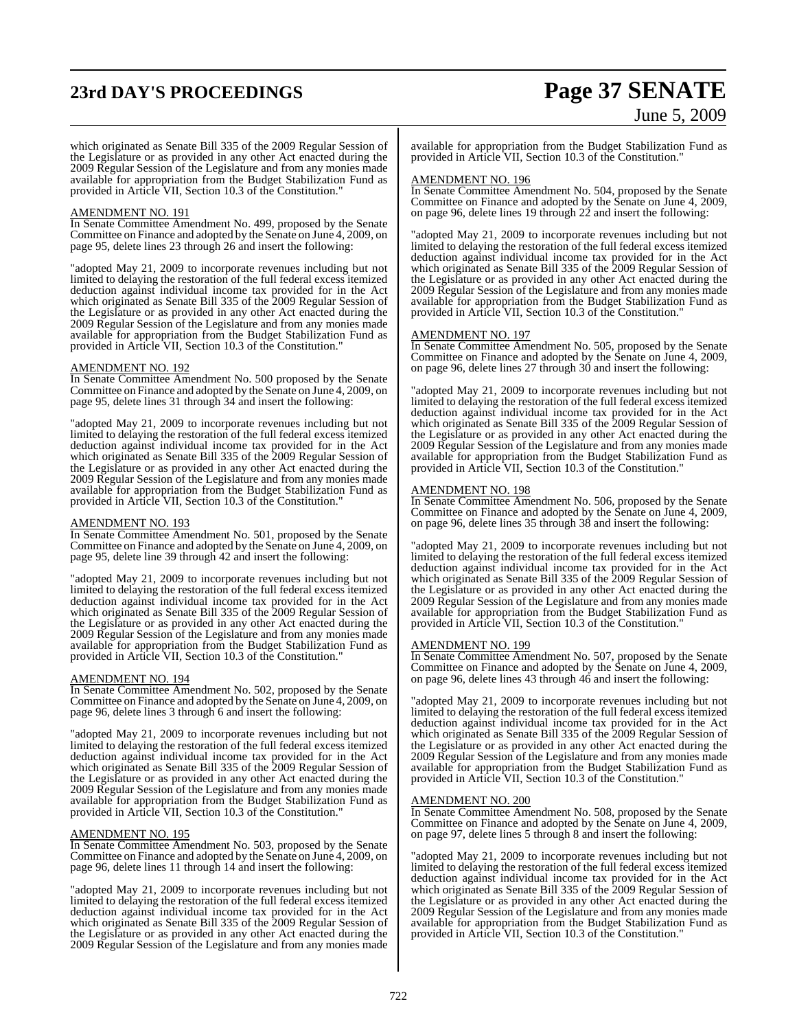# **23rd DAY'S PROCEEDINGS Page 37 SENATE**

# June 5, 2009

which originated as Senate Bill 335 of the 2009 Regular Session of the Legislature or as provided in any other Act enacted during the 2009 Regular Session of the Legislature and from any monies made available for appropriation from the Budget Stabilization Fund as provided in Article VII, Section 10.3 of the Constitution."

### AMENDMENT NO. 191

In Senate Committee Amendment No. 499, proposed by the Senate Committee on Finance and adopted by the Senate on June 4, 2009, on page 95, delete lines 23 through 26 and insert the following:

"adopted May 21, 2009 to incorporate revenues including but not limited to delaying the restoration of the full federal excess itemized deduction against individual income tax provided for in the Act which originated as Senate Bill 335 of the 2009 Regular Session of the Legislature or as provided in any other Act enacted during the 2009 Regular Session of the Legislature and from any monies made available for appropriation from the Budget Stabilization Fund as provided in Article VII, Section 10.3 of the Constitution."

### AMENDMENT NO. 192

In Senate Committee Amendment No. 500 proposed by the Senate Committee on Finance and adopted by the Senate on June 4, 2009, on page 95, delete lines 31 through 34 and insert the following:

"adopted May 21, 2009 to incorporate revenues including but not limited to delaying the restoration of the full federal excess itemized deduction against individual income tax provided for in the Act which originated as Senate Bill 335 of the 2009 Regular Session of the Legislature or as provided in any other Act enacted during the 2009 Regular Session of the Legislature and from any monies made available for appropriation from the Budget Stabilization Fund as provided in Article VII, Section 10.3 of the Constitution."

### AMENDMENT NO. 193

In Senate Committee Amendment No. 501, proposed by the Senate Committee on Finance and adopted by the Senate on June 4, 2009, on page 95, delete line 39 through 42 and insert the following:

"adopted May 21, 2009 to incorporate revenues including but not limited to delaying the restoration of the full federal excess itemized deduction against individual income tax provided for in the Act which originated as Senate Bill 335 of the 2009 Regular Session of the Legislature or as provided in any other Act enacted during the 2009 Regular Session of the Legislature and from any monies made available for appropriation from the Budget Stabilization Fund as provided in Article VII, Section 10.3 of the Constitution."

### AMENDMENT NO. 194

In Senate Committee Amendment No. 502, proposed by the Senate Committee on Finance and adopted by the Senate on June 4, 2009, on page 96, delete lines 3 through 6 and insert the following:

"adopted May 21, 2009 to incorporate revenues including but not limited to delaying the restoration of the full federal excess itemized deduction against individual income tax provided for in the Act which originated as Senate Bill 335 of the 2009 Regular Session of the Legislature or as provided in any other Act enacted during the 2009 Regular Session of the Legislature and from any monies made available for appropriation from the Budget Stabilization Fund as provided in Article VII, Section 10.3 of the Constitution."

### AMENDMENT NO. 195

In Senate Committee Amendment No. 503, proposed by the Senate Committee on Finance and adopted by the Senate on June 4, 2009, on page 96, delete lines 11 through 14 and insert the following:

"adopted May 21, 2009 to incorporate revenues including but not limited to delaying the restoration of the full federal excess itemized deduction against individual income tax provided for in the Act which originated as Senate Bill 335 of the 2009 Regular Session of the Legislature or as provided in any other Act enacted during the 2009 Regular Session of the Legislature and from any monies made

available for appropriation from the Budget Stabilization Fund as provided in Article VII, Section 10.3 of the Constitution."

## AMENDMENT NO. 196

In Senate Committee Amendment No. 504, proposed by the Senate Committee on Finance and adopted by the Senate on June 4, 2009, on page 96, delete lines 19 through 22 and insert the following:

"adopted May 21, 2009 to incorporate revenues including but not limited to delaying the restoration of the full federal excess itemized deduction against individual income tax provided for in the Act which originated as Senate Bill 335 of the 2009 Regular Session of the Legislature or as provided in any other Act enacted during the 2009 Regular Session of the Legislature and from any monies made available for appropriation from the Budget Stabilization Fund as provided in Article VII, Section 10.3 of the Constitution."

### AMENDMENT NO. 197

In Senate Committee Amendment No. 505, proposed by the Senate Committee on Finance and adopted by the Senate on June 4, 2009, on page 96, delete lines 27 through 30 and insert the following:

"adopted May 21, 2009 to incorporate revenues including but not limited to delaying the restoration of the full federal excess itemized deduction against individual income tax provided for in the Act which originated as Senate Bill 335 of the 2009 Regular Session of the Legislature or as provided in any other Act enacted during the 2009 Regular Session of the Legislature and from any monies made available for appropriation from the Budget Stabilization Fund as provided in Article VII, Section 10.3 of the Constitution."

### AMENDMENT NO. 198

In Senate Committee Amendment No. 506, proposed by the Senate Committee on Finance and adopted by the Senate on June 4, 2009, on page 96, delete lines 35 through 38 and insert the following:

"adopted May 21, 2009 to incorporate revenues including but not limited to delaying the restoration of the full federal excess itemized deduction against individual income tax provided for in the Act which originated as Senate Bill 335 of the 2009 Regular Session of the Legislature or as provided in any other Act enacted during the 2009 Regular Session of the Legislature and from any monies made available for appropriation from the Budget Stabilization Fund as provided in Article VII, Section 10.3 of the Constitution."

### AMENDMENT NO. 199

In Senate Committee Amendment No. 507, proposed by the Senate Committee on Finance and adopted by the Senate on June 4, 2009, on page 96, delete lines 43 through 46 and insert the following:

"adopted May 21, 2009 to incorporate revenues including but not limited to delaying the restoration of the full federal excess itemized deduction against individual income tax provided for in the Act which originated as Senate Bill 335 of the 2009 Regular Session of the Legislature or as provided in any other Act enacted during the 2009 Regular Session of the Legislature and from any monies made available for appropriation from the Budget Stabilization Fund as provided in Article VII, Section 10.3 of the Constitution."

### AMENDMENT NO. 200

In Senate Committee Amendment No. 508, proposed by the Senate Committee on Finance and adopted by the Senate on June 4, 2009, on page 97, delete lines 5 through 8 and insert the following:

"adopted May 21, 2009 to incorporate revenues including but not limited to delaying the restoration of the full federal excess itemized deduction against individual income tax provided for in the Act which originated as Senate Bill 335 of the 2009 Regular Session of the Legislature or as provided in any other Act enacted during the 2009 Regular Session of the Legislature and from any monies made available for appropriation from the Budget Stabilization Fund as provided in Article VII, Section 10.3 of the Constitution."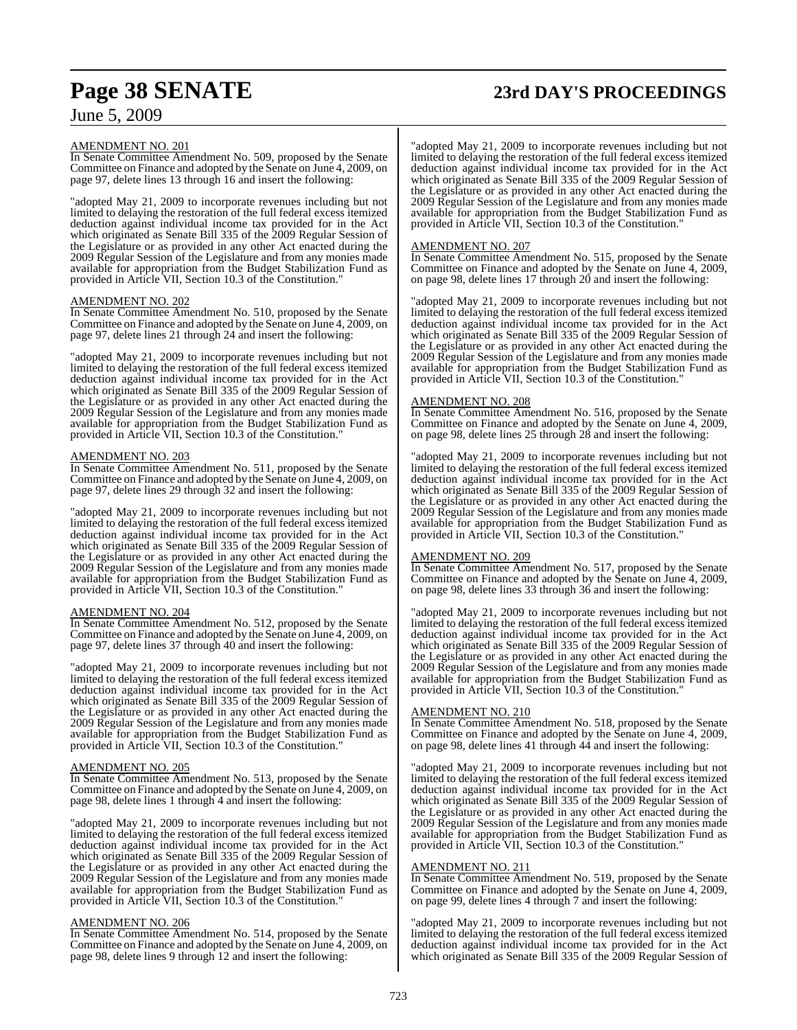# **Page 38 SENATE 23rd DAY'S PROCEEDINGS**

## June 5, 2009

### AMENDMENT NO. 201

In Senate Committee Amendment No. 509, proposed by the Senate Committee on Finance and adopted by the Senate on June 4, 2009, on page 97, delete lines 13 through 16 and insert the following:

"adopted May 21, 2009 to incorporate revenues including but not limited to delaying the restoration of the full federal excess itemized deduction against individual income tax provided for in the Act which originated as Senate Bill 335 of the 2009 Regular Session of the Legislature or as provided in any other Act enacted during the 2009 Regular Session of the Legislature and from any monies made available for appropriation from the Budget Stabilization Fund as provided in Article VII, Section 10.3 of the Constitution."

### AMENDMENT NO. 202

In Senate Committee Amendment No. 510, proposed by the Senate Committee on Finance and adopted by the Senate on June 4, 2009, on page 97, delete lines 21 through 24 and insert the following:

"adopted May 21, 2009 to incorporate revenues including but not limited to delaying the restoration of the full federal excess itemized deduction against individual income tax provided for in the Act which originated as Senate Bill 335 of the 2009 Regular Session of the Legislature or as provided in any other Act enacted during the 2009 Regular Session of the Legislature and from any monies made available for appropriation from the Budget Stabilization Fund as provided in Article VII, Section 10.3 of the Constitution."

### AMENDMENT NO. 203

In Senate Committee Amendment No. 511, proposed by the Senate Committee on Finance and adopted by the Senate on June 4, 2009, on page 97, delete lines 29 through 32 and insert the following:

"adopted May 21, 2009 to incorporate revenues including but not limited to delaying the restoration of the full federal excess itemized deduction against individual income tax provided for in the Act which originated as Senate Bill 335 of the 2009 Regular Session of the Legislature or as provided in any other Act enacted during the 2009 Regular Session of the Legislature and from any monies made available for appropriation from the Budget Stabilization Fund as provided in Article VII, Section 10.3 of the Constitution."

### AMENDMENT NO. 204

In Senate Committee Amendment No. 512, proposed by the Senate Committee on Finance and adopted by the Senate on June 4, 2009, on page 97, delete lines 37 through 40 and insert the following:

"adopted May 21, 2009 to incorporate revenues including but not limited to delaying the restoration of the full federal excess itemized deduction against individual income tax provided for in the Act which originated as Senate Bill 335 of the 2009 Regular Session of the Legislature or as provided in any other Act enacted during the 2009 Regular Session of the Legislature and from any monies made available for appropriation from the Budget Stabilization Fund as provided in Article VII, Section 10.3 of the Constitution."

### AMENDMENT NO. 205

In Senate Committee Amendment No. 513, proposed by the Senate Committee on Finance and adopted by the Senate on June 4, 2009, on page 98, delete lines 1 through 4 and insert the following:

"adopted May 21, 2009 to incorporate revenues including but not limited to delaying the restoration of the full federal excess itemized deduction against individual income tax provided for in the Act which originated as Senate Bill 335 of the 2009 Regular Session of the Legislature or as provided in any other Act enacted during the 2009 Regular Session of the Legislature and from any monies made available for appropriation from the Budget Stabilization Fund as provided in Article VII, Section 10.3 of the Constitution."

### AMENDMENT NO. 206

In Senate Committee Amendment No. 514, proposed by the Senate Committee on Finance and adopted by the Senate on June 4, 2009, on page 98, delete lines 9 through 12 and insert the following:

"adopted May 21, 2009 to incorporate revenues including but not limited to delaying the restoration of the full federal excess itemized deduction against individual income tax provided for in the Act which originated as Senate Bill 335 of the 2009 Regular Session of the Legislature or as provided in any other Act enacted during the 2009 Regular Session of the Legislature and from any monies made available for appropriation from the Budget Stabilization Fund as provided in Article VII, Section 10.3 of the Constitution."

### AMENDMENT NO. 207

In Senate Committee Amendment No. 515, proposed by the Senate Committee on Finance and adopted by the Senate on June 4, 2009, on page 98, delete lines 17 through 20 and insert the following:

"adopted May 21, 2009 to incorporate revenues including but not limited to delaying the restoration of the full federal excess itemized deduction against individual income tax provided for in the Act which originated as Senate Bill 335 of the 2009 Regular Session of the Legislature or as provided in any other Act enacted during the 2009 Regular Session of the Legislature and from any monies made available for appropriation from the Budget Stabilization Fund as provided in Article VII, Section 10.3 of the Constitution."

### AMENDMENT NO. 208

In Senate Committee Amendment No. 516, proposed by the Senate Committee on Finance and adopted by the Senate on June 4, 2009, on page 98, delete lines 25 through 28 and insert the following:

"adopted May 21, 2009 to incorporate revenues including but not limited to delaying the restoration of the full federal excess itemized deduction against individual income tax provided for in the Act which originated as Senate Bill 335 of the 2009 Regular Session of the Legislature or as provided in any other Act enacted during the 2009 Regular Session of the Legislature and from any monies made available for appropriation from the Budget Stabilization Fund as provided in Article VII, Section 10.3 of the Constitution."

### AMENDMENT NO. 209

In Senate Committee Amendment No. 517, proposed by the Senate Committee on Finance and adopted by the Senate on June 4, 2009, on page 98, delete lines 33 through 36 and insert the following:

"adopted May 21, 2009 to incorporate revenues including but not limited to delaying the restoration of the full federal excess itemized deduction against individual income tax provided for in the Act which originated as Senate Bill 335 of the 2009 Regular Session of the Legislature or as provided in any other Act enacted during the 2009 Regular Session of the Legislature and from any monies made available for appropriation from the Budget Stabilization Fund as provided in Article VII, Section 10.3 of the Constitution."

### AMENDMENT NO. 210

In Senate Committee Amendment No. 518, proposed by the Senate Committee on Finance and adopted by the Senate on June 4, 2009, on page 98, delete lines 41 through 44 and insert the following:

"adopted May 21, 2009 to incorporate revenues including but not limited to delaying the restoration of the full federal excess itemized deduction against individual income tax provided for in the Act which originated as Senate Bill 335 of the 2009 Regular Session of the Legislature or as provided in any other Act enacted during the 2009 Regular Session of the Legislature and from any monies made available for appropriation from the Budget Stabilization Fund as provided in Article VII, Section 10.3 of the Constitution."

### AMENDMENT NO. 211

In Senate Committee Amendment No. 519, proposed by the Senate Committee on Finance and adopted by the Senate on June 4, 2009, on page 99, delete lines 4 through 7 and insert the following:

"adopted May 21, 2009 to incorporate revenues including but not limited to delaying the restoration of the full federal excess itemized deduction against individual income tax provided for in the Act which originated as Senate Bill 335 of the 2009 Regular Session of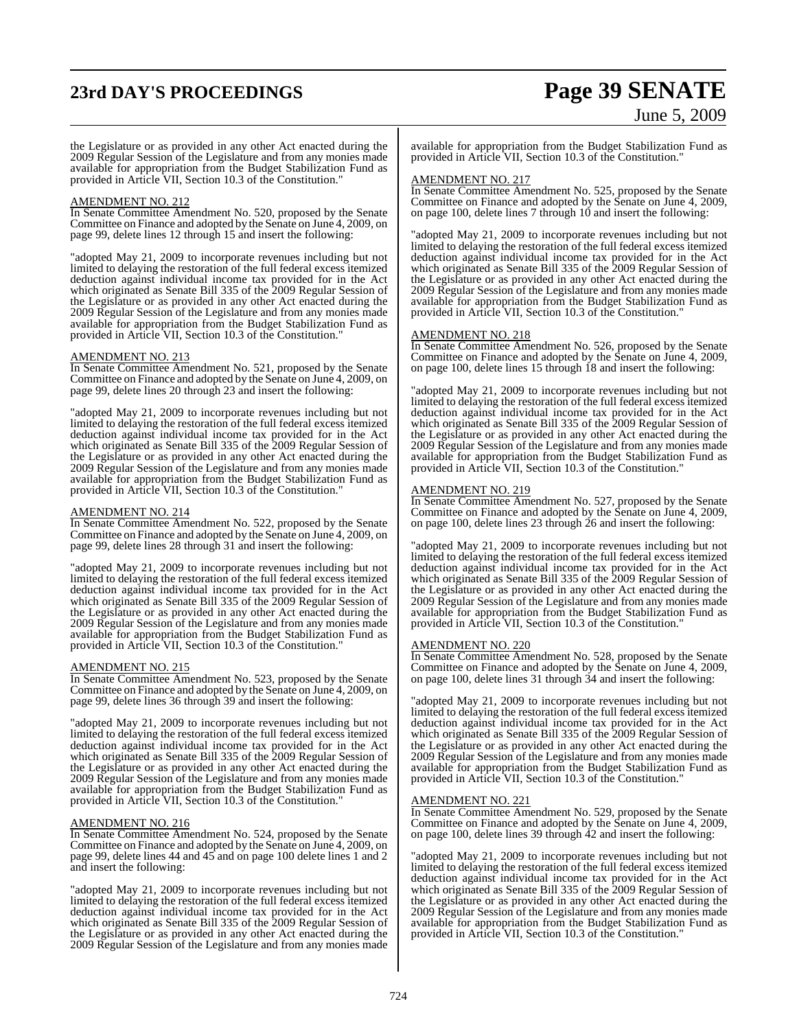# **23rd DAY'S PROCEEDINGS Page 39 SENATE**

# June 5, 2009

the Legislature or as provided in any other Act enacted during the 2009 Regular Session of the Legislature and from any monies made available for appropriation from the Budget Stabilization Fund as provided in Article VII, Section 10.3 of the Constitution."

### AMENDMENT NO. 212

In Senate Committee Amendment No. 520, proposed by the Senate Committee on Finance and adopted by the Senate on June 4, 2009, on page 99, delete lines 12 through 15 and insert the following:

"adopted May 21, 2009 to incorporate revenues including but not limited to delaying the restoration of the full federal excess itemized deduction against individual income tax provided for in the Act which originated as Senate Bill 335 of the 2009 Regular Session of the Legislature or as provided in any other Act enacted during the 2009 Regular Session of the Legislature and from any monies made available for appropriation from the Budget Stabilization Fund as provided in Article VII, Section 10.3 of the Constitution."

### AMENDMENT NO. 213

In Senate Committee Amendment No. 521, proposed by the Senate Committee on Finance and adopted by the Senate on June 4, 2009, on page 99, delete lines 20 through 23 and insert the following:

"adopted May 21, 2009 to incorporate revenues including but not limited to delaying the restoration of the full federal excess itemized deduction against individual income tax provided for in the Act which originated as Senate Bill 335 of the 2009 Regular Session of the Legislature or as provided in any other Act enacted during the 2009 Regular Session of the Legislature and from any monies made available for appropriation from the Budget Stabilization Fund as provided in Article VII, Section 10.3 of the Constitution."

### AMENDMENT NO. 214

In Senate Committee Amendment No. 522, proposed by the Senate Committee on Finance and adopted by the Senate on June 4, 2009, on page 99, delete lines 28 through 31 and insert the following:

"adopted May 21, 2009 to incorporate revenues including but not limited to delaying the restoration of the full federal excess itemized deduction against individual income tax provided for in the Act which originated as Senate Bill 335 of the 2009 Regular Session of the Legislature or as provided in any other Act enacted during the 2009 Regular Session of the Legislature and from any monies made available for appropriation from the Budget Stabilization Fund as provided in Article VII, Section 10.3 of the Constitution."

### AMENDMENT NO. 215

In Senate Committee Amendment No. 523, proposed by the Senate Committee on Finance and adopted by the Senate on June 4, 2009, on page 99, delete lines 36 through 39 and insert the following:

"adopted May 21, 2009 to incorporate revenues including but not limited to delaying the restoration of the full federal excess itemized deduction against individual income tax provided for in the Act which originated as Senate Bill 335 of the 2009 Regular Session of the Legislature or as provided in any other Act enacted during the 2009 Regular Session of the Legislature and from any monies made available for appropriation from the Budget Stabilization Fund as provided in Article VII, Section 10.3 of the Constitution."

### AMENDMENT NO. 216

In Senate Committee Amendment No. 524, proposed by the Senate Committee on Finance and adopted by the Senate on June 4, 2009, on page 99, delete lines 44 and 45 and on page 100 delete lines 1 and 2 and insert the following:

"adopted May 21, 2009 to incorporate revenues including but not limited to delaying the restoration of the full federal excess itemized deduction against individual income tax provided for in the Act which originated as Senate Bill 335 of the 2009 Regular Session of the Legislature or as provided in any other Act enacted during the 2009 Regular Session of the Legislature and from any monies made

available for appropriation from the Budget Stabilization Fund as provided in Article VII, Section 10.3 of the Constitution."

### AMENDMENT NO. 217

In Senate Committee Amendment No. 525, proposed by the Senate Committee on Finance and adopted by the Senate on June 4, 2009, on page 100, delete lines 7 through 10 and insert the following:

"adopted May 21, 2009 to incorporate revenues including but not limited to delaying the restoration of the full federal excess itemized deduction against individual income tax provided for in the Act which originated as Senate Bill 335 of the 2009 Regular Session of the Legislature or as provided in any other Act enacted during the 2009 Regular Session of the Legislature and from any monies made available for appropriation from the Budget Stabilization Fund as provided in Article VII, Section 10.3 of the Constitution."

### AMENDMENT NO. 218

In Senate Committee Amendment No. 526, proposed by the Senate Committee on Finance and adopted by the Senate on June 4, 2009, on page 100, delete lines 15 through 18 and insert the following:

"adopted May 21, 2009 to incorporate revenues including but not limited to delaying the restoration of the full federal excess itemized deduction against individual income tax provided for in the Act which originated as Senate Bill 335 of the 2009 Regular Session of the Legislature or as provided in any other Act enacted during the 2009 Regular Session of the Legislature and from any monies made available for appropriation from the Budget Stabilization Fund as provided in Article VII, Section 10.3 of the Constitution."

### AMENDMENT NO. 219

In Senate Committee Amendment No. 527, proposed by the Senate Committee on Finance and adopted by the Senate on June 4, 2009, on page 100, delete lines 23 through 26 and insert the following:

"adopted May 21, 2009 to incorporate revenues including but not limited to delaying the restoration of the full federal excess itemized deduction against individual income tax provided for in the Act which originated as Senate Bill 335 of the 2009 Regular Session of the Legislature or as provided in any other Act enacted during the 2009 Regular Session of the Legislature and from any monies made available for appropriation from the Budget Stabilization Fund as provided in Article VII, Section 10.3 of the Constitution."

### AMENDMENT NO. 220

In Senate Committee Amendment No. 528, proposed by the Senate Committee on Finance and adopted by the Senate on June 4, 2009, on page 100, delete lines 31 through 34 and insert the following:

"adopted May 21, 2009 to incorporate revenues including but not limited to delaying the restoration of the full federal excess itemized deduction against individual income tax provided for in the Act which originated as Senate Bill 335 of the 2009 Regular Session of the Legislature or as provided in any other Act enacted during the 2009 Regular Session of the Legislature and from any monies made available for appropriation from the Budget Stabilization Fund as provided in Article VII, Section 10.3 of the Constitution."

### AMENDMENT NO. 221

In Senate Committee Amendment No. 529, proposed by the Senate Committee on Finance and adopted by the Senate on June 4, 2009, on page 100, delete lines 39 through 42 and insert the following:

"adopted May 21, 2009 to incorporate revenues including but not limited to delaying the restoration of the full federal excess itemized deduction against individual income tax provided for in the Act which originated as Senate Bill 335 of the 2009 Regular Session of the Legislature or as provided in any other Act enacted during the 2009 Regular Session of the Legislature and from any monies made available for appropriation from the Budget Stabilization Fund as provided in Article VII, Section 10.3 of the Constitution."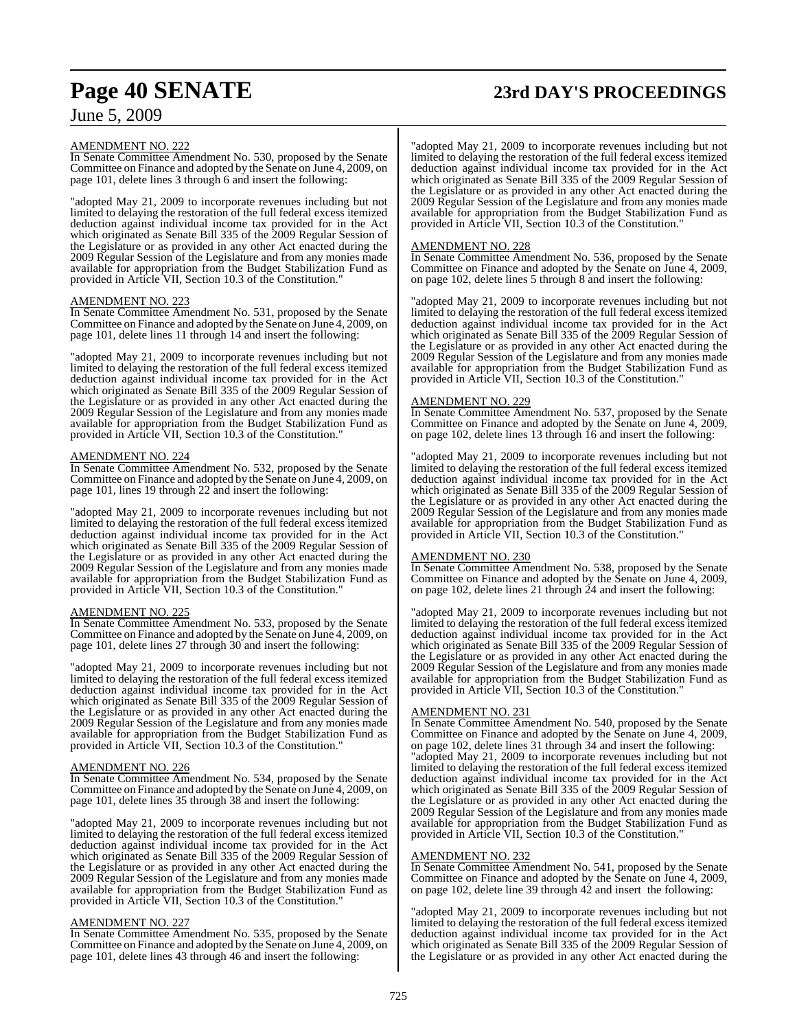# **Page 40 SENATE 23rd DAY'S PROCEEDINGS**

## June 5, 2009

### AMENDMENT NO. 222

In Senate Committee Amendment No. 530, proposed by the Senate Committee on Finance and adopted by the Senate on June 4, 2009, on page 101, delete lines 3 through 6 and insert the following:

"adopted May 21, 2009 to incorporate revenues including but not limited to delaying the restoration of the full federal excess itemized deduction against individual income tax provided for in the Act which originated as Senate Bill 335 of the 2009 Regular Session of the Legislature or as provided in any other Act enacted during the 2009 Regular Session of the Legislature and from any monies made available for appropriation from the Budget Stabilization Fund as provided in Article VII, Section 10.3 of the Constitution."

### AMENDMENT NO. 2

In Senate Committee Amendment No. 531, proposed by the Senate Committee on Finance and adopted by the Senate on June 4, 2009, on page 101, delete lines 11 through 14 and insert the following:

"adopted May 21, 2009 to incorporate revenues including but not limited to delaying the restoration of the full federal excess itemized deduction against individual income tax provided for in the Act which originated as Senate Bill 335 of the 2009 Regular Session of the Legislature or as provided in any other Act enacted during the 2009 Regular Session of the Legislature and from any monies made available for appropriation from the Budget Stabilization Fund as provided in Article VII, Section 10.3 of the Constitution."

### AMENDMENT NO. 224

In Senate Committee Amendment No. 532, proposed by the Senate Committee on Finance and adopted by the Senate on June 4, 2009, on page 101, lines 19 through 22 and insert the following:

"adopted May 21, 2009 to incorporate revenues including but not limited to delaying the restoration of the full federal excess itemized deduction against individual income tax provided for in the Act which originated as Senate Bill 335 of the 2009 Regular Session of the Legislature or as provided in any other Act enacted during the 2009 Regular Session of the Legislature and from any monies made available for appropriation from the Budget Stabilization Fund as provided in Article VII, Section 10.3 of the Constitution."

### AMENDMENT NO. 225

In Senate Committee Amendment No. 533, proposed by the Senate Committee on Finance and adopted by the Senate on June 4, 2009, on page 101, delete lines 27 through 30 and insert the following:

"adopted May 21, 2009 to incorporate revenues including but not limited to delaying the restoration of the full federal excess itemized deduction against individual income tax provided for in the Act which originated as Senate Bill 335 of the 2009 Regular Session of the Legislature or as provided in any other Act enacted during the 2009 Regular Session of the Legislature and from any monies made available for appropriation from the Budget Stabilization Fund as provided in Article VII, Section 10.3 of the Constitution."

### AMENDMENT NO. 226

In Senate Committee Amendment No. 534, proposed by the Senate Committee on Finance and adopted by the Senate on June 4, 2009, on page 101, delete lines 35 through 38 and insert the following:

"adopted May 21, 2009 to incorporate revenues including but not limited to delaying the restoration of the full federal excess itemized deduction against individual income tax provided for in the Act which originated as Senate Bill 335 of the 2009 Regular Session of the Legislature or as provided in any other Act enacted during the 2009 Regular Session of the Legislature and from any monies made available for appropriation from the Budget Stabilization Fund as provided in Article VII, Section 10.3 of the Constitution."

### AMENDMENT NO. 227

In Senate Committee Amendment No. 535, proposed by the Senate Committee on Finance and adopted by the Senate on June 4, 2009, on page 101, delete lines 43 through 46 and insert the following:

"adopted May 21, 2009 to incorporate revenues including but not limited to delaying the restoration of the full federal excess itemized deduction against individual income tax provided for in the Act which originated as Senate Bill 335 of the 2009 Regular Session of the Legislature or as provided in any other Act enacted during the 2009 Regular Session of the Legislature and from any monies made available for appropriation from the Budget Stabilization Fund as provided in Article VII, Section 10.3 of the Constitution."

### AMENDMENT NO. 228

In Senate Committee Amendment No. 536, proposed by the Senate Committee on Finance and adopted by the Senate on June 4, 2009, on page 102, delete lines 5 through 8 and insert the following:

"adopted May 21, 2009 to incorporate revenues including but not limited to delaying the restoration of the full federal excess itemized deduction against individual income tax provided for in the Act which originated as Senate Bill 335 of the 2009 Regular Session of the Legislature or as provided in any other Act enacted during the 2009 Regular Session of the Legislature and from any monies made available for appropriation from the Budget Stabilization Fund as provided in Article VII, Section 10.3 of the Constitution."

### AMENDMENT NO. 229

In Senate Committee Amendment No. 537, proposed by the Senate Committee on Finance and adopted by the Senate on June 4, 2009, on page 102, delete lines 13 through 16 and insert the following:

"adopted May 21, 2009 to incorporate revenues including but not limited to delaying the restoration of the full federal excess itemized deduction against individual income tax provided for in the Act which originated as Senate Bill 335 of the 2009 Regular Session of the Legislature or as provided in any other Act enacted during the 2009 Regular Session of the Legislature and from any monies made available for appropriation from the Budget Stabilization Fund as provided in Article VII, Section 10.3 of the Constitution."

### AMENDMENT NO. 230

In Senate Committee Amendment No. 538, proposed by the Senate Committee on Finance and adopted by the Senate on June 4, 2009, on page 102, delete lines 21 through  $24$  and insert the following:

"adopted May 21, 2009 to incorporate revenues including but not limited to delaying the restoration of the full federal excess itemized deduction against individual income tax provided for in the Act which originated as Senate Bill 335 of the 2009 Regular Session of the Legislature or as provided in any other Act enacted during the 2009 Regular Session of the Legislature and from any monies made available for appropriation from the Budget Stabilization Fund as provided in Article VII, Section 10.3 of the Constitution."

### AMENDMENT NO. 231

In Senate Committee Amendment No. 540, proposed by the Senate Committee on Finance and adopted by the Senate on June 4, 2009, on page 102, delete lines 31 through 34 and insert the following: "adopted May 21, 2009 to incorporate revenues including but not limited to delaying the restoration of the full federal excess itemized deduction against individual income tax provided for in the Act which originated as Senate Bill 335 of the 2009 Regular Session of the Legislature or as provided in any other Act enacted during the 2009 Regular Session of the Legislature and from any monies made available for appropriation from the Budget Stabilization Fund as provided in Article VII, Section 10.3 of the Constitution."

### AMENDMENT NO. 232

In Senate Committee Amendment No. 541, proposed by the Senate Committee on Finance and adopted by the Senate on June 4, 2009, on page 102, delete line 39 through 42 and insert the following:

"adopted May 21, 2009 to incorporate revenues including but not limited to delaying the restoration of the full federal excess itemized deduction against individual income tax provided for in the Act which originated as Senate Bill 335 of the 2009 Regular Session of the Legislature or as provided in any other Act enacted during the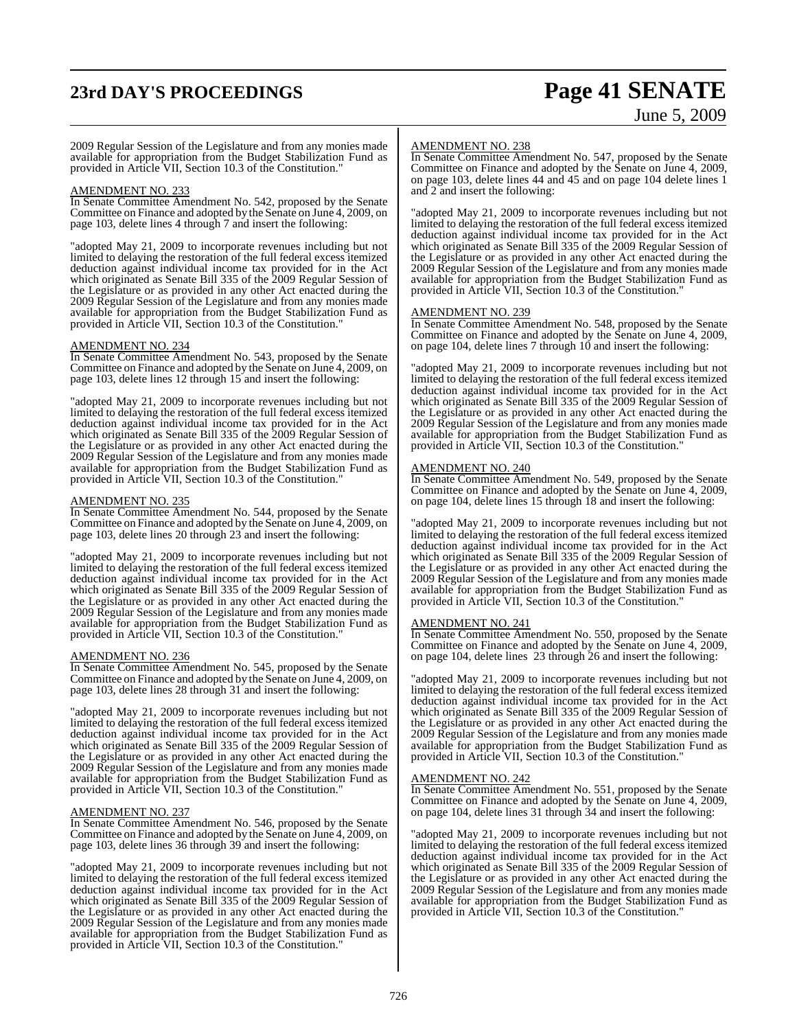# **23rd DAY'S PROCEEDINGS Page 41 SENATE**

# June 5, 2009

2009 Regular Session of the Legislature and from any monies made available for appropriation from the Budget Stabilization Fund as provided in Article VII, Section 10.3 of the Constitution."

### AMENDMENT NO. 233

In Senate Committee Amendment No. 542, proposed by the Senate Committee on Finance and adopted by the Senate on June 4, 2009, on page 103, delete lines 4 through 7 and insert the following:

"adopted May 21, 2009 to incorporate revenues including but not limited to delaying the restoration of the full federal excess itemized deduction against individual income tax provided for in the Act which originated as Senate Bill 335 of the 2009 Regular Session of the Legislature or as provided in any other Act enacted during the 2009 Regular Session of the Legislature and from any monies made available for appropriation from the Budget Stabilization Fund as provided in Article VII, Section 10.3 of the Constitution."

### AMENDMENT NO. 234

In Senate Committee Amendment No. 543, proposed by the Senate Committee on Finance and adopted by the Senate on June 4, 2009, on page 103, delete lines 12 through 15 and insert the following:

"adopted May 21, 2009 to incorporate revenues including but not limited to delaying the restoration of the full federal excess itemized deduction against individual income tax provided for in the Act which originated as Senate Bill 335 of the 2009 Regular Session of the Legislature or as provided in any other Act enacted during the 2009 Regular Session of the Legislature and from any monies made available for appropriation from the Budget Stabilization Fund as provided in Article VII, Section 10.3 of the Constitution."

### AMENDMENT NO. 235

In Senate Committee Amendment No. 544, proposed by the Senate Committee on Finance and adopted by the Senate on June 4, 2009, on page 103, delete lines 20 through 23 and insert the following:

"adopted May 21, 2009 to incorporate revenues including but not limited to delaying the restoration of the full federal excess itemized deduction against individual income tax provided for in the Act which originated as Senate Bill 335 of the 2009 Regular Session of the Legislature or as provided in any other Act enacted during the 2009 Regular Session of the Legislature and from any monies made available for appropriation from the Budget Stabilization Fund as provided in Article VII, Section 10.3 of the Constitution."

### AMENDMENT NO. 236

In Senate Committee Amendment No. 545, proposed by the Senate Committee on Finance and adopted by the Senate on June 4, 2009, on page 103, delete lines 28 through 31 and insert the following:

"adopted May 21, 2009 to incorporate revenues including but not limited to delaying the restoration of the full federal excess itemized deduction against individual income tax provided for in the Act which originated as Senate Bill 335 of the 2009 Regular Session of the Legislature or as provided in any other Act enacted during the 2009 Regular Session of the Legislature and from any monies made available for appropriation from the Budget Stabilization Fund as provided in Article VII, Section 10.3 of the Constitution."

### <u>AMENDMENT NO. 237</u>

In Senate Committee Amendment No. 546, proposed by the Senate Committee on Finance and adopted by the Senate on June 4, 2009, on page 103, delete lines 36 through 39 and insert the following:

"adopted May 21, 2009 to incorporate revenues including but not limited to delaying the restoration of the full federal excess itemized deduction against individual income tax provided for in the Act which originated as Senate Bill 335 of the 2009 Regular Session of the Legislature or as provided in any other Act enacted during the 2009 Regular Session of the Legislature and from any monies made available for appropriation from the Budget Stabilization Fund as provided in Article VII, Section 10.3 of the Constitution."

### AMENDMENT NO. 238

In Senate Committee Amendment No. 547, proposed by the Senate Committee on Finance and adopted by the Senate on June 4, 2009, on page 103, delete lines 44 and 45 and on page 104 delete lines 1 and 2 and insert the following:

'adopted May 21, 2009 to incorporate revenues including but not limited to delaying the restoration of the full federal excess itemized deduction against individual income tax provided for in the Act which originated as Senate Bill 335 of the 2009 Regular Session of the Legislature or as provided in any other Act enacted during the 2009 Regular Session of the Legislature and from any monies made available for appropriation from the Budget Stabilization Fund as provided in Article VII, Section 10.3 of the Constitution."

### AMENDMENT NO. 239

In Senate Committee Amendment No. 548, proposed by the Senate Committee on Finance and adopted by the Senate on June 4, 2009, on page 104, delete lines 7 through 10 and insert the following:

"adopted May 21, 2009 to incorporate revenues including but not limited to delaying the restoration of the full federal excess itemized deduction against individual income tax provided for in the Act which originated as Senate Bill 335 of the 2009 Regular Session of the Legislature or as provided in any other Act enacted during the 2009 Regular Session of the Legislature and from any monies made available for appropriation from the Budget Stabilization Fund as provided in Article VII, Section 10.3 of the Constitution."

### AMENDMENT NO. 240

In Senate Committee Amendment No. 549, proposed by the Senate Committee on Finance and adopted by the Senate on June 4, 2009, on page 104, delete lines 15 through 18 and insert the following:

"adopted May 21, 2009 to incorporate revenues including but not limited to delaying the restoration of the full federal excess itemized deduction against individual income tax provided for in the Act which originated as Senate Bill 335 of the 2009 Regular Session of the Legislature or as provided in any other Act enacted during the 2009 Regular Session of the Legislature and from any monies made available for appropriation from the Budget Stabilization Fund as provided in Article VII, Section 10.3 of the Constitution."

### AMENDMENT NO. 241

In Senate Committee Amendment No. 550, proposed by the Senate Committee on Finance and adopted by the Senate on June 4, 2009, on page 104, delete lines 23 through 26 and insert the following:

"adopted May 21, 2009 to incorporate revenues including but not limited to delaying the restoration of the full federal excess itemized deduction against individual income tax provided for in the Act which originated as Senate Bill 335 of the 2009 Regular Session of the Legislature or as provided in any other Act enacted during the 2009 Regular Session of the Legislature and from any monies made available for appropriation from the Budget Stabilization Fund as provided in Article VII, Section 10.3 of the Constitution."

### AMENDMENT NO. 242

In Senate Committee Amendment No. 551, proposed by the Senate Committee on Finance and adopted by the Senate on June 4, 2009, on page 104, delete lines 31 through 34 and insert the following:

"adopted May 21, 2009 to incorporate revenues including but not limited to delaying the restoration of the full federal excess itemized deduction against individual income tax provided for in the Act which originated as Senate Bill 335 of the 2009 Regular Session of the Legislature or as provided in any other Act enacted during the 2009 Regular Session of the Legislature and from any monies made available for appropriation from the Budget Stabilization Fund as provided in Article VII, Section 10.3 of the Constitution."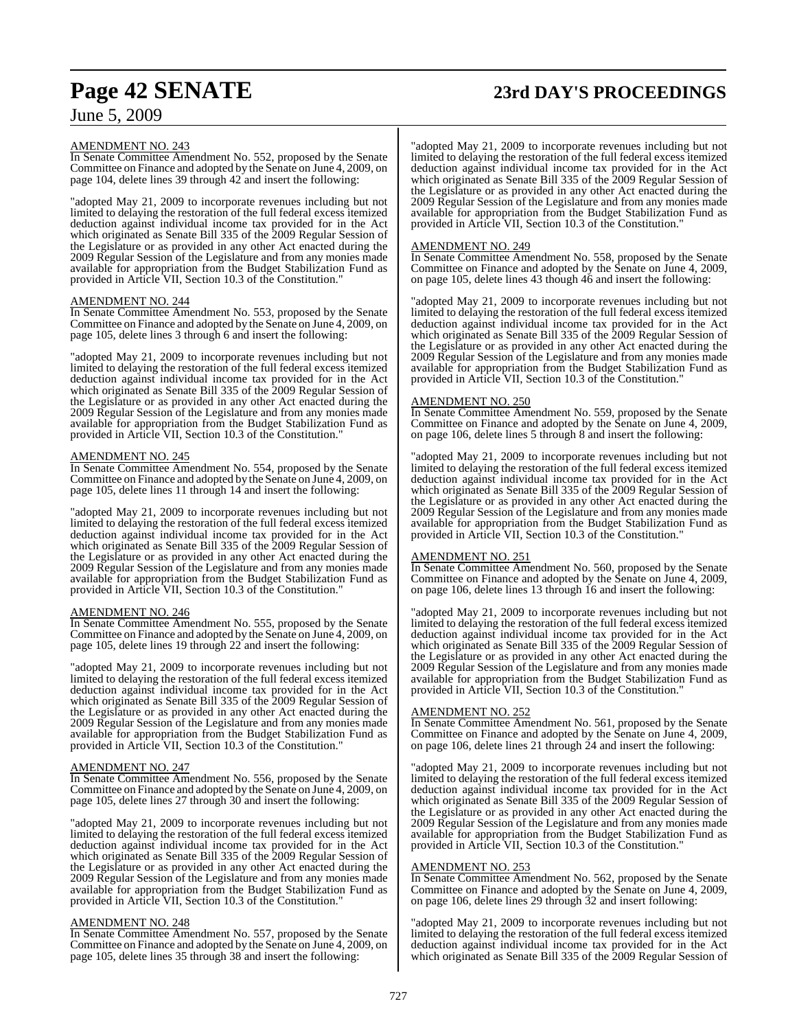# **Page 42 SENATE 23rd DAY'S PROCEEDINGS**

## June 5, 2009

### AMENDMENT NO. 243

In Senate Committee Amendment No. 552, proposed by the Senate Committee on Finance and adopted by the Senate on June 4, 2009, on page 104, delete lines 39 through 42 and insert the following:

"adopted May 21, 2009 to incorporate revenues including but not limited to delaying the restoration of the full federal excess itemized deduction against individual income tax provided for in the Act which originated as Senate Bill 335 of the 2009 Regular Session of the Legislature or as provided in any other Act enacted during the 2009 Regular Session of the Legislature and from any monies made available for appropriation from the Budget Stabilization Fund as provided in Article VII, Section 10.3 of the Constitution."

### AMENDMENT NO. 244

In Senate Committee Amendment No. 553, proposed by the Senate Committee on Finance and adopted by the Senate on June 4, 2009, on page 105, delete lines 3 through 6 and insert the following:

"adopted May 21, 2009 to incorporate revenues including but not limited to delaying the restoration of the full federal excess itemized deduction against individual income tax provided for in the Act which originated as Senate Bill 335 of the 2009 Regular Session of the Legislature or as provided in any other Act enacted during the 2009 Regular Session of the Legislature and from any monies made available for appropriation from the Budget Stabilization Fund as provided in Article VII, Section 10.3 of the Constitution."

### AMENDMENT NO. 245

In Senate Committee Amendment No. 554, proposed by the Senate Committee on Finance and adopted by the Senate on June 4, 2009, on page 105, delete lines 11 through 14 and insert the following:

"adopted May 21, 2009 to incorporate revenues including but not limited to delaying the restoration of the full federal excess itemized deduction against individual income tax provided for in the Act which originated as Senate Bill 335 of the 2009 Regular Session of the Legislature or as provided in any other Act enacted during the 2009 Regular Session of the Legislature and from any monies made available for appropriation from the Budget Stabilization Fund as provided in Article VII, Section 10.3 of the Constitution."

### AMENDMENT NO. 246

In Senate Committee Amendment No. 555, proposed by the Senate Committee on Finance and adopted by the Senate on June 4, 2009, on page 105, delete lines 19 through 22 and insert the following:

"adopted May 21, 2009 to incorporate revenues including but not limited to delaying the restoration of the full federal excess itemized deduction against individual income tax provided for in the Act which originated as Senate Bill 335 of the 2009 Regular Session of the Legislature or as provided in any other Act enacted during the 2009 Regular Session of the Legislature and from any monies made available for appropriation from the Budget Stabilization Fund as provided in Article VII, Section 10.3 of the Constitution."

### AMENDMENT NO. 247

In Senate Committee Amendment No. 556, proposed by the Senate Committee on Finance and adopted by the Senate on June 4, 2009, on page 105, delete lines 27 through 30 and insert the following:

"adopted May 21, 2009 to incorporate revenues including but not limited to delaying the restoration of the full federal excess itemized deduction against individual income tax provided for in the Act which originated as Senate Bill 335 of the 2009 Regular Session of the Legislature or as provided in any other Act enacted during the 2009 Regular Session of the Legislature and from any monies made available for appropriation from the Budget Stabilization Fund as provided in Article VII, Section 10.3 of the Constitution."

### AMENDMENT NO. 248

In Senate Committee Amendment No. 557, proposed by the Senate Committee on Finance and adopted by the Senate on June 4, 2009, on page 105, delete lines 35 through 38 and insert the following:

"adopted May 21, 2009 to incorporate revenues including but not limited to delaying the restoration of the full federal excess itemized deduction against individual income tax provided for in the Act which originated as Senate Bill 335 of the 2009 Regular Session of the Legislature or as provided in any other Act enacted during the 2009 Regular Session of the Legislature and from any monies made available for appropriation from the Budget Stabilization Fund as provided in Article VII, Section 10.3 of the Constitution."

### AMENDMENT NO. 249

In Senate Committee Amendment No. 558, proposed by the Senate Committee on Finance and adopted by the Senate on June 4, 2009, on page 105, delete lines 43 though 46 and insert the following:

"adopted May 21, 2009 to incorporate revenues including but not limited to delaying the restoration of the full federal excess itemized deduction against individual income tax provided for in the Act which originated as Senate Bill 335 of the 2009 Regular Session of the Legislature or as provided in any other Act enacted during the 2009 Regular Session of the Legislature and from any monies made available for appropriation from the Budget Stabilization Fund as provided in Article VII, Section 10.3 of the Constitution."

### AMENDMENT NO. 250

In Senate Committee Amendment No. 559, proposed by the Senate Committee on Finance and adopted by the Senate on June 4, 2009, on page 106, delete lines 5 through 8 and insert the following:

"adopted May 21, 2009 to incorporate revenues including but not limited to delaying the restoration of the full federal excess itemized deduction against individual income tax provided for in the Act which originated as Senate Bill 335 of the 2009 Regular Session of the Legislature or as provided in any other Act enacted during the 2009 Regular Session of the Legislature and from any monies made available for appropriation from the Budget Stabilization Fund as provided in Article VII, Section 10.3 of the Constitution."

### AMENDMENT NO. 251

In Senate Committee Amendment No. 560, proposed by the Senate Committee on Finance and adopted by the Senate on June 4, 2009, on page 106, delete lines 13 through 16 and insert the following:

"adopted May 21, 2009 to incorporate revenues including but not limited to delaying the restoration of the full federal excess itemized deduction against individual income tax provided for in the Act which originated as Senate Bill 335 of the 2009 Regular Session of the Legislature or as provided in any other Act enacted during the 2009 Regular Session of the Legislature and from any monies made available for appropriation from the Budget Stabilization Fund as provided in Article VII, Section 10.3 of the Constitution."

### AMENDMENT NO. 252

In Senate Committee Amendment No. 561, proposed by the Senate Committee on Finance and adopted by the Senate on June 4, 2009, on page 106, delete lines 21 through 24 and insert the following:

"adopted May 21, 2009 to incorporate revenues including but not limited to delaying the restoration of the full federal excess itemized deduction against individual income tax provided for in the Act which originated as Senate Bill 335 of the 2009 Regular Session of the Legislature or as provided in any other Act enacted during the 2009 Regular Session of the Legislature and from any monies made available for appropriation from the Budget Stabilization Fund as provided in Article VII, Section 10.3 of the Constitution."

### AMENDMENT NO. 253

In Senate Committee Amendment No. 562, proposed by the Senate Committee on Finance and adopted by the Senate on June 4, 2009, on page 106, delete lines 29 through 32 and insert following:

"adopted May 21, 2009 to incorporate revenues including but not limited to delaying the restoration of the full federal excess itemized deduction against individual income tax provided for in the Act which originated as Senate Bill 335 of the 2009 Regular Session of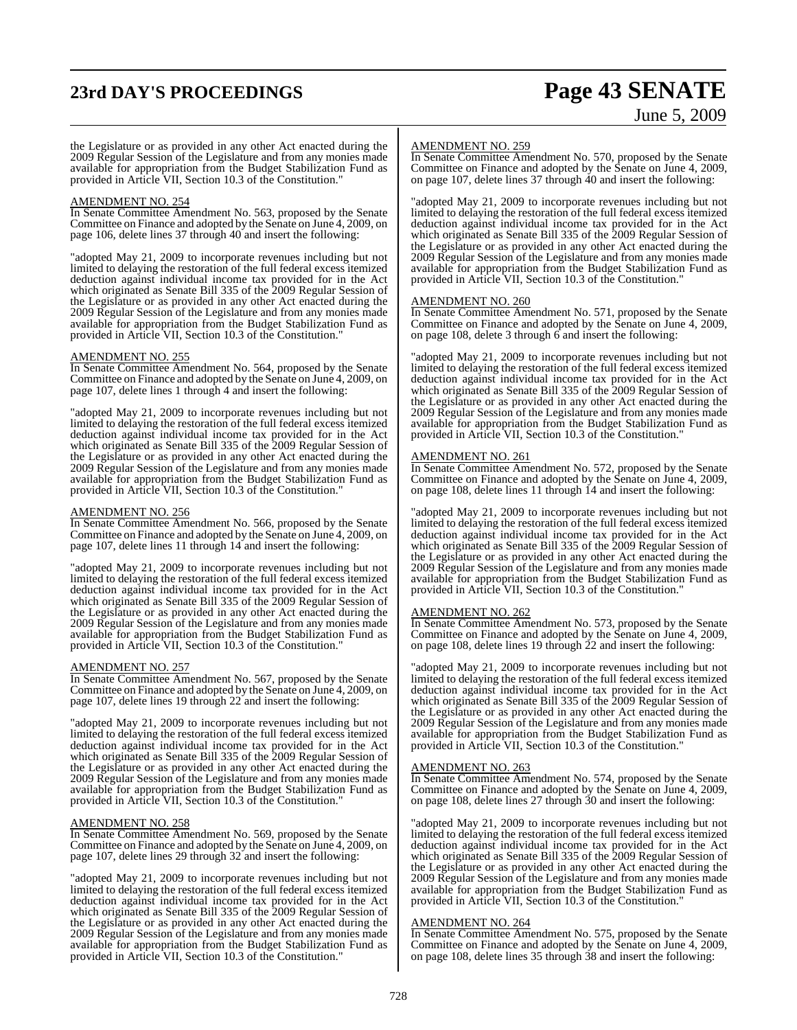# **23rd DAY'S PROCEEDINGS Page 43 SENATE**

# June 5, 2009

the Legislature or as provided in any other Act enacted during the 2009 Regular Session of the Legislature and from any monies made available for appropriation from the Budget Stabilization Fund as provided in Article VII, Section 10.3 of the Constitution."

### AMENDMENT NO. 254

In Senate Committee Amendment No. 563, proposed by the Senate Committee on Finance and adopted by the Senate on June 4, 2009, on page 106, delete lines 37 through 40 and insert the following:

"adopted May 21, 2009 to incorporate revenues including but not limited to delaying the restoration of the full federal excess itemized deduction against individual income tax provided for in the Act which originated as Senate Bill 335 of the 2009 Regular Session of the Legislature or as provided in any other Act enacted during the 2009 Regular Session of the Legislature and from any monies made available for appropriation from the Budget Stabilization Fund as provided in Article VII, Section 10.3 of the Constitution."

### AMENDMENT NO. 255

In Senate Committee Amendment No. 564, proposed by the Senate Committee on Finance and adopted by the Senate on June 4, 2009, on page 107, delete lines 1 through 4 and insert the following:

"adopted May 21, 2009 to incorporate revenues including but not limited to delaying the restoration of the full federal excess itemized deduction against individual income tax provided for in the Act which originated as Senate Bill 335 of the 2009 Regular Session of the Legislature or as provided in any other Act enacted during the 2009 Regular Session of the Legislature and from any monies made available for appropriation from the Budget Stabilization Fund as provided in Article VII, Section 10.3 of the Constitution."

### AMENDMENT NO. 256

In Senate Committee Amendment No. 566, proposed by the Senate Committee on Finance and adopted by the Senate on June 4, 2009, on page 107, delete lines 11 through 14 and insert the following:

"adopted May 21, 2009 to incorporate revenues including but not limited to delaying the restoration of the full federal excess itemized deduction against individual income tax provided for in the Act which originated as Senate Bill 335 of the 2009 Regular Session of the Legislature or as provided in any other Act enacted during the 2009 Regular Session of the Legislature and from any monies made available for appropriation from the Budget Stabilization Fund as provided in Article VII, Section 10.3 of the Constitution."

### AMENDMENT NO. 257

In Senate Committee Amendment No. 567, proposed by the Senate Committee on Finance and adopted by the Senate on June 4, 2009, on page 107, delete lines 19 through 22 and insert the following:

"adopted May 21, 2009 to incorporate revenues including but not limited to delaying the restoration of the full federal excess itemized deduction against individual income tax provided for in the Act which originated as Senate Bill 335 of the 2009 Regular Session of the Legislature or as provided in any other Act enacted during the 2009 Regular Session of the Legislature and from any monies made available for appropriation from the Budget Stabilization Fund as provided in Article VII, Section 10.3 of the Constitution."

### AMENDMENT NO. 258

In Senate Committee Amendment No. 569, proposed by the Senate Committee on Finance and adopted by the Senate on June 4, 2009, on page 107, delete lines 29 through 32 and insert the following:

"adopted May 21, 2009 to incorporate revenues including but not limited to delaying the restoration of the full federal excess itemized deduction against individual income tax provided for in the Act which originated as Senate Bill 335 of the 2009 Regular Session of the Legislature or as provided in any other Act enacted during the 2009 Regular Session of the Legislature and from any monies made available for appropriation from the Budget Stabilization Fund as provided in Article VII, Section 10.3 of the Constitution."

### AMENDMENT NO. 259

In Senate Committee Amendment No. 570, proposed by the Senate Committee on Finance and adopted by the Senate on June 4, 2009, on page 107, delete lines 37 through 40 and insert the following:

"adopted May 21, 2009 to incorporate revenues including but not limited to delaying the restoration of the full federal excess itemized deduction against individual income tax provided for in the Act which originated as Senate Bill 335 of the 2009 Regular Session of the Legislature or as provided in any other Act enacted during the 2009 Regular Session of the Legislature and from any monies made available for appropriation from the Budget Stabilization Fund as provided in Article VII, Section 10.3 of the Constitution."

### AMENDMENT NO. 260

In Senate Committee Amendment No. 571, proposed by the Senate Committee on Finance and adopted by the Senate on June 4, 2009, on page 108, delete 3 through 6 and insert the following:

"adopted May 21, 2009 to incorporate revenues including but not limited to delaying the restoration of the full federal excess itemized deduction against individual income tax provided for in the Act which originated as Senate Bill 335 of the 2009 Regular Session of the Legislature or as provided in any other Act enacted during the 2009 Regular Session of the Legislature and from any monies made available for appropriation from the Budget Stabilization Fund as provided in Article VII, Section 10.3 of the Constitution."

### AMENDMENT NO. 261

In Senate Committee Amendment No. 572, proposed by the Senate Committee on Finance and adopted by the Senate on June 4, 2009, on page 108, delete lines 11 through 14 and insert the following:

"adopted May 21, 2009 to incorporate revenues including but not limited to delaying the restoration of the full federal excess itemized deduction against individual income tax provided for in the Act which originated as Senate Bill 335 of the 2009 Regular Session of the Legislature or as provided in any other Act enacted during the 2009 Regular Session of the Legislature and from any monies made available for appropriation from the Budget Stabilization Fund as provided in Article VII, Section 10.3 of the Constitution."

### AMENDMENT NO. 262

In Senate Committee Amendment No. 573, proposed by the Senate Committee on Finance and adopted by the Senate on June 4, 2009, on page 108, delete lines 19 through 22 and insert the following:

"adopted May 21, 2009 to incorporate revenues including but not limited to delaying the restoration of the full federal excess itemized deduction against individual income tax provided for in the Act which originated as Senate Bill 335 of the 2009 Regular Session of the Legislature or as provided in any other Act enacted during the 2009 Regular Session of the Legislature and from any monies made available for appropriation from the Budget Stabilization Fund as provided in Article VII, Section 10.3 of the Constitution."

### AMENDMENT NO. 263

In Senate Committee Amendment No. 574, proposed by the Senate Committee on Finance and adopted by the Senate on June 4, 2009, on page 108, delete lines 27 through 30 and insert the following:

"adopted May 21, 2009 to incorporate revenues including but not limited to delaying the restoration of the full federal excess itemized deduction against individual income tax provided for in the Act which originated as Senate Bill 335 of the 2009 Regular Session of the Legislature or as provided in any other Act enacted during the 2009 Regular Session of the Legislature and from any monies made available for appropriation from the Budget Stabilization Fund as provided in Article VII, Section 10.3 of the Constitution."

### AMENDMENT NO. 264

In Senate Committee Amendment No. 575, proposed by the Senate Committee on Finance and adopted by the Senate on June 4, 2009, on page 108, delete lines 35 through 38 and insert the following: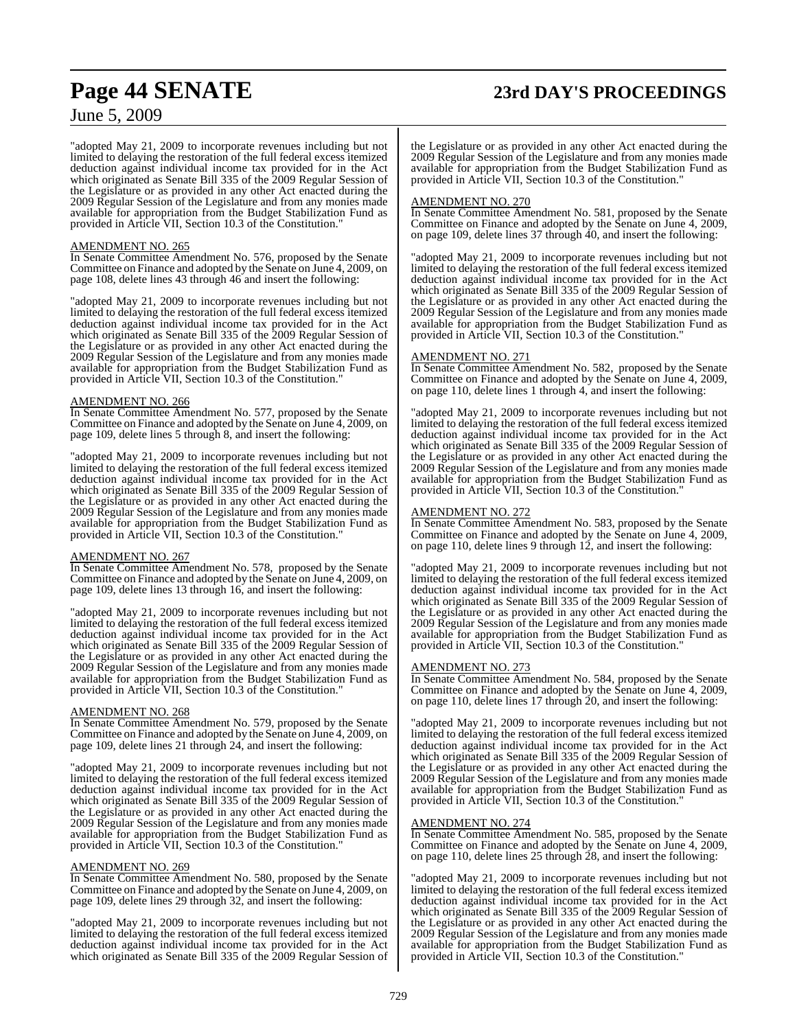# **Page 44 SENATE 23rd DAY'S PROCEEDINGS**

# June 5, 2009

"adopted May 21, 2009 to incorporate revenues including but not limited to delaying the restoration of the full federal excess itemized deduction against individual income tax provided for in the Act which originated as Senate Bill 335 of the 2009 Regular Session of the Legislature or as provided in any other Act enacted during the 2009 Regular Session of the Legislature and from any monies made available for appropriation from the Budget Stabilization Fund as provided in Article VII, Section 10.3 of the Constitution."

### AMENDMENT NO. 265

In Senate Committee Amendment No. 576, proposed by the Senate Committee on Finance and adopted by the Senate on June 4, 2009, on page 108, delete lines 43 through 46 and insert the following:

"adopted May 21, 2009 to incorporate revenues including but not limited to delaying the restoration of the full federal excess itemized deduction against individual income tax provided for in the Act which originated as Senate Bill 335 of the 2009 Regular Session of the Legislature or as provided in any other Act enacted during the 2009 Regular Session of the Legislature and from any monies made available for appropriation from the Budget Stabilization Fund as provided in Article VII, Section 10.3 of the Constitution."

### AMENDMENT NO. 266

In Senate Committee Amendment No. 577, proposed by the Senate Committee on Finance and adopted by the Senate on June 4, 2009, on page 109, delete lines 5 through 8, and insert the following:

"adopted May 21, 2009 to incorporate revenues including but not limited to delaying the restoration of the full federal excess itemized deduction against individual income tax provided for in the Act which originated as Senate Bill 335 of the 2009 Regular Session of the Legislature or as provided in any other Act enacted during the 2009 Regular Session of the Legislature and from any monies made available for appropriation from the Budget Stabilization Fund as provided in Article VII, Section 10.3 of the Constitution."

### AMENDMENT NO. 267

In Senate Committee Amendment No. 578, proposed by the Senate Committee on Finance and adopted by the Senate on June 4, 2009, on page 109, delete lines 13 through 16, and insert the following:

"adopted May 21, 2009 to incorporate revenues including but not limited to delaying the restoration of the full federal excess itemized deduction against individual income tax provided for in the Act which originated as Senate Bill 335 of the 2009 Regular Session of the Legislature or as provided in any other Act enacted during the 2009 Regular Session of the Legislature and from any monies made available for appropriation from the Budget Stabilization Fund as provided in Article VII, Section 10.3 of the Constitution."

### AMENDMENT NO. 268

In Senate Committee Amendment No. 579, proposed by the Senate Committee on Finance and adopted by the Senate on June 4, 2009, on page 109, delete lines 21 through 24, and insert the following:

"adopted May 21, 2009 to incorporate revenues including but not limited to delaying the restoration of the full federal excess itemized deduction against individual income tax provided for in the Act which originated as Senate Bill 335 of the 2009 Regular Session of the Legislature or as provided in any other Act enacted during the 2009 Regular Session of the Legislature and from any monies made available for appropriation from the Budget Stabilization Fund as provided in Article VII, Section 10.3 of the Constitution."

### AMENDMENT NO. 269

In Senate Committee Amendment No. 580, proposed by the Senate Committee on Finance and adopted by the Senate on June 4, 2009, on page 109, delete lines 29 through 32, and insert the following:

"adopted May 21, 2009 to incorporate revenues including but not limited to delaying the restoration of the full federal excess itemized deduction against individual income tax provided for in the Act which originated as Senate Bill 335 of the 2009 Regular Session of

the Legislature or as provided in any other Act enacted during the 2009 Regular Session of the Legislature and from any monies made available for appropriation from the Budget Stabilization Fund as provided in Article VII, Section 10.3 of the Constitution."

### AMENDMENT NO. 270

In Senate Committee Amendment No. 581, proposed by the Senate Committee on Finance and adopted by the Senate on June 4, 2009, on page 109, delete lines 37 through 40, and insert the following:

"adopted May 21, 2009 to incorporate revenues including but not limited to delaying the restoration of the full federal excess itemized deduction against individual income tax provided for in the Act which originated as Senate Bill 335 of the 2009 Regular Session of the Legislature or as provided in any other Act enacted during the 2009 Regular Session of the Legislature and from any monies made available for appropriation from the Budget Stabilization Fund as provided in Article VII, Section 10.3 of the Constitution."

### AMENDMENT NO. 271

In Senate Committee Amendment No. 582, proposed by the Senate Committee on Finance and adopted by the Senate on June 4, 2009, on page 110, delete lines 1 through 4, and insert the following:

adopted May 21, 2009 to incorporate revenues including but not limited to delaying the restoration of the full federal excess itemized deduction against individual income tax provided for in the Act which originated as Senate Bill 335 of the 2009 Regular Session of the Legislature or as provided in any other Act enacted during the 2009 Regular Session of the Legislature and from any monies made available for appropriation from the Budget Stabilization Fund as provided in Article VII, Section 10.3 of the Constitution."

### AMENDMENT NO. 272

In Senate Committee Amendment No. 583, proposed by the Senate Committee on Finance and adopted by the Senate on June 4, 2009, on page 110, delete lines 9 through 12, and insert the following:

"adopted May 21, 2009 to incorporate revenues including but not limited to delaying the restoration of the full federal excess itemized deduction against individual income tax provided for in the Act which originated as Senate Bill 335 of the 2009 Regular Session of the Legislature or as provided in any other Act enacted during the 2009 Regular Session of the Legislature and from any monies made available for appropriation from the Budget Stabilization Fund as provided in Article VII, Section 10.3 of the Constitution."

### AMENDMENT NO. 273

In Senate Committee Amendment No. 584, proposed by the Senate Committee on Finance and adopted by the Senate on June 4, 2009, on page 110, delete lines 17 through 20, and insert the following:

"adopted May 21, 2009 to incorporate revenues including but not limited to delaying the restoration of the full federal excess itemized deduction against individual income tax provided for in the Act which originated as Senate Bill 335 of the 2009 Regular Session of the Legislature or as provided in any other Act enacted during the 2009 Regular Session of the Legislature and from any monies made available for appropriation from the Budget Stabilization Fund as provided in Article VII, Section 10.3 of the Constitution."

### AMENDMENT NO. 274

In Senate Committee Amendment No. 585, proposed by the Senate Committee on Finance and adopted by the Senate on June 4, 2009, on page 110, delete lines 25 through 28, and insert the following:

adopted May 21, 2009 to incorporate revenues including but not limited to delaying the restoration of the full federal excess itemized deduction against individual income tax provided for in the Act which originated as Senate Bill 335 of the 2009 Regular Session of the Legislature or as provided in any other Act enacted during the 2009 Regular Session of the Legislature and from any monies made available for appropriation from the Budget Stabilization Fund as provided in Article VII, Section 10.3 of the Constitution."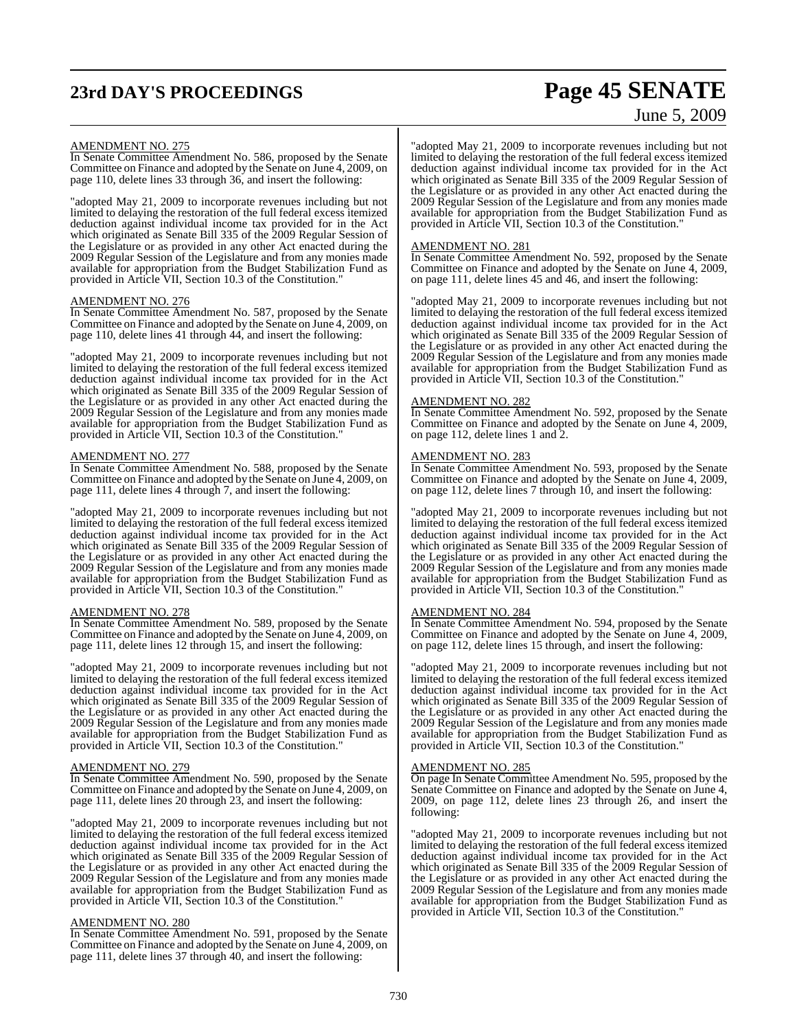# **23rd DAY'S PROCEEDINGS Page 45 SENATE**

# June 5, 2009

### AMENDMENT NO. 275

In Senate Committee Amendment No. 586, proposed by the Senate Committee on Finance and adopted by the Senate on June 4, 2009, on page 110, delete lines 33 through 36, and insert the following:

"adopted May 21, 2009 to incorporate revenues including but not limited to delaying the restoration of the full federal excess itemized deduction against individual income tax provided for in the Act which originated as Senate Bill 335 of the 2009 Regular Session of the Legislature or as provided in any other Act enacted during the 2009 Regular Session of the Legislature and from any monies made available for appropriation from the Budget Stabilization Fund as provided in Article VII, Section 10.3 of the Constitution."

### AMENDMENT NO. 276

In Senate Committee Amendment No. 587, proposed by the Senate Committee on Finance and adopted by the Senate on June 4, 2009, on page 110, delete lines 41 through 44, and insert the following:

"adopted May 21, 2009 to incorporate revenues including but not limited to delaying the restoration of the full federal excess itemized deduction against individual income tax provided for in the Act which originated as Senate Bill 335 of the 2009 Regular Session of the Legislature or as provided in any other Act enacted during the 2009 Regular Session of the Legislature and from any monies made available for appropriation from the Budget Stabilization Fund as provided in Article VII, Section 10.3 of the Constitution."

### AMENDMENT NO. 277

In Senate Committee Amendment No. 588, proposed by the Senate Committee on Finance and adopted by the Senate on June 4, 2009, on page 111, delete lines 4 through 7, and insert the following:

"adopted May 21, 2009 to incorporate revenues including but not limited to delaying the restoration of the full federal excess itemized deduction against individual income tax provided for in the Act which originated as Senate Bill 335 of the 2009 Regular Session of the Legislature or as provided in any other Act enacted during the 2009 Regular Session of the Legislature and from any monies made available for appropriation from the Budget Stabilization Fund as provided in Article VII, Section 10.3 of the Constitution."

### AMENDMENT NO. 278

In Senate Committee Amendment No. 589, proposed by the Senate Committee on Finance and adopted by the Senate on June 4, 2009, on page 111, delete lines 12 through 15, and insert the following:

"adopted May 21, 2009 to incorporate revenues including but not limited to delaying the restoration of the full federal excess itemized deduction against individual income tax provided for in the Act which originated as Senate Bill 335 of the 2009 Regular Session of the Legislature or as provided in any other Act enacted during the 2009 Regular Session of the Legislature and from any monies made available for appropriation from the Budget Stabilization Fund as provided in Article VII, Section 10.3 of the Constitution."

### AMENDMENT NO. 279

In Senate Committee Amendment No. 590, proposed by the Senate Committee on Finance and adopted by the Senate on June 4, 2009, on page 111, delete lines 20 through 23, and insert the following:

"adopted May 21, 2009 to incorporate revenues including but not limited to delaying the restoration of the full federal excess itemized deduction against individual income tax provided for in the Act which originated as Senate Bill 335 of the 2009 Regular Session of the Legislature or as provided in any other Act enacted during the 2009 Regular Session of the Legislature and from any monies made available for appropriation from the Budget Stabilization Fund as provided in Article VII, Section 10.3 of the Constitution."

### AMENDMENT NO. 280

In Senate Committee Amendment No. 591, proposed by the Senate Committee on Finance and adopted by the Senate on June 4, 2009, on page 111, delete lines 37 through 40, and insert the following:

"adopted May 21, 2009 to incorporate revenues including but not limited to delaying the restoration of the full federal excess itemized deduction against individual income tax provided for in the Act which originated as Senate Bill 335 of the 2009 Regular Session of the Legislature or as provided in any other Act enacted during the 2009 Regular Session of the Legislature and from any monies made available for appropriation from the Budget Stabilization Fund as provided in Article VII, Section 10.3 of the Constitution."

### AMENDMENT NO. 281

In Senate Committee Amendment No. 592, proposed by the Senate Committee on Finance and adopted by the Senate on June 4, 2009, on page 111, delete lines 45 and 46, and insert the following:

"adopted May 21, 2009 to incorporate revenues including but not limited to delaying the restoration of the full federal excess itemized deduction against individual income tax provided for in the Act which originated as Senate Bill 335 of the 2009 Regular Session of the Legislature or as provided in any other Act enacted during the 2009 Regular Session of the Legislature and from any monies made available for appropriation from the Budget Stabilization Fund as provided in Article VII, Section 10.3 of the Constitution."

### AMENDMENT NO. 282

In Senate Committee Amendment No. 592, proposed by the Senate Committee on Finance and adopted by the Senate on June 4, 2009, on page 112, delete lines 1 and 2.

### AMENDMENT NO. 283

In Senate Committee Amendment No. 593, proposed by the Senate Committee on Finance and adopted by the Senate on June 4, 2009, on page 112, delete lines 7 through 10, and insert the following:

"adopted May 21, 2009 to incorporate revenues including but not limited to delaying the restoration of the full federal excess itemized deduction against individual income tax provided for in the Act which originated as Senate Bill 335 of the 2009 Regular Session of the Legislature or as provided in any other Act enacted during the 2009 Regular Session of the Legislature and from any monies made available for appropriation from the Budget Stabilization Fund as provided in Article VII, Section 10.3 of the Constitution."

### AMENDMENT NO. 284

In Senate Committee Amendment No. 594, proposed by the Senate Committee on Finance and adopted by the Senate on June 4, 2009, on page 112, delete lines 15 through, and insert the following:

"adopted May 21, 2009 to incorporate revenues including but not limited to delaying the restoration of the full federal excess itemized deduction against individual income tax provided for in the Act which originated as Senate Bill 335 of the 2009 Regular Session of the Legislature or as provided in any other Act enacted during the 2009 Regular Session of the Legislature and from any monies made available for appropriation from the Budget Stabilization Fund as provided in Article VII, Section 10.3 of the Constitution."

### AMENDMENT NO. 285

On page In Senate Committee Amendment No. 595, proposed by the Senate Committee on Finance and adopted by the Senate on June 4, 2009, on page 112, delete lines 23 through 26, and insert the following:

"adopted May 21, 2009 to incorporate revenues including but not limited to delaying the restoration of the full federal excess itemized deduction against individual income tax provided for in the Act which originated as Senate Bill 335 of the 2009 Regular Session of the Legislature or as provided in any other Act enacted during the 2009 Regular Session of the Legislature and from any monies made available for appropriation from the Budget Stabilization Fund as provided in Article VII, Section 10.3 of the Constitution."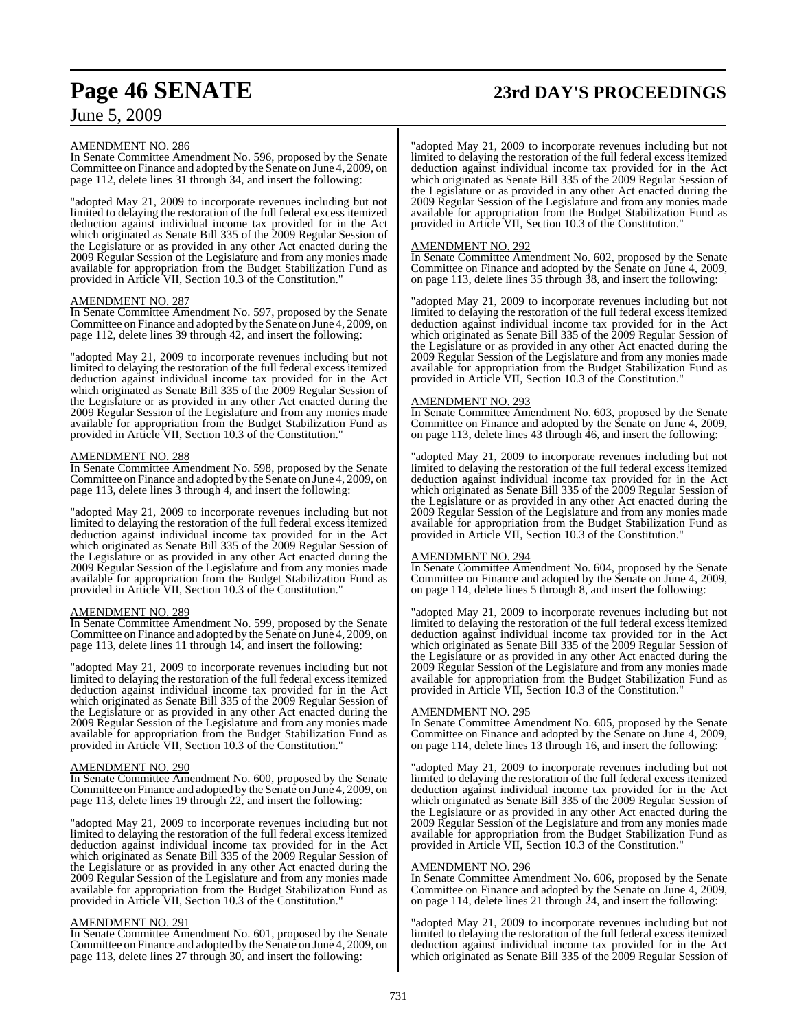# **Page 46 SENATE 23rd DAY'S PROCEEDINGS**

## June 5, 2009

### AMENDMENT NO. 286

In Senate Committee Amendment No. 596, proposed by the Senate Committee on Finance and adopted by the Senate on June 4, 2009, on page 112, delete lines 31 through 34, and insert the following:

"adopted May 21, 2009 to incorporate revenues including but not limited to delaying the restoration of the full federal excess itemized deduction against individual income tax provided for in the Act which originated as Senate Bill 335 of the 2009 Regular Session of the Legislature or as provided in any other Act enacted during the 2009 Regular Session of the Legislature and from any monies made available for appropriation from the Budget Stabilization Fund as provided in Article VII, Section 10.3 of the Constitution."

### AMENDMENT NO. 287

In Senate Committee Amendment No. 597, proposed by the Senate Committee on Finance and adopted by the Senate on June 4, 2009, on page 112, delete lines 39 through 42, and insert the following:

"adopted May 21, 2009 to incorporate revenues including but not limited to delaying the restoration of the full federal excess itemized deduction against individual income tax provided for in the Act which originated as Senate Bill 335 of the 2009 Regular Session of the Legislature or as provided in any other Act enacted during the 2009 Regular Session of the Legislature and from any monies made available for appropriation from the Budget Stabilization Fund as provided in Article VII, Section 10.3 of the Constitution."

### AMENDMENT NO. 288

In Senate Committee Amendment No. 598, proposed by the Senate Committee on Finance and adopted by the Senate on June 4, 2009, on page 113, delete lines 3 through 4, and insert the following:

"adopted May 21, 2009 to incorporate revenues including but not limited to delaying the restoration of the full federal excess itemized deduction against individual income tax provided for in the Act which originated as Senate Bill 335 of the 2009 Regular Session of the Legislature or as provided in any other Act enacted during the 2009 Regular Session of the Legislature and from any monies made available for appropriation from the Budget Stabilization Fund as provided in Article VII, Section 10.3 of the Constitution."

### AMENDMENT NO. 289

In Senate Committee Amendment No. 599, proposed by the Senate Committee on Finance and adopted by the Senate on June 4, 2009, on page 113, delete lines 11 through 14, and insert the following:

"adopted May 21, 2009 to incorporate revenues including but not limited to delaying the restoration of the full federal excess itemized deduction against individual income tax provided for in the Act which originated as Senate Bill 335 of the 2009 Regular Session of the Legislature or as provided in any other Act enacted during the 2009 Regular Session of the Legislature and from any monies made available for appropriation from the Budget Stabilization Fund as provided in Article VII, Section 10.3 of the Constitution."

### AMENDMENT NO. 290

In Senate Committee Amendment No. 600, proposed by the Senate Committee on Finance and adopted by the Senate on June 4, 2009, on page 113, delete lines 19 through 22, and insert the following:

"adopted May 21, 2009 to incorporate revenues including but not limited to delaying the restoration of the full federal excess itemized deduction against individual income tax provided for in the Act which originated as Senate Bill 335 of the 2009 Regular Session of the Legislature or as provided in any other Act enacted during the 2009 Regular Session of the Legislature and from any monies made available for appropriation from the Budget Stabilization Fund as provided in Article VII, Section 10.3 of the Constitution."

### AMENDMENT NO. 291

In Senate Committee Amendment No. 601, proposed by the Senate Committee on Finance and adopted by the Senate on June 4, 2009, on page 113, delete lines 27 through 30, and insert the following:

"adopted May 21, 2009 to incorporate revenues including but not limited to delaying the restoration of the full federal excess itemized deduction against individual income tax provided for in the Act which originated as Senate Bill 335 of the 2009 Regular Session of the Legislature or as provided in any other Act enacted during the 2009 Regular Session of the Legislature and from any monies made available for appropriation from the Budget Stabilization Fund as provided in Article VII, Section 10.3 of the Constitution."

### AMENDMENT NO. 292

In Senate Committee Amendment No. 602, proposed by the Senate Committee on Finance and adopted by the Senate on June 4, 2009, on page 113, delete lines 35 through 38, and insert the following:

"adopted May 21, 2009 to incorporate revenues including but not limited to delaying the restoration of the full federal excess itemized deduction against individual income tax provided for in the Act which originated as Senate Bill 335 of the 2009 Regular Session of the Legislature or as provided in any other Act enacted during the 2009 Regular Session of the Legislature and from any monies made available for appropriation from the Budget Stabilization Fund as provided in Article VII, Section 10.3 of the Constitution."

### AMENDMENT NO. 293

In Senate Committee Amendment No. 603, proposed by the Senate Committee on Finance and adopted by the Senate on June 4, 2009, on page 113, delete lines 43 through 46, and insert the following:

"adopted May 21, 2009 to incorporate revenues including but not limited to delaying the restoration of the full federal excess itemized deduction against individual income tax provided for in the Act which originated as Senate Bill 335 of the 2009 Regular Session of the Legislature or as provided in any other Act enacted during the 2009 Regular Session of the Legislature and from any monies made available for appropriation from the Budget Stabilization Fund as provided in Article VII, Section 10.3 of the Constitution."

### AMENDMENT NO. 294

In Senate Committee Amendment No. 604, proposed by the Senate Committee on Finance and adopted by the Senate on June 4, 2009, on page 114, delete lines 5 through 8, and insert the following:

"adopted May 21, 2009 to incorporate revenues including but not limited to delaying the restoration of the full federal excess itemized deduction against individual income tax provided for in the Act which originated as Senate Bill 335 of the 2009 Regular Session of the Legislature or as provided in any other Act enacted during the 2009 Regular Session of the Legislature and from any monies made available for appropriation from the Budget Stabilization Fund as provided in Article VII, Section 10.3 of the Constitution."

### AMENDMENT NO. 295

In Senate Committee Amendment No. 605, proposed by the Senate Committee on Finance and adopted by the Senate on June 4, 2009, on page 114, delete lines 13 through 16, and insert the following:

"adopted May 21, 2009 to incorporate revenues including but not limited to delaying the restoration of the full federal excess itemized deduction against individual income tax provided for in the Act which originated as Senate Bill 335 of the 2009 Regular Session of the Legislature or as provided in any other Act enacted during the 2009 Regular Session of the Legislature and from any monies made available for appropriation from the Budget Stabilization Fund as provided in Article VII, Section 10.3 of the Constitution."

### AMENDMENT NO. 296

In Senate Committee Amendment No. 606, proposed by the Senate Committee on Finance and adopted by the Senate on June 4, 2009, on page 114, delete lines 21 through 24, and insert the following:

"adopted May 21, 2009 to incorporate revenues including but not limited to delaying the restoration of the full federal excess itemized deduction against individual income tax provided for in the Act which originated as Senate Bill 335 of the 2009 Regular Session of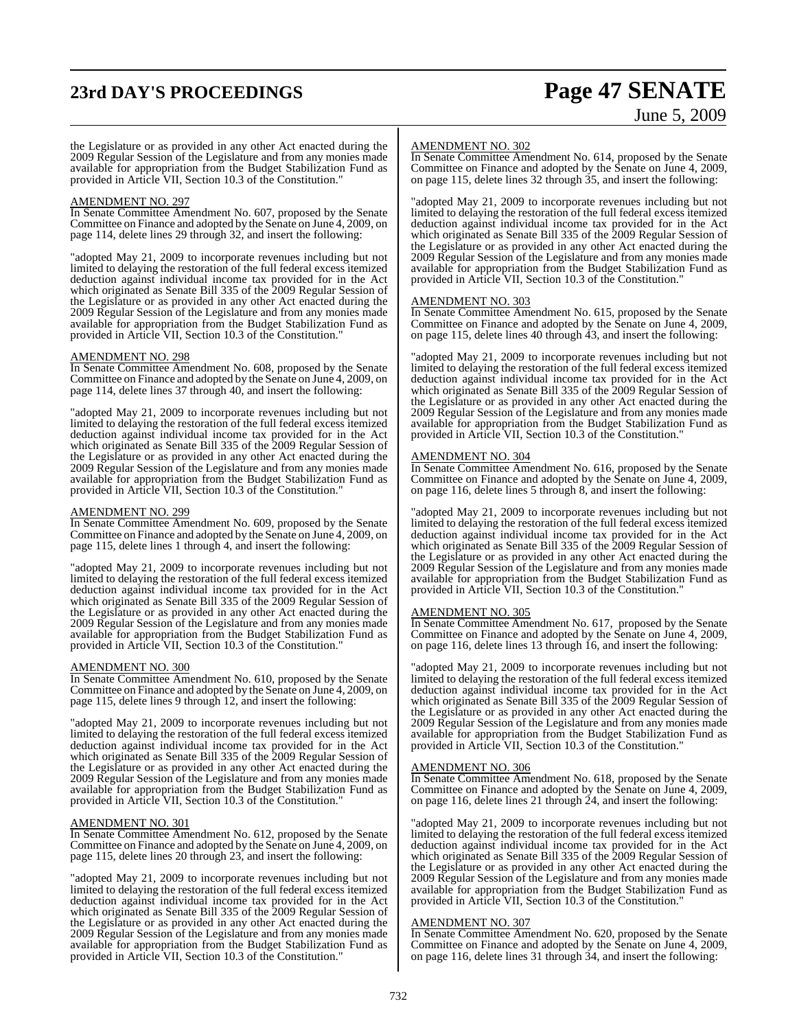# **23rd DAY'S PROCEEDINGS Page 47 SENATE**

# June 5, 2009

the Legislature or as provided in any other Act enacted during the 2009 Regular Session of the Legislature and from any monies made available for appropriation from the Budget Stabilization Fund as provided in Article VII, Section 10.3 of the Constitution."

### AMENDMENT NO. 297

In Senate Committee Amendment No. 607, proposed by the Senate Committee on Finance and adopted by the Senate on June 4, 2009, on page 114, delete lines 29 through 32, and insert the following:

"adopted May 21, 2009 to incorporate revenues including but not limited to delaying the restoration of the full federal excess itemized deduction against individual income tax provided for in the Act which originated as Senate Bill 335 of the 2009 Regular Session of the Legislature or as provided in any other Act enacted during the 2009 Regular Session of the Legislature and from any monies made available for appropriation from the Budget Stabilization Fund as provided in Article VII, Section 10.3 of the Constitution."

### AMENDMENT NO. 298

In Senate Committee Amendment No. 608, proposed by the Senate Committee on Finance and adopted by the Senate on June 4, 2009, on page 114, delete lines 37 through 40, and insert the following:

"adopted May 21, 2009 to incorporate revenues including but not limited to delaying the restoration of the full federal excess itemized deduction against individual income tax provided for in the Act which originated as Senate Bill 335 of the 2009 Regular Session of the Legislature or as provided in any other Act enacted during the 2009 Regular Session of the Legislature and from any monies made available for appropriation from the Budget Stabilization Fund as provided in Article VII, Section 10.3 of the Constitution."

### AMENDMENT NO. 299

In Senate Committee Amendment No. 609, proposed by the Senate Committee on Finance and adopted by the Senate on June 4, 2009, on page 115, delete lines 1 through 4, and insert the following:

"adopted May 21, 2009 to incorporate revenues including but not limited to delaying the restoration of the full federal excess itemized deduction against individual income tax provided for in the Act which originated as Senate Bill 335 of the 2009 Regular Session of the Legislature or as provided in any other Act enacted during the 2009 Regular Session of the Legislature and from any monies made available for appropriation from the Budget Stabilization Fund as provided in Article VII, Section 10.3 of the Constitution."

### AMENDMENT NO. 300

In Senate Committee Amendment No. 610, proposed by the Senate Committee on Finance and adopted by the Senate on June 4, 2009, on page 115, delete lines 9 through 12, and insert the following:

"adopted May 21, 2009 to incorporate revenues including but not limited to delaying the restoration of the full federal excess itemized deduction against individual income tax provided for in the Act which originated as Senate Bill 335 of the 2009 Regular Session of the Legislature or as provided in any other Act enacted during the 2009 Regular Session of the Legislature and from any monies made available for appropriation from the Budget Stabilization Fund as provided in Article VII, Section 10.3 of the Constitution."

### AMENDMENT NO. 301

In Senate Committee Amendment No. 612, proposed by the Senate Committee on Finance and adopted by the Senate on June 4, 2009, on page 115, delete lines 20 through 23, and insert the following:

"adopted May 21, 2009 to incorporate revenues including but not limited to delaying the restoration of the full federal excess itemized deduction against individual income tax provided for in the Act which originated as Senate Bill 335 of the 2009 Regular Session of the Legislature or as provided in any other Act enacted during the 2009 Regular Session of the Legislature and from any monies made available for appropriation from the Budget Stabilization Fund as provided in Article VII, Section 10.3 of the Constitution."

### AMENDMENT NO. 302

In Senate Committee Amendment No. 614, proposed by the Senate Committee on Finance and adopted by the Senate on June 4, 2009, on page 115, delete lines 32 through 35, and insert the following:

"adopted May 21, 2009 to incorporate revenues including but not limited to delaying the restoration of the full federal excess itemized deduction against individual income tax provided for in the Act which originated as Senate Bill 335 of the 2009 Regular Session of the Legislature or as provided in any other Act enacted during the 2009 Regular Session of the Legislature and from any monies made available for appropriation from the Budget Stabilization Fund as provided in Article VII, Section 10.3 of the Constitution."

### AMENDMENT NO. 303

In Senate Committee Amendment No. 615, proposed by the Senate Committee on Finance and adopted by the Senate on June 4, 2009, on page 115, delete lines 40 through 43, and insert the following:

"adopted May 21, 2009 to incorporate revenues including but not limited to delaying the restoration of the full federal excess itemized deduction against individual income tax provided for in the Act which originated as Senate Bill 335 of the 2009 Regular Session of the Legislature or as provided in any other Act enacted during the 2009 Regular Session of the Legislature and from any monies made available for appropriation from the Budget Stabilization Fund as provided in Article VII, Section 10.3 of the Constitution."

### AMENDMENT NO. 304

In Senate Committee Amendment No. 616, proposed by the Senate Committee on Finance and adopted by the Senate on June 4, 2009, on page 116, delete lines 5 through 8, and insert the following:

"adopted May 21, 2009 to incorporate revenues including but not limited to delaying the restoration of the full federal excess itemized deduction against individual income tax provided for in the Act which originated as Senate Bill 335 of the 2009 Regular Session of the Legislature or as provided in any other Act enacted during the 2009 Regular Session of the Legislature and from any monies made available for appropriation from the Budget Stabilization Fund as provided in Article VII, Section 10.3 of the Constitution."

### AMENDMENT NO. 305

In Senate Committee Amendment No. 617, proposed by the Senate Committee on Finance and adopted by the Senate on June 4, 2009, on page 116, delete lines 13 through 16, and insert the following:

"adopted May 21, 2009 to incorporate revenues including but not limited to delaying the restoration of the full federal excess itemized deduction against individual income tax provided for in the Act which originated as Senate Bill 335 of the 2009 Regular Session of the Legislature or as provided in any other Act enacted during the 2009 Regular Session of the Legislature and from any monies made available for appropriation from the Budget Stabilization Fund as provided in Article VII, Section 10.3 of the Constitution."

### AMENDMENT NO. 306

In Senate Committee Amendment No. 618, proposed by the Senate Committee on Finance and adopted by the Senate on June 4, 2009, on page 116, delete lines 21 through 24, and insert the following:

"adopted May 21, 2009 to incorporate revenues including but not limited to delaying the restoration of the full federal excess itemized deduction against individual income tax provided for in the Act which originated as Senate Bill 335 of the 2009 Regular Session of the Legislature or as provided in any other Act enacted during the 2009 Regular Session of the Legislature and from any monies made available for appropriation from the Budget Stabilization Fund as provided in Article VII, Section 10.3 of the Constitution."

### AMENDMENT NO. 307

In Senate Committee Amendment No. 620, proposed by the Senate Committee on Finance and adopted by the Senate on June 4, 2009, on page 116, delete lines 31 through  $34$ , and insert the following: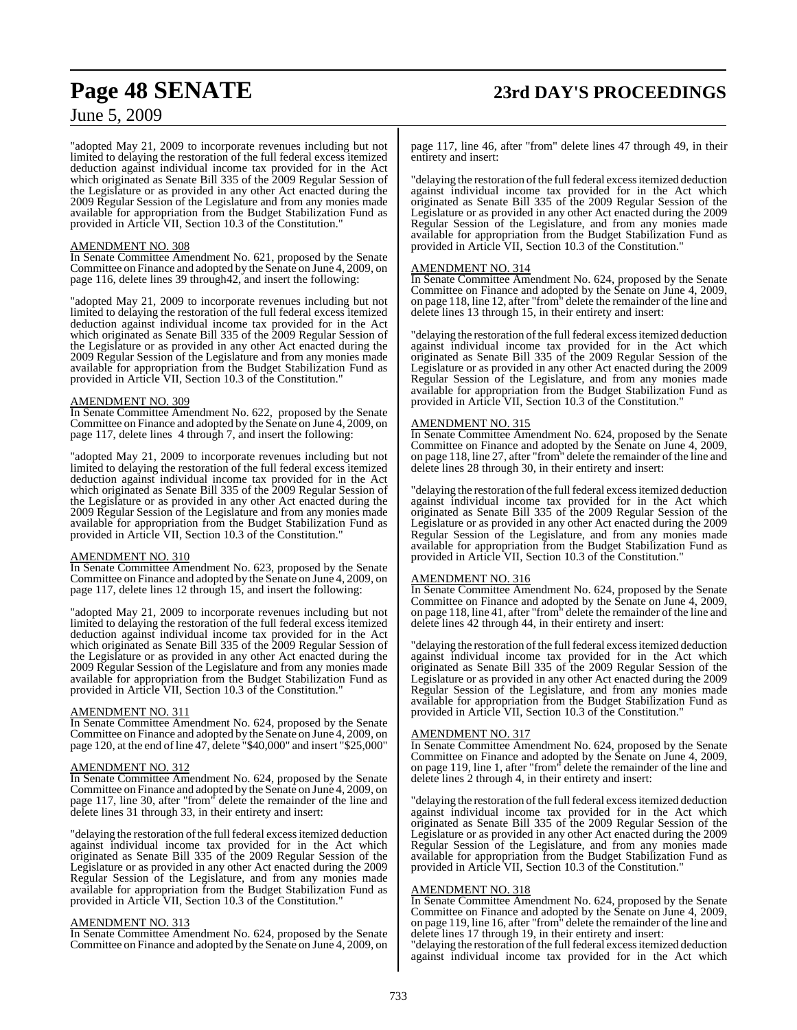# **Page 48 SENATE 23rd DAY'S PROCEEDINGS**

# June 5, 2009

"adopted May 21, 2009 to incorporate revenues including but not limited to delaying the restoration of the full federal excess itemized deduction against individual income tax provided for in the Act which originated as Senate Bill 335 of the 2009 Regular Session of the Legislature or as provided in any other Act enacted during the 2009 Regular Session of the Legislature and from any monies made available for appropriation from the Budget Stabilization Fund as provided in Article VII, Section 10.3 of the Constitution."

### AMENDMENT NO. 308

In Senate Committee Amendment No. 621, proposed by the Senate Committee on Finance and adopted by the Senate on June 4, 2009, on page 116, delete lines 39 through42, and insert the following:

"adopted May 21, 2009 to incorporate revenues including but not limited to delaying the restoration of the full federal excess itemized deduction against individual income tax provided for in the Act which originated as Senate Bill 335 of the 2009 Regular Session of the Legislature or as provided in any other Act enacted during the 2009 Regular Session of the Legislature and from any monies made available for appropriation from the Budget Stabilization Fund as provided in Article VII, Section 10.3 of the Constitution."

### AMENDMENT NO. 309

In Senate Committee Amendment No. 622, proposed by the Senate Committee on Finance and adopted by the Senate on June 4, 2009, on page 117, delete lines 4 through 7, and insert the following:

"adopted May 21, 2009 to incorporate revenues including but not limited to delaying the restoration of the full federal excess itemized deduction against individual income tax provided for in the Act which originated as Senate Bill 335 of the 2009 Regular Session of the Legislature or as provided in any other Act enacted during the 2009 Regular Session of the Legislature and from any monies made available for appropriation from the Budget Stabilization Fund as provided in Article VII, Section 10.3 of the Constitution."

### AMENDMENT NO. 310

In Senate Committee Amendment No. 623, proposed by the Senate Committee on Finance and adopted by the Senate on June 4, 2009, on page 117, delete lines 12 through 15, and insert the following:

"adopted May 21, 2009 to incorporate revenues including but not limited to delaying the restoration of the full federal excess itemized deduction against individual income tax provided for in the Act which originated as Senate Bill 335 of the 2009 Regular Session of the Legislature or as provided in any other Act enacted during the 2009 Regular Session of the Legislature and from any monies made available for appropriation from the Budget Stabilization Fund as provided in Article VII, Section 10.3 of the Constitution."

### AMENDMENT NO. 311

In Senate Committee Amendment No. 624, proposed by the Senate Committee on Finance and adopted by the Senate on June 4, 2009, on page 120, at the end ofline 47, delete "\$40,000" and insert "\$25,000"

### AMENDMENT NO. 312

In Senate Committee Amendment No. 624, proposed by the Senate Committee on Finance and adopted by the Senate on June 4, 2009, on page 117, line 30, after "from" delete the remainder of the line and delete lines 31 through 33, in their entirety and insert:

"delaying the restoration of the full federal excess itemized deduction against individual income tax provided for in the Act which originated as Senate Bill 335 of the 2009 Regular Session of the Legislature or as provided in any other Act enacted during the 2009 Regular Session of the Legislature, and from any monies made available for appropriation from the Budget Stabilization Fund as provided in Article VII, Section 10.3 of the Constitution."

### AMENDMENT NO. 313

In Senate Committee Amendment No. 624, proposed by the Senate Committee on Finance and adopted by the Senate on June 4, 2009, on

page 117, line 46, after "from" delete lines 47 through 49, in their entirety and insert:

"delaying the restoration of the full federal excess itemized deduction against individual income tax provided for in the Act which originated as Senate Bill 335 of the 2009 Regular Session of the Legislature or as provided in any other Act enacted during the 2009 Regular Session of the Legislature, and from any monies made available for appropriation from the Budget Stabilization Fund as provided in Article VII, Section 10.3 of the Constitution."

### AMENDMENT NO. 314

In Senate Committee Amendment No. 624, proposed by the Senate Committee on Finance and adopted by the Senate on June 4, 2009, on page 118, line 12, after "from" delete the remainder of the line and delete lines 13 through 15, in their entirety and insert:

"delaying the restoration of the full federal excess itemized deduction against individual income tax provided for in the Act which originated as Senate Bill 335 of the 2009 Regular Session of the Legislature or as provided in any other Act enacted during the 2009 Regular Session of the Legislature, and from any monies made available for appropriation from the Budget Stabilization Fund as provided in Article VII, Section 10.3 of the Constitution."

### AMENDMENT NO. 315

In Senate Committee Amendment No. 624, proposed by the Senate Committee on Finance and adopted by the Senate on June 4, 2009, on page 118, line 27, after "from" delete the remainder ofthe line and delete lines 28 through 30, in their entirety and insert:

"delaying the restoration of the full federal excess itemized deduction against individual income tax provided for in the Act which originated as Senate Bill 335 of the 2009 Regular Session of the Legislature or as provided in any other Act enacted during the 2009 Regular Session of the Legislature, and from any monies made available for appropriation from the Budget Stabilization Fund as provided in Article VII, Section 10.3 of the Constitution."

### AMENDMENT NO. 316

In Senate Committee Amendment No. 624, proposed by the Senate Committee on Finance and adopted by the Senate on June 4, 2009, on page 118, line 41, after "from" delete the remainder of the line and delete lines 42 through 44, in their entirety and insert:

"delaying the restoration of the full federal excess itemized deduction against individual income tax provided for in the Act which originated as Senate Bill 335 of the 2009 Regular Session of the Legislature or as provided in any other Act enacted during the 2009 Regular Session of the Legislature, and from any monies made available for appropriation from the Budget Stabilization Fund as provided in Article VII, Section 10.3 of the Constitution."

### AMENDMENT NO. 317

In Senate Committee Amendment No. 624, proposed by the Senate Committee on Finance and adopted by the Senate on June 4, 2009, on page 119, line 1, after "from" delete the remainder of the line and delete lines 2 through 4, in their entirety and insert:

"delaying the restoration of the full federal excess itemized deduction against individual income tax provided for in the Act which originated as Senate Bill 335 of the 2009 Regular Session of the Legislature or as provided in any other Act enacted during the 2009 Regular Session of the Legislature, and from any monies made available for appropriation from the Budget Stabilization Fund as provided in Article VII, Section 10.3 of the Constitution."

### AMENDMENT NO. 318

In Senate Committee Amendment No. 624, proposed by the Senate Committee on Finance and adopted by the Senate on June 4, 2009, on page 119, line 16, after "from" delete the remainder of the line and delete lines 17 through 19, in their entirety and insert:

"delaying the restoration of the full federal excess itemized deduction against individual income tax provided for in the Act which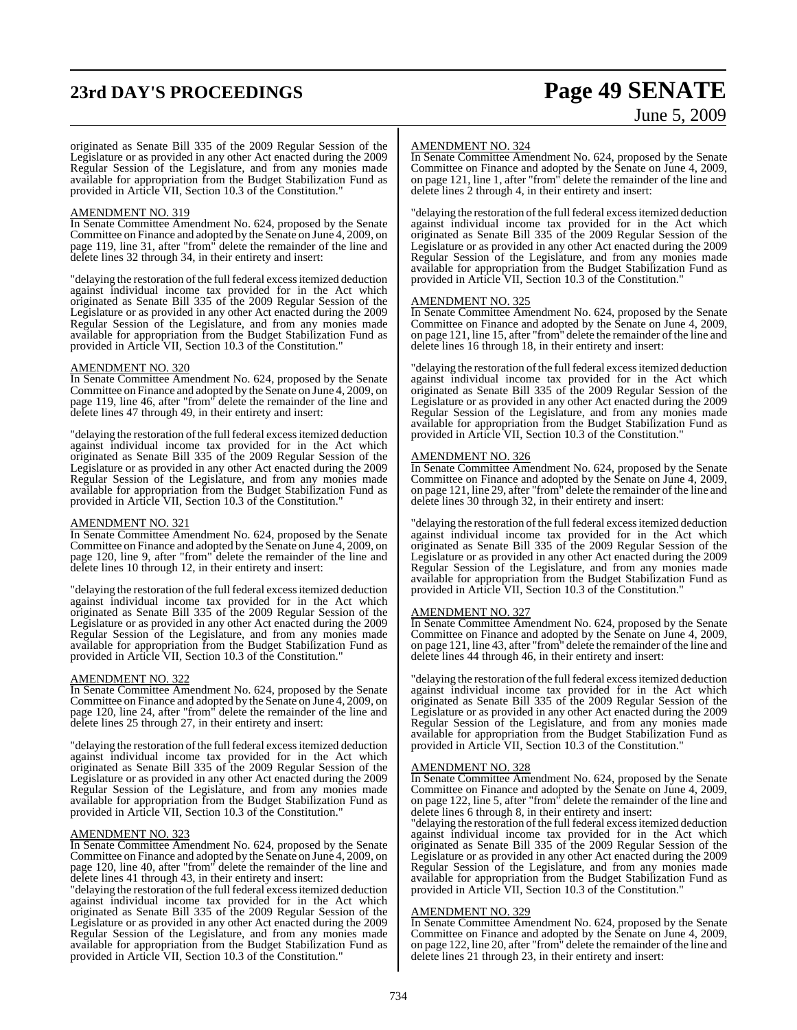# **23rd DAY'S PROCEEDINGS Page 49 SENATE**

# June 5, 2009

originated as Senate Bill 335 of the 2009 Regular Session of the Legislature or as provided in any other Act enacted during the 2009 Regular Session of the Legislature, and from any monies made available for appropriation from the Budget Stabilization Fund as provided in Article VII, Section 10.3 of the Constitution."

### AMENDMENT NO. 319

In Senate Committee Amendment No. 624, proposed by the Senate Committee on Finance and adopted by the Senate on June 4, 2009, on page 119, line 31, after "from" delete the remainder of the line and delete lines 32 through 34, in their entirety and insert:

"delaying the restoration of the full federal excess itemized deduction against individual income tax provided for in the Act which originated as Senate Bill 335 of the 2009 Regular Session of the Legislature or as provided in any other Act enacted during the 2009 Regular Session of the Legislature, and from any monies made available for appropriation from the Budget Stabilization Fund as provided in Article VII, Section 10.3 of the Constitution."

### AMENDMENT NO. 320

In Senate Committee Amendment No. 624, proposed by the Senate Committee on Finance and adopted by the Senate on June 4, 2009, on page 119, line 46, after "from" delete the remainder of the line and delete lines 47 through 49, in their entirety and insert:

"delaying the restoration of the full federal excess itemized deduction against individual income tax provided for in the Act which originated as Senate Bill 335 of the 2009 Regular Session of the Legislature or as provided in any other Act enacted during the 2009 Regular Session of the Legislature, and from any monies made available for appropriation from the Budget Stabilization Fund as provided in Article VII, Section 10.3 of the Constitution."

### AMENDMENT NO. 321

In Senate Committee Amendment No. 624, proposed by the Senate Committee on Finance and adopted by the Senate on June 4, 2009, on page 120, line 9, after "from" delete the remainder of the line and delete lines 10 through 12, in their entirety and insert:

"delaying the restoration of the full federal excess itemized deduction against individual income tax provided for in the Act which originated as Senate Bill 335 of the 2009 Regular Session of the Legislature or as provided in any other Act enacted during the 2009 Regular Session of the Legislature, and from any monies made available for appropriation from the Budget Stabilization Fund as provided in Article VII, Section 10.3 of the Constitution."

### AMENDMENT NO. 322

In Senate Committee Amendment No. 624, proposed by the Senate Committee on Finance and adopted by the Senate on June 4, 2009, on page 120, line 24, after "from" delete the remainder of the line and delete lines 25 through 27, in their entirety and insert:

"delaying the restoration of the full federal excess itemized deduction against individual income tax provided for in the Act which originated as Senate Bill 335 of the 2009 Regular Session of the Legislature or as provided in any other Act enacted during the 2009 Regular Session of the Legislature, and from any monies made available for appropriation from the Budget Stabilization Fund as provided in Article VII, Section 10.3 of the Constitution."

### AMENDMENT NO. 323

In Senate Committee Amendment No. 624, proposed by the Senate Committee on Finance and adopted by the Senate on June 4, 2009, on page 120, line 40, after "from" delete the remainder of the line and delete lines 41 through 43, in their entirety and insert:

"delaying the restoration of the full federal excess itemized deduction" against individual income tax provided for in the Act which originated as Senate Bill 335 of the 2009 Regular Session of the Legislature or as provided in any other Act enacted during the 2009 Regular Session of the Legislature, and from any monies made available for appropriation from the Budget Stabilization Fund as provided in Article VII, Section 10.3 of the Constitution."

### AMENDMENT NO. 324

In Senate Committee Amendment No. 624, proposed by the Senate Committee on Finance and adopted by the Senate on June 4, 2009, on page 121, line 1, after "from" delete the remainder of the line and delete lines 2 through 4, in their entirety and insert:

'delaying the restoration of the full federal excess itemized deduction against individual income tax provided for in the Act which originated as Senate Bill 335 of the 2009 Regular Session of the Legislature or as provided in any other Act enacted during the 2009 Regular Session of the Legislature, and from any monies made available for appropriation from the Budget Stabilization Fund as provided in Article VII, Section 10.3 of the Constitution."

### AMENDMENT NO. 325

In Senate Committee Amendment No. 624, proposed by the Senate Committee on Finance and adopted by the Senate on June 4, 2009, on page 121, line 15, after "from" delete the remainder ofthe line and delete lines 16 through 18, in their entirety and insert:

"delaying the restoration of the full federal excess itemized deduction against individual income tax provided for in the Act which originated as Senate Bill 335 of the 2009 Regular Session of the Legislature or as provided in any other Act enacted during the 2009 Regular Session of the Legislature, and from any monies made available for appropriation from the Budget Stabilization Fund as provided in Article VII, Section 10.3 of the Constitution."

### AMENDMENT NO. 326

In Senate Committee Amendment No. 624, proposed by the Senate Committee on Finance and adopted by the Senate on June 4, 2009, on page 121, line 29, after "from" delete the remainder of the line and delete lines 30 through 32, in their entirety and insert:

"delaying the restoration of the full federal excess itemized deduction against individual income tax provided for in the Act which originated as Senate Bill 335 of the 2009 Regular Session of the Legislature or as provided in any other Act enacted during the 2009 Regular Session of the Legislature, and from any monies made available for appropriation from the Budget Stabilization Fund as provided in Article VII, Section 10.3 of the Constitution."

### AMENDMENT NO. 327

In Senate Committee Amendment No. 624, proposed by the Senate Committee on Finance and adopted by the Senate on June 4, 2009, on page 121, line 43, after "from" delete the remainder of the line and delete lines 44 through 46, in their entirety and insert:

"delaying the restoration of the full federal excess itemized deduction against individual income tax provided for in the Act which originated as Senate Bill 335 of the 2009 Regular Session of the Legislature or as provided in any other Act enacted during the 2009 Regular Session of the Legislature, and from any monies made available for appropriation from the Budget Stabilization Fund as provided in Article VII, Section 10.3 of the Constitution."

### AMENDMENT NO. 328

In Senate Committee Amendment No. 624, proposed by the Senate Committee on Finance and adopted by the Senate on June 4, 2009, on page 122, line 5, after "from" delete the remainder of the line and delete lines 6 through 8, in their entirety and insert:

"delaying the restoration of the full federal excess itemized deduction against individual income tax provided for in the Act which originated as Senate Bill 335 of the 2009 Regular Session of the Legislature or as provided in any other Act enacted during the 2009 Regular Session of the Legislature, and from any monies made available for appropriation from the Budget Stabilization Fund as provided in Article VII, Section 10.3 of the Constitution."

### AMENDMENT NO. 329

In Senate Committee Amendment No. 624, proposed by the Senate Committee on Finance and adopted by the Senate on June 4, 2009, on page 122, line 20, after "from" delete the remainder of the line and delete lines 21 through 23, in their entirety and insert: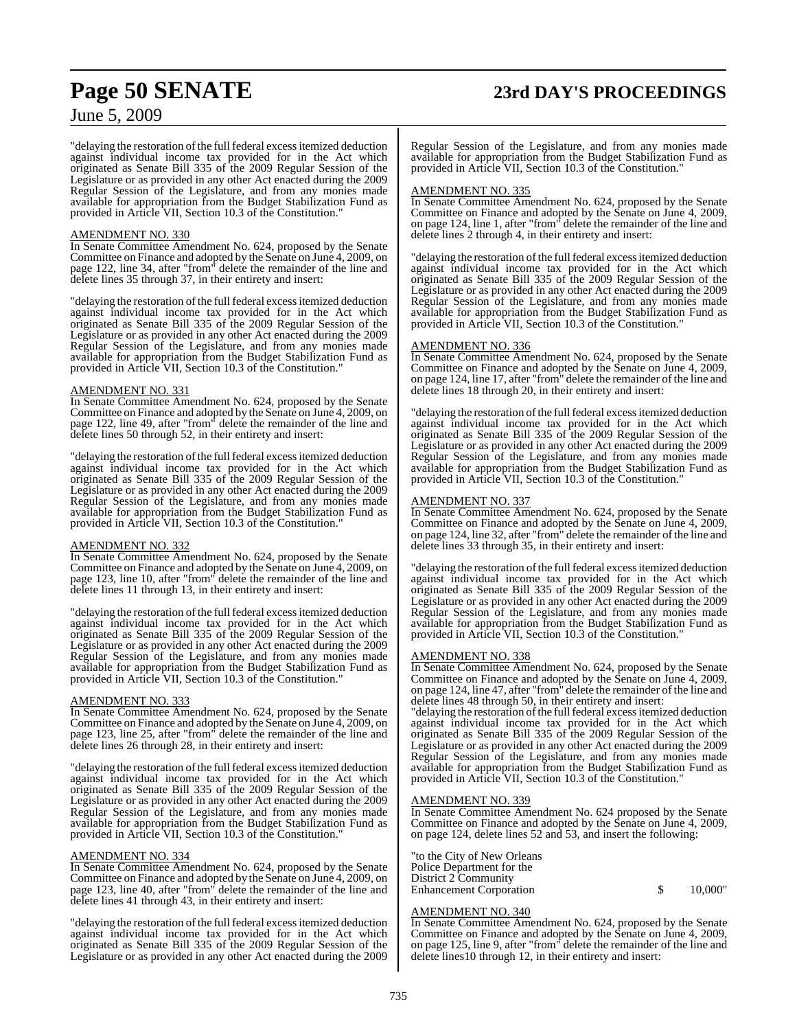# **Page 50 SENATE 23rd DAY'S PROCEEDINGS**

## June 5, 2009

"delaying the restoration of the full federal excess itemized deduction against individual income tax provided for in the Act which originated as Senate Bill 335 of the 2009 Regular Session of the Legislature or as provided in any other Act enacted during the 2009 Regular Session of the Legislature, and from any monies made available for appropriation from the Budget Stabilization Fund as provided in Article VII, Section 10.3 of the Constitution."

### AMENDMENT NO. 330

In Senate Committee Amendment No. 624, proposed by the Senate Committee on Finance and adopted by the Senate on June 4, 2009, on page 122, line 34, after "from" delete the remainder of the line and delete lines 35 through 37, in their entirety and insert:

"delaying the restoration of the full federal excess itemized deduction against individual income tax provided for in the Act which originated as Senate Bill 335 of the 2009 Regular Session of the Legislature or as provided in any other Act enacted during the 2009 Regular Session of the Legislature, and from any monies made available for appropriation from the Budget Stabilization Fund as provided in Article VII, Section 10.3 of the Constitution."

### AMENDMENT NO. 331

In Senate Committee Amendment No. 624, proposed by the Senate Committee on Finance and adopted by the Senate on June 4, 2009, on page 122, line 49, after "from" delete the remainder of the line and delete lines 50 through 52, in their entirety and insert:

"delaying the restoration of the full federal excess itemized deduction against individual income tax provided for in the Act which originated as Senate Bill 335 of the 2009 Regular Session of the Legislature or as provided in any other Act enacted during the 2009 Regular Session of the Legislature, and from any monies made available for appropriation from the Budget Stabilization Fund as provided in Article VII, Section 10.3 of the Constitution."

### AMENDMENT NO. 332

In Senate Committee Amendment No. 624, proposed by the Senate Committee on Finance and adopted by the Senate on June 4, 2009, on page 123, line 10, after "from" delete the remainder of the line and delete lines 11 through 13, in their entirety and insert:

"delaying the restoration of the full federal excess itemized deduction against individual income tax provided for in the Act which originated as Senate Bill 335 of the 2009 Regular Session of the Legislature or as provided in any other Act enacted during the 2009 Regular Session of the Legislature, and from any monies made available for appropriation from the Budget Stabilization Fund as provided in Article VII, Section 10.3 of the Constitution."

### AMENDMENT NO. 333

In Senate Committee Amendment No. 624, proposed by the Senate Committee on Finance and adopted by the Senate on June 4, 2009, on page 123, line 25, after "from" delete the remainder of the line and delete lines 26 through 28, in their entirety and insert:

"delaying the restoration of the full federal excess itemized deduction against individual income tax provided for in the Act which originated as Senate Bill 335 of the 2009 Regular Session of the Legislature or as provided in any other Act enacted during the 2009 Regular Session of the Legislature, and from any monies made available for appropriation from the Budget Stabilization Fund as provided in Article VII, Section 10.3 of the Constitution."

### AMENDMENT NO. 334

In Senate Committee Amendment No. 624, proposed by the Senate Committee on Finance and adopted by the Senate on June 4, 2009, on page 123, line 40, after "from" delete the remainder of the line and delete lines 41 through 43, in their entirety and insert:

"delaying the restoration of the full federal excess itemized deduction against individual income tax provided for in the Act which originated as Senate Bill 335 of the 2009 Regular Session of the Legislature or as provided in any other Act enacted during the 2009

Regular Session of the Legislature, and from any monies made available for appropriation from the Budget Stabilization Fund as provided in Article VII, Section 10.3 of the Constitution."

### AMENDMENT NO. 335

In Senate Committee Amendment No. 624, proposed by the Senate Committee on Finance and adopted by the Senate on June 4, 2009, on page 124, line 1, after "from" delete the remainder of the line and delete lines 2 through 4, in their entirety and insert:

"delaying the restoration of the full federal excess itemized deduction against individual income tax provided for in the Act which originated as Senate Bill 335 of the 2009 Regular Session of the Legislature or as provided in any other Act enacted during the 2009 Regular Session of the Legislature, and from any monies made available for appropriation from the Budget Stabilization Fund as provided in Article VII, Section 10.3 of the Constitution."

### AMENDMENT NO. 336

In Senate Committee Amendment No. 624, proposed by the Senate Committee on Finance and adopted by the Senate on June 4, 2009, on page 124, line 17, after "from" delete the remainder of the line and delete lines 18 through 20, in their entirety and insert:

"delaying the restoration of the full federal excess itemized deduction against individual income tax provided for in the Act which originated as Senate Bill 335 of the 2009 Regular Session of the Legislature or as provided in any other Act enacted during the 2009 Regular Session of the Legislature, and from any monies made available for appropriation from the Budget Stabilization Fund as provided in Article VII, Section 10.3 of the Constitution."

### AMENDMENT NO. 337

In Senate Committee Amendment No. 624, proposed by the Senate Committee on Finance and adopted by the Senate on June 4, 2009, on page 124, line 32, after "from" delete the remainder ofthe line and delete lines 33 through 35, in their entirety and insert:

"delaying the restoration of the full federal excess itemized deduction against individual income tax provided for in the Act which originated as Senate Bill 335 of the 2009 Regular Session of the Legislature or as provided in any other Act enacted during the 2009 Regular Session of the Legislature, and from any monies made available for appropriation from the Budget Stabilization Fund as provided in Article VII, Section 10.3 of the Constitution."

### AMENDMENT NO. 338

In Senate Committee Amendment No. 624, proposed by the Senate Committee on Finance and adopted by the Senate on June 4, 2009, on page 124, line 47, after "from" delete the remainder of the line and delete lines 48 through 50, in their entirety and insert:

"delaying the restoration of the full federal excess itemized deduction against individual income tax provided for in the Act which originated as Senate Bill 335 of the 2009 Regular Session of the Legislature or as provided in any other Act enacted during the 2009 Regular Session of the Legislature, and from any monies made available for appropriation from the Budget Stabilization Fund as provided in Article VII, Section 10.3 of the Constitution."

### AMENDMENT NO. 339

In Senate Committee Amendment No. 624 proposed by the Senate Committee on Finance and adopted by the Senate on June 4, 2009, on page 124, delete lines 52 and 53, and insert the following:

"to the City of New Orleans Police Department for the District 2 Community Enhancement Corporation \$ 10,000"

### AMENDMENT NO. 340

In Senate Committee Amendment No. 624, proposed by the Senate Committee on Finance and adopted by the Senate on June 4, 2009, on page 125, line 9, after "from" delete the remainder of the line and delete lines10 through 12, in their entirety and insert: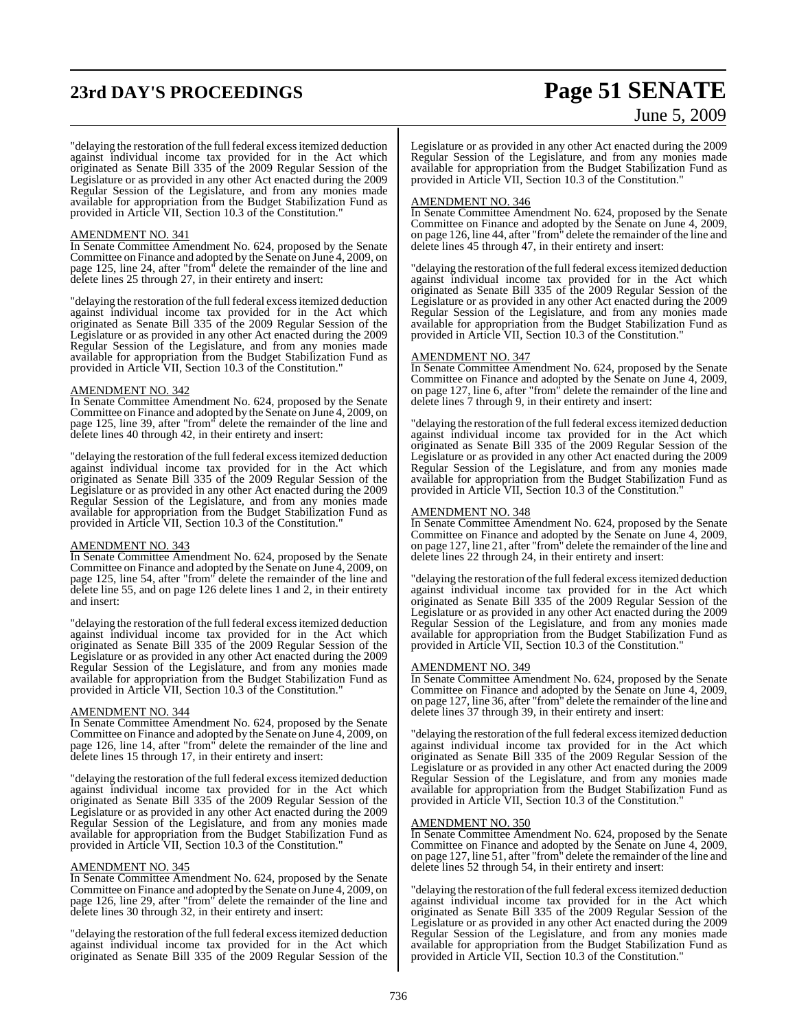# **23rd DAY'S PROCEEDINGS Page 51 SENATE**

# June 5, 2009

"delaying the restoration of the full federal excess itemized deduction against individual income tax provided for in the Act which originated as Senate Bill 335 of the 2009 Regular Session of the Legislature or as provided in any other Act enacted during the 2009 Regular Session of the Legislature, and from any monies made available for appropriation from the Budget Stabilization Fund as provided in Article VII, Section 10.3 of the Constitution."

### AMENDMENT NO. 341

In Senate Committee Amendment No. 624, proposed by the Senate Committee on Finance and adopted by the Senate on June 4, 2009, on page 125, line 24, after "from" delete the remainder of the line and delete lines 25 through 27, in their entirety and insert:

"delaying the restoration of the full federal excess itemized deduction against individual income tax provided for in the Act which originated as Senate Bill 335 of the 2009 Regular Session of the Legislature or as provided in any other Act enacted during the 2009 Regular Session of the Legislature, and from any monies made available for appropriation from the Budget Stabilization Fund as provided in Article VII, Section 10.3 of the Constitution."

### AMENDMENT NO. 342

In Senate Committee Amendment No. 624, proposed by the Senate Committee on Finance and adopted by the Senate on June 4, 2009, on page 125, line 39, after "from" delete the remainder of the line and delete lines 40 through 42, in their entirety and insert:

"delaying the restoration of the full federal excess itemized deduction against individual income tax provided for in the Act which originated as Senate Bill 335 of the 2009 Regular Session of the Legislature or as provided in any other Act enacted during the 2009 Regular Session of the Legislature, and from any monies made available for appropriation from the Budget Stabilization Fund as provided in Article VII, Section 10.3 of the Constitution."

### AMENDMENT NO. 343

In Senate Committee Amendment No. 624, proposed by the Senate Committee on Finance and adopted by the Senate on June 4, 2009, on page 125, line 54, after "from" delete the remainder of the line and delete line 55, and on page 126 delete lines 1 and 2, in their entirety and insert:

"delaying the restoration of the full federal excess itemized deduction against individual income tax provided for in the Act which originated as Senate Bill 335 of the 2009 Regular Session of the Legislature or as provided in any other Act enacted during the 2009 Regular Session of the Legislature, and from any monies made available for appropriation from the Budget Stabilization Fund as provided in Article VII, Section 10.3 of the Constitution."

### AMENDMENT NO. 344

In Senate Committee Amendment No. 624, proposed by the Senate Committee on Finance and adopted by the Senate on June 4, 2009, on page 126, line 14, after "from" delete the remainder of the line and delete lines 15 through 17, in their entirety and insert:

"delaying the restoration of the full federal excess itemized deduction against individual income tax provided for in the Act which originated as Senate Bill 335 of the 2009 Regular Session of the Legislature or as provided in any other Act enacted during the 2009 Regular Session of the Legislature, and from any monies made available for appropriation from the Budget Stabilization Fund as provided in Article VII, Section 10.3 of the Constitution."

### AMENDMENT NO. 345

In Senate Committee Amendment No. 624, proposed by the Senate Committee on Finance and adopted by the Senate on June 4, 2009, on page 126, line 29, after "from" delete the remainder of the line and delete lines 30 through 32, in their entirety and insert:

"delaying the restoration of the full federal excess itemized deduction against individual income tax provided for in the Act which originated as Senate Bill 335 of the 2009 Regular Session of the

Legislature or as provided in any other Act enacted during the 2009 Regular Session of the Legislature, and from any monies made available for appropriation from the Budget Stabilization Fund as provided in Article VII, Section 10.3 of the Constitution."

### AMENDMENT NO. 346

In Senate Committee Amendment No. 624, proposed by the Senate Committee on Finance and adopted by the Senate on June 4, 2009, on page 126, line 44, after "from" delete the remainder of the line and delete lines 45 through 47, in their entirety and insert:

"delaying the restoration of the full federal excess itemized deduction against individual income tax provided for in the Act which originated as Senate Bill 335 of the 2009 Regular Session of the Legislature or as provided in any other Act enacted during the 2009 Regular Session of the Legislature, and from any monies made available for appropriation from the Budget Stabilization Fund as provided in Article VII, Section 10.3 of the Constitution."

### AMENDMENT NO. 347

In Senate Committee Amendment No. 624, proposed by the Senate Committee on Finance and adopted by the Senate on June 4, 2009, on page 127, line 6, after "from" delete the remainder of the line and delete lines 7 through 9, in their entirety and insert:

"delaying the restoration of the full federal excess itemized deduction against individual income tax provided for in the Act which originated as Senate Bill 335 of the 2009 Regular Session of the Legislature or as provided in any other Act enacted during the 2009 Regular Session of the Legislature, and from any monies made available for appropriation from the Budget Stabilization Fund as provided in Article VII, Section 10.3 of the Constitution."

### AMENDMENT NO. 348

In Senate Committee Amendment No. 624, proposed by the Senate Committee on Finance and adopted by the Senate on June 4, 2009, on page 127, line 21, after "from" delete the remainder of the line and delete lines 22 through 24, in their entirety and insert:

"delaying the restoration of the full federal excess itemized deduction against individual income tax provided for in the Act which originated as Senate Bill 335 of the 2009 Regular Session of the Legislature or as provided in any other Act enacted during the 2009 Regular Session of the Legislature, and from any monies made available for appropriation from the Budget Stabilization Fund as provided in Article VII, Section 10.3 of the Constitution."

### AMENDMENT NO. 349

In Senate Committee Amendment No. 624, proposed by the Senate Committee on Finance and adopted by the Senate on June 4, 2009, on page 127, line 36, after "from" delete the remainder ofthe line and delete lines 37 through 39, in their entirety and insert:

"delaying the restoration of the full federal excess itemized deduction against individual income tax provided for in the Act which originated as Senate Bill 335 of the 2009 Regular Session of the Legislature or as provided in any other Act enacted during the 2009 Regular Session of the Legislature, and from any monies made available for appropriation from the Budget Stabilization Fund as provided in Article VII, Section 10.3 of the Constitution."

### AMENDMENT NO. 350

In Senate Committee Amendment No. 624, proposed by the Senate Committee on Finance and adopted by the Senate on June 4, 2009, on page 127, line 51, after "from" delete the remainder of the line and delete lines 52 through 54, in their entirety and insert:

"delaying the restoration of the full federal excess itemized deduction against individual income tax provided for in the Act which originated as Senate Bill 335 of the 2009 Regular Session of the Legislature or as provided in any other Act enacted during the 2009 Regular Session of the Legislature, and from any monies made available for appropriation from the Budget Stabilization Fund as provided in Article VII, Section 10.3 of the Constitution."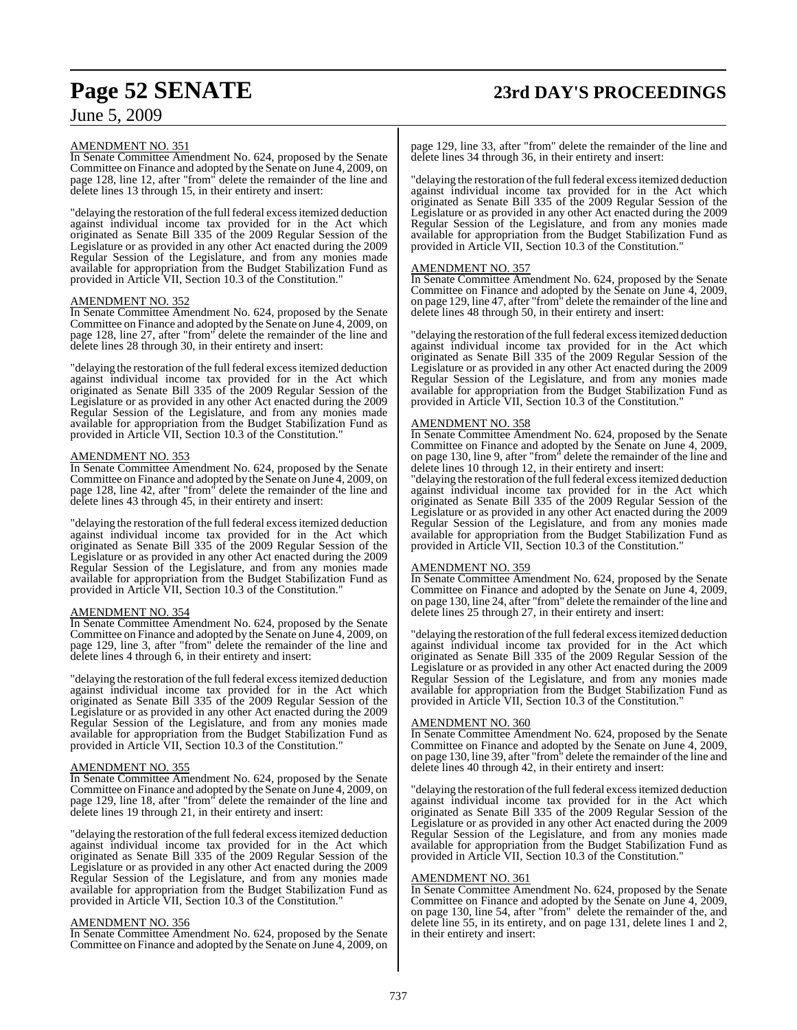# **Page 52 SENATE 23rd DAY'S PROCEEDINGS**

## June 5, 2009

### AMENDMENT NO. 351

In Senate Committee Amendment No. 624, proposed by the Senate Committee on Finance and adopted by the Senate on June 4, 2009, on page 128, line 12, after "from" delete the remainder of the line and delete lines 13 through 15, in their entirety and insert:

"delaying the restoration of the full federal excess itemized deduction against individual income tax provided for in the Act which originated as Senate Bill 335 of the 2009 Regular Session of the Legislature or as provided in any other Act enacted during the 2009 Regular Session of the Legislature, and from any monies made available for appropriation from the Budget Stabilization Fund as provided in Article VII, Section 10.3 of the Constitution."

### AMENDMENT NO. 352

In Senate Committee Amendment No. 624, proposed by the Senate Committee on Finance and adopted by the Senate on June 4, 2009, on page 128, line 27, after "from" delete the remainder of the line and delete lines 28 through 30, in their entirety and insert:

"delaying the restoration of the full federal excess itemized deduction against individual income tax provided for in the Act which originated as Senate Bill 335 of the 2009 Regular Session of the Legislature or as provided in any other Act enacted during the 2009 Regular Session of the Legislature, and from any monies made available for appropriation from the Budget Stabilization Fund as provided in Article VII, Section 10.3 of the Constitution."

### AMENDMENT NO. 353

In Senate Committee Amendment No. 624, proposed by the Senate Committee on Finance and adopted by the Senate on June 4, 2009, on page 128, line 42, after "from" delete the remainder of the line and delete lines 43 through 45, in their entirety and insert:

"delaying the restoration of the full federal excess itemized deduction against individual income tax provided for in the Act which originated as Senate Bill 335 of the 2009 Regular Session of the Legislature or as provided in any other Act enacted during the 2009 Regular Session of the Legislature, and from any monies made available for appropriation from the Budget Stabilization Fund as provided in Article VII, Section 10.3 of the Constitution."

### AMENDMENT NO. 354

In Senate Committee Amendment No. 624, proposed by the Senate Committee on Finance and adopted by the Senate on June 4, 2009, on page 129, line 3, after "from" delete the remainder of the line and delete lines 4 through 6, in their entirety and insert:

"delaying the restoration of the full federal excess itemized deduction against individual income tax provided for in the Act which originated as Senate Bill 335 of the 2009 Regular Session of the Legislature or as provided in any other Act enacted during the 2009 Regular Session of the Legislature, and from any monies made available for appropriation from the Budget Stabilization Fund as provided in Article VII, Section 10.3 of the Constitution."

### AMENDMENT NO. 355

In Senate Committee Amendment No. 624, proposed by the Senate Committee on Finance and adopted by the Senate on June 4, 2009, on page 129, line 18, after "from" delete the remainder of the line and delete lines 19 through 21, in their entirety and insert:

"delaying the restoration of the full federal excess itemized deduction against individual income tax provided for in the Act which originated as Senate Bill 335 of the 2009 Regular Session of the Legislature or as provided in any other Act enacted during the 2009 Regular Session of the Legislature, and from any monies made available for appropriation from the Budget Stabilization Fund as provided in Article VII, Section 10.3 of the Constitution."

### AMENDMENT NO. 356

In Senate Committee Amendment No. 624, proposed by the Senate Committee on Finance and adopted by the Senate on June 4, 2009, on

page 129, line 33, after "from" delete the remainder of the line and delete lines 34 through 36, in their entirety and insert:

"delaying the restoration of the full federal excess itemized deduction against individual income tax provided for in the Act which originated as Senate Bill 335 of the 2009 Regular Session of the Legislature or as provided in any other Act enacted during the 2009 Regular Session of the Legislature, and from any monies made available for appropriation from the Budget Stabilization Fund as provided in Article VII, Section 10.3 of the Constitution."

### AMENDMENT NO. 357

In Senate Committee Amendment No. 624, proposed by the Senate Committee on Finance and adopted by the Senate on June 4, 2009, on page 129, line 47, after "from" delete the remainder of the line and delete lines 48 through 50, in their entirety and insert:

"delaying the restoration of the full federal excess itemized deduction against individual income tax provided for in the Act which originated as Senate Bill 335 of the 2009 Regular Session of the Legislature or as provided in any other Act enacted during the 2009 Regular Session of the Legislature, and from any monies made available for appropriation from the Budget Stabilization Fund as provided in Article VII, Section 10.3 of the Constitution."

### AMENDMENT NO. 358

In Senate Committee Amendment No. 624, proposed by the Senate Committee on Finance and adopted by the Senate on June 4, 2009, on page 130, line 9, after "from" delete the remainder of the line and delete lines 10 through 12, in their entirety and insert:

"delaying the restoration of the full federal excess itemized deduction against individual income tax provided for in the Act which originated as Senate Bill 335 of the 2009 Regular Session of the Legislature or as provided in any other Act enacted during the 2009 Regular Session of the Legislature, and from any monies made available for appropriation from the Budget Stabilization Fund as provided in Article VII, Section 10.3 of the Constitution."

### AMENDMENT NO. 359

In Senate Committee Amendment No. 624, proposed by the Senate Committee on Finance and adopted by the Senate on June 4, 2009, on page 130, line 24, after "from" delete the remainder ofthe line and delete lines 25 through 27, in their entirety and insert:

"delaying the restoration of the full federal excess itemized deduction against individual income tax provided for in the Act which originated as Senate Bill 335 of the 2009 Regular Session of the Legislature or as provided in any other Act enacted during the 2009 Regular Session of the Legislature, and from any monies made available for appropriation from the Budget Stabilization Fund as provided in Article VII, Section 10.3 of the Constitution."

### AMENDMENT NO. 360

In Senate Committee Amendment No. 624, proposed by the Senate Committee on Finance and adopted by the Senate on June 4, 2009, on page 130, line 39, after "from" delete the remainder of the line and delete lines 40 through 42, in their entirety and insert:

"delaying the restoration of the full federal excess itemized deduction against individual income tax provided for in the Act which originated as Senate Bill 335 of the 2009 Regular Session of the Legislature or as provided in any other Act enacted during the 2009 Regular Session of the Legislature, and from any monies made available for appropriation from the Budget Stabilization Fund as provided in Article VII, Section 10.3 of the Constitution."

### AMENDMENT NO. 361

In Senate Committee Amendment No. 624, proposed by the Senate Committee on Finance and adopted by the Senate on June 4, 2009, on page 130, line 54, after "from" delete the remainder of the, and delete line 55, in its entirety, and on page 131, delete lines 1 and 2, in their entirety and insert: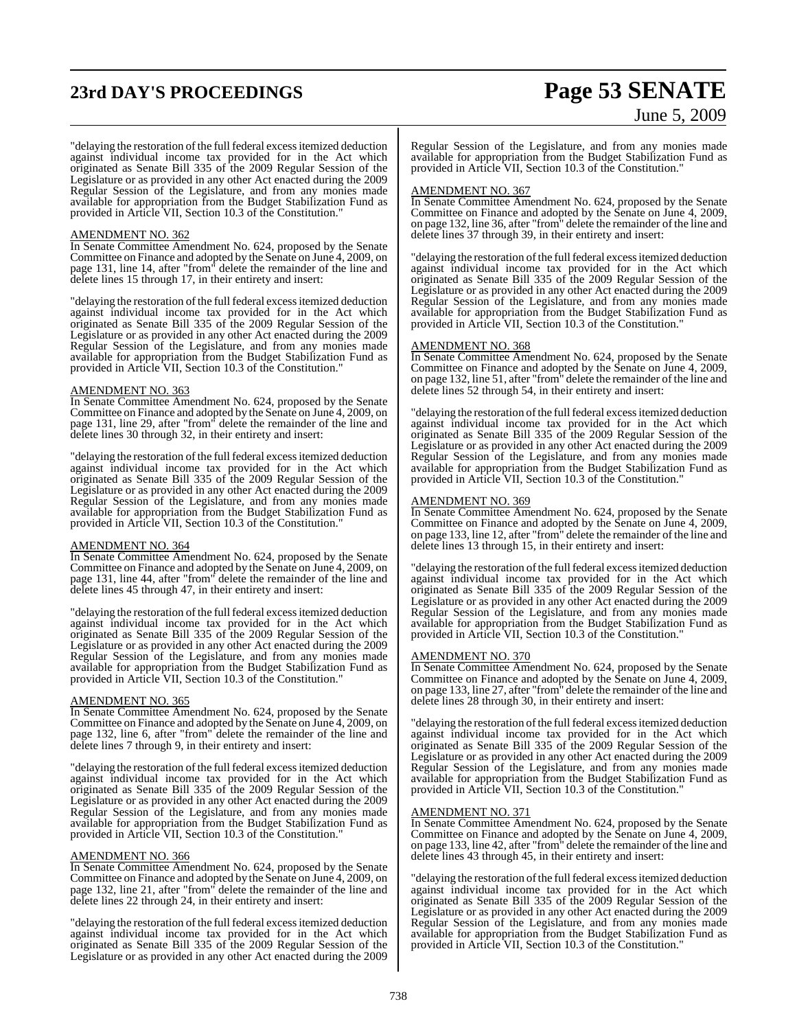# **23rd DAY'S PROCEEDINGS Page 53 SENATE**

# June 5, 2009

"delaying the restoration of the full federal excess itemized deduction against individual income tax provided for in the Act which originated as Senate Bill 335 of the 2009 Regular Session of the Legislature or as provided in any other Act enacted during the 2009 Regular Session of the Legislature, and from any monies made available for appropriation from the Budget Stabilization Fund as provided in Article VII, Section 10.3 of the Constitution."

### AMENDMENT NO. 362

In Senate Committee Amendment No. 624, proposed by the Senate Committee on Finance and adopted by the Senate on June 4, 2009, on page 131, line 14, after "from" delete the remainder of the line and delete lines 15 through 17, in their entirety and insert:

"delaying the restoration of the full federal excess itemized deduction against individual income tax provided for in the Act which originated as Senate Bill 335 of the 2009 Regular Session of the Legislature or as provided in any other Act enacted during the 2009 Regular Session of the Legislature, and from any monies made available for appropriation from the Budget Stabilization Fund as provided in Article VII, Section 10.3 of the Constitution."

### AMENDMENT NO. 363

In Senate Committee Amendment No. 624, proposed by the Senate Committee on Finance and adopted by the Senate on June 4, 2009, on page 131, line 29, after "from" delete the remainder of the line and delete lines 30 through 32, in their entirety and insert:

"delaying the restoration of the full federal excess itemized deduction against individual income tax provided for in the Act which originated as Senate Bill 335 of the 2009 Regular Session of the Legislature or as provided in any other Act enacted during the 2009 Regular Session of the Legislature, and from any monies made available for appropriation from the Budget Stabilization Fund as provided in Article VII, Section 10.3 of the Constitution."

### AMENDMENT NO. 364

In Senate Committee Amendment No. 624, proposed by the Senate Committee on Finance and adopted by the Senate on June 4, 2009, on page 131, line 44, after "from" delete the remainder of the line and delete lines 45 through 47, in their entirety and insert:

"delaying the restoration of the full federal excess itemized deduction against individual income tax provided for in the Act which originated as Senate Bill 335 of the 2009 Regular Session of the Legislature or as provided in any other Act enacted during the 2009 Regular Session of the Legislature, and from any monies made available for appropriation from the Budget Stabilization Fund as provided in Article VII, Section 10.3 of the Constitution."

### AMENDMENT NO. 365

In Senate Committee Amendment No. 624, proposed by the Senate Committee on Finance and adopted by the Senate on June 4, 2009, on page 132, line 6, after "from" delete the remainder of the line and delete lines 7 through 9, in their entirety and insert:

"delaying the restoration of the full federal excess itemized deduction against individual income tax provided for in the Act which originated as Senate Bill 335 of the 2009 Regular Session of the Legislature or as provided in any other Act enacted during the 2009 Regular Session of the Legislature, and from any monies made available for appropriation from the Budget Stabilization Fund as provided in Article VII, Section 10.3 of the Constitution."

### AMENDMENT NO. 366

In Senate Committee Amendment No. 624, proposed by the Senate Committee on Finance and adopted by the Senate on June 4, 2009, on page 132, line 21, after "from" delete the remainder of the line and delete lines 22 through 24, in their entirety and insert:

"delaying the restoration of the full federal excess itemized deduction against individual income tax provided for in the Act which originated as Senate Bill 335 of the 2009 Regular Session of the Legislature or as provided in any other Act enacted during the 2009

Regular Session of the Legislature, and from any monies made available for appropriation from the Budget Stabilization Fund as provided in Article VII, Section 10.3 of the Constitution."

### AMENDMENT NO. 367

In Senate Committee Amendment No. 624, proposed by the Senate Committee on Finance and adopted by the Senate on June 4, 2009, on page 132, line 36, after "from" delete the remainder of the line and delete lines 37 through 39, in their entirety and insert:

"delaying the restoration of the full federal excess itemized deduction against individual income tax provided for in the Act which originated as Senate Bill 335 of the 2009 Regular Session of the Legislature or as provided in any other Act enacted during the 2009 Regular Session of the Legislature, and from any monies made available for appropriation from the Budget Stabilization Fund as provided in Article VII, Section 10.3 of the Constitution."

### AMENDMENT NO. 368

In Senate Committee Amendment No. 624, proposed by the Senate Committee on Finance and adopted by the Senate on June 4, 2009, on page 132, line 51, after "from" delete the remainder of the line and delete lines 52 through 54, in their entirety and insert:

"delaying the restoration of the full federal excess itemized deduction against individual income tax provided for in the Act which originated as Senate Bill 335 of the 2009 Regular Session of the Legislature or as provided in any other Act enacted during the 2009 Regular Session of the Legislature, and from any monies made available for appropriation from the Budget Stabilization Fund as provided in Article VII, Section 10.3 of the Constitution."

### AMENDMENT NO. 369

In Senate Committee Amendment No. 624, proposed by the Senate Committee on Finance and adopted by the Senate on June 4, 2009, on page 133, line 12, after "from" delete the remainder ofthe line and delete lines 13 through 15, in their entirety and insert:

"delaying the restoration of the full federal excess itemized deduction against individual income tax provided for in the Act which originated as Senate Bill 335 of the 2009 Regular Session of the Legislature or as provided in any other Act enacted during the 2009 Regular Session of the Legislature, and from any monies made available for appropriation from the Budget Stabilization Fund as provided in Article VII, Section 10.3 of the Constitution."

### AMENDMENT NO. 370

In Senate Committee Amendment No. 624, proposed by the Senate Committee on Finance and adopted by the Senate on June 4, 2009, on page 133, line 27, after "from" delete the remainder of the line and delete lines 28 through 30, in their entirety and insert:

"delaying the restoration of the full federal excess itemized deduction against individual income tax provided for in the Act which originated as Senate Bill 335 of the 2009 Regular Session of the Legislature or as provided in any other Act enacted during the 2009 Regular Session of the Legislature, and from any monies made available for appropriation from the Budget Stabilization Fund as provided in Article VII, Section 10.3 of the Constitution."

### <u>AMENDMENT NO. 371</u>

In Senate Committee Amendment No. 624, proposed by the Senate Committee on Finance and adopted by the Senate on June 4, 2009, on page 133, line 42, after "from" delete the remainder of the line and delete lines 43 through 45, in their entirety and insert:

"delaying the restoration of the full federal excess itemized deduction against individual income tax provided for in the Act which originated as Senate Bill 335 of the 2009 Regular Session of the Legislature or as provided in any other Act enacted during the 2009 Regular Session of the Legislature, and from any monies made available for appropriation from the Budget Stabilization Fund as provided in Article VII, Section 10.3 of the Constitution."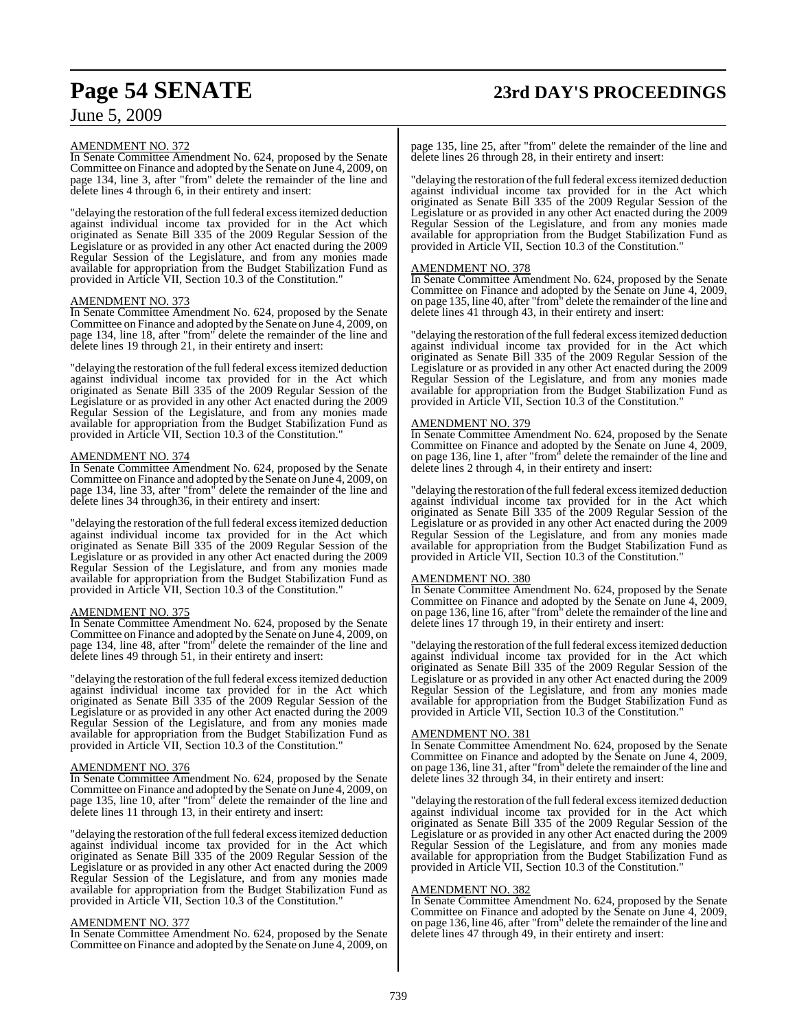# **Page 54 SENATE 23rd DAY'S PROCEEDINGS**

## June 5, 2009

### AMENDMENT NO. 372

In Senate Committee Amendment No. 624, proposed by the Senate Committee on Finance and adopted by the Senate on June 4, 2009, on page 134, line 3, after "from" delete the remainder of the line and delete lines 4 through 6, in their entirety and insert:

"delaying the restoration of the full federal excess itemized deduction against individual income tax provided for in the Act which originated as Senate Bill 335 of the 2009 Regular Session of the Legislature or as provided in any other Act enacted during the 2009 Regular Session of the Legislature, and from any monies made available for appropriation from the Budget Stabilization Fund as provided in Article VII, Section 10.3 of the Constitution."

### AMENDMENT NO. 373

In Senate Committee Amendment No. 624, proposed by the Senate Committee on Finance and adopted by the Senate on June 4, 2009, on page 134, line 18, after "from" delete the remainder of the line and delete lines 19 through 21, in their entirety and insert:

"delaying the restoration of the full federal excess itemized deduction against individual income tax provided for in the Act which originated as Senate Bill 335 of the 2009 Regular Session of the Legislature or as provided in any other Act enacted during the 2009 Regular Session of the Legislature, and from any monies made available for appropriation from the Budget Stabilization Fund as provided in Article VII, Section 10.3 of the Constitution."

### AMENDMENT NO. 374

In Senate Committee Amendment No. 624, proposed by the Senate Committee on Finance and adopted by the Senate on June 4, 2009, on page 134, line 33, after "from" delete the remainder of the line and delete lines 34 through 36, in their entirety and insert:

"delaying the restoration of the full federal excess itemized deduction against individual income tax provided for in the Act which originated as Senate Bill 335 of the 2009 Regular Session of the Legislature or as provided in any other Act enacted during the 2009 Regular Session of the Legislature, and from any monies made available for appropriation from the Budget Stabilization Fund as provided in Article VII, Section 10.3 of the Constitution."

## AMENDMENT NO. 375

In Senate Committee Amendment No. 624, proposed by the Senate Committee on Finance and adopted by the Senate on June 4, 2009, on page 134, line 48, after "from" delete the remainder of the line and delete lines 49 through 51, in their entirety and insert:

"delaying the restoration of the full federal excess itemized deduction against individual income tax provided for in the Act which originated as Senate Bill 335 of the 2009 Regular Session of the Legislature or as provided in any other Act enacted during the 2009 Regular Session of the Legislature, and from any monies made available for appropriation from the Budget Stabilization Fund as provided in Article VII, Section 10.3 of the Constitution."

### AMENDMENT NO. 376

In Senate Committee Amendment No. 624, proposed by the Senate Committee on Finance and adopted by the Senate on June 4, 2009, on page 135, line 10, after "from" delete the remainder of the line and delete lines 11 through 13, in their entirety and insert:

"delaying the restoration of the full federal excess itemized deduction against individual income tax provided for in the Act which originated as Senate Bill 335 of the 2009 Regular Session of the Legislature or as provided in any other Act enacted during the 2009 Regular Session of the Legislature, and from any monies made available for appropriation from the Budget Stabilization Fund as provided in Article VII, Section 10.3 of the Constitution."

### AMENDMENT NO. 377

In Senate Committee Amendment No. 624, proposed by the Senate Committee on Finance and adopted by the Senate on June 4, 2009, on

page 135, line 25, after "from" delete the remainder of the line and delete lines 26 through 28, in their entirety and insert:

"delaying the restoration of the full federal excess itemized deduction against individual income tax provided for in the Act which originated as Senate Bill 335 of the 2009 Regular Session of the Legislature or as provided in any other Act enacted during the 2009 Regular Session of the Legislature, and from any monies made available for appropriation from the Budget Stabilization Fund as provided in Article VII, Section 10.3 of the Constitution."

### AMENDMENT NO. 378

In Senate Committee Amendment No. 624, proposed by the Senate Committee on Finance and adopted by the Senate on June 4, 2009, on page 135, line 40, after "from" delete the remainder of the line and delete lines 41 through 43, in their entirety and insert:

"delaying the restoration of the full federal excess itemized deduction against individual income tax provided for in the Act which originated as Senate Bill 335 of the 2009 Regular Session of the Legislature or as provided in any other Act enacted during the 2009 Regular Session of the Legislature, and from any monies made available for appropriation from the Budget Stabilization Fund as provided in Article VII, Section 10.3 of the Constitution."

### AMENDMENT NO. 379

In Senate Committee Amendment No. 624, proposed by the Senate Committee on Finance and adopted by the Senate on June 4, 2009, on page 136, line 1, after "from" delete the remainder of the line and delete lines 2 through 4, in their entirety and insert:

"delaying the restoration of the full federal excess itemized deduction against individual income tax provided for in the Act which originated as Senate Bill 335 of the 2009 Regular Session of the Legislature or as provided in any other Act enacted during the 2009 Regular Session of the Legislature, and from any monies made available for appropriation from the Budget Stabilization Fund as provided in Article VII, Section 10.3 of the Constitution."

### AMENDMENT NO. 380

In Senate Committee Amendment No. 624, proposed by the Senate Committee on Finance and adopted by the Senate on June 4, 2009, on page 136, line 16, after "from" delete the remainder of the line and delete lines 17 through 19, in their entirety and insert:

"delaying the restoration of the full federal excess itemized deduction against individual income tax provided for in the Act which originated as Senate Bill 335 of the 2009 Regular Session of the Legislature or as provided in any other Act enacted during the 2009 Regular Session of the Legislature, and from any monies made available for appropriation from the Budget Stabilization Fund as provided in Article VII, Section 10.3 of the Constitution."

### AMENDMENT NO. 381

In Senate Committee Amendment No. 624, proposed by the Senate Committee on Finance and adopted by the Senate on June 4, 2009, on page 136, line 31, after "from" delete the remainder ofthe line and delete lines 32 through 34, in their entirety and insert:

"delaying the restoration of the full federal excess itemized deduction against individual income tax provided for in the Act which originated as Senate Bill 335 of the 2009 Regular Session of the Legislature or as provided in any other Act enacted during the 2009 Regular Session of the Legislature, and from any monies made available for appropriation from the Budget Stabilization Fund as provided in Article VII, Section 10.3 of the Constitution."

### AMENDMENT NO. 382

In Senate Committee Amendment No. 624, proposed by the Senate Committee on Finance and adopted by the Senate on June 4, 2009, on page 136, line 46, after "from" delete the remainder of the line and delete lines 47 through 49, in their entirety and insert: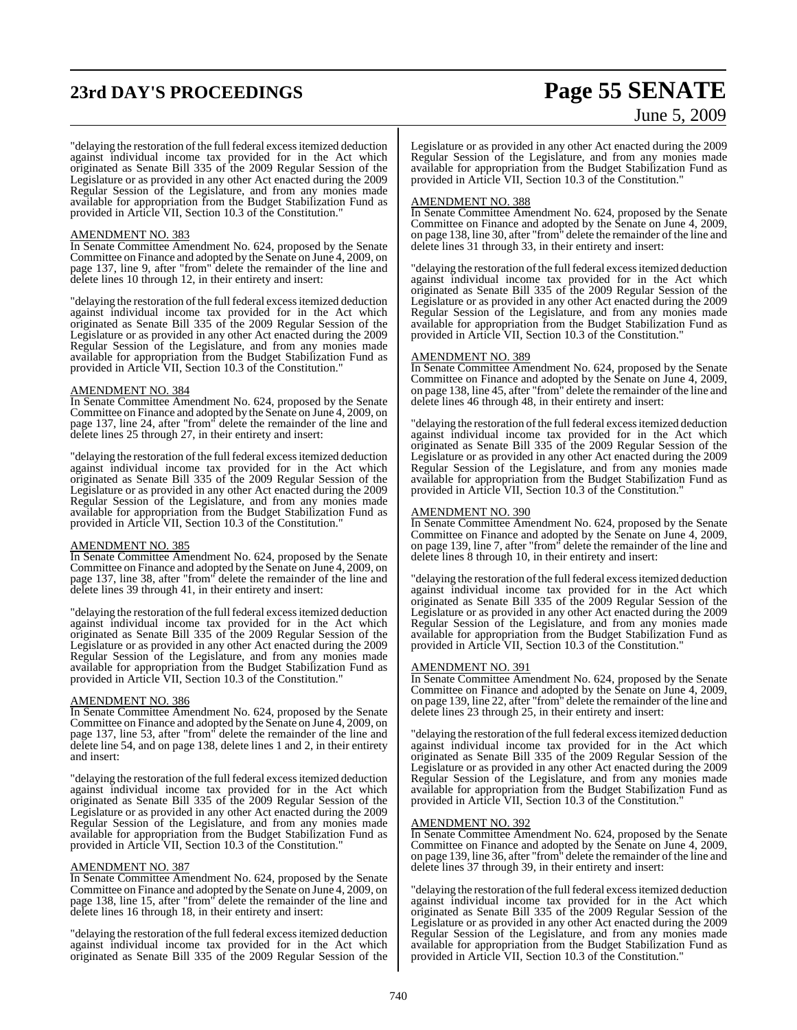# **23rd DAY'S PROCEEDINGS Page 55 SENATE**

# June 5, 2009

"delaying the restoration of the full federal excess itemized deduction against individual income tax provided for in the Act which originated as Senate Bill 335 of the 2009 Regular Session of the Legislature or as provided in any other Act enacted during the 2009 Regular Session of the Legislature, and from any monies made available for appropriation from the Budget Stabilization Fund as provided in Article VII, Section 10.3 of the Constitution."

### AMENDMENT NO. 383

In Senate Committee Amendment No. 624, proposed by the Senate Committee on Finance and adopted by the Senate on June 4, 2009, on page 137, line 9, after "from" delete the remainder of the line and delete lines 10 through 12, in their entirety and insert:

"delaying the restoration of the full federal excess itemized deduction against individual income tax provided for in the Act which originated as Senate Bill 335 of the 2009 Regular Session of the Legislature or as provided in any other Act enacted during the 2009 Regular Session of the Legislature, and from any monies made available for appropriation from the Budget Stabilization Fund as provided in Article VII, Section 10.3 of the Constitution."

### AMENDMENT NO. 384

In Senate Committee Amendment No. 624, proposed by the Senate Committee on Finance and adopted by the Senate on June 4, 2009, on page 137, line 24, after "from" delete the remainder of the line and delete lines 25 through 27, in their entirety and insert:

"delaying the restoration of the full federal excess itemized deduction against individual income tax provided for in the Act which originated as Senate Bill 335 of the 2009 Regular Session of the Legislature or as provided in any other Act enacted during the 2009 Regular Session of the Legislature, and from any monies made available for appropriation from the Budget Stabilization Fund as provided in Article VII, Section 10.3 of the Constitution."

### AMENDMENT NO. 385

In Senate Committee Amendment No. 624, proposed by the Senate Committee on Finance and adopted by the Senate on June 4, 2009, on page 137, line 38, after "from" delete the remainder of the line and delete lines 39 through 41, in their entirety and insert:

"delaying the restoration of the full federal excess itemized deduction against individual income tax provided for in the Act which originated as Senate Bill 335 of the 2009 Regular Session of the Legislature or as provided in any other Act enacted during the 2009 Regular Session of the Legislature, and from any monies made available for appropriation from the Budget Stabilization Fund as provided in Article VII, Section 10.3 of the Constitution."

### AMENDMENT NO. 386

In Senate Committee Amendment No. 624, proposed by the Senate Committee on Finance and adopted by the Senate on June 4, 2009, on page 137, line 53, after "from" delete the remainder of the line and delete line 54, and on page 138, delete lines 1 and 2, in their entirety and insert:

"delaying the restoration of the full federal excess itemized deduction against individual income tax provided for in the Act which originated as Senate Bill 335 of the 2009 Regular Session of the Legislature or as provided in any other Act enacted during the 2009 Regular Session of the Legislature, and from any monies made available for appropriation from the Budget Stabilization Fund as provided in Article VII, Section 10.3 of the Constitution."

### AMENDMENT NO. 387

In Senate Committee Amendment No. 624, proposed by the Senate Committee on Finance and adopted by the Senate on June 4, 2009, on page 138, line 15, after "from" delete the remainder of the line and delete lines 16 through 18, in their entirety and insert:

"delaying the restoration of the full federal excess itemized deduction against individual income tax provided for in the Act which originated as Senate Bill 335 of the 2009 Regular Session of the

Legislature or as provided in any other Act enacted during the 2009 Regular Session of the Legislature, and from any monies made available for appropriation from the Budget Stabilization Fund as provided in Article VII, Section 10.3 of the Constitution."

### AMENDMENT NO. 388

In Senate Committee Amendment No. 624, proposed by the Senate Committee on Finance and adopted by the Senate on June 4, 2009, on page 138, line 30, after "from" delete the remainder of the line and delete lines 31 through 33, in their entirety and insert:

"delaying the restoration of the full federal excess itemized deduction against individual income tax provided for in the Act which originated as Senate Bill 335 of the 2009 Regular Session of the Legislature or as provided in any other Act enacted during the 2009 Regular Session of the Legislature, and from any monies made available for appropriation from the Budget Stabilization Fund as provided in Article VII, Section 10.3 of the Constitution."

### AMENDMENT NO. 389

In Senate Committee Amendment No. 624, proposed by the Senate Committee on Finance and adopted by the Senate on June 4, 2009, on page 138, line 45, after "from" delete the remainder ofthe line and delete lines 46 through 48, in their entirety and insert:

"delaying the restoration of the full federal excess itemized deduction against individual income tax provided for in the Act which originated as Senate Bill 335 of the 2009 Regular Session of the Legislature or as provided in any other Act enacted during the 2009 Regular Session of the Legislature, and from any monies made available for appropriation from the Budget Stabilization Fund as provided in Article VII, Section 10.3 of the Constitution."

### AMENDMENT NO. 390

In Senate Committee Amendment No. 624, proposed by the Senate Committee on Finance and adopted by the Senate on June 4, 2009, on page 139, line 7, after "from" delete the remainder of the line and delete lines 8 through 10, in their entirety and insert:

"delaying the restoration of the full federal excess itemized deduction against individual income tax provided for in the Act which originated as Senate Bill 335 of the 2009 Regular Session of the Legislature or as provided in any other Act enacted during the 2009 Regular Session of the Legislature, and from any monies made available for appropriation from the Budget Stabilization Fund as provided in Article VII, Section 10.3 of the Constitution."

### AMENDMENT NO. 391

In Senate Committee Amendment No. 624, proposed by the Senate Committee on Finance and adopted by the Senate on June 4, 2009, on page 139, line 22, after "from" delete the remainder ofthe line and delete lines 23 through 25, in their entirety and insert:

"delaying the restoration of the full federal excess itemized deduction against individual income tax provided for in the Act which originated as Senate Bill 335 of the 2009 Regular Session of the Legislature or as provided in any other Act enacted during the 2009 Regular Session of the Legislature, and from any monies made available for appropriation from the Budget Stabilization Fund as provided in Article VII, Section 10.3 of the Constitution."

### AMENDMENT NO. 392

In Senate Committee Amendment No. 624, proposed by the Senate Committee on Finance and adopted by the Senate on June 4, 2009, on page 139, line 36, after "from" delete the remainder of the line and delete lines 37 through 39, in their entirety and insert:

"delaying the restoration of the full federal excess itemized deduction against individual income tax provided for in the Act which originated as Senate Bill 335 of the 2009 Regular Session of the Legislature or as provided in any other Act enacted during the 2009 Regular Session of the Legislature, and from any monies made available for appropriation from the Budget Stabilization Fund as provided in Article VII, Section 10.3 of the Constitution."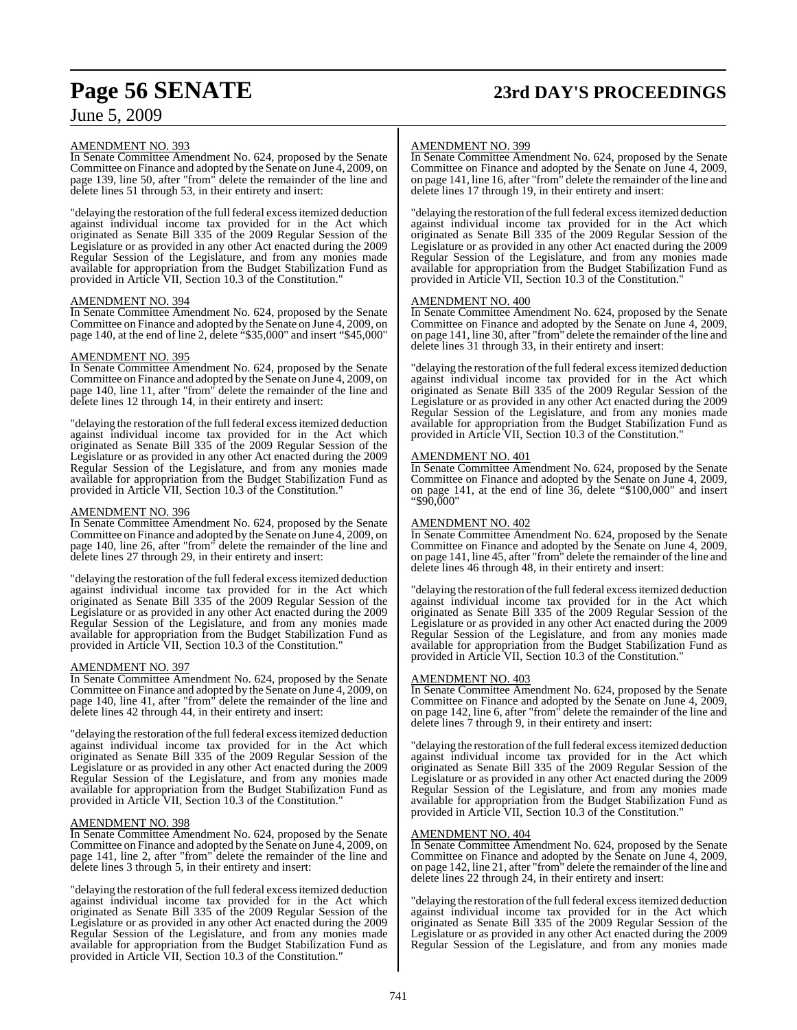# **Page 56 SENATE 23rd DAY'S PROCEEDINGS**

## June 5, 2009

### AMENDMENT NO. 393

In Senate Committee Amendment No. 624, proposed by the Senate Committee on Finance and adopted by the Senate on June 4, 2009, on page 139, line 50, after "from" delete the remainder of the line and delete lines 51 through 53, in their entirety and insert:

"delaying the restoration of the full federal excess itemized deduction against individual income tax provided for in the Act which originated as Senate Bill 335 of the 2009 Regular Session of the Legislature or as provided in any other Act enacted during the 2009 Regular Session of the Legislature, and from any monies made available for appropriation from the Budget Stabilization Fund as provided in Article VII, Section 10.3 of the Constitution."

### AMENDMENT NO. 394

In Senate Committee Amendment No. 624, proposed by the Senate Committee on Finance and adopted by the Senate on June 4, 2009, on page 140, at the end of line 2, delete "\$35,000" and insert "\$45,000"

### AMENDMENT NO. 395

In Senate Committee Amendment No. 624, proposed by the Senate Committee on Finance and adopted by the Senate on June 4, 2009, on page 140, line 11, after "from" delete the remainder of the line and delete lines 12 through 14, in their entirety and insert:

"delaying the restoration of the full federal excess itemized deduction against individual income tax provided for in the Act which originated as Senate Bill 335 of the 2009 Regular Session of the Legislature or as provided in any other Act enacted during the 2009 Regular Session of the Legislature, and from any monies made available for appropriation from the Budget Stabilization Fund as provided in Article VII, Section 10.3 of the Constitution."

### AMENDMENT NO. 396

In Senate Committee Amendment No. 624, proposed by the Senate Committee on Finance and adopted by the Senate on June 4, 2009, on page 140, line 26, after "from" delete the remainder of the line and delete lines 27 through 29, in their entirety and insert:

"delaying the restoration of the full federal excess itemized deduction against individual income tax provided for in the Act which originated as Senate Bill 335 of the 2009 Regular Session of the Legislature or as provided in any other Act enacted during the 2009 Regular Session of the Legislature, and from any monies made available for appropriation from the Budget Stabilization Fund as provided in Article VII, Section 10.3 of the Constitution."

### AMENDMENT NO. 397

In Senate Committee Amendment No. 624, proposed by the Senate Committee on Finance and adopted by the Senate on June 4, 2009, on page 140, line 41, after "from" delete the remainder of the line and delete lines 42 through 44, in their entirety and insert:

"delaying the restoration of the full federal excess itemized deduction against individual income tax provided for in the Act which originated as Senate Bill 335 of the 2009 Regular Session of the Legislature or as provided in any other Act enacted during the 2009 Regular Session of the Legislature, and from any monies made available for appropriation from the Budget Stabilization Fund as provided in Article VII, Section 10.3 of the Constitution."

### AMENDMENT NO. 398

In Senate Committee Amendment No. 624, proposed by the Senate Committee on Finance and adopted by the Senate on June 4, 2009, on page 141, line 2, after "from" delete the remainder of the line and delete lines 3 through 5, in their entirety and insert:

"delaying the restoration of the full federal excess itemized deduction against individual income tax provided for in the Act which originated as Senate Bill 335 of the 2009 Regular Session of the Legislature or as provided in any other Act enacted during the 2009 Regular Session of the Legislature, and from any monies made available for appropriation from the Budget Stabilization Fund as provided in Article VII, Section 10.3 of the Constitution."

### AMENDMENT NO. 399

In Senate Committee Amendment No. 624, proposed by the Senate Committee on Finance and adopted by the Senate on June 4, 2009, on page 141, line 16, after "from" delete the remainder of the line and delete lines 17 through 19, in their entirety and insert:

"delaying the restoration of the full federal excess itemized deduction against individual income tax provided for in the Act which originated as Senate Bill 335 of the 2009 Regular Session of the Legislature or as provided in any other Act enacted during the 2009 Regular Session of the Legislature, and from any monies made available for appropriation from the Budget Stabilization Fund as provided in Article VII, Section 10.3 of the Constitution."

### AMENDMENT NO. 400

In Senate Committee Amendment No. 624, proposed by the Senate Committee on Finance and adopted by the Senate on June 4, 2009, on page 141, line 30, after "from" delete the remainder ofthe line and delete lines 31 through 33, in their entirety and insert:

"delaying the restoration of the full federal excess itemized deduction against individual income tax provided for in the Act which originated as Senate Bill 335 of the 2009 Regular Session of the Legislature or as provided in any other Act enacted during the 2009 Regular Session of the Legislature, and from any monies made available for appropriation from the Budget Stabilization Fund as provided in Article VII, Section 10.3 of the Constitution."

### AMENDMENT NO. 401

In Senate Committee Amendment No. 624, proposed by the Senate Committee on Finance and adopted by the Senate on June 4, 2009, on page 141, at the end of line 36, delete "\$100,000" and insert "\$90,000"

## AMENDMENT NO. 402

In Senate Committee Amendment No. 624, proposed by the Senate Committee on Finance and adopted by the Senate on June 4, 2009, on page 141, line 45, after "from" delete the remainder ofthe line and delete lines 46 through 48, in their entirety and insert:

"delaying the restoration of the full federal excess itemized deduction against individual income tax provided for in the Act which originated as Senate Bill 335 of the 2009 Regular Session of the Legislature or as provided in any other Act enacted during the 2009 Regular Session of the Legislature, and from any monies made available for appropriation from the Budget Stabilization Fund as provided in Article VII, Section 10.3 of the Constitution."

### AMENDMENT NO. 403

In Senate Committee Amendment No. 624, proposed by the Senate Committee on Finance and adopted by the Senate on June 4, 2009, on page 142, line 6, after "from" delete the remainder of the line and delete lines 7 through 9, in their entirety and insert:

"delaying the restoration of the full federal excess itemized deduction against individual income tax provided for in the Act which originated as Senate Bill 335 of the 2009 Regular Session of the Legislature or as provided in any other Act enacted during the 2009 Regular Session of the Legislature, and from any monies made available for appropriation from the Budget Stabilization Fund as provided in Article VII, Section 10.3 of the Constitution."

### AMENDMENT NO. 404

In Senate Committee Amendment No. 624, proposed by the Senate Committee on Finance and adopted by the Senate on June 4, 2009, on page 142, line 21, after "from" delete the remainder of the line and delete lines 22 through 24, in their entirety and insert:

"delaying the restoration of the full federal excess itemized deduction against individual income tax provided for in the Act which originated as Senate Bill 335 of the 2009 Regular Session of the Legislature or as provided in any other Act enacted during the 2009 Regular Session of the Legislature, and from any monies made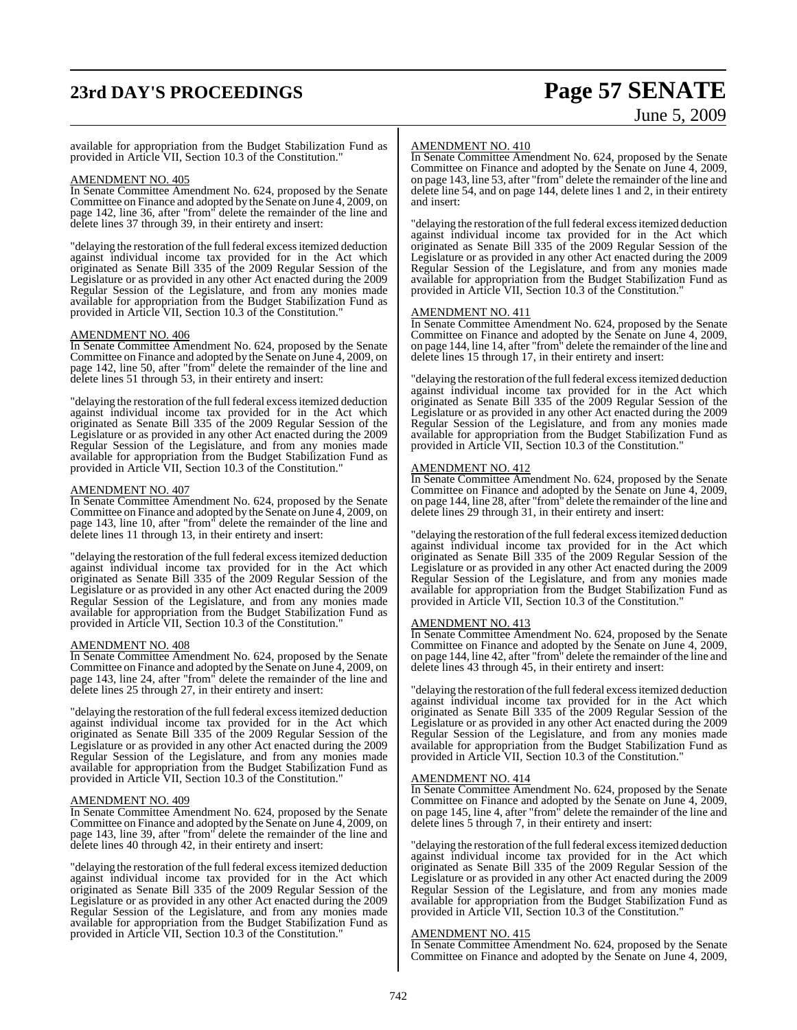# **23rd DAY'S PROCEEDINGS Page 57 SENATE**

# June 5, 2009

available for appropriation from the Budget Stabilization Fund as provided in Article VII, Section 10.3 of the Constitution."

### AMENDMENT NO. 405

In Senate Committee Amendment No. 624, proposed by the Senate Committee on Finance and adopted by the Senate on June 4, 2009, on page 142, line 36, after "from" delete the remainder of the line and delete lines 37 through 39, in their entirety and insert:

"delaying the restoration of the full federal excess itemized deduction against individual income tax provided for in the Act which originated as Senate Bill 335 of the 2009 Regular Session of the Legislature or as provided in any other Act enacted during the 2009 Regular Session of the Legislature, and from any monies made available for appropriation from the Budget Stabilization Fund as provided in Article VII, Section 10.3 of the Constitution."

### AMENDMENT NO. 406

In Senate Committee Amendment No. 624, proposed by the Senate Committee on Finance and adopted by the Senate on June 4, 2009, on page 142, line 50, after "from" delete the remainder of the line and delete lines 51 through 53, in their entirety and insert:

"delaying the restoration of the full federal excess itemized deduction against individual income tax provided for in the Act which originated as Senate Bill 335 of the 2009 Regular Session of the Legislature or as provided in any other Act enacted during the 2009 Regular Session of the Legislature, and from any monies made available for appropriation from the Budget Stabilization Fund as provided in Article VII, Section 10.3 of the Constitution."

### AMENDMENT NO. 407

In Senate Committee Amendment No. 624, proposed by the Senate Committee on Finance and adopted by the Senate on June 4, 2009, on page 143, line 10, after "from" delete the remainder of the line and delete lines 11 through 13, in their entirety and insert:

"delaying the restoration of the full federal excess itemized deduction against individual income tax provided for in the Act which originated as Senate Bill 335 of the 2009 Regular Session of the Legislature or as provided in any other Act enacted during the 2009 Regular Session of the Legislature, and from any monies made available for appropriation from the Budget Stabilization Fund as provided in Article VII, Section 10.3 of the Constitution."

### AMENDMENT NO. 408

In Senate Committee Amendment No. 624, proposed by the Senate Committee on Finance and adopted by the Senate on June 4, 2009, on page 143, line 24, after "from" delete the remainder of the line and delete lines 25 through 27, in their entirety and insert:

"delaying the restoration of the full federal excess itemized deduction against individual income tax provided for in the Act which originated as Senate Bill 335 of the 2009 Regular Session of the Legislature or as provided in any other Act enacted during the 2009 Regular Session of the Legislature, and from any monies made available for appropriation from the Budget Stabilization Fund as provided in Article VII, Section 10.3 of the Constitution."

### AMENDMENT NO. 409

In Senate Committee Amendment No. 624, proposed by the Senate Committee on Finance and adopted by the Senate on June 4, 2009, on page 143, line 39, after "from" delete the remainder of the line and delete lines 40 through 42, in their entirety and insert:

"delaying the restoration of the full federal excess itemized deduction against individual income tax provided for in the Act which originated as Senate Bill 335 of the 2009 Regular Session of the Legislature or as provided in any other Act enacted during the 2009 Regular Session of the Legislature, and from any monies made available for appropriation from the Budget Stabilization Fund as provided in Article VII, Section 10.3 of the Constitution."

### AMENDMENT NO. 410

In Senate Committee Amendment No. 624, proposed by the Senate Committee on Finance and adopted by the Senate on June 4, 2009, on page 143, line 53, after "from" delete the remainder of the line and delete line 54, and on page 144, delete lines 1 and 2, in their entirety and insert:

delaying the restoration of the full federal excess itemized deduction against individual income tax provided for in the Act which originated as Senate Bill 335 of the 2009 Regular Session of the Legislature or as provided in any other Act enacted during the 2009 Regular Session of the Legislature, and from any monies made available for appropriation from the Budget Stabilization Fund as provided in Article VII, Section 10.3 of the Constitution."

### AMENDMENT NO. 411

In Senate Committee Amendment No. 624, proposed by the Senate Committee on Finance and adopted by the Senate on June 4, 2009, on page 144, line 14, after "from" delete the remainder of the line and delete lines 15 through 17, in their entirety and insert:

"delaying the restoration of the full federal excess itemized deduction against individual income tax provided for in the Act which originated as Senate Bill 335 of the 2009 Regular Session of the Legislature or as provided in any other Act enacted during the 2009 Regular Session of the Legislature, and from any monies made available for appropriation from the Budget Stabilization Fund as provided in Article VII, Section 10.3 of the Constitution."

### AMENDMENT NO. 412

In Senate Committee Amendment No. 624, proposed by the Senate Committee on Finance and adopted by the Senate on June 4, 2009, on page 144, line 28, after "from" delete the remainder of the line and delete lines 29 through 31, in their entirety and insert:

"delaying the restoration of the full federal excess itemized deduction against individual income tax provided for in the Act which originated as Senate Bill 335 of the 2009 Regular Session of the Legislature or as provided in any other Act enacted during the 2009 Regular Session of the Legislature, and from any monies made available for appropriation from the Budget Stabilization Fund as provided in Article VII, Section 10.3 of the Constitution."

### AMENDMENT NO. 413

In Senate Committee Amendment No. 624, proposed by the Senate Committee on Finance and adopted by the Senate on June 4, 2009, on page 144, line 42, after "from" delete the remainder of the line and delete lines 43 through 45, in their entirety and insert:

"delaying the restoration of the full federal excess itemized deduction against individual income tax provided for in the Act which originated as Senate Bill 335 of the 2009 Regular Session of the Legislature or as provided in any other Act enacted during the 2009 Regular Session of the Legislature, and from any monies made available for appropriation from the Budget Stabilization Fund as provided in Article VII, Section 10.3 of the Constitution."

### AMENDMENT NO. 414

In Senate Committee Amendment No. 624, proposed by the Senate Committee on Finance and adopted by the Senate on June 4, 2009, on page 145, line 4, after "from" delete the remainder of the line and delete lines 5 through 7, in their entirety and insert:

"delaying the restoration of the full federal excess itemized deduction against individual income tax provided for in the Act which originated as Senate Bill 335 of the 2009 Regular Session of the Legislature or as provided in any other Act enacted during the 2009 Regular Session of the Legislature, and from any monies made available for appropriation from the Budget Stabilization Fund as provided in Article VII, Section 10.3 of the Constitution."

### AMENDMENT NO. 415

In Senate Committee Amendment No. 624, proposed by the Senate Committee on Finance and adopted by the Senate on June 4, 2009,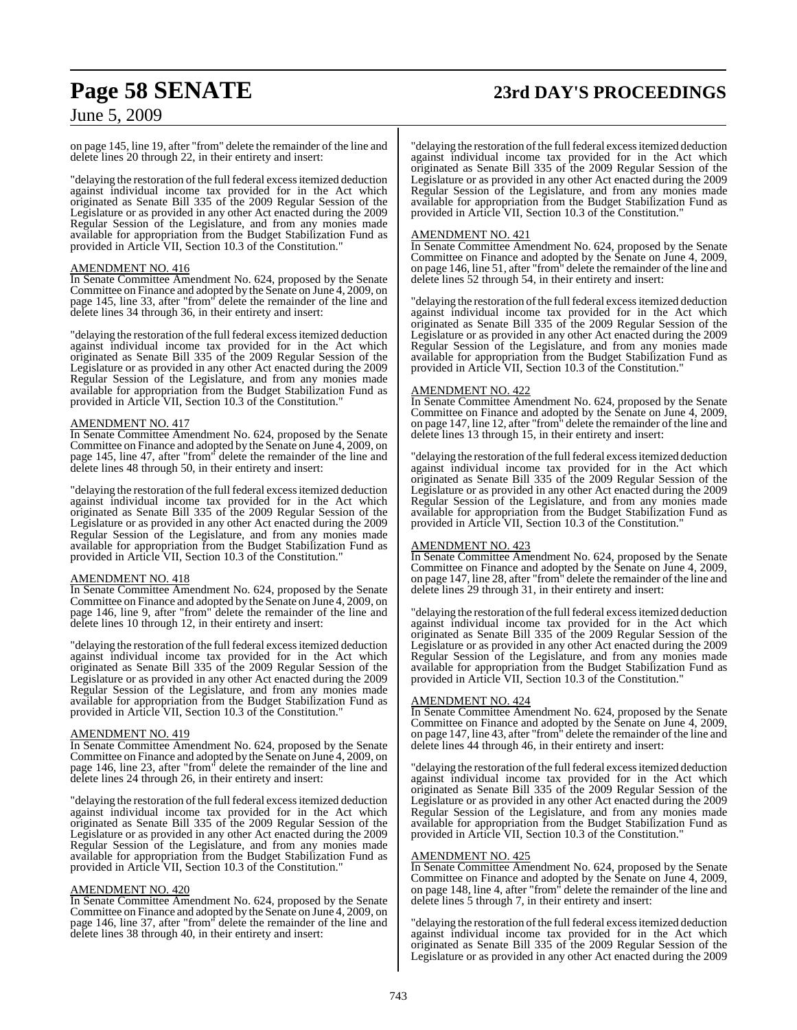# **Page 58 SENATE 23rd DAY'S PROCEEDINGS**

# June 5, 2009

on page 145, line 19, after "from" delete the remainder of the line and delete lines 20 through 22, in their entirety and insert:

"delaying the restoration of the full federal excess itemized deduction against individual income tax provided for in the Act which originated as Senate Bill 335 of the 2009 Regular Session of the Legislature or as provided in any other Act enacted during the 2009 Regular Session of the Legislature, and from any monies made available for appropriation from the Budget Stabilization Fund as provided in Article VII, Section 10.3 of the Constitution."

### AMENDMENT NO. 416

In Senate Committee Amendment No. 624, proposed by the Senate Committee on Finance and adopted by the Senate on June 4, 2009, on page 145, line 33, after "from" delete the remainder of the line and delete lines 34 through 36, in their entirety and insert:

"delaying the restoration of the full federal excess itemized deduction against individual income tax provided for in the Act which originated as Senate Bill 335 of the 2009 Regular Session of the Legislature or as provided in any other Act enacted during the 2009 Regular Session of the Legislature, and from any monies made available for appropriation from the Budget Stabilization Fund as provided in Article VII, Section 10.3 of the Constitution."

### AMENDMENT NO. 417

In Senate Committee Amendment No. 624, proposed by the Senate Committee on Finance and adopted by the Senate on June 4, 2009, on page 145, line 47, after "from" delete the remainder of the line and delete lines 48 through 50, in their entirety and insert:

"delaying the restoration of the full federal excess itemized deduction against individual income tax provided for in the Act which originated as Senate Bill 335 of the 2009 Regular Session of the Legislature or as provided in any other Act enacted during the 2009 Regular Session of the Legislature, and from any monies made available for appropriation from the Budget Stabilization Fund as provided in Article VII, Section 10.3 of the Constitution."

### AMENDMENT NO. 418

In Senate Committee Amendment No. 624, proposed by the Senate Committee on Finance and adopted by the Senate on June 4, 2009, on page 146, line 9, after "from" delete the remainder of the line and delete lines 10 through 12, in their entirety and insert:

"delaying the restoration of the full federal excess itemized deduction against individual income tax provided for in the Act which originated as Senate Bill 335 of the 2009 Regular Session of the Legislature or as provided in any other Act enacted during the 2009 Regular Session of the Legislature, and from any monies made available for appropriation from the Budget Stabilization Fund as provided in Article VII, Section 10.3 of the Constitution."

### AMENDMENT NO. 419

In Senate Committee Amendment No. 624, proposed by the Senate Committee on Finance and adopted by the Senate on June 4, 2009, on page 146, line 23, after "from" delete the remainder of the line and delete lines 24 through 26, in their entirety and insert:

"delaying the restoration of the full federal excess itemized deduction against individual income tax provided for in the Act which originated as Senate Bill 335 of the 2009 Regular Session of the Legislature or as provided in any other Act enacted during the 2009 Regular Session of the Legislature, and from any monies made available for appropriation from the Budget Stabilization Fund as provided in Article VII, Section 10.3 of the Constitution."

### AMENDMENT NO. 420

In Senate Committee Amendment No. 624, proposed by the Senate Committee on Finance and adopted by the Senate on June 4, 2009, on page 146, line 37, after "from" delete the remainder of the line and delete lines 38 through 40, in their entirety and insert:

"delaying the restoration of the full federal excess itemized deduction against individual income tax provided for in the Act which originated as Senate Bill 335 of the 2009 Regular Session of the Legislature or as provided in any other Act enacted during the 2009 Regular Session of the Legislature, and from any monies made available for appropriation from the Budget Stabilization Fund as provided in Article VII, Section 10.3 of the Constitution."

### AMENDMENT NO. 421

In Senate Committee Amendment No. 624, proposed by the Senate Committee on Finance and adopted by the Senate on June 4, 2009, on page 146, line 51, after "from" delete the remainder ofthe line and delete lines 52 through 54, in their entirety and insert:

"delaying the restoration of the full federal excess itemized deduction against individual income tax provided for in the Act which originated as Senate Bill 335 of the 2009 Regular Session of the Legislature or as provided in any other Act enacted during the 2009 Regular Session of the Legislature, and from any monies made available for appropriation from the Budget Stabilization Fund as provided in Article VII, Section 10.3 of the Constitution."

### AMENDMENT NO. 422

In Senate Committee Amendment No. 624, proposed by the Senate Committee on Finance and adopted by the Senate on June 4, 2009, on page 147, line 12, after "from" delete the remainder of the line and delete lines 13 through 15, in their entirety and insert:

"delaying the restoration of the full federal excess itemized deduction against individual income tax provided for in the Act which originated as Senate Bill 335 of the 2009 Regular Session of the Legislature or as provided in any other Act enacted during the 2009 Regular Session of the Legislature, and from any monies made available for appropriation from the Budget Stabilization Fund as provided in Article VII, Section 10.3 of the Constitution."

### AMENDMENT NO. 423

In Senate Committee Amendment No. 624, proposed by the Senate Committee on Finance and adopted by the Senate on June 4, 2009, on page 147, line 28, after "from" delete the remainder of the line and delete lines 29 through 31, in their entirety and insert:

"delaying the restoration of the full federal excess itemized deduction against individual income tax provided for in the Act which originated as Senate Bill 335 of the 2009 Regular Session of the Legislature or as provided in any other Act enacted during the 2009 Regular Session of the Legislature, and from any monies made available for appropriation from the Budget Stabilization Fund as provided in Article VII, Section 10.3 of the Constitution."

### AMENDMENT NO. 424

In Senate Committee Amendment No. 624, proposed by the Senate Committee on Finance and adopted by the Senate on June 4, 2009, on page 147, line 43, after "from" delete the remainder of the line and delete lines 44 through 46, in their entirety and insert:

"delaying the restoration of the full federal excess itemized deduction against individual income tax provided for in the Act which originated as Senate Bill 335 of the 2009 Regular Session of the Legislature or as provided in any other Act enacted during the 2009 Regular Session of the Legislature, and from any monies made available for appropriation from the Budget Stabilization Fund as provided in Article VII, Section 10.3 of the Constitution."

### AMENDMENT NO. 425

In Senate Committee Amendment No. 624, proposed by the Senate Committee on Finance and adopted by the Senate on June 4, 2009, on page 148, line 4, after "from" delete the remainder of the line and delete lines 5 through 7, in their entirety and insert:

"delaying the restoration of the full federal excess itemized deduction against individual income tax provided for in the Act which originated as Senate Bill 335 of the 2009 Regular Session of the Legislature or as provided in any other Act enacted during the 2009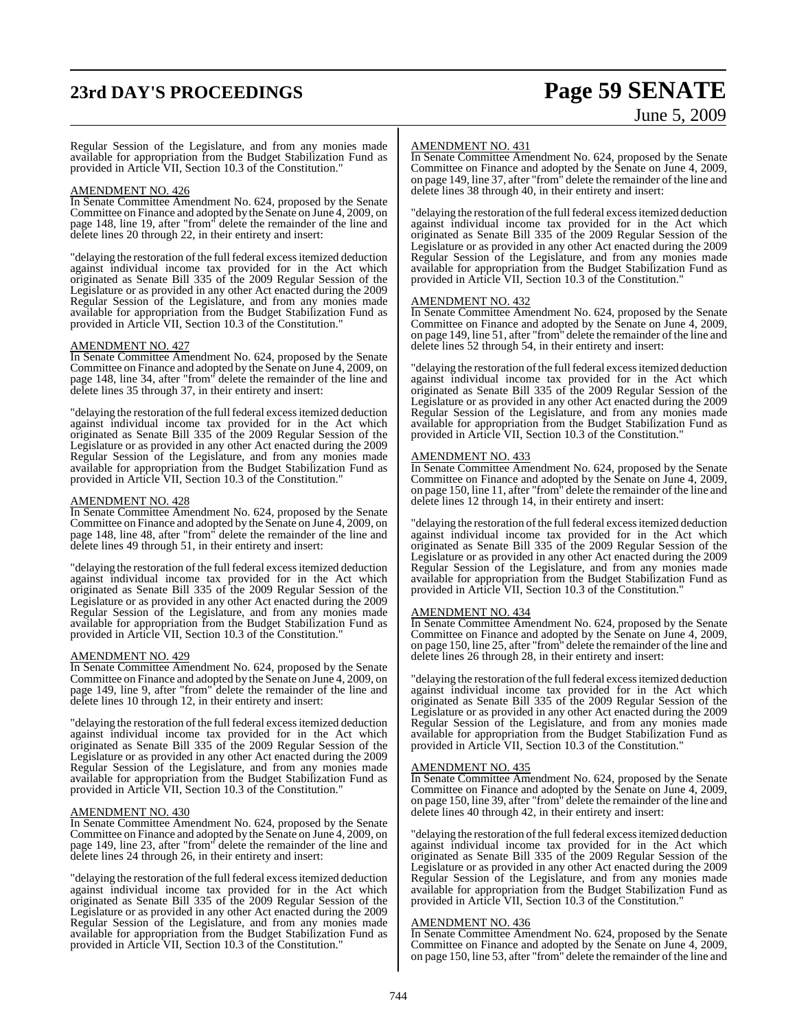# **23rd DAY'S PROCEEDINGS Page 59 SENATE**

# June 5, 2009

Regular Session of the Legislature, and from any monies made available for appropriation from the Budget Stabilization Fund as provided in Article VII, Section 10.3 of the Constitution."

### AMENDMENT NO. 426

In Senate Committee Amendment No. 624, proposed by the Senate Committee on Finance and adopted by the Senate on June 4, 2009, on page 148, line 19, after "from" delete the remainder of the line and delete lines 20 through 22, in their entirety and insert:

"delaying the restoration of the full federal excess itemized deduction against individual income tax provided for in the Act which originated as Senate Bill 335 of the 2009 Regular Session of the Legislature or as provided in any other Act enacted during the 2009 Regular Session of the Legislature, and from any monies made available for appropriation from the Budget Stabilization Fund as provided in Article VII, Section 10.3 of the Constitution."

### AMENDMENT NO. 427

In Senate Committee Amendment No. 624, proposed by the Senate Committee on Finance and adopted by the Senate on June 4, 2009, on page 148, line 34, after "from" delete the remainder of the line and delete lines 35 through 37, in their entirety and insert:

"delaying the restoration of the full federal excess itemized deduction against individual income tax provided for in the Act which originated as Senate Bill 335 of the 2009 Regular Session of the Legislature or as provided in any other Act enacted during the 2009 Regular Session of the Legislature, and from any monies made available for appropriation from the Budget Stabilization Fund as provided in Article VII, Section 10.3 of the Constitution."

### AMENDMENT NO. 428

In Senate Committee Amendment No. 624, proposed by the Senate Committee on Finance and adopted by the Senate on June 4, 2009, on page 148, line 48, after "from" delete the remainder of the line and delete lines 49 through 51, in their entirety and insert:

"delaying the restoration of the full federal excess itemized deduction against individual income tax provided for in the Act which originated as Senate Bill 335 of the 2009 Regular Session of the Legislature or as provided in any other Act enacted during the 2009 Regular Session of the Legislature, and from any monies made available for appropriation from the Budget Stabilization Fund as provided in Article VII, Section 10.3 of the Constitution."

### AMENDMENT NO. 429

In Senate Committee Amendment No. 624, proposed by the Senate Committee on Finance and adopted by the Senate on June 4, 2009, on page 149, line 9, after "from" delete the remainder of the line and delete lines 10 through 12, in their entirety and insert:

"delaying the restoration of the full federal excess itemized deduction against individual income tax provided for in the Act which originated as Senate Bill 335 of the 2009 Regular Session of the Legislature or as provided in any other Act enacted during the 2009 Regular Session of the Legislature, and from any monies made available for appropriation from the Budget Stabilization Fund as provided in Article VII, Section 10.3 of the Constitution."

### <u>AMENDMENT NO. 430</u>

In Senate Committee Amendment No. 624, proposed by the Senate Committee on Finance and adopted by the Senate on June 4, 2009, on page 149, line 23, after "from" delete the remainder of the line and delete lines 24 through 26, in their entirety and insert:

"delaying the restoration of the full federal excess itemized deduction against individual income tax provided for in the Act which originated as Senate Bill 335 of the 2009 Regular Session of the Legislature or as provided in any other Act enacted during the 2009 Regular Session of the Legislature, and from any monies made available for appropriation from the Budget Stabilization Fund as provided in Article VII, Section 10.3 of the Constitution."

### AMENDMENT NO. 431

In Senate Committee Amendment No. 624, proposed by the Senate Committee on Finance and adopted by the Senate on June 4, 2009, on page 149, line 37, after "from" delete the remainder of the line and delete lines 38 through 40, in their entirety and insert:

"delaying the restoration of the full federal excess itemized deduction against individual income tax provided for in the Act which originated as Senate Bill 335 of the 2009 Regular Session of the Legislature or as provided in any other Act enacted during the 2009 Regular Session of the Legislature, and from any monies made available for appropriation from the Budget Stabilization Fund as provided in Article VII, Section 10.3 of the Constitution."

### AMENDMENT NO. 432

In Senate Committee Amendment No. 624, proposed by the Senate Committee on Finance and adopted by the Senate on June 4, 2009, on page 149, line 51, after "from" delete the remainder ofthe line and delete lines 52 through 54, in their entirety and insert:

"delaying the restoration of the full federal excess itemized deduction against individual income tax provided for in the Act which originated as Senate Bill 335 of the 2009 Regular Session of the Legislature or as provided in any other Act enacted during the 2009 Regular Session of the Legislature, and from any monies made available for appropriation from the Budget Stabilization Fund as provided in Article VII, Section 10.3 of the Constitution."

### AMENDMENT NO. 433

In Senate Committee Amendment No. 624, proposed by the Senate Committee on Finance and adopted by the Senate on June 4, 2009, on page 150, line 11, after "from" delete the remainder of the line and delete lines 12 through 14, in their entirety and insert:

"delaying the restoration of the full federal excess itemized deduction against individual income tax provided for in the Act which originated as Senate Bill 335 of the 2009 Regular Session of the Legislature or as provided in any other Act enacted during the 2009 Regular Session of the Legislature, and from any monies made available for appropriation from the Budget Stabilization Fund as provided in Article VII, Section 10.3 of the Constitution."

### AMENDMENT NO. 434

In Senate Committee Amendment No. 624, proposed by the Senate Committee on Finance and adopted by the Senate on June 4, 2009, on page 150, line 25, after "from" delete the remainder of the line and delete lines 26 through 28, in their entirety and insert:

"delaying the restoration of the full federal excess itemized deduction against individual income tax provided for in the Act which originated as Senate Bill 335 of the 2009 Regular Session of the Legislature or as provided in any other Act enacted during the 2009 Regular Session of the Legislature, and from any monies made available for appropriation from the Budget Stabilization Fund as provided in Article VII, Section 10.3 of the Constitution."

### AMENDMENT NO. 435

In Senate Committee Amendment No. 624, proposed by the Senate Committee on Finance and adopted by the Senate on June 4, 2009, on page 150, line 39, after "from" delete the remainder of the line and delete lines 40 through 42, in their entirety and insert:

"delaying the restoration of the full federal excess itemized deduction against individual income tax provided for in the Act which originated as Senate Bill 335 of the 2009 Regular Session of the Legislature or as provided in any other Act enacted during the 2009 Regular Session of the Legislature, and from any monies made available for appropriation from the Budget Stabilization Fund as provided in Article VII, Section 10.3 of the Constitution."

### AMENDMENT NO. 436

In Senate Committee Amendment No. 624, proposed by the Senate Committee on Finance and adopted by the Senate on June 4, 2009, on page 150, line 53, after "from" delete the remainder of the line and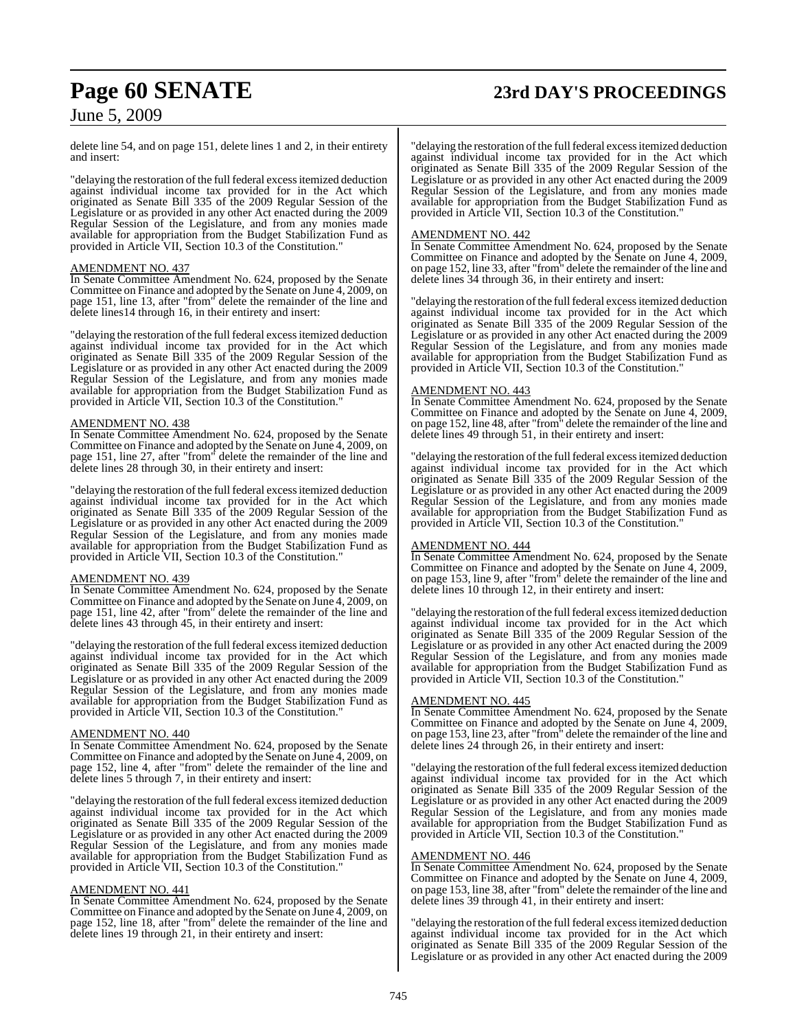# **Page 60 SENATE 23rd DAY'S PROCEEDINGS**

# June 5, 2009

delete line 54, and on page 151, delete lines 1 and 2, in their entirety and insert:

"delaying the restoration of the full federal excess itemized deduction against individual income tax provided for in the Act which originated as Senate Bill 335 of the 2009 Regular Session of the Legislature or as provided in any other Act enacted during the 2009 Regular Session of the Legislature, and from any monies made available for appropriation from the Budget Stabilization Fund as provided in Article VII, Section 10.3 of the Constitution."

### AMENDMENT NO. 437

In Senate Committee Amendment No. 624, proposed by the Senate Committee on Finance and adopted by the Senate on June 4, 2009, on page 151, line 13, after "from" delete the remainder of the line and delete lines14 through 16, in their entirety and insert:

"delaying the restoration of the full federal excess itemized deduction against individual income tax provided for in the Act which originated as Senate Bill 335 of the 2009 Regular Session of the Legislature or as provided in any other Act enacted during the 2009 Regular Session of the Legislature, and from any monies made available for appropriation from the Budget Stabilization Fund as provided in Article VII, Section 10.3 of the Constitution."

### AMENDMENT NO. 438

In Senate Committee Amendment No. 624, proposed by the Senate Committee on Finance and adopted by the Senate on June 4, 2009, on page 151, line 27, after "from" delete the remainder of the line and delete lines 28 through 30, in their entirety and insert:

"delaying the restoration of the full federal excess itemized deduction against individual income tax provided for in the Act which originated as Senate Bill 335 of the 2009 Regular Session of the Legislature or as provided in any other Act enacted during the 2009 Regular Session of the Legislature, and from any monies made available for appropriation from the Budget Stabilization Fund as provided in Article VII, Section 10.3 of the Constitution."

### AMENDMENT NO. 439

In Senate Committee Amendment No. 624, proposed by the Senate Committee on Finance and adopted by the Senate on June 4, 2009, on page 151, line 42, after "from" delete the remainder of the line and delete lines 43 through 45, in their entirety and insert:

"delaying the restoration of the full federal excess itemized deduction against individual income tax provided for in the Act which originated as Senate Bill 335 of the 2009 Regular Session of the Legislature or as provided in any other Act enacted during the 2009 Regular Session of the Legislature, and from any monies made available for appropriation from the Budget Stabilization Fund as provided in Article VII, Section 10.3 of the Constitution."

### AMENDMENT NO. 440

In Senate Committee Amendment No. 624, proposed by the Senate Committee on Finance and adopted by the Senate on June 4, 2009, on page 152, line 4, after "from" delete the remainder of the line and delete lines 5 through 7, in their entirety and insert:

"delaying the restoration of the full federal excess itemized deduction against individual income tax provided for in the Act which originated as Senate Bill 335 of the 2009 Regular Session of the Legislature or as provided in any other Act enacted during the 2009 Regular Session of the Legislature, and from any monies made available for appropriation from the Budget Stabilization Fund as provided in Article VII, Section 10.3 of the Constitution."

### AMENDMENT NO. 441

In Senate Committee Amendment No. 624, proposed by the Senate Committee on Finance and adopted by the Senate on June 4, 2009, on page 152, line 18, after "from" delete the remainder of the line and delete lines 19 through 21, in their entirety and insert:

"delaying the restoration of the full federal excess itemized deduction against individual income tax provided for in the Act which originated as Senate Bill 335 of the 2009 Regular Session of the Legislature or as provided in any other Act enacted during the 2009 Regular Session of the Legislature, and from any monies made available for appropriation from the Budget Stabilization Fund as provided in Article VII, Section 10.3 of the Constitution."

### AMENDMENT NO. 442

In Senate Committee Amendment No. 624, proposed by the Senate Committee on Finance and adopted by the Senate on June 4, 2009, on page 152, line 33, after "from" delete the remainder of the line and delete lines 34 through 36, in their entirety and insert:

"delaying the restoration of the full federal excess itemized deduction against individual income tax provided for in the Act which originated as Senate Bill 335 of the 2009 Regular Session of the Legislature or as provided in any other Act enacted during the 2009 Regular Session of the Legislature, and from any monies made available for appropriation from the Budget Stabilization Fund as provided in Article VII, Section 10.3 of the Constitution."

### AMENDMENT NO. 443

In Senate Committee Amendment No. 624, proposed by the Senate Committee on Finance and adopted by the Senate on June 4, 2009, on page 152, line 48, after "from" delete the remainder of the line and delete lines 49 through 51, in their entirety and insert:

"delaying the restoration of the full federal excess itemized deduction against individual income tax provided for in the Act which originated as Senate Bill 335 of the 2009 Regular Session of the Legislature or as provided in any other Act enacted during the 2009 Regular Session of the Legislature, and from any monies made available for appropriation from the Budget Stabilization Fund as provided in Article VII, Section 10.3 of the Constitution."

### AMENDMENT NO. 444

In Senate Committee Amendment No. 624, proposed by the Senate Committee on Finance and adopted by the Senate on June 4, 2009, on page 153, line 9, after "from" delete the remainder of the line and delete lines 10 through 12, in their entirety and insert:

"delaying the restoration of the full federal excess itemized deduction against individual income tax provided for in the Act which originated as Senate Bill 335 of the 2009 Regular Session of the Legislature or as provided in any other Act enacted during the 2009 Regular Session of the Legislature, and from any monies made available for appropriation from the Budget Stabilization Fund as provided in Article VII, Section 10.3 of the Constitution."

### AMENDMENT NO. 445

In Senate Committee Amendment No. 624, proposed by the Senate Committee on Finance and adopted by the Senate on June 4, 2009, on page 153, line 23, after "from" delete the remainder of the line and delete lines 24 through 26, in their entirety and insert:

"delaying the restoration of the full federal excess itemized deduction against individual income tax provided for in the Act which originated as Senate Bill 335 of the 2009 Regular Session of the Legislature or as provided in any other Act enacted during the 2009 Regular Session of the Legislature, and from any monies made available for appropriation from the Budget Stabilization Fund as provided in Article VII, Section 10.3 of the Constitution."

### AMENDMENT NO. 446

In Senate Committee Amendment No. 624, proposed by the Senate Committee on Finance and adopted by the Senate on June 4, 2009, on page 153, line 38, after "from" delete the remainder ofthe line and delete lines 39 through 41, in their entirety and insert:

"delaying the restoration of the full federal excess itemized deduction against individual income tax provided for in the Act which originated as Senate Bill 335 of the 2009 Regular Session of the Legislature or as provided in any other Act enacted during the 2009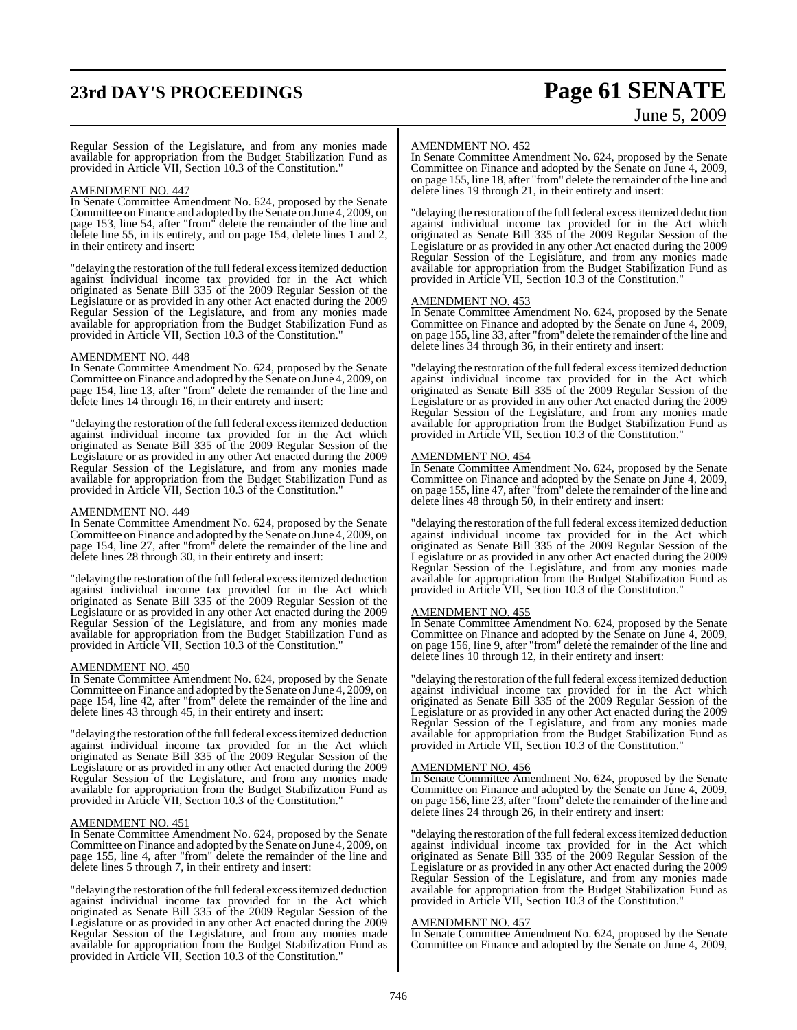# **23rd DAY'S PROCEEDINGS Page 61 SENATE** June 5, 2009

Regular Session of the Legislature, and from any monies made available for appropriation from the Budget Stabilization Fund as provided in Article VII, Section 10.3 of the Constitution."

### AMENDMENT NO. 447

In Senate Committee Amendment No. 624, proposed by the Senate Committee on Finance and adopted by the Senate on June 4, 2009, on page 153, line 54, after "from" delete the remainder of the line and delete line 55, in its entirety, and on page 154, delete lines 1 and 2, in their entirety and insert:

"delaying the restoration of the full federal excess itemized deduction against individual income tax provided for in the Act which originated as Senate Bill 335 of the 2009 Regular Session of the Legislature or as provided in any other Act enacted during the 2009 Regular Session of the Legislature, and from any monies made available for appropriation from the Budget Stabilization Fund as provided in Article VII, Section 10.3 of the Constitution."

### AMENDMENT NO. 448

In Senate Committee Amendment No. 624, proposed by the Senate Committee on Finance and adopted by the Senate on June 4, 2009, on page 154, line 13, after "from" delete the remainder of the line and delete lines 14 through 16, in their entirety and insert:

"delaying the restoration of the full federal excess itemized deduction against individual income tax provided for in the Act which originated as Senate Bill 335 of the 2009 Regular Session of the Legislature or as provided in any other Act enacted during the 2009 Regular Session of the Legislature, and from any monies made available for appropriation from the Budget Stabilization Fund as provided in Article VII, Section 10.3 of the Constitution."

### AMENDMENT NO. 449

In Senate Committee Amendment No. 624, proposed by the Senate Committee on Finance and adopted by the Senate on June 4, 2009, on page 154, line 27, after "from" delete the remainder of the line and delete lines 28 through 30, in their entirety and insert:

"delaying the restoration of the full federal excess itemized deduction against individual income tax provided for in the Act which originated as Senate Bill 335 of the 2009 Regular Session of the Legislature or as provided in any other Act enacted during the 2009 Regular Session of the Legislature, and from any monies made available for appropriation from the Budget Stabilization Fund as provided in Article VII, Section 10.3 of the Constitution."

### AMENDMENT NO. 450

In Senate Committee Amendment No. 624, proposed by the Senate Committee on Finance and adopted by the Senate on June 4, 2009, on page 154, line 42, after "from" delete the remainder of the line and delete lines 43 through 45, in their entirety and insert:

"delaying the restoration of the full federal excess itemized deduction against individual income tax provided for in the Act which originated as Senate Bill 335 of the 2009 Regular Session of the Legislature or as provided in any other Act enacted during the 2009 Regular Session of the Legislature, and from any monies made available for appropriation from the Budget Stabilization Fund as provided in Article VII, Section 10.3 of the Constitution."

### AMENDMENT NO. 451

In Senate Committee Amendment No. 624, proposed by the Senate Committee on Finance and adopted by the Senate on June 4, 2009, on page 155, line 4, after "from" delete the remainder of the line and delete lines 5 through 7, in their entirety and insert:

"delaying the restoration of the full federal excess itemized deduction against individual income tax provided for in the Act which originated as Senate Bill 335 of the 2009 Regular Session of the Legislature or as provided in any other Act enacted during the 2009 Regular Session of the Legislature, and from any monies made available for appropriation from the Budget Stabilization Fund as provided in Article VII, Section 10.3 of the Constitution."

### AMENDMENT NO. 452

In Senate Committee Amendment No. 624, proposed by the Senate Committee on Finance and adopted by the Senate on June 4, 2009, on page 155, line 18, after "from" delete the remainder of the line and delete lines 19 through 21, in their entirety and insert:

"delaying the restoration of the full federal excess itemized deduction against individual income tax provided for in the Act which originated as Senate Bill 335 of the 2009 Regular Session of the Legislature or as provided in any other Act enacted during the 2009 Regular Session of the Legislature, and from any monies made available for appropriation from the Budget Stabilization Fund as provided in Article VII, Section 10.3 of the Constitution."

### AMENDMENT NO. 453

In Senate Committee Amendment No. 624, proposed by the Senate Committee on Finance and adopted by the Senate on June 4, 2009, on page 155, line 33, after "from" delete the remainder ofthe line and delete lines 34 through 36, in their entirety and insert:

"delaying the restoration of the full federal excess itemized deduction against individual income tax provided for in the Act which originated as Senate Bill 335 of the 2009 Regular Session of the Legislature or as provided in any other Act enacted during the 2009 Regular Session of the Legislature, and from any monies made available for appropriation from the Budget Stabilization Fund as provided in Article VII, Section 10.3 of the Constitution."

### AMENDMENT NO. 454

In Senate Committee Amendment No. 624, proposed by the Senate Committee on Finance and adopted by the Senate on June 4, 2009, on page 155, line 47, after "from" delete the remainder of the line and delete lines 48 through 50, in their entirety and insert:

"delaying the restoration of the full federal excess itemized deduction against individual income tax provided for in the Act which originated as Senate Bill 335 of the 2009 Regular Session of the Legislature or as provided in any other Act enacted during the 2009 Regular Session of the Legislature, and from any monies made available for appropriation from the Budget Stabilization Fund as provided in Article VII, Section 10.3 of the Constitution."

### AMENDMENT NO. 455

In Senate Committee Amendment No. 624, proposed by the Senate Committee on Finance and adopted by the Senate on June 4, 2009, on page 156, line 9, after "from" delete the remainder of the line and delete lines 10 through 12, in their entirety and insert:

"delaying the restoration of the full federal excess itemized deduction against individual income tax provided for in the Act which originated as Senate Bill 335 of the 2009 Regular Session of the Legislature or as provided in any other Act enacted during the 2009 Regular Session of the Legislature, and from any monies made available for appropriation from the Budget Stabilization Fund as provided in Article VII, Section 10.3 of the Constitution."

### AMENDMENT NO. 456

In Senate Committee Amendment No. 624, proposed by the Senate Committee on Finance and adopted by the Senate on June 4, 2009, on page 156, line 23, after "from" delete the remainder of the line and delete lines 24 through 26, in their entirety and insert:

delaying the restoration of the full federal excess itemized deduction against individual income tax provided for in the Act which originated as Senate Bill 335 of the 2009 Regular Session of the Legislature or as provided in any other Act enacted during the 2009 Regular Session of the Legislature, and from any monies made available for appropriation from the Budget Stabilization Fund as provided in Article VII, Section 10.3 of the Constitution."

### AMENDMENT NO. 457

In Senate Committee Amendment No. 624, proposed by the Senate Committee on Finance and adopted by the Senate on June 4, 2009,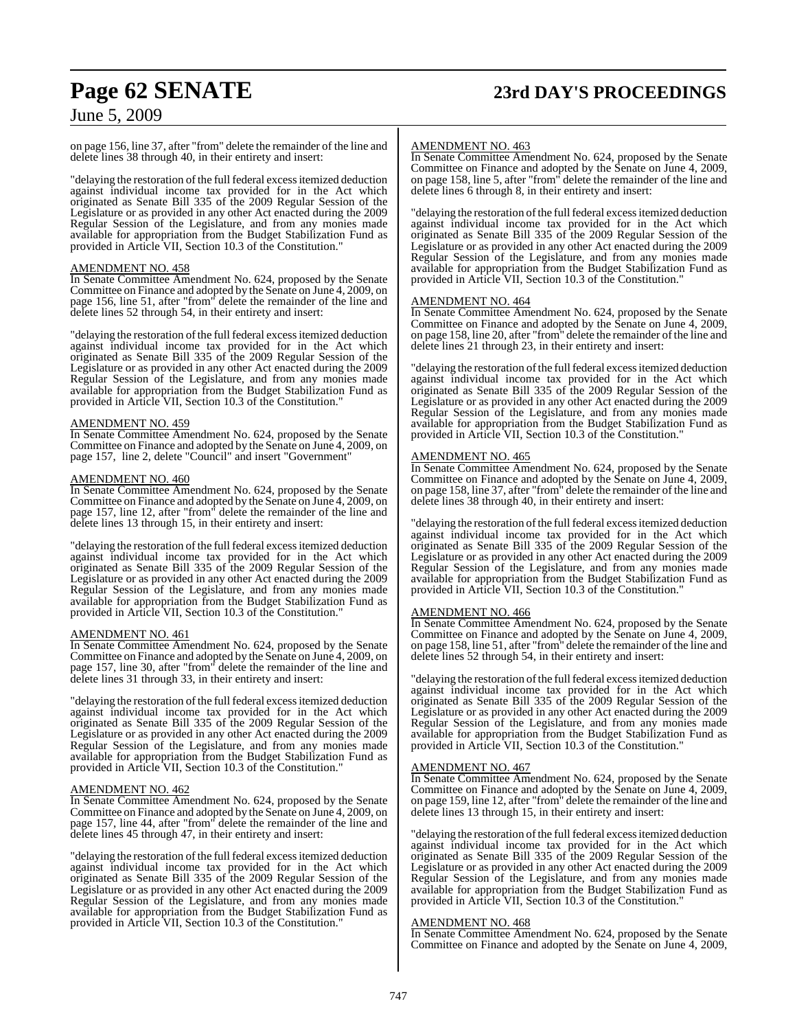# **Page 62 SENATE 23rd DAY'S PROCEEDINGS**

# June 5, 2009

on page 156, line 37, after "from" delete the remainder of the line and delete lines 38 through 40, in their entirety and insert:

"delaying the restoration of the full federal excess itemized deduction against individual income tax provided for in the Act which originated as Senate Bill 335 of the 2009 Regular Session of the Legislature or as provided in any other Act enacted during the 2009 Regular Session of the Legislature, and from any monies made available for appropriation from the Budget Stabilization Fund as provided in Article VII, Section 10.3 of the Constitution."

### AMENDMENT NO. 458

In Senate Committee Amendment No. 624, proposed by the Senate Committee on Finance and adopted by the Senate on June 4, 2009, on page 156, line 51, after "from" delete the remainder of the line and delete lines 52 through 54, in their entirety and insert:

"delaying the restoration of the full federal excess itemized deduction against individual income tax provided for in the Act which originated as Senate Bill 335 of the 2009 Regular Session of the Legislature or as provided in any other Act enacted during the 2009 Regular Session of the Legislature, and from any monies made available for appropriation from the Budget Stabilization Fund as provided in Article VII, Section 10.3 of the Constitution."

### AMENDMENT NO. 459

In Senate Committee Amendment No. 624, proposed by the Senate Committee on Finance and adopted by the Senate on June 4, 2009, on page 157, line 2, delete "Council" and insert "Government"

### AMENDMENT NO. 460

In Senate Committee Amendment No. 624, proposed by the Senate Committee on Finance and adopted by the Senate on June 4, 2009, on page 157, line 12, after "from" delete the remainder of the line and delete lines 13 through 15, in their entirety and insert:

"delaying the restoration of the full federal excess itemized deduction against individual income tax provided for in the Act which originated as Senate Bill 335 of the 2009 Regular Session of the Legislature or as provided in any other Act enacted during the 2009 Regular Session of the Legislature, and from any monies made available for appropriation from the Budget Stabilization Fund as provided in Article VII, Section 10.3 of the Constitution."

### AMENDMENT NO. 461

In Senate Committee Amendment No. 624, proposed by the Senate Committee on Finance and adopted by the Senate on June 4, 2009, on page 157, line 30, after "from" delete the remainder of the line and delete lines 31 through 33, in their entirety and insert:

"delaying the restoration of the full federal excess itemized deduction against individual income tax provided for in the Act which originated as Senate Bill 335 of the 2009 Regular Session of the Legislature or as provided in any other Act enacted during the 2009 Regular Session of the Legislature, and from any monies made available for appropriation from the Budget Stabilization Fund as provided in Article VII, Section 10.3 of the Constitution."

### AMENDMENT NO. 462

In Senate Committee Amendment No. 624, proposed by the Senate Committee on Finance and adopted by the Senate on June 4, 2009, on page 157, line 44, after "from" delete the remainder of the line and delete lines 45 through 47, in their entirety and insert:

"delaying the restoration of the full federal excess itemized deduction against individual income tax provided for in the Act which originated as Senate Bill 335 of the 2009 Regular Session of the Legislature or as provided in any other Act enacted during the 2009 Regular Session of the Legislature, and from any monies made available for appropriation from the Budget Stabilization Fund as provided in Article VII, Section 10.3 of the Constitution."

### AMENDMENT NO. 463

In Senate Committee Amendment No. 624, proposed by the Senate Committee on Finance and adopted by the Senate on June 4, 2009, on page 158, line 5, after "from" delete the remainder of the line and delete lines 6 through 8, in their entirety and insert:

"delaying the restoration of the full federal excess itemized deduction against individual income tax provided for in the Act which originated as Senate Bill 335 of the 2009 Regular Session of the Legislature or as provided in any other Act enacted during the 2009 Regular Session of the Legislature, and from any monies made available for appropriation from the Budget Stabilization Fund as provided in Article VII, Section 10.3 of the Constitution."

### AMENDMENT NO. 464

In Senate Committee Amendment No. 624, proposed by the Senate Committee on Finance and adopted by the Senate on June 4, 2009, on page 158, line 20, after "from" delete the remainder ofthe line and delete lines 21 through 23, in their entirety and insert:

"delaying the restoration of the full federal excess itemized deduction against individual income tax provided for in the Act which originated as Senate Bill 335 of the 2009 Regular Session of the Legislature or as provided in any other Act enacted during the 2009 Regular Session of the Legislature, and from any monies made available for appropriation from the Budget Stabilization Fund as provided in Article VII, Section 10.3 of the Constitution."

### AMENDMENT NO. 465

In Senate Committee Amendment No. 624, proposed by the Senate Committee on Finance and adopted by the Senate on June 4, 2009, on page 158, line 37, after "from" delete the remainder of the line and delete lines 38 through 40, in their entirety and insert:

"delaying the restoration of the full federal excess itemized deduction against individual income tax provided for in the Act which originated as Senate Bill 335 of the 2009 Regular Session of the Legislature or as provided in any other Act enacted during the 2009 Regular Session of the Legislature, and from any monies made available for appropriation from the Budget Stabilization Fund as provided in Article VII, Section 10.3 of the Constitution."

### AMENDMENT NO. 466

In Senate Committee Amendment No. 624, proposed by the Senate Committee on Finance and adopted by the Senate on June 4, 2009, on page 158, line 51, after "from" delete the remainder of the line and delete lines 52 through 54, in their entirety and insert:

"delaying the restoration of the full federal excess itemized deduction against individual income tax provided for in the Act which originated as Senate Bill 335 of the 2009 Regular Session of the Legislature or as provided in any other Act enacted during the 2009 Regular Session of the Legislature, and from any monies made available for appropriation from the Budget Stabilization Fund as provided in Article VII, Section 10.3 of the Constitution."

### AMENDMENT NO. 467

In Senate Committee Amendment No. 624, proposed by the Senate Committee on Finance and adopted by the Senate on June 4, 2009, on page 159, line 12, after "from" delete the remainder of the line and delete lines 13 through 15, in their entirety and insert:

delaying the restoration of the full federal excess itemized deduction against individual income tax provided for in the Act which originated as Senate Bill 335 of the 2009 Regular Session of the Legislature or as provided in any other Act enacted during the 2009 Regular Session of the Legislature, and from any monies made available for appropriation from the Budget Stabilization Fund as provided in Article VII, Section 10.3 of the Constitution."

### AMENDMENT NO. 468

In Senate Committee Amendment No. 624, proposed by the Senate Committee on Finance and adopted by the Senate on June 4, 2009,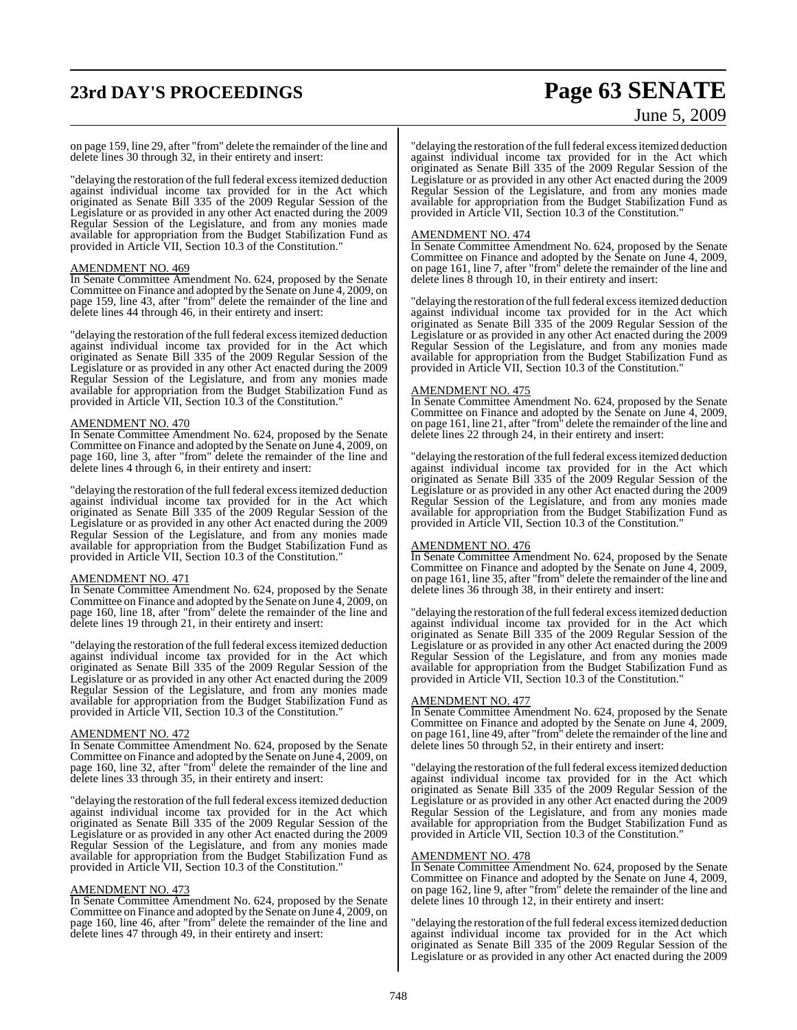# **23rd DAY'S PROCEEDINGS Page 63 SENATE**

# June 5, 2009

on page 159, line 29, after "from" delete the remainder of the line and delete lines 30 through 32, in their entirety and insert:

"delaying the restoration of the full federal excess itemized deduction against individual income tax provided for in the Act which originated as Senate Bill 335 of the 2009 Regular Session of the Legislature or as provided in any other Act enacted during the 2009 Regular Session of the Legislature, and from any monies made available for appropriation from the Budget Stabilization Fund as provided in Article VII, Section 10.3 of the Constitution."

### AMENDMENT NO. 469

In Senate Committee Amendment No. 624, proposed by the Senate Committee on Finance and adopted by the Senate on June 4, 2009, on page 159, line 43, after "from" delete the remainder of the line and delete lines 44 through 46, in their entirety and insert:

"delaying the restoration of the full federal excess itemized deduction against individual income tax provided for in the Act which originated as Senate Bill 335 of the 2009 Regular Session of the Legislature or as provided in any other Act enacted during the 2009 Regular Session of the Legislature, and from any monies made available for appropriation from the Budget Stabilization Fund as provided in Article VII, Section 10.3 of the Constitution."

### AMENDMENT NO. 470

In Senate Committee Amendment No. 624, proposed by the Senate Committee on Finance and adopted by the Senate on June 4, 2009, on page 160, line 3, after "from" delete the remainder of the line and delete lines 4 through 6, in their entirety and insert:

"delaying the restoration of the full federal excess itemized deduction against individual income tax provided for in the Act which originated as Senate Bill 335 of the 2009 Regular Session of the Legislature or as provided in any other Act enacted during the 2009 Regular Session of the Legislature, and from any monies made available for appropriation from the Budget Stabilization Fund as provided in Article VII, Section 10.3 of the Constitution."

### AMENDMENT NO. 471

In Senate Committee Amendment No. 624, proposed by the Senate Committee on Finance and adopted by the Senate on June 4, 2009, on page 160, line 18, after "from" delete the remainder of the line and delete lines 19 through 21, in their entirety and insert:

"delaying the restoration of the full federal excess itemized deduction against individual income tax provided for in the Act which originated as Senate Bill 335 of the 2009 Regular Session of the Legislature or as provided in any other Act enacted during the 2009 Regular Session of the Legislature, and from any monies made available for appropriation from the Budget Stabilization Fund as provided in Article VII, Section 10.3 of the Constitution."

### AMENDMENT NO. 472

In Senate Committee Amendment No. 624, proposed by the Senate Committee on Finance and adopted by the Senate on June 4, 2009, on page 160, line 32, after "from" delete the remainder of the line and delete lines 33 through 35, in their entirety and insert:

"delaying the restoration of the full federal excess itemized deduction against individual income tax provided for in the Act which originated as Senate Bill 335 of the 2009 Regular Session of the Legislature or as provided in any other Act enacted during the 2009 Regular Session of the Legislature, and from any monies made available for appropriation from the Budget Stabilization Fund as provided in Article VII, Section 10.3 of the Constitution."

### AMENDMENT NO. 473

In Senate Committee Amendment No. 624, proposed by the Senate Committee on Finance and adopted by the Senate on June 4, 2009, on page 160, line 46, after "from" delete the remainder of the line and delete lines 47 through 49, in their entirety and insert:

"delaying the restoration of the full federal excess itemized deduction against individual income tax provided for in the Act which originated as Senate Bill 335 of the 2009 Regular Session of the Legislature or as provided in any other Act enacted during the 2009 Regular Session of the Legislature, and from any monies made available for appropriation from the Budget Stabilization Fund as provided in Article VII, Section 10.3 of the Constitution."

### AMENDMENT NO. 474

In Senate Committee Amendment No. 624, proposed by the Senate Committee on Finance and adopted by the Senate on June 4, 2009, on page 161, line 7, after "from" delete the remainder of the line and delete lines 8 through 10, in their entirety and insert:

"delaying the restoration of the full federal excess itemized deduction against individual income tax provided for in the Act which originated as Senate Bill 335 of the 2009 Regular Session of the Legislature or as provided in any other Act enacted during the 2009 Regular Session of the Legislature, and from any monies made available for appropriation from the Budget Stabilization Fund as provided in Article VII, Section 10.3 of the Constitution."

### AMENDMENT NO. 475

In Senate Committee Amendment No. 624, proposed by the Senate Committee on Finance and adopted by the Senate on June 4, 2009, on page 161, line 21, after "from" delete the remainder of the line and delete lines 22 through 24, in their entirety and insert:

"delaying the restoration of the full federal excess itemized deduction against individual income tax provided for in the Act which originated as Senate Bill 335 of the 2009 Regular Session of the Legislature or as provided in any other Act enacted during the 2009 Regular Session of the Legislature, and from any monies made available for appropriation from the Budget Stabilization Fund as provided in Article VII, Section 10.3 of the Constitution."

### AMENDMENT NO. 476

In Senate Committee Amendment No. 624, proposed by the Senate Committee on Finance and adopted by the Senate on June 4, 2009, on page 161, line 35, after "from" delete the remainder ofthe line and delete lines 36 through 38, in their entirety and insert:

"delaying the restoration of the full federal excess itemized deduction against individual income tax provided for in the Act which originated as Senate Bill 335 of the 2009 Regular Session of the Legislature or as provided in any other Act enacted during the 2009 Regular Session of the Legislature, and from any monies made available for appropriation from the Budget Stabilization Fund as provided in Article VII, Section 10.3 of the Constitution."

### AMENDMENT NO. 477

In Senate Committee Amendment No. 624, proposed by the Senate Committee on Finance and adopted by the Senate on June 4, 2009, on page 161, line 49, after "from" delete the remainder of the line and delete lines 50 through 52, in their entirety and insert:

"delaying the restoration of the full federal excess itemized deduction against individual income tax provided for in the Act which originated as Senate Bill 335 of the 2009 Regular Session of the Legislature or as provided in any other Act enacted during the 2009 Regular Session of the Legislature, and from any monies made available for appropriation from the Budget Stabilization Fund as provided in Article VII, Section 10.3 of the Constitution."

### AMENDMENT NO. 478

In Senate Committee Amendment No. 624, proposed by the Senate Committee on Finance and adopted by the Senate on June 4, 2009, on page 162, line 9, after "from" delete the remainder of the line and delete lines 10 through 12, in their entirety and insert:

"delaying the restoration of the full federal excess itemized deduction against individual income tax provided for in the Act which originated as Senate Bill 335 of the 2009 Regular Session of the Legislature or as provided in any other Act enacted during the 2009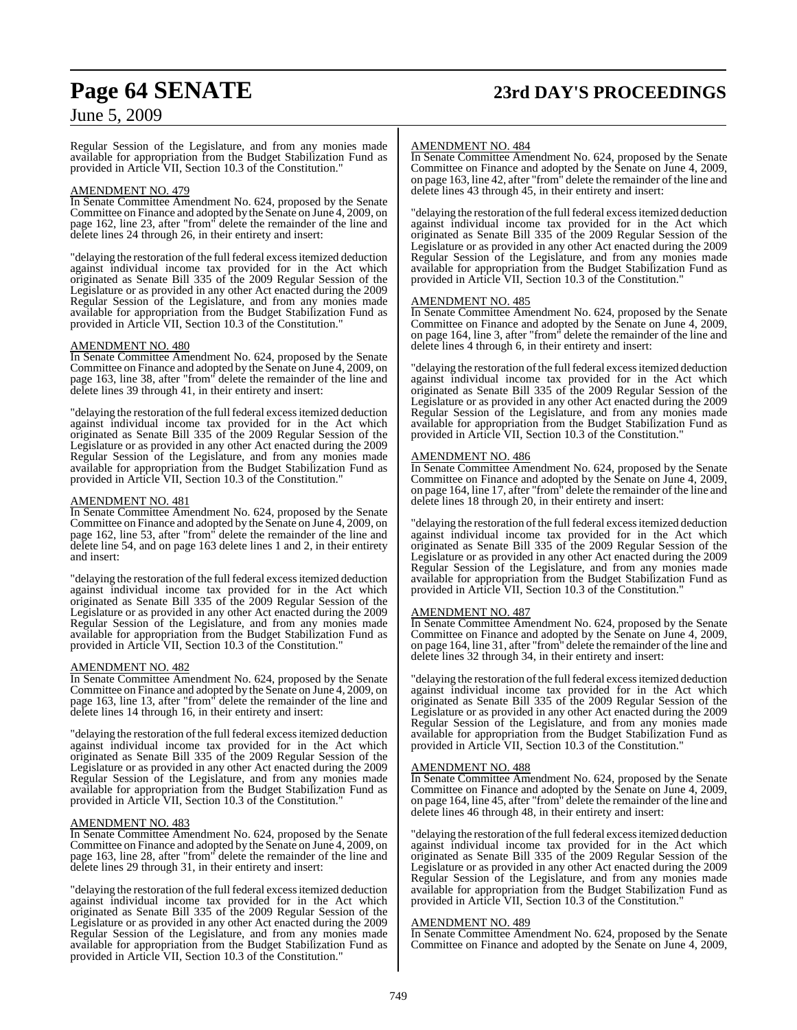# **Page 64 SENATE 23rd DAY'S PROCEEDINGS**

## June 5, 2009

Regular Session of the Legislature, and from any monies made available for appropriation from the Budget Stabilization Fund as provided in Article VII, Section 10.3 of the Constitution."

### AMENDMENT NO. 479

In Senate Committee Amendment No. 624, proposed by the Senate Committee on Finance and adopted by the Senate on June 4, 2009, on page 162, line 23, after "from" delete the remainder of the line and delete lines 24 through 26, in their entirety and insert:

"delaying the restoration of the full federal excess itemized deduction against individual income tax provided for in the Act which originated as Senate Bill 335 of the 2009 Regular Session of the Legislature or as provided in any other Act enacted during the 2009 Regular Session of the Legislature, and from any monies made available for appropriation from the Budget Stabilization Fund as provided in Article VII, Section 10.3 of the Constitution."

### AMENDMENT NO. 480

In Senate Committee Amendment No. 624, proposed by the Senate Committee on Finance and adopted by the Senate on June 4, 2009, on page 163, line 38, after "from" delete the remainder of the line and delete lines 39 through 41, in their entirety and insert:

"delaying the restoration of the full federal excess itemized deduction against individual income tax provided for in the Act which originated as Senate Bill 335 of the 2009 Regular Session of the Legislature or as provided in any other Act enacted during the 2009 Regular Session of the Legislature, and from any monies made available for appropriation from the Budget Stabilization Fund as provided in Article VII, Section 10.3 of the Constitution."

### AMENDMENT NO. 481

In Senate Committee Amendment No. 624, proposed by the Senate Committee on Finance and adopted by the Senate on June 4, 2009, on page 162, line 53, after "from" delete the remainder of the line and delete line 54, and on page 163 delete lines 1 and 2, in their entirety and insert:

"delaying the restoration of the full federal excess itemized deduction against individual income tax provided for in the Act which originated as Senate Bill 335 of the 2009 Regular Session of the Legislature or as provided in any other Act enacted during the 2009 Regular Session of the Legislature, and from any monies made available for appropriation from the Budget Stabilization Fund as provided in Article VII, Section 10.3 of the Constitution."

### AMENDMENT NO. 482

In Senate Committee Amendment No. 624, proposed by the Senate Committee on Finance and adopted by the Senate on June 4, 2009, on page 163, line 13, after "from" delete the remainder of the line and delete lines 14 through 16, in their entirety and insert:

"delaying the restoration of the full federal excess itemized deduction against individual income tax provided for in the Act which originated as Senate Bill 335 of the 2009 Regular Session of the Legislature or as provided in any other Act enacted during the 2009 Regular Session of the Legislature, and from any monies made available for appropriation from the Budget Stabilization Fund as provided in Article VII, Section 10.3 of the Constitution."

### AMENDMENT NO. 483

In Senate Committee Amendment No. 624, proposed by the Senate Committee on Finance and adopted by the Senate on June 4, 2009, on page 163, line 28, after "from" delete the remainder of the line and delete lines 29 through 31, in their entirety and insert:

"delaying the restoration of the full federal excess itemized deduction against individual income tax provided for in the Act which originated as Senate Bill 335 of the 2009 Regular Session of the Legislature or as provided in any other Act enacted during the 2009 Regular Session of the Legislature, and from any monies made available for appropriation from the Budget Stabilization Fund as provided in Article VII, Section 10.3 of the Constitution."

### AMENDMENT NO. 484

In Senate Committee Amendment No. 624, proposed by the Senate Committee on Finance and adopted by the Senate on June 4, 2009, on page 163, line 42, after "from" delete the remainder of the line and delete lines 43 through 45, in their entirety and insert:

"delaying the restoration of the full federal excess itemized deduction against individual income tax provided for in the Act which originated as Senate Bill 335 of the 2009 Regular Session of the Legislature or as provided in any other Act enacted during the 2009 Regular Session of the Legislature, and from any monies made available for appropriation from the Budget Stabilization Fund as provided in Article VII, Section 10.3 of the Constitution."

### AMENDMENT NO. 485

In Senate Committee Amendment No. 624, proposed by the Senate Committee on Finance and adopted by the Senate on June 4, 2009, on page 164, line 3, after "from" delete the remainder of the line and delete lines 4 through 6, in their entirety and insert:

"delaying the restoration of the full federal excess itemized deduction against individual income tax provided for in the Act which originated as Senate Bill 335 of the 2009 Regular Session of the Legislature or as provided in any other Act enacted during the 2009 Regular Session of the Legislature, and from any monies made available for appropriation from the Budget Stabilization Fund as provided in Article VII, Section 10.3 of the Constitution."

### AMENDMENT NO. 486

In Senate Committee Amendment No. 624, proposed by the Senate Committee on Finance and adopted by the Senate on June 4, 2009, on page 164, line 17, after "from" delete the remainder of the line and delete lines 18 through 20, in their entirety and insert:

"delaying the restoration of the full federal excess itemized deduction against individual income tax provided for in the Act which originated as Senate Bill 335 of the 2009 Regular Session of the Legislature or as provided in any other Act enacted during the 2009 Regular Session of the Legislature, and from any monies made available for appropriation from the Budget Stabilization Fund as provided in Article VII, Section 10.3 of the Constitution."

### AMENDMENT NO. 487

In Senate Committee Amendment No. 624, proposed by the Senate Committee on Finance and adopted by the Senate on June 4, 2009, on page 164, line 31, after "from" delete the remainder of the line and delete lines 32 through 34, in their entirety and insert:

"delaying the restoration of the full federal excess itemized deduction against individual income tax provided for in the Act which originated as Senate Bill 335 of the 2009 Regular Session of the Legislature or as provided in any other Act enacted during the 2009 Regular Session of the Legislature, and from any monies made available for appropriation from the Budget Stabilization Fund as provided in Article VII, Section 10.3 of the Constitution."

### AMENDMENT NO. 488

In Senate Committee Amendment No. 624, proposed by the Senate Committee on Finance and adopted by the Senate on June 4, 2009, on page 164, line 45, after "from" delete the remainder of the line and delete lines 46 through 48, in their entirety and insert:

"delaying the restoration of the full federal excess itemized deduction against individual income tax provided for in the Act which originated as Senate Bill 335 of the 2009 Regular Session of the Legislature or as provided in any other Act enacted during the 2009 Regular Session of the Legislature, and from any monies made available for appropriation from the Budget Stabilization Fund as provided in Article VII, Section 10.3 of the Constitution."

### AMENDMENT NO. 489

In Senate Committee Amendment No. 624, proposed by the Senate Committee on Finance and adopted by the Senate on June 4, 2009,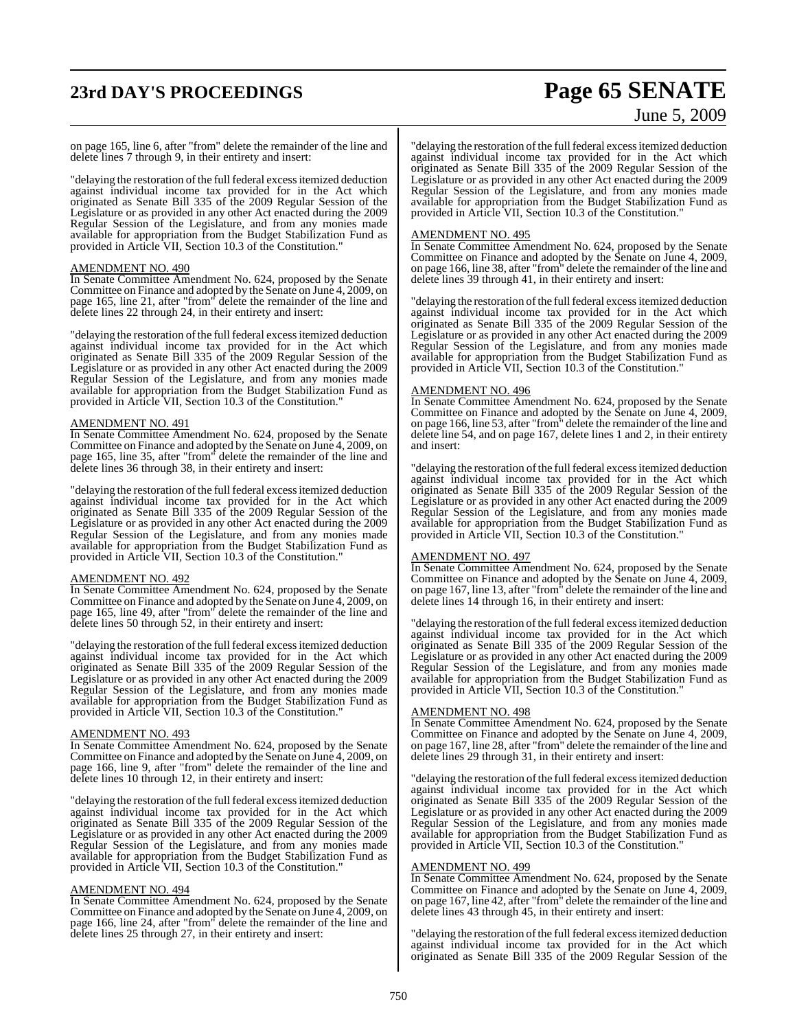# **23rd DAY'S PROCEEDINGS Page 65 SENATE**

# June 5, 2009

on page 165, line 6, after "from" delete the remainder of the line and delete lines 7 through 9, in their entirety and insert:

"delaying the restoration of the full federal excess itemized deduction against individual income tax provided for in the Act which originated as Senate Bill 335 of the 2009 Regular Session of the Legislature or as provided in any other Act enacted during the 2009 Regular Session of the Legislature, and from any monies made available for appropriation from the Budget Stabilization Fund as provided in Article VII, Section 10.3 of the Constitution."

### AMENDMENT NO. 490

In Senate Committee Amendment No. 624, proposed by the Senate Committee on Finance and adopted by the Senate on June 4, 2009, on page 165, line 21, after "from" delete the remainder of the line and delete lines 22 through 24, in their entirety and insert:

"delaying the restoration of the full federal excess itemized deduction against individual income tax provided for in the Act which originated as Senate Bill 335 of the 2009 Regular Session of the Legislature or as provided in any other Act enacted during the 2009 Regular Session of the Legislature, and from any monies made available for appropriation from the Budget Stabilization Fund as provided in Article VII, Section 10.3 of the Constitution."

### AMENDMENT NO. 491

In Senate Committee Amendment No. 624, proposed by the Senate Committee on Finance and adopted by the Senate on June 4, 2009, on page 165, line 35, after "from" delete the remainder of the line and delete lines 36 through 38, in their entirety and insert:

"delaying the restoration of the full federal excess itemized deduction against individual income tax provided for in the Act which originated as Senate Bill 335 of the 2009 Regular Session of the Legislature or as provided in any other Act enacted during the 2009 Regular Session of the Legislature, and from any monies made available for appropriation from the Budget Stabilization Fund as provided in Article VII, Section 10.3 of the Constitution."

### AMENDMENT NO. 492

In Senate Committee Amendment No. 624, proposed by the Senate Committee on Finance and adopted by the Senate on June 4, 2009, on page 165, line 49, after "from" delete the remainder of the line and delete lines 50 through 52, in their entirety and insert:

"delaying the restoration of the full federal excess itemized deduction against individual income tax provided for in the Act which originated as Senate Bill 335 of the 2009 Regular Session of the Legislature or as provided in any other Act enacted during the 2009 Regular Session of the Legislature, and from any monies made available for appropriation from the Budget Stabilization Fund as provided in Article VII, Section 10.3 of the Constitution."

### AMENDMENT NO. 493

In Senate Committee Amendment No. 624, proposed by the Senate Committee on Finance and adopted by the Senate on June 4, 2009, on page 166, line 9, after "from" delete the remainder of the line and delete lines 10 through 12, in their entirety and insert:

"delaying the restoration of the full federal excess itemized deduction against individual income tax provided for in the Act which originated as Senate Bill 335 of the 2009 Regular Session of the Legislature or as provided in any other Act enacted during the 2009 Regular Session of the Legislature, and from any monies made available for appropriation from the Budget Stabilization Fund as provided in Article VII, Section 10.3 of the Constitution."

### AMENDMENT NO. 494

In Senate Committee Amendment No. 624, proposed by the Senate Committee on Finance and adopted by the Senate on June 4, 2009, on page 166, line 24, after "from" delete the remainder of the line and delete lines 25 through 27, in their entirety and insert:

"delaying the restoration of the full federal excess itemized deduction against individual income tax provided for in the Act which originated as Senate Bill 335 of the 2009 Regular Session of the Legislature or as provided in any other Act enacted during the 2009 Regular Session of the Legislature, and from any monies made available for appropriation from the Budget Stabilization Fund as provided in Article VII, Section 10.3 of the Constitution."

### AMENDMENT NO. 495

In Senate Committee Amendment No. 624, proposed by the Senate Committee on Finance and adopted by the Senate on June 4, 2009, on page 166, line 38, after "from" delete the remainder ofthe line and delete lines 39 through 41, in their entirety and insert:

"delaying the restoration of the full federal excess itemized deduction against individual income tax provided for in the Act which originated as Senate Bill 335 of the 2009 Regular Session of the Legislature or as provided in any other Act enacted during the 2009 Regular Session of the Legislature, and from any monies made available for appropriation from the Budget Stabilization Fund as provided in Article VII, Section 10.3 of the Constitution."

### AMENDMENT NO. 496

In Senate Committee Amendment No. 624, proposed by the Senate Committee on Finance and adopted by the Senate on June 4, 2009, on page 166, line 53, after "from" delete the remainder of the line and delete line 54, and on page 167, delete lines 1 and 2, in their entirety and insert:

"delaying the restoration of the full federal excess itemized deduction against individual income tax provided for in the Act which originated as Senate Bill 335 of the 2009 Regular Session of the Legislature or as provided in any other Act enacted during the 2009 Regular Session of the Legislature, and from any monies made available for appropriation from the Budget Stabilization Fund as provided in Article VII, Section 10.3 of the Constitution."

### AMENDMENT NO. 497

In Senate Committee Amendment No. 624, proposed by the Senate Committee on Finance and adopted by the Senate on June 4, 2009, on page 167, line 13, after "from" delete the remainder of the line and delete lines 14 through 16, in their entirety and insert:

"delaying the restoration of the full federal excess itemized deduction against individual income tax provided for in the Act which originated as Senate Bill 335 of the 2009 Regular Session of the Legislature or as provided in any other Act enacted during the 2009 Regular Session of the Legislature, and from any monies made available for appropriation from the Budget Stabilization Fund as provided in Article VII, Section 10.3 of the Constitution."

### AMENDMENT NO. 498

In Senate Committee Amendment No. 624, proposed by the Senate Committee on Finance and adopted by the Senate on June 4, 2009, on page 167, line 28, after "from" delete the remainder ofthe line and delete lines 29 through 31, in their entirety and insert:

"delaying the restoration of the full federal excess itemized deduction against individual income tax provided for in the Act which originated as Senate Bill 335 of the 2009 Regular Session of the Legislature or as provided in any other Act enacted during the 2009 Regular Session of the Legislature, and from any monies made available for appropriation from the Budget Stabilization Fund as provided in Article VII, Section 10.3 of the Constitution."

### AMENDMENT NO. 499

In Senate Committee Amendment No. 624, proposed by the Senate Committee on Finance and adopted by the Senate on June 4, 2009, on page 167, line 42, after "from" delete the remainder of the line and delete lines 43 through 45, in their entirety and insert:

"delaying the restoration of the full federal excess itemized deduction against individual income tax provided for in the Act which originated as Senate Bill 335 of the 2009 Regular Session of the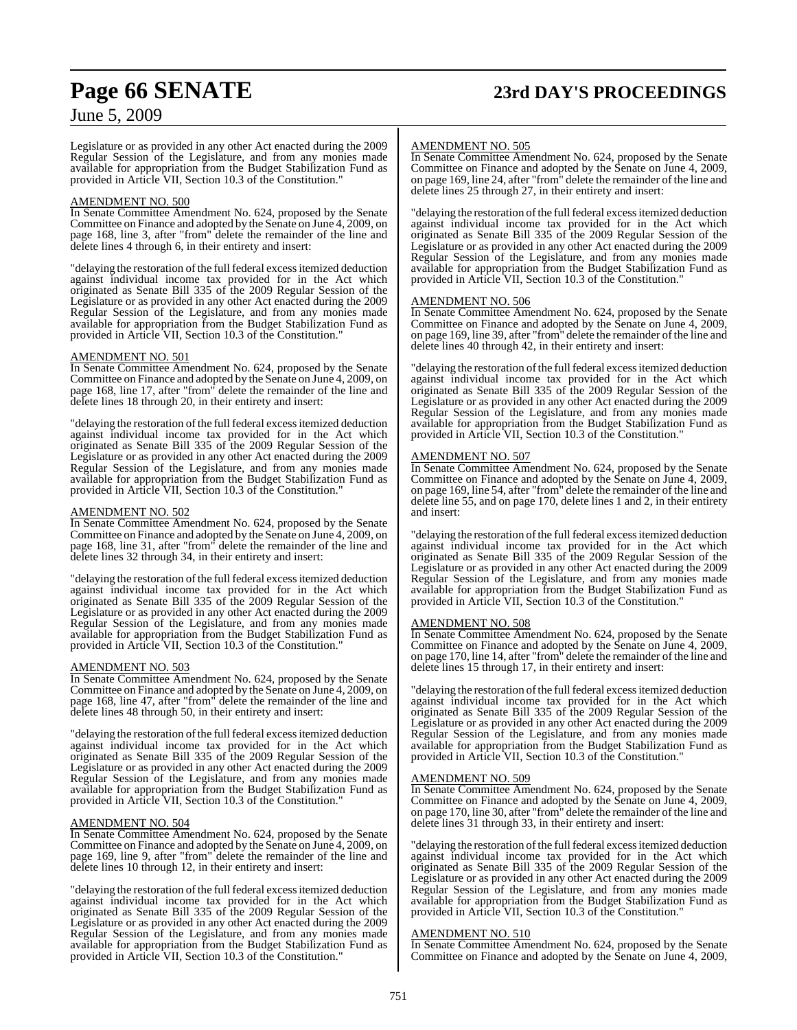# **Page 66 SENATE 23rd DAY'S PROCEEDINGS**

## June 5, 2009

Legislature or as provided in any other Act enacted during the 2009 Regular Session of the Legislature, and from any monies made available for appropriation from the Budget Stabilization Fund as provided in Article VII, Section 10.3 of the Constitution."

### AMENDMENT NO. 500

In Senate Committee Amendment No. 624, proposed by the Senate Committee on Finance and adopted by the Senate on June 4, 2009, on page 168, line 3, after "from" delete the remainder of the line and delete lines 4 through 6, in their entirety and insert:

"delaying the restoration of the full federal excess itemized deduction against individual income tax provided for in the Act which originated as Senate Bill 335 of the 2009 Regular Session of the Legislature or as provided in any other Act enacted during the 2009 Regular Session of the Legislature, and from any monies made available for appropriation from the Budget Stabilization Fund as provided in Article VII, Section 10.3 of the Constitution."

### AMENDMENT NO. 501

In Senate Committee Amendment No. 624, proposed by the Senate Committee on Finance and adopted by the Senate on June 4, 2009, on page 168, line 17, after "from" delete the remainder of the line and delete lines 18 through 20, in their entirety and insert:

"delaying the restoration of the full federal excess itemized deduction against individual income tax provided for in the Act which originated as Senate Bill 335 of the 2009 Regular Session of the Legislature or as provided in any other Act enacted during the 2009 Regular Session of the Legislature, and from any monies made available for appropriation from the Budget Stabilization Fund as provided in Article VII, Section 10.3 of the Constitution."

### AMENDMENT NO. 502

In Senate Committee Amendment No. 624, proposed by the Senate Committee on Finance and adopted by the Senate on June 4, 2009, on page 168, line 31, after "from" delete the remainder of the line and delete lines 32 through 34, in their entirety and insert:

"delaying the restoration of the full federal excess itemized deduction against individual income tax provided for in the Act which originated as Senate Bill 335 of the 2009 Regular Session of the Legislature or as provided in any other Act enacted during the 2009 Regular Session of the Legislature, and from any monies made available for appropriation from the Budget Stabilization Fund as provided in Article VII, Section 10.3 of the Constitution."

### AMENDMENT NO. 503

In Senate Committee Amendment No. 624, proposed by the Senate Committee on Finance and adopted by the Senate on June 4, 2009, on page 168, line 47, after "from" delete the remainder of the line and delete lines 48 through 50, in their entirety and insert:

"delaying the restoration of the full federal excess itemized deduction against individual income tax provided for in the Act which originated as Senate Bill 335 of the 2009 Regular Session of the Legislature or as provided in any other Act enacted during the 2009 Regular Session of the Legislature, and from any monies made available for appropriation from the Budget Stabilization Fund as provided in Article VII, Section 10.3 of the Constitution."

### AMENDMENT NO. 504

In Senate Committee Amendment No. 624, proposed by the Senate Committee on Finance and adopted by the Senate on June 4, 2009, on page 169, line 9, after "from" delete the remainder of the line and delete lines 10 through 12, in their entirety and insert:

"delaying the restoration of the full federal excess itemized deduction against individual income tax provided for in the Act which originated as Senate Bill 335 of the 2009 Regular Session of the Legislature or as provided in any other Act enacted during the 2009 Regular Session of the Legislature, and from any monies made available for appropriation from the Budget Stabilization Fund as provided in Article VII, Section 10.3 of the Constitution."

### AMENDMENT NO. 505

In Senate Committee Amendment No. 624, proposed by the Senate Committee on Finance and adopted by the Senate on June 4, 2009, on page 169, line 24, after "from" delete the remainder of the line and delete lines 25 through 27, in their entirety and insert:

"delaying the restoration of the full federal excess itemized deduction against individual income tax provided for in the Act which originated as Senate Bill 335 of the 2009 Regular Session of the Legislature or as provided in any other Act enacted during the 2009 Regular Session of the Legislature, and from any monies made available for appropriation from the Budget Stabilization Fund as provided in Article VII, Section 10.3 of the Constitution."

### AMENDMENT NO. 506

In Senate Committee Amendment No. 624, proposed by the Senate Committee on Finance and adopted by the Senate on June 4, 2009, on page 169, line 39, after "from" delete the remainder ofthe line and delete lines 40 through 42, in their entirety and insert:

"delaying the restoration of the full federal excess itemized deduction against individual income tax provided for in the Act which originated as Senate Bill 335 of the 2009 Regular Session of the Legislature or as provided in any other Act enacted during the 2009 Regular Session of the Legislature, and from any monies made available for appropriation from the Budget Stabilization Fund as provided in Article VII, Section 10.3 of the Constitution."

### AMENDMENT NO. 507

In Senate Committee Amendment No. 624, proposed by the Senate Committee on Finance and adopted by the Senate on June 4, 2009, on page 169, line 54, after "from" delete the remainder of the line and delete line 55, and on page 170, delete lines 1 and 2, in their entirety and insert:

"delaying the restoration of the full federal excess itemized deduction against individual income tax provided for in the Act which originated as Senate Bill 335 of the 2009 Regular Session of the Legislature or as provided in any other Act enacted during the 2009 Regular Session of the Legislature, and from any monies made available for appropriation from the Budget Stabilization Fund as provided in Article VII, Section 10.3 of the Constitution."

### AMENDMENT NO. 508

In Senate Committee Amendment No. 624, proposed by the Senate Committee on Finance and adopted by the Senate on June 4, 2009, on page 170, line 14, after "from" delete the remainder of the line and delete lines 15 through 17, in their entirety and insert:

"delaying the restoration of the full federal excess itemized deduction against individual income tax provided for in the Act which originated as Senate Bill 335 of the 2009 Regular Session of the Legislature or as provided in any other Act enacted during the 2009 Regular Session of the Legislature, and from any monies made available for appropriation from the Budget Stabilization Fund as provided in Article VII, Section 10.3 of the Constitution."

### AMENDMENT NO. 509

In Senate Committee Amendment No. 624, proposed by the Senate Committee on Finance and adopted by the Senate on June 4, 2009, on page 170, line 30, after "from" delete the remainder of the line and delete lines 31 through 33, in their entirety and insert:

"delaying the restoration of the full federal excess itemized deduction against individual income tax provided for in the Act which originated as Senate Bill 335 of the 2009 Regular Session of the Legislature or as provided in any other Act enacted during the 2009 Regular Session of the Legislature, and from any monies made available for appropriation from the Budget Stabilization Fund as provided in Article VII, Section 10.3 of the Constitution."

### AMENDMENT NO. 510

In Senate Committee Amendment No. 624, proposed by the Senate Committee on Finance and adopted by the Senate on June 4, 2009,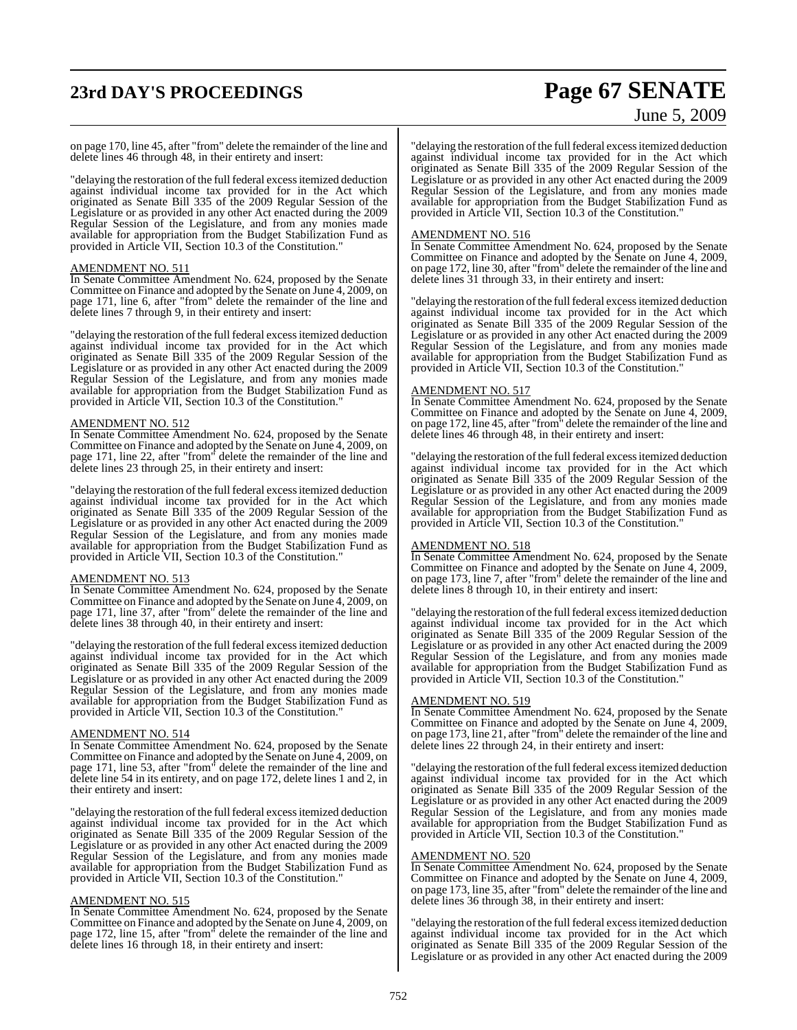# **23rd DAY'S PROCEEDINGS Page 67 SENATE**

## June 5, 2009

on page 170, line 45, after "from" delete the remainder of the line and delete lines 46 through 48, in their entirety and insert:

"delaying the restoration of the full federal excess itemized deduction against individual income tax provided for in the Act which originated as Senate Bill 335 of the 2009 Regular Session of the Legislature or as provided in any other Act enacted during the 2009 Regular Session of the Legislature, and from any monies made available for appropriation from the Budget Stabilization Fund as provided in Article VII, Section 10.3 of the Constitution."

### AMENDMENT NO. 511

In Senate Committee Amendment No. 624, proposed by the Senate Committee on Finance and adopted by the Senate on June 4, 2009, on page 171, line 6, after "from" delete the remainder of the line and delete lines 7 through 9, in their entirety and insert:

"delaying the restoration of the full federal excess itemized deduction against individual income tax provided for in the Act which originated as Senate Bill 335 of the 2009 Regular Session of the Legislature or as provided in any other Act enacted during the 2009 Regular Session of the Legislature, and from any monies made available for appropriation from the Budget Stabilization Fund as provided in Article VII, Section 10.3 of the Constitution."

### AMENDMENT NO. 512

In Senate Committee Amendment No. 624, proposed by the Senate Committee on Finance and adopted by the Senate on June 4, 2009, on page 171, line 22, after "from" delete the remainder of the line and delete lines 23 through 25, in their entirety and insert:

"delaying the restoration of the full federal excess itemized deduction against individual income tax provided for in the Act which originated as Senate Bill 335 of the 2009 Regular Session of the Legislature or as provided in any other Act enacted during the 2009 Regular Session of the Legislature, and from any monies made available for appropriation from the Budget Stabilization Fund as provided in Article VII, Section 10.3 of the Constitution."

### AMENDMENT NO. 513

In Senate Committee Amendment No. 624, proposed by the Senate Committee on Finance and adopted by the Senate on June 4, 2009, on page 171, line 37, after "from" delete the remainder of the line and delete lines 38 through 40, in their entirety and insert:

"delaying the restoration of the full federal excess itemized deduction against individual income tax provided for in the Act which originated as Senate Bill 335 of the 2009 Regular Session of the Legislature or as provided in any other Act enacted during the 2009 Regular Session of the Legislature, and from any monies made available for appropriation from the Budget Stabilization Fund as provided in Article VII, Section 10.3 of the Constitution."

### AMENDMENT NO. 514

In Senate Committee Amendment No. 624, proposed by the Senate Committee on Finance and adopted by the Senate on June 4, 2009, on page 171, line 53, after "from" delete the remainder of the line and delete line 54 in its entirety, and on page 172, delete lines 1 and 2, in their entirety and insert:

"delaying the restoration of the full federal excess itemized deduction against individual income tax provided for in the Act which originated as Senate Bill 335 of the 2009 Regular Session of the Legislature or as provided in any other Act enacted during the 2009 Regular Session of the Legislature, and from any monies made available for appropriation from the Budget Stabilization Fund as provided in Article VII, Section 10.3 of the Constitution."

### AMENDMENT NO. 515

In Senate Committee Amendment No. 624, proposed by the Senate Committee on Finance and adopted by the Senate on June 4, 2009, on page 172, line 15, after "from" delete the remainder of the line and delete lines 16 through 18, in their entirety and insert:

"delaying the restoration of the full federal excess itemized deduction against individual income tax provided for in the Act which originated as Senate Bill 335 of the 2009 Regular Session of the Legislature or as provided in any other Act enacted during the 2009 Regular Session of the Legislature, and from any monies made available for appropriation from the Budget Stabilization Fund as provided in Article VII, Section 10.3 of the Constitution."

### AMENDMENT NO. 516

In Senate Committee Amendment No. 624, proposed by the Senate Committee on Finance and adopted by the Senate on June 4, 2009, on page 172, line 30, after "from" delete the remainder ofthe line and delete lines 31 through 33, in their entirety and insert:

"delaying the restoration of the full federal excess itemized deduction against individual income tax provided for in the Act which originated as Senate Bill 335 of the 2009 Regular Session of the Legislature or as provided in any other Act enacted during the 2009 Regular Session of the Legislature, and from any monies made available for appropriation from the Budget Stabilization Fund as provided in Article VII, Section 10.3 of the Constitution."

### AMENDMENT NO. 517

In Senate Committee Amendment No. 624, proposed by the Senate Committee on Finance and adopted by the Senate on June 4, 2009, on page 172, line 45, after "from" delete the remainder of the line and delete lines 46 through 48, in their entirety and insert:

"delaying the restoration of the full federal excess itemized deduction against individual income tax provided for in the Act which originated as Senate Bill 335 of the 2009 Regular Session of the Legislature or as provided in any other Act enacted during the 2009 Regular Session of the Legislature, and from any monies made available for appropriation from the Budget Stabilization Fund as provided in Article VII, Section 10.3 of the Constitution."

### AMENDMENT NO. 518

In Senate Committee Amendment No. 624, proposed by the Senate Committee on Finance and adopted by the Senate on June 4, 2009, on page 173, line 7, after "from" delete the remainder of the line and delete lines 8 through 10, in their entirety and insert:

"delaying the restoration of the full federal excess itemized deduction against individual income tax provided for in the Act which originated as Senate Bill 335 of the 2009 Regular Session of the Legislature or as provided in any other Act enacted during the 2009 Regular Session of the Legislature, and from any monies made available for appropriation from the Budget Stabilization Fund as provided in Article VII, Section 10.3 of the Constitution."

### AMENDMENT NO. 519

In Senate Committee Amendment No. 624, proposed by the Senate Committee on Finance and adopted by the Senate on June 4, 2009, on page 173, line 21, after "from" delete the remainder of the line and delete lines 22 through 24, in their entirety and insert:

"delaying the restoration of the full federal excess itemized deduction against individual income tax provided for in the Act which originated as Senate Bill 335 of the 2009 Regular Session of the Legislature or as provided in any other Act enacted during the 2009 Regular Session of the Legislature, and from any monies made available for appropriation from the Budget Stabilization Fund as provided in Article VII, Section 10.3 of the Constitution."

### AMENDMENT NO. 520

In Senate Committee Amendment No. 624, proposed by the Senate Committee on Finance and adopted by the Senate on June 4, 2009, on page 173, line 35, after "from" delete the remainder ofthe line and delete lines 36 through 38, in their entirety and insert:

"delaying the restoration of the full federal excess itemized deduction against individual income tax provided for in the Act which originated as Senate Bill 335 of the 2009 Regular Session of the Legislature or as provided in any other Act enacted during the 2009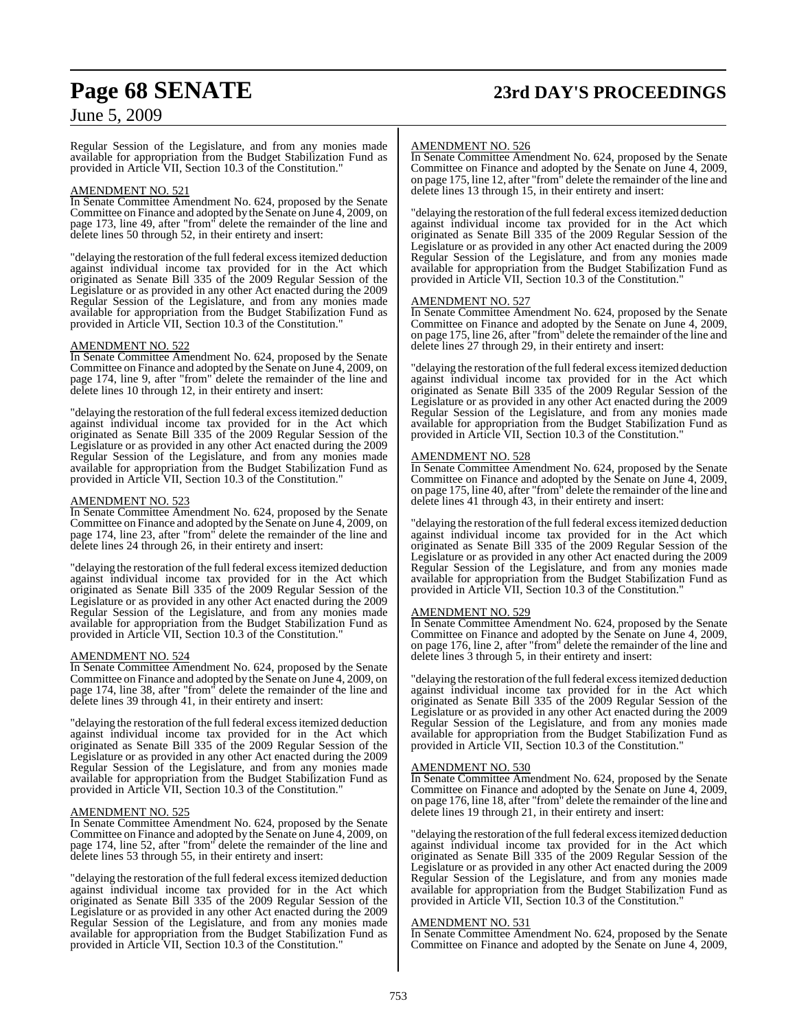# **Page 68 SENATE 23rd DAY'S PROCEEDINGS**

## June 5, 2009

Regular Session of the Legislature, and from any monies made available for appropriation from the Budget Stabilization Fund as provided in Article VII, Section 10.3 of the Constitution."

### AMENDMENT NO. 521

In Senate Committee Amendment No. 624, proposed by the Senate Committee on Finance and adopted by the Senate on June 4, 2009, on page 173, line 49, after "from" delete the remainder of the line and delete lines 50 through 52, in their entirety and insert:

"delaying the restoration of the full federal excess itemized deduction against individual income tax provided for in the Act which originated as Senate Bill 335 of the 2009 Regular Session of the Legislature or as provided in any other Act enacted during the 2009 Regular Session of the Legislature, and from any monies made available for appropriation from the Budget Stabilization Fund as provided in Article VII, Section 10.3 of the Constitution."

### AMENDMENT NO. 522

In Senate Committee Amendment No. 624, proposed by the Senate Committee on Finance and adopted by the Senate on June 4, 2009, on page 174, line 9, after "from" delete the remainder of the line and delete lines 10 through 12, in their entirety and insert:

"delaying the restoration of the full federal excess itemized deduction against individual income tax provided for in the Act which originated as Senate Bill 335 of the 2009 Regular Session of the Legislature or as provided in any other Act enacted during the 2009 Regular Session of the Legislature, and from any monies made available for appropriation from the Budget Stabilization Fund as provided in Article VII, Section 10.3 of the Constitution."

### AMENDMENT NO. 523

In Senate Committee Amendment No. 624, proposed by the Senate Committee on Finance and adopted by the Senate on June 4, 2009, on page 174, line 23, after "from" delete the remainder of the line and delete lines 24 through 26, in their entirety and insert:

"delaying the restoration of the full federal excess itemized deduction against individual income tax provided for in the Act which originated as Senate Bill 335 of the 2009 Regular Session of the Legislature or as provided in any other Act enacted during the 2009 Regular Session of the Legislature, and from any monies made available for appropriation from the Budget Stabilization Fund as provided in Article VII, Section 10.3 of the Constitution."

### AMENDMENT NO. 524

In Senate Committee Amendment No. 624, proposed by the Senate Committee on Finance and adopted by the Senate on June 4, 2009, on page 174, line 38, after "from" delete the remainder of the line and delete lines 39 through 41, in their entirety and insert:

"delaying the restoration of the full federal excess itemized deduction against individual income tax provided for in the Act which originated as Senate Bill 335 of the 2009 Regular Session of the Legislature or as provided in any other Act enacted during the 2009 Regular Session of the Legislature, and from any monies made available for appropriation from the Budget Stabilization Fund as provided in Article VII, Section 10.3 of the Constitution."

### AMENDMENT NO. 525

In Senate Committee Amendment No. 624, proposed by the Senate Committee on Finance and adopted by the Senate on June 4, 2009, on page 174, line 52, after "from" delete the remainder of the line and delete lines 53 through 55, in their entirety and insert:

"delaying the restoration of the full federal excess itemized deduction against individual income tax provided for in the Act which originated as Senate Bill 335 of the 2009 Regular Session of the Legislature or as provided in any other Act enacted during the 2009 Regular Session of the Legislature, and from any monies made available for appropriation from the Budget Stabilization Fund as provided in Article VII, Section 10.3 of the Constitution."

### AMENDMENT NO. 526

In Senate Committee Amendment No. 624, proposed by the Senate Committee on Finance and adopted by the Senate on June 4, 2009, on page 175, line 12, after "from" delete the remainder of the line and delete lines 13 through 15, in their entirety and insert:

"delaying the restoration of the full federal excess itemized deduction against individual income tax provided for in the Act which originated as Senate Bill 335 of the 2009 Regular Session of the Legislature or as provided in any other Act enacted during the 2009 Regular Session of the Legislature, and from any monies made available for appropriation from the Budget Stabilization Fund as provided in Article VII, Section 10.3 of the Constitution."

### AMENDMENT NO. 527

In Senate Committee Amendment No. 624, proposed by the Senate Committee on Finance and adopted by the Senate on June 4, 2009, on page 175, line 26, after "from" delete the remainder ofthe line and delete lines 27 through 29, in their entirety and insert:

"delaying the restoration of the full federal excess itemized deduction against individual income tax provided for in the Act which originated as Senate Bill 335 of the 2009 Regular Session of the Legislature or as provided in any other Act enacted during the 2009 Regular Session of the Legislature, and from any monies made available for appropriation from the Budget Stabilization Fund as provided in Article VII, Section 10.3 of the Constitution."

### AMENDMENT NO. 528

In Senate Committee Amendment No. 624, proposed by the Senate Committee on Finance and adopted by the Senate on June 4, 2009, on page 175, line 40, after "from" delete the remainder of the line and delete lines 41 through 43, in their entirety and insert:

"delaying the restoration of the full federal excess itemized deduction against individual income tax provided for in the Act which originated as Senate Bill 335 of the 2009 Regular Session of the Legislature or as provided in any other Act enacted during the 2009 Regular Session of the Legislature, and from any monies made available for appropriation from the Budget Stabilization Fund as provided in Article VII, Section 10.3 of the Constitution."

### AMENDMENT NO. 529

In Senate Committee Amendment No. 624, proposed by the Senate Committee on Finance and adopted by the Senate on June 4, 2009, on page 176, line 2, after "from" delete the remainder of the line and delete lines 3 through 5, in their entirety and insert:

"delaying the restoration of the full federal excess itemized deduction against individual income tax provided for in the Act which originated as Senate Bill 335 of the 2009 Regular Session of the Legislature or as provided in any other Act enacted during the 2009 Regular Session of the Legislature, and from any monies made available for appropriation from the Budget Stabilization Fund as provided in Article VII, Section 10.3 of the Constitution."

### AMENDMENT NO. 530

In Senate Committee Amendment No. 624, proposed by the Senate Committee on Finance and adopted by the Senate on June 4, 2009, on page 176, line 18, after "from" delete the remainder of the line and delete lines 19 through 21, in their entirety and insert:

"delaying the restoration of the full federal excess itemized deduction against individual income tax provided for in the Act which originated as Senate Bill 335 of the 2009 Regular Session of the Legislature or as provided in any other Act enacted during the 2009 Regular Session of the Legislature, and from any monies made available for appropriation from the Budget Stabilization Fund as provided in Article VII, Section 10.3 of the Constitution."

### AMENDMENT NO. 531

In Senate Committee Amendment No. 624, proposed by the Senate Committee on Finance and adopted by the Senate on June 4, 2009,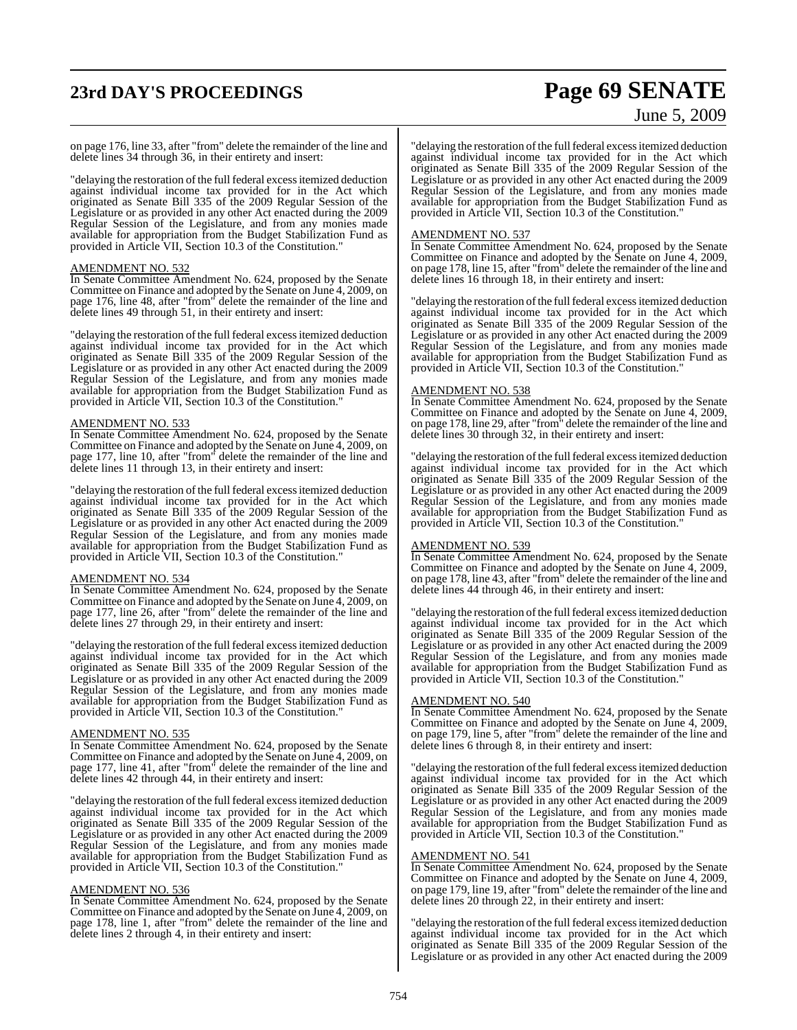# **23rd DAY'S PROCEEDINGS Page 69 SENATE**

June 5, 2009

on page 176, line 33, after "from" delete the remainder of the line and delete lines 34 through 36, in their entirety and insert:

"delaying the restoration of the full federal excess itemized deduction against individual income tax provided for in the Act which originated as Senate Bill 335 of the 2009 Regular Session of the Legislature or as provided in any other Act enacted during the 2009 Regular Session of the Legislature, and from any monies made available for appropriation from the Budget Stabilization Fund as provided in Article VII, Section 10.3 of the Constitution."

### AMENDMENT NO. 532

In Senate Committee Amendment No. 624, proposed by the Senate Committee on Finance and adopted by the Senate on June 4, 2009, on page 176, line 48, after "from" delete the remainder of the line and delete lines 49 through 51, in their entirety and insert:

"delaying the restoration of the full federal excess itemized deduction against individual income tax provided for in the Act which originated as Senate Bill 335 of the 2009 Regular Session of the Legislature or as provided in any other Act enacted during the 2009 Regular Session of the Legislature, and from any monies made available for appropriation from the Budget Stabilization Fund as provided in Article VII, Section 10.3 of the Constitution."

### AMENDMENT NO. 533

In Senate Committee Amendment No. 624, proposed by the Senate Committee on Finance and adopted by the Senate on June 4, 2009, on page 177, line 10, after "from" delete the remainder of the line and delete lines 11 through 13, in their entirety and insert:

"delaying the restoration of the full federal excess itemized deduction against individual income tax provided for in the Act which originated as Senate Bill 335 of the 2009 Regular Session of the Legislature or as provided in any other Act enacted during the 2009 Regular Session of the Legislature, and from any monies made available for appropriation from the Budget Stabilization Fund as provided in Article VII, Section 10.3 of the Constitution."

### AMENDMENT NO. 534

In Senate Committee Amendment No. 624, proposed by the Senate Committee on Finance and adopted by the Senate on June 4, 2009, on page 177, line 26, after "from" delete the remainder of the line and delete lines 27 through 29, in their entirety and insert:

"delaying the restoration of the full federal excess itemized deduction against individual income tax provided for in the Act which originated as Senate Bill 335 of the 2009 Regular Session of the Legislature or as provided in any other Act enacted during the 2009 Regular Session of the Legislature, and from any monies made available for appropriation from the Budget Stabilization Fund as provided in Article VII, Section 10.3 of the Constitution."

### AMENDMENT NO. 535

In Senate Committee Amendment No. 624, proposed by the Senate Committee on Finance and adopted by the Senate on June 4, 2009, on page 177, line 41, after "from" delete the remainder of the line and delete lines 42 through 44, in their entirety and insert:

"delaying the restoration of the full federal excess itemized deduction against individual income tax provided for in the Act which originated as Senate Bill 335 of the 2009 Regular Session of the Legislature or as provided in any other Act enacted during the 2009 Regular Session of the Legislature, and from any monies made available for appropriation from the Budget Stabilization Fund as provided in Article VII, Section 10.3 of the Constitution."

### AMENDMENT NO. 536

In Senate Committee Amendment No. 624, proposed by the Senate Committee on Finance and adopted by the Senate on June 4, 2009, on page 178, line 1, after "from" delete the remainder of the line and delete lines 2 through 4, in their entirety and insert:

"delaying the restoration of the full federal excess itemized deduction against individual income tax provided for in the Act which originated as Senate Bill 335 of the 2009 Regular Session of the Legislature or as provided in any other Act enacted during the 2009 Regular Session of the Legislature, and from any monies made available for appropriation from the Budget Stabilization Fund as provided in Article VII, Section 10.3 of the Constitution."

### AMENDMENT NO. 537

In Senate Committee Amendment No. 624, proposed by the Senate Committee on Finance and adopted by the Senate on June 4, 2009, on page 178, line 15, after "from" delete the remainder ofthe line and delete lines 16 through 18, in their entirety and insert:

"delaying the restoration of the full federal excess itemized deduction against individual income tax provided for in the Act which originated as Senate Bill 335 of the 2009 Regular Session of the Legislature or as provided in any other Act enacted during the 2009 Regular Session of the Legislature, and from any monies made available for appropriation from the Budget Stabilization Fund as provided in Article VII, Section 10.3 of the Constitution."

### AMENDMENT NO. 538

In Senate Committee Amendment No. 624, proposed by the Senate Committee on Finance and adopted by the Senate on June 4, 2009, on page 178, line 29, after "from" delete the remainder of the line and delete lines 30 through 32, in their entirety and insert:

"delaying the restoration of the full federal excess itemized deduction against individual income tax provided for in the Act which originated as Senate Bill 335 of the 2009 Regular Session of the Legislature or as provided in any other Act enacted during the 2009 Regular Session of the Legislature, and from any monies made available for appropriation from the Budget Stabilization Fund as provided in Article VII, Section 10.3 of the Constitution."

### AMENDMENT NO. 539

In Senate Committee Amendment No. 624, proposed by the Senate Committee on Finance and adopted by the Senate on June 4, 2009, on page 178, line 43, after "from" delete the remainder of the line and delete lines 44 through 46, in their entirety and insert:

"delaying the restoration of the full federal excess itemized deduction against individual income tax provided for in the Act which originated as Senate Bill 335 of the 2009 Regular Session of the Legislature or as provided in any other Act enacted during the 2009 Regular Session of the Legislature, and from any monies made available for appropriation from the Budget Stabilization Fund as provided in Article VII, Section 10.3 of the Constitution."

### AMENDMENT NO. 540

In Senate Committee Amendment No. 624, proposed by the Senate Committee on Finance and adopted by the Senate on June 4, 2009, on page 179, line 5, after "from" delete the remainder of the line and delete lines 6 through 8, in their entirety and insert:

"delaying the restoration of the full federal excess itemized deduction against individual income tax provided for in the Act which originated as Senate Bill 335 of the 2009 Regular Session of the Legislature or as provided in any other Act enacted during the 2009 Regular Session of the Legislature, and from any monies made available for appropriation from the Budget Stabilization Fund as provided in Article VII, Section 10.3 of the Constitution."

### AMENDMENT NO. 541

In Senate Committee Amendment No. 624, proposed by the Senate Committee on Finance and adopted by the Senate on June 4, 2009, on page 179, line 19, after "from" delete the remainder ofthe line and delete lines 20 through 22, in their entirety and insert:

"delaying the restoration of the full federal excess itemized deduction against individual income tax provided for in the Act which originated as Senate Bill 335 of the 2009 Regular Session of the Legislature or as provided in any other Act enacted during the 2009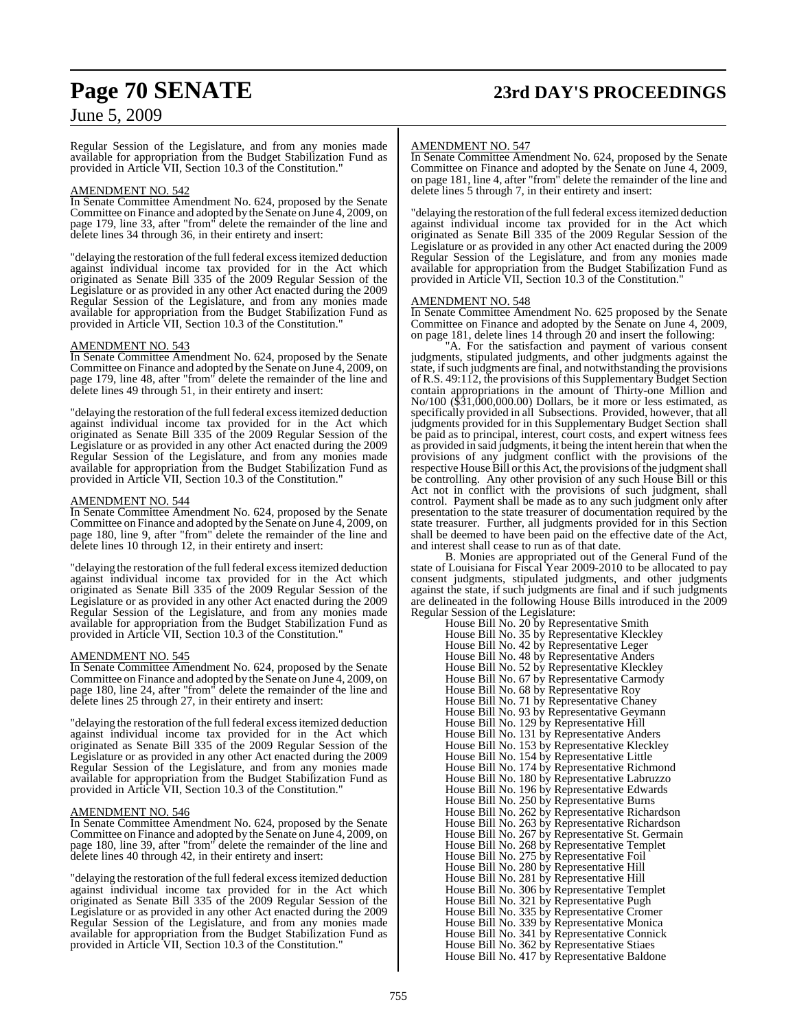# **Page 70 SENATE 23rd DAY'S PROCEEDINGS**

## June 5, 2009

Regular Session of the Legislature, and from any monies made available for appropriation from the Budget Stabilization Fund as provided in Article VII, Section 10.3 of the Constitution."

### AMENDMENT NO. 542

In Senate Committee Amendment No. 624, proposed by the Senate Committee on Finance and adopted by the Senate on June 4, 2009, on page 179, line 33, after "from" delete the remainder of the line and delete lines 34 through 36, in their entirety and insert:

"delaying the restoration of the full federal excess itemized deduction against individual income tax provided for in the Act which originated as Senate Bill 335 of the 2009 Regular Session of the Legislature or as provided in any other Act enacted during the 2009 Regular Session of the Legislature, and from any monies made available for appropriation from the Budget Stabilization Fund as provided in Article VII, Section 10.3 of the Constitution."

### AMENDMENT NO. 543

In Senate Committee Amendment No. 624, proposed by the Senate Committee on Finance and adopted by the Senate on June 4, 2009, on page 179, line 48, after "from" delete the remainder of the line and delete lines 49 through 51, in their entirety and insert:

"delaying the restoration of the full federal excess itemized deduction against individual income tax provided for in the Act which originated as Senate Bill 335 of the 2009 Regular Session of the Legislature or as provided in any other Act enacted during the 2009 Regular Session of the Legislature, and from any monies made available for appropriation from the Budget Stabilization Fund as provided in Article VII, Section 10.3 of the Constitution."

### AMENDMENT NO. 544

In Senate Committee Amendment No. 624, proposed by the Senate Committee on Finance and adopted by the Senate on June 4, 2009, on page 180, line 9, after "from" delete the remainder of the line and delete lines 10 through 12, in their entirety and insert:

"delaying the restoration of the full federal excess itemized deduction against individual income tax provided for in the Act which originated as Senate Bill 335 of the 2009 Regular Session of the Legislature or as provided in any other Act enacted during the 2009 Regular Session of the Legislature, and from any monies made available for appropriation from the Budget Stabilization Fund as provided in Article VII, Section 10.3 of the Constitution."

### AMENDMENT NO. 545

In Senate Committee Amendment No. 624, proposed by the Senate Committee on Finance and adopted by the Senate on June 4, 2009, on page 180, line 24, after "from" delete the remainder of the line and delete lines 25 through 27, in their entirety and insert:

"delaying the restoration of the full federal excess itemized deduction against individual income tax provided for in the Act which originated as Senate Bill 335 of the 2009 Regular Session of the Legislature or as provided in any other Act enacted during the 2009 Regular Session of the Legislature, and from any monies made available for appropriation from the Budget Stabilization Fund as provided in Article VII, Section 10.3 of the Constitution."

### AMENDMENT NO. 546

In Senate Committee Amendment No. 624, proposed by the Senate Committee on Finance and adopted by the Senate on June 4, 2009, on page 180, line 39, after "from" delete the remainder of the line and delete lines 40 through 42, in their entirety and insert:

"delaying the restoration of the full federal excess itemized deduction against individual income tax provided for in the Act which originated as Senate Bill 335 of the 2009 Regular Session of the Legislature or as provided in any other Act enacted during the 2009 Regular Session of the Legislature, and from any monies made available for appropriation from the Budget Stabilization Fund as provided in Article VII, Section 10.3 of the Constitution."

### AMENDMENT NO. 547

In Senate Committee Amendment No. 624, proposed by the Senate Committee on Finance and adopted by the Senate on June 4, 2009, on page 181, line 4, after "from" delete the remainder of the line and delete lines 5 through 7, in their entirety and insert:

"delaying the restoration of the full federal excess itemized deduction against individual income tax provided for in the Act which originated as Senate Bill 335 of the 2009 Regular Session of the Legislature or as provided in any other Act enacted during the 2009 Regular Session of the Legislature, and from any monies made available for appropriation from the Budget Stabilization Fund as provided in Article VII, Section 10.3 of the Constitution."

### AMENDMENT NO. 548

In Senate Committee Amendment No. 625 proposed by the Senate Committee on Finance and adopted by the Senate on June 4, 2009, on page 181, delete lines 14 through 20 and insert the following:

"A. For the satisfaction and payment of various consent judgments, stipulated judgments, and other judgments against the state, if such judgments are final, and notwithstanding the provisions of R.S. 49:112, the provisions of this Supplementary Budget Section contain appropriations in the amount of Thirty-one Million and No/100 (\$31,000,000.00) Dollars, be it more or less estimated, as specifically provided in all Subsections. Provided, however, that all judgments provided for in this Supplementary Budget Section shall be paid as to principal, interest, court costs, and expert witness fees as provided in said judgments, it being the intent herein that when the provisions of any judgment conflict with the provisions of the respective House Bill or this Act, the provisions of the judgment shall be controlling. Any other provision of any such House Bill or this Act not in conflict with the provisions of such judgment, shall control. Payment shall be made as to any such judgment only after presentation to the state treasurer of documentation required by the state treasurer. Further, all judgments provided for in this Section shall be deemed to have been paid on the effective date of the Act, and interest shall cease to run as of that date.

B. Monies are appropriated out of the General Fund of the state of Louisiana for Fiscal Year 2009-2010 to be allocated to pay consent judgments, stipulated judgments, and other judgments against the state, if such judgments are final and if such judgments are delineated in the following House Bills introduced in the 2009 Regular Session of the Legislature:

House Bill No. 20 by Representative Smith House Bill No. 35 by Representative Kleckley House Bill No. 42 by Representative Leger House Bill No. 48 by Representative Anders House Bill No. 52 by Representative Kleckley House Bill No. 67 by Representative Carmody House Bill No. 68 by Representative Roy House Bill No. 71 by Representative Chaney House Bill No. 93 by Representative Geymann House Bill No. 129 by Representative Hill House Bill No. 131 by Representative Anders House Bill No. 153 by Representative Kleckley House Bill No. 154 by Representative Little House Bill No. 174 by Representative Richmond House Bill No. 180 by Representative Labruzzo House Bill No. 196 by Representative Edwards House Bill No. 250 by Representative Burns House Bill No. 262 by Representative Richardson House Bill No. 263 by Representative Richardson House Bill No. 267 by Representative St. Germain House Bill No. 268 by Representative Templet House Bill No. 275 by Representative Foil House Bill No. 280 by Representative Hill House Bill No. 281 by Representative Hill House Bill No. 306 by Representative Templet House Bill No. 321 by Representative Pugh House Bill No. 335 by Representative Cromer House Bill No. 339 by Representative Monica House Bill No. 341 by Representative Connick House Bill No. 362 by Representative Stiaes House Bill No. 417 by Representative Baldone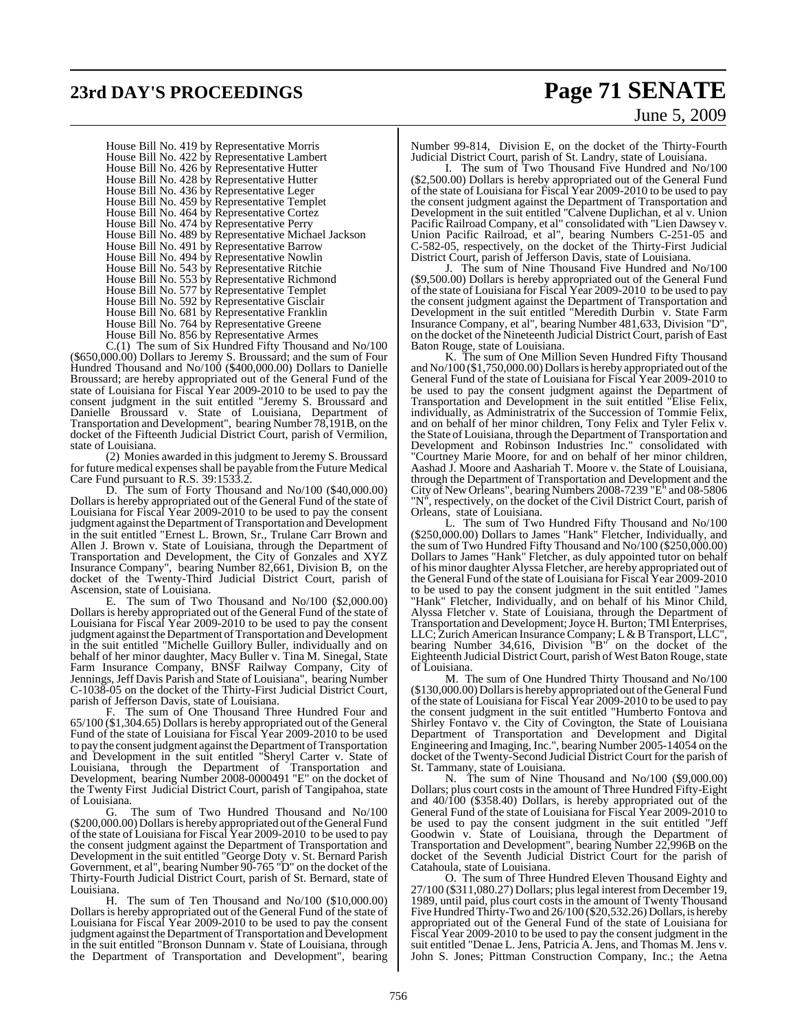# **23rd DAY'S PROCEEDINGS Page 71 SENATE**

# June 5, 2009

| House Bill No. 419 by Representative Morris          |
|------------------------------------------------------|
| House Bill No. 422 by Representative Lambert         |
| House Bill No. 426 by Representative Hutter          |
| House Bill No. 428 by Representative Hutter          |
| House Bill No. 436 by Representative Leger           |
| House Bill No. 459 by Representative Templet         |
| House Bill No. 464 by Representative Cortez          |
| House Bill No. 474 by Representative Perry           |
| House Bill No. 489 by Representative Michael Jackson |
| House Bill No. 491 by Representative Barrow          |
| House Bill No. 494 by Representative Nowlin          |
| House Bill No. 543 by Representative Ritchie         |
| House Bill No. 553 by Representative Richmond        |
| House Bill No. 577 by Representative Templet         |
| House Bill No. 592 by Representative Gisclair        |
| House Bill No. 681 by Representative Franklin        |
| House Bill No. 764 by Representative Greene          |
| House Bill No. 856 by Representative Armes           |
|                                                      |

C.(1) The sum of Six Hundred Fifty Thousand and No/100 (\$650,000.00) Dollars to Jeremy S. Broussard; and the sum of Four Hundred Thousand and No/100 (\$400,000.00) Dollars to Danielle Broussard; are hereby appropriated out of the General Fund of the state of Louisiana for Fiscal Year 2009-2010 to be used to pay the consent judgment in the suit entitled "Jeremy S. Broussard and Danielle Broussard v. State of Louisiana, Department of Transportation and Development", bearing Number 78,191B, on the docket of the Fifteenth Judicial District Court, parish of Vermilion, state of Louisiana.

(2) Monies awarded in this judgment to Jeremy S. Broussard for future medical expensesshall be payable fromthe Future Medical Care Fund pursuant to R.S. 39:1533.2.

D. The sum of Forty Thousand and No/100 (\$40,000.00) Dollars is hereby appropriated out of the General Fund of the state of Louisiana for Fiscal Year 2009-2010 to be used to pay the consent judgment against the Department of Transportation and Development in the suit entitled "Ernest L. Brown, Sr., Trulane Carr Brown and Allen J. Brown v. State of Louisiana, through the Department of Transportation and Development, the City of Gonzales and XYZ Insurance Company", bearing Number 82,661, Division B, on the docket of the Twenty-Third Judicial District Court, parish of Ascension, state of Louisiana.

E. The sum of Two Thousand and No/100 (\$2,000.00) Dollars is hereby appropriated out of the General Fund of the state of Louisiana for Fiscal Year 2009-2010 to be used to pay the consent judgment against the Department of Transportation and Development in the suit entitled "Michelle Guillory Buller, individually and on behalf of her minor daughter, Macy Buller v. Tina M. Sinegal, State Farm Insurance Company, BNSF Railway Company, City of Jennings, Jeff Davis Parish and State of Louisiana", bearing Number C-1038-05 on the docket of the Thirty-First Judicial District Court, parish of Jefferson Davis, state of Louisiana.

F. The sum of One Thousand Three Hundred Four and 65/100 (\$1,304.65) Dollarsis hereby appropriated out of the General Fund of the state of Louisiana for Fiscal Year 2009-2010 to be used to pay the consent judgment against the Department of Transportation and Development in the suit entitled "Sheryl Carter v. State of Louisiana, through the Department of Transportation and Development, bearing Number 2008-0000491 "E" on the docket of the Twenty First Judicial District Court, parish of Tangipahoa, state

of Louisiana. The sum of Two Hundred Thousand and No/100 (\$200,000.00) Dollars is hereby appropriated out of the General Fund of the state of Louisiana for Fiscal Year 2009-2010 to be used to pay the consent judgment against the Department of Transportation and Development in the suit entitled "George Doty v. St. Bernard Parish Government, et al", bearing Number 90-765 "D" on the docket of the Thirty-Fourth Judicial District Court, parish of St. Bernard, state of Louisiana.

H. The sum of Ten Thousand and No/100 (\$10,000.00) Dollars is hereby appropriated out of the General Fund of the state of Louisiana for Fiscal Year 2009-2010 to be used to pay the consent judgment against the Department of Transportation and Development in the suit entitled "Bronson Dunnam v. State of Louisiana, through the Department of Transportation and Development", bearing

Number 99-814, Division E, on the docket of the Thirty-Fourth Judicial District Court, parish of St. Landry, state of Louisiana.

I. The sum of Two Thousand Five Hundred and No/100 (\$2,500.00) Dollars is hereby appropriated out of the General Fund of the state of Louisiana for Fiscal Year 2009-2010 to be used to pay the consent judgment against the Department of Transportation and Development in the suit entitled "Calvene Duplichan, et al v. Union Pacific Railroad Company, et al" consolidated with "Lien Dawsey v. Union Pacific Railroad, et al", bearing Numbers C-251-05 and C-582-05, respectively, on the docket of the Thirty-First Judicial District Court, parish of Jefferson Davis, state of Louisiana.

J. The sum of Nine Thousand Five Hundred and No/100 (\$9,500.00) Dollars is hereby appropriated out of the General Fund of the state of Louisiana for Fiscal Year 2009-2010 to be used to pay the consent judgment against the Department of Transportation and Development in the suit entitled "Meredith Durbin v. State Farm Insurance Company, et al", bearing Number 481,633, Division "D", on the docket of the Nineteenth Judicial District Court, parish of East Baton Rouge, state of Louisiana.

K. The sum of One Million Seven Hundred Fifty Thousand and No/100 (\$1,750,000.00) Dollarsis hereby appropriated out of the General Fund of the state of Louisiana for Fiscal Year 2009-2010 to be used to pay the consent judgment against the Department of Transportation and Development in the suit entitled "Elise Felix, individually, as Administratrix of the Succession of Tommie Felix, and on behalf of her minor children, Tony Felix and Tyler Felix v. the State of Louisiana, through the Department of Transportation and Development and Robinson Industries Inc." consolidated with "Courtney Marie Moore, for and on behalf of her minor children, Aashad J. Moore and Aashariah T. Moore v. the State of Louisiana, through the Department of Transportation and Development and the City of New Orleans", bearing Numbers 2008-7239 "E" and 08-5806 "N", respectively, on the docket of the Civil District Court, parish of Orleans, state of Louisiana.

L. The sum of Two Hundred Fifty Thousand and No/100 (\$250,000.00) Dollars to James "Hank" Fletcher, Individually, and the sum of Two Hundred Fifty Thousand and No/100 (\$250,000.00) Dollars to James "Hank" Fletcher, as duly appointed tutor on behalf of his minor daughter Alyssa Fletcher, are hereby appropriated out of the General Fund of the state of Louisiana for Fiscal Year 2009-2010 to be used to pay the consent judgment in the suit entitled "James "Hank" Fletcher, Individually, and on behalf of his Minor Child, Alyssa Fletcher v. State of Louisiana, through the Department of Transportation and Development; Joyce H. Burton; TMI Enterprises, LLC; Zurich American Insurance Company; L & B Transport, LLC", bearing Number 34,616, Division "B" on the docket of the Eighteenth Judicial District Court, parish of West Baton Rouge, state of Louisiana.

M. The sum of One Hundred Thirty Thousand and No/100 (\$130,000.00) Dollars is hereby appropriated out of the General Fund of the state of Louisiana for Fiscal Year 2009-2010 to be used to pay the consent judgment in the suit entitled "Humberto Fontova and Shirley Fontavo v. the City of Covington, the State of Louisiana Department of Transportation and Development and Digital Engineering and Imaging, Inc.", bearing Number 2005-14054 on the docket of the Twenty-Second Judicial District Court for the parish of St. Tammany, state of Louisiana.

N. The sum of Nine Thousand and No/100 (\$9,000.00) Dollars; plus court costs in the amount of Three Hundred Fifty-Eight and 40/100 (\$358.40) Dollars, is hereby appropriated out of the General Fund of the state of Louisiana for Fiscal Year 2009-2010 to be used to pay the consent judgment in the suit entitled "Jeff Goodwin v. State of Louisiana, through the Department of Transportation and Development", bearing Number 22,996B on the docket of the Seventh Judicial District Court for the parish of Catahoula, state of Louisiana.

O. The sum of Three Hundred Eleven Thousand Eighty and 27/100 (\$311,080.27) Dollars; pluslegal interest fromDecember 19, 1989, until paid, plus court costs in the amount of Twenty Thousand Five Hundred Thirty-Two and 26/100 (\$20,532.26) Dollars, is hereby appropriated out of the General Fund of the state of Louisiana for Fiscal Year 2009-2010 to be used to pay the consent judgment in the suit entitled "Denae L. Jens, Patricia A. Jens, and Thomas M. Jens v. John S. Jones; Pittman Construction Company, Inc.; the Aetna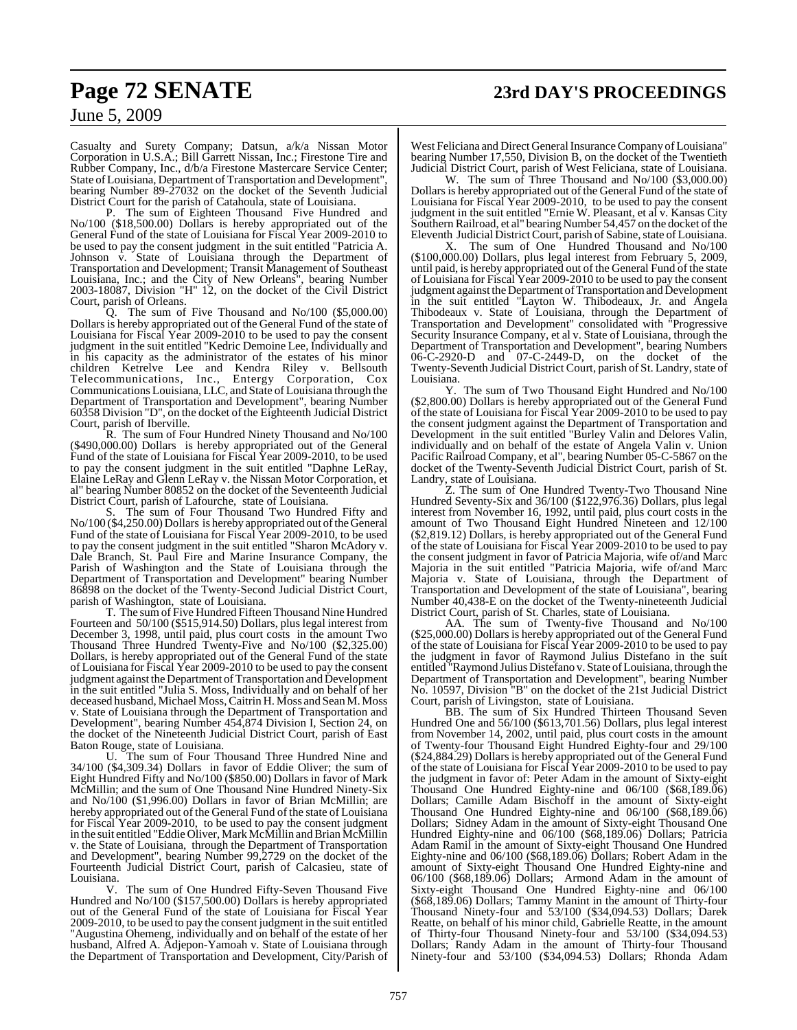Casualty and Surety Company; Datsun, a/k/a Nissan Motor Corporation in U.S.A.; Bill Garrett Nissan, Inc.; Firestone Tire and Rubber Company, Inc., d/b/a Firestone Mastercare Service Center; State of Louisiana, Department of Transportation and Development", bearing Number 89-27032 on the docket of the Seventh Judicial District Court for the parish of Catahoula, state of Louisiana.

The sum of Eighteen Thousand Five Hundred and No/100 (\$18,500.00) Dollars is hereby appropriated out of the General Fund of the state of Louisiana for Fiscal Year 2009-2010 to be used to pay the consent judgment in the suit entitled "Patricia A. Johnson v. State of Louisiana through the Department of Transportation and Development; Transit Management of Southeast Louisiana, Inc.; and the City of New Orleans", bearing Number 2003-18087, Division "H" 12, on the docket of the Civil District Court, parish of Orleans.

Q. The sum of Five Thousand and No/100 (\$5,000.00) Dollars is hereby appropriated out of the General Fund of the state of Louisiana for Fiscal Year 2009-2010 to be used to pay the consent judgment in the suit entitled "Kedric Demoine Lee, Individually and in his capacity as the administrator of the estates of his minor children Ketrelve Lee and Kendra Riley v. Bellsouth Telecommunications, Inc., Entergy Corporation, Cox Communications Louisiana, LLC, and State of Louisiana through the Department of Transportation and Development", bearing Number 60358 Division "D", on the docket of the Eighteenth Judicial District Court, parish of Iberville.

R. The sum of Four Hundred Ninety Thousand and No/100 (\$490,000.00) Dollars is hereby appropriated out of the General Fund of the state of Louisiana for Fiscal Year 2009-2010, to be used to pay the consent judgment in the suit entitled "Daphne LeRay, Elaine LeRay and Glenn LeRay v. the Nissan Motor Corporation, et al" bearing Number 80852 on the docket of the Seventeenth Judicial District Court, parish of Lafourche, state of Louisiana.

S. The sum of Four Thousand Two Hundred Fifty and No/100 (\$4,250.00) Dollars is hereby appropriated out of the General Fund of the state of Louisiana for Fiscal Year 2009-2010, to be used to pay the consent judgment in the suit entitled "Sharon McAdory v. Dale Branch, St. Paul Fire and Marine Insurance Company, the Parish of Washington and the State of Louisiana through the Department of Transportation and Development" bearing Number 86898 on the docket of the Twenty-Second Judicial District Court, parish of Washington, state of Louisiana.

T. The sum of Five Hundred Fifteen Thousand Nine Hundred Fourteen and 50/100 (\$515,914.50) Dollars, plus legal interest from December 3, 1998, until paid, plus court costs in the amount Two Thousand Three Hundred Twenty-Five and No/100 (\$2,325.00) Dollars, is hereby appropriated out of the General Fund of the state of Louisiana for Fiscal Year 2009-2010 to be used to pay the consent judgment against the Department of Transportation and Development in the suit entitled "Julia S. Moss, Individually and on behalf of her deceased husband, Michael Moss,Caitrin H. Moss and Sean M. Moss v. State of Louisiana through the Department of Transportation and Development", bearing Number 454,874 Division I, Section 24, on the docket of the Nineteenth Judicial District Court, parish of East Baton Rouge, state of Louisiana.

U. The sum of Four Thousand Three Hundred Nine and 34/100 (\$4,309.34) Dollars in favor of Eddie Oliver; the sum of Eight Hundred Fifty and No/100 (\$850.00) Dollars in favor of Mark McMillin; and the sum of One Thousand Nine Hundred Ninety-Six and No/100 (\$1,996.00) Dollars in favor of Brian McMillin; are hereby appropriated out of the General Fund of the state of Louisiana for Fiscal Year 2009-2010, to be used to pay the consent judgment in the suit entitled "Eddie Oliver, Mark McMillin and Brian McMillin v. the State of Louisiana, through the Department of Transportation and Development", bearing Number 99,2729 on the docket of the Fourteenth Judicial District Court, parish of Calcasieu, state of Louisiana.

V. The sum of One Hundred Fifty-Seven Thousand Five Hundred and No/100 (\$157,500.00) Dollars is hereby appropriated out of the General Fund of the state of Louisiana for Fiscal Year 2009-2010, to be used to pay the consent judgment in the suit entitled "Augustina Ohemeng, individually and on behalf of the estate of her husband, Alfred A. Adjepon-Yamoah v. State of Louisiana through the Department of Transportation and Development, City/Parish of

West Feliciana and Direct General Insurance Company of Louisiana" bearing Number 17,550, Division B, on the docket of the Twentieth Judicial District Court, parish of West Feliciana, state of Louisiana.

W. The sum of Three Thousand and No/100 (\$3,000.00) Dollars is hereby appropriated out of the General Fund of the state of Louisiana for Fiscal Year 2009-2010, to be used to pay the consent judgment in the suit entitled "Ernie W. Pleasant, et al v. Kansas City Southern Railroad, et al" bearing Number 54,457 on the docket ofthe Eleventh Judicial District Court, parish of Sabine, state of Louisiana.

X. The sum of One Hundred Thousand and No/100 (\$100,000.00) Dollars, plus legal interest from February 5, 2009, until paid, is hereby appropriated out of the General Fund of the state of Louisiana for Fiscal Year 2009-2010 to be used to pay the consent judgment against the Department of Transportation and Development in the suit entitled "Layton W. Thibodeaux, Jr. and Angela Thibodeaux v. State of Louisiana, through the Department of Transportation and Development" consolidated with "Progressive Security Insurance Company, et al v. State of Louisiana, through the Department of Transportation and Development", bearing Numbers 06-C-2920-D and 07-C-2449-D, on the docket of the Twenty-Seventh Judicial District Court, parish of St. Landry, state of Louisiana.

The sum of Two Thousand Eight Hundred and No/100 (\$2,800.00) Dollars is hereby appropriated out of the General Fund of the state of Louisiana for Fiscal Year 2009-2010 to be used to pay the consent judgment against the Department of Transportation and Development in the suit entitled "Burley Valin and Delores Valin, individually and on behalf of the estate of Angela Valin v. Union Pacific Railroad Company, et al", bearing Number 05-C-5867 on the docket of the Twenty-Seventh Judicial District Court, parish of St. Landry, state of Louisiana.

Z. The sum of One Hundred Twenty-Two Thousand Nine Hundred Seventy-Six and 36/100 (\$122,976.36) Dollars, plus legal interest from November 16, 1992, until paid, plus court costs in the amount of Two Thousand Eight Hundred Nineteen and 12/100 (\$2,819.12) Dollars, is hereby appropriated out of the General Fund of the state of Louisiana for Fiscal Year 2009-2010 to be used to pay the consent judgment in favor of Patricia Majoria, wife of/and Marc Majoria in the suit entitled "Patricia Majoria, wife of/and Marc Majoria v. State of Louisiana, through the Department of Transportation and Development of the state of Louisiana", bearing Number 40,438-E on the docket of the Twenty-nineteenth Judicial District Court, parish of St. Charles, state of Louisiana.

AA. The sum of Twenty-five Thousand and No/100 (\$25,000.00) Dollars is hereby appropriated out of the General Fund of the state of Louisiana for Fiscal Year 2009-2010 to be used to pay the judgment in favor of Raymond Julius Distefano in the suit entitled "Raymond Julius Distefano v. State of Louisiana, through the Department of Transportation and Development", bearing Number No. 10597, Division "B" on the docket of the 21st Judicial District Court, parish of Livingston, state of Louisiana.

BB. The sum of Six Hundred Thirteen Thousand Seven Hundred One and 56/100 (\$613,701.56) Dollars, plus legal interest from November 14, 2002, until paid, plus court costs in the amount of Twenty-four Thousand Eight Hundred Eighty-four and 29/100 (\$24,884.29) Dollars is hereby appropriated out of the General Fund of the state of Louisiana for Fiscal Year 2009-2010 to be used to pay the judgment in favor of: Peter Adam in the amount of Sixty-eight Thousand One Hundred Eighty-nine and  $06/100$  (\$68,189.06) Dollars; Camille Adam Bischoff in the amount of Sixty-eight Thousand One Hundred Eighty-nine and 06/100 (\$68,189.06) Dollars; Sidney Adam in the amount of Sixty-eight Thousand One Hundred Eighty-nine and 06/100 (\$68,189.06) Dollars; Patricia Adam Ramil in the amount of Sixty-eight Thousand One Hundred Eighty-nine and 06/100 (\$68,189.06) Dollars; Robert Adam in the amount of Sixty-eight Thousand One Hundred Eighty-nine and 06/100 (\$68,189.06) Dollars; Armond Adam in the amount of Sixty-eight Thousand One Hundred Eighty-nine and 06/100 (\$68,189.06) Dollars; Tammy Manint in the amount of Thirty-four Thousand Ninety-four and 53/100 (\$34,094.53) Dollars; Darek Reatte, on behalf of his minor child, Gabrielle Reatte, in the amount of Thirty-four Thousand Ninety-four and 53/100 (\$34,094.53) Dollars; Randy Adam in the amount of Thirty-four Thousand Ninety-four and 53/100 (\$34,094.53) Dollars; Rhonda Adam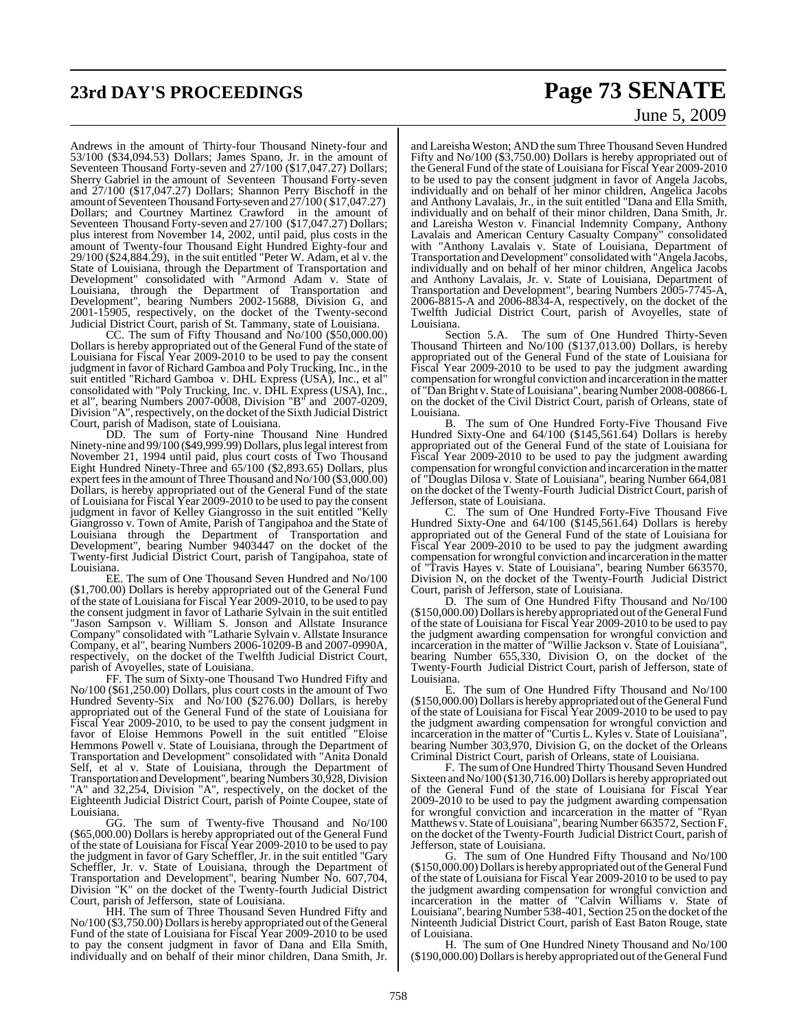Andrews in the amount of Thirty-four Thousand Ninety-four and 53/100 (\$34,094.53) Dollars; James Spano, Jr. in the amount of Seventeen Thousand Forty-seven and 27/100 (\$17,047.27) Dollars; Sherry Gabriel in the amount of Seventeen Thousand Forty-seven and 27/100 (\$17,047.27) Dollars; Shannon Perry Bischoff in the amount of Seventeen Thousand Forty-seven and 27/100 (\$17,047.27) Dollars; and Courtney Martinez Crawford in the amount of Seventeen Thousand Forty-seven and 27/100 (\$17,047.27) Dollars; plus interest from November 14, 2002, until paid, plus costs in the amount of Twenty-four Thousand Eight Hundred Eighty-four and  $29/100$  (\$24,884.29), in the suit entitled "Peter W. Adam, et al v. the State of Louisiana, through the Department of Transportation and Development" consolidated with "Armond Adam v. State of Louisiana, through the Department of Transportation and Development", bearing Numbers 2002-15688, Division G, and 2001-15905, respectively, on the docket of the Twenty-second Judicial District Court, parish of St. Tammany, state of Louisiana.

CC. The sum of Fifty Thousand and No/100 (\$50,000.00) Dollars is hereby appropriated out of the General Fund of the state of Louisiana for Fiscal Year 2009-2010 to be used to pay the consent judgment in favor of Richard Gamboa and Poly Trucking, Inc., in the suit entitled "Richard Gamboa v. DHL Express (USA), Inc., et al" consolidated with "Poly Trucking, Inc. v. DHL Express (USA), Inc., et al", bearing Numbers 2007-0008, Division "B" and 2007-0209, Division "A", respectively, on the docket of the Sixth Judicial District Court, parish of Madison, state of Louisiana.

DD. The sum of Forty-nine Thousand Nine Hundred Ninety-nine and 99/100 (\$49,999.99) Dollars, plus legal interest from November 21, 1994 until paid, plus court costs of Two Thousand Eight Hundred Ninety-Three and 65/100 (\$2,893.65) Dollars, plus expert fees in the amount of Three Thousand and No/100 (\$3,000.00) Dollars, is hereby appropriated out of the General Fund of the state of Louisiana for Fiscal Year 2009-2010 to be used to pay the consent judgment in favor of Kelley Giangrosso in the suit entitled "Kelly Giangrosso v. Town of Amite, Parish of Tangipahoa and the State of Louisiana through the Department of Transportation and Development", bearing Number 9403447 on the docket of the Twenty-first Judicial District Court, parish of Tangipahoa, state of Louisiana.

EE. The sum of One Thousand Seven Hundred and No/100 (\$1,700.00) Dollars is hereby appropriated out of the General Fund of the state of Louisiana for Fiscal Year 2009-2010, to be used to pay the consent judgment in favor of Latharie Sylvain in the suit entitled "Jason Sampson v. William S. Jonson and Allstate Insurance Company" consolidated with "Latharie Sylvain v. Allstate Insurance Company, et al", bearing Numbers 2006-10209-B and 2007-0990A, respectively, on the docket of the Twelfth Judicial District Court, parish of Avoyelles, state of Louisiana.

FF. The sum of Sixty-one Thousand Two Hundred Fifty and No/100 (\$61,250.00) Dollars, plus court costs in the amount of Two Hundred Seventy-Six and No/100 (\$276.00) Dollars, is hereby appropriated out of the General Fund of the state of Louisiana for Fiscal Year 2009-2010, to be used to pay the consent judgment in favor of Eloise Hemmons Powell in the suit entitled "Eloise Hemmons Powell v. State of Louisiana, through the Department of Transportation and Development" consolidated with "Anita Donald Self, et al v. State of Louisiana, through the Department of Transportation and Development", bearing Numbers 30,928, Division "A" and 32,254, Division "A", respectively, on the docket of the Eighteenth Judicial District Court, parish of Pointe Coupee, state of

Louisiana.<br>GG. The sum of Twenty-five Thousand and No/100 (\$65,000.00) Dollars is hereby appropriated out of the General Fund of the state of Louisiana for Fiscal Year 2009-2010 to be used to pay the judgment in favor of Gary Scheffler, Jr. in the suit entitled "Gary Scheffler, Jr. v. State of Louisiana, through the Department of Transportation and Development", bearing Number No. 607,704, Division "K" on the docket of the Twenty-fourth Judicial District Court, parish of Jefferson, state of Louisiana.

HH. The sum of Three Thousand Seven Hundred Fifty and No/100 (\$3,750.00) Dollars is hereby appropriated out of the General Fund of the state of Louisiana for Fiscal Year 2009-2010 to be used to pay the consent judgment in favor of Dana and Ella Smith, individually and on behalf of their minor children, Dana Smith, Jr.

# **23rd DAY'S PROCEEDINGS Page 73 SENATE** June 5, 2009

and Lareisha Weston; AND the sumThree Thousand Seven Hundred Fifty and No/100 (\$3,750.00) Dollars is hereby appropriated out of the General Fund of the state of Louisiana for Fiscal Year 2009-2010 to be used to pay the consent judgment in favor of Angela Jacobs, individually and on behalf of her minor children, Angelica Jacobs and Anthony Lavalais, Jr., in the suit entitled "Dana and Ella Smith, individually and on behalf of their minor children, Dana Smith, Jr. and Lareisha Weston v. Financial Indemnity Company, Anthony Lavalais and American Century Casualty Company" consolidated with "Anthony Lavalais v. State of Louisiana, Department of Transportation and Development" consolidated with "Angela Jacobs, individually and on behalf of her minor children, Angelica Jacobs and Anthony Lavalais, Jr. v. State of Louisiana, Department of Transportation and Development", bearing Numbers 2005-7745-A, 2006-8815-A and 2006-8834-A, respectively, on the docket of the Twelfth Judicial District Court, parish of Avoyelles, state of Louisiana.

Section 5.A. The sum of One Hundred Thirty-Seven Thousand Thirteen and No/100 (\$137,013.00) Dollars, is hereby appropriated out of the General Fund of the state of Louisiana for Fiscal Year 2009-2010 to be used to pay the judgment awarding compensation for wrongful conviction and incarceration in the matter of "DanBright v. State of Louisiana", bearing Number 2008-00866-L on the docket of the Civil District Court, parish of Orleans, state of Louisiana.<br>B.

The sum of One Hundred Forty-Five Thousand Five Hundred Sixty-One and 64/100 (\$145,561.64) Dollars is hereby appropriated out of the General Fund of the state of Louisiana for Fiscal Year 2009-2010 to be used to pay the judgment awarding compensation for wrongful conviction and incarceration in the matter of "Douglas Dilosa v. State of Louisiana", bearing Number 664,081 on the docket of the Twenty-Fourth Judicial District Court, parish of Jefferson, state of Louisiana.

C. The sum of One Hundred Forty-Five Thousand Five Hundred Sixty-One and 64/100 (\$145,561.64) Dollars is hereby appropriated out of the General Fund of the state of Louisiana for Fiscal Year 2009-2010 to be used to pay the judgment awarding compensation for wrongful conviction and incarceration in the matter of "Travis Hayes v. State of Louisiana", bearing Number 663570, Division N, on the docket of the Twenty-Fourth Judicial District Court, parish of Jefferson, state of Louisiana.

D. The sum of One Hundred Fifty Thousand and No/100 (\$150,000.00) Dollarsis hereby appropriated out of the General Fund of the state of Louisiana for Fiscal Year 2009-2010 to be used to pay the judgment awarding compensation for wrongful conviction and incarceration in the matter of "Willie Jackson v. State of Louisiana", bearing Number 655,330, Division O, on the docket of the Twenty-Fourth Judicial District Court, parish of Jefferson, state of Louisiana.

E. The sum of One Hundred Fifty Thousand and No/100 (\$150,000.00) Dollars is hereby appropriated out of the General Fund of the state of Louisiana for Fiscal Year 2009-2010 to be used to pay the judgment awarding compensation for wrongful conviction and incarceration in the matter of "Curtis L. Kyles v. State of Louisiana", bearing Number 303,970, Division G, on the docket of the Orleans Criminal District Court, parish of Orleans, state of Louisiana.

F. The sum of One Hundred Thirty Thousand Seven Hundred Sixteen and No/100 (\$130,716.00) Dollars is hereby appropriated out of the General Fund of the state of Louisiana for Fiscal Year 2009-2010 to be used to pay the judgment awarding compensation for wrongful conviction and incarceration in the matter of "Ryan Matthews v. State of Louisiana", bearing Number 663572, Section F, on the docket of the Twenty-Fourth Judicial District Court, parish of Jefferson, state of Louisiana.

G. The sum of One Hundred Fifty Thousand and No/100 (\$150,000.00) Dollarsis hereby appropriated out of the General Fund of the state of Louisiana for Fiscal Year 2009-2010 to be used to pay the judgment awarding compensation for wrongful conviction and incarceration in the matter of "Calvin Williams v. State of Louisiana", bearing Number 538-401, Section 25 on the docket of the Ninteenth Judicial District Court, parish of East Baton Rouge, state of Louisiana.

H. The sum of One Hundred Ninety Thousand and No/100 (\$190,000.00) Dollars is hereby appropriated out of the General Fund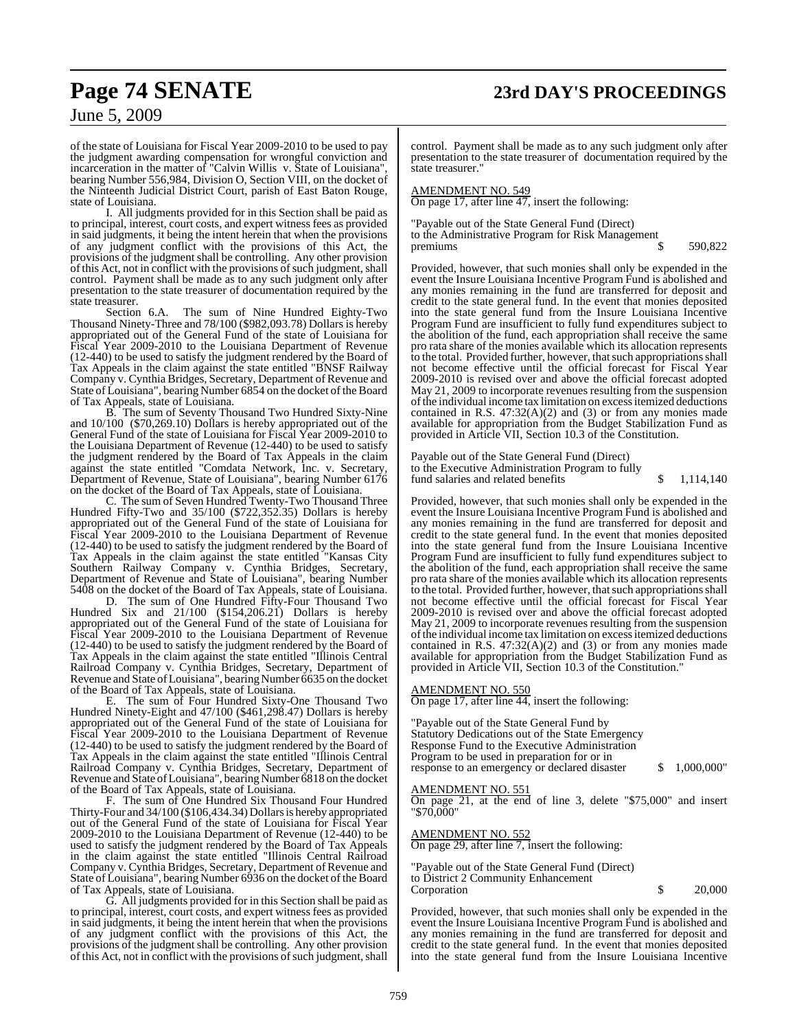of the state of Louisiana for Fiscal Year 2009-2010 to be used to pay the judgment awarding compensation for wrongful conviction and incarceration in the matter of "Calvin Willis v. State of Louisiana", bearing Number 556,984, Division O, Section VIII, on the docket of the Ninteenth Judicial District Court, parish of East Baton Rouge, state of Louisiana.

I. All judgments provided for in this Section shall be paid as to principal, interest, court costs, and expert witness fees as provided in said judgments, it being the intent herein that when the provisions of any judgment conflict with the provisions of this Act, the provisions of the judgment shall be controlling. Any other provision of this Act, not in conflict with the provisions of such judgment, shall control. Payment shall be made as to any such judgment only after presentation to the state treasurer of documentation required by the state treasurer.

Section 6.A. The sum of Nine Hundred Eighty-Two Thousand Ninety-Three and 78/100 (\$982,093.78) Dollars is hereby appropriated out of the General Fund of the state of Louisiana for Fiscal Year 2009-2010 to the Louisiana Department of Revenue (12-440) to be used to satisfy the judgment rendered by the Board of Tax Appeals in the claim against the state entitled "BNSF Railway Company v. Cynthia Bridges, Secretary, Department of Revenue and State of Louisiana", bearing Number 6854 on the docket of the Board of Tax Appeals, state of Louisiana.

B. The sum of Seventy Thousand Two Hundred Sixty-Nine and 10/100 (\$70,269.10) Dollars is hereby appropriated out of the General Fund of the state of Louisiana for Fiscal Year 2009-2010 to the Louisiana Department of Revenue (12-440) to be used to satisfy the judgment rendered by the Board of Tax Appeals in the claim against the state entitled "Comdata Network, Inc. v. Secretary, Department of Revenue, State of Louisiana", bearing Number 6176 on the docket of the Board of Tax Appeals, state of Louisiana.

C. The sum of Seven Hundred Twenty-Two Thousand Three Hundred Fifty-Two and 35/100 (\$722,352.35) Dollars is hereby appropriated out of the General Fund of the state of Louisiana for Fiscal Year 2009-2010 to the Louisiana Department of Revenue (12-440) to be used to satisfy the judgment rendered by the Board of Tax Appeals in the claim against the state entitled "Kansas City Southern Railway Company v. Cynthia Bridges, Secretary, Department of Revenue and State of Louisiana", bearing Number 5408 on the docket of the Board of Tax Appeals, state of Louisiana.

D. The sum of One Hundred Fifty-Four Thousand Two Hundred Six and 21/100 (\$154,206.21) Dollars is hereby appropriated out of the General Fund of the state of Louisiana for Fiscal Year 2009-2010 to the Louisiana Department of Revenue (12-440) to be used to satisfy the judgment rendered by the Board of Tax Appeals in the claim against the state entitled "Illinois Central Railroad Company v. Cynthia Bridges, Secretary, Department of Revenue and State of Louisiana", bearing Number 6635 on the docket of the Board of Tax Appeals, state of Louisiana.

E. The sum of Four Hundred Sixty-One Thousand Two Hundred Ninety-Eight and 47/100 (\$461,298.47) Dollars is hereby appropriated out of the General Fund of the state of Louisiana for Fiscal Year 2009-2010 to the Louisiana Department of Revenue (12-440) to be used to satisfy the judgment rendered by the Board of Tax Appeals in the claim against the state entitled "Illinois Central Railroad Company v. Cynthia Bridges, Secretary, Department of Revenue and State of Louisiana", bearing Number 6818 on the docket of the Board of Tax Appeals, state of Louisiana.

F. The sum of One Hundred Six Thousand Four Hundred Thirty-Four and 34/100 (\$106,434.34) Dollarsis hereby appropriated out of the General Fund of the state of Louisiana for Fiscal Year 2009-2010 to the Louisiana Department of Revenue (12-440) to be used to satisfy the judgment rendered by the Board of Tax Appeals in the claim against the state entitled "Illinois Central Railroad Company v. Cynthia Bridges, Secretary, Department of Revenue and State of Louisiana", bearing Number 6936 on the docket of the Board of Tax Appeals, state of Louisiana.

G. All judgments provided for in this Section shall be paid as to principal, interest, court costs, and expert witness fees as provided in said judgments, it being the intent herein that when the provisions of any judgment conflict with the provisions of this Act, the provisions of the judgment shall be controlling. Any other provision of this Act, not in conflict with the provisions of such judgment, shall

control. Payment shall be made as to any such judgment only after presentation to the state treasurer of documentation required by the state treasurer."

#### AMENDMENT NO. 549

On page 17, after line 47, insert the following:

"Payable out of the State General Fund (Direct) to the Administrative Program for Risk Management 590,822

Provided, however, that such monies shall only be expended in the event the Insure Louisiana Incentive Program Fund is abolished and any monies remaining in the fund are transferred for deposit and credit to the state general fund. In the event that monies deposited into the state general fund from the Insure Louisiana Incentive Program Fund are insufficient to fully fund expenditures subject to the abolition of the fund, each appropriation shall receive the same pro rata share of the monies available which its allocation represents to the total. Provided further, however, that such appropriations shall not become effective until the official forecast for Fiscal Year 2009-2010 is revised over and above the official forecast adopted May 21, 2009 to incorporate revenues resulting from the suspension ofthe individual income tax limitation on excessitemized deductions contained in R.S.  $47:32(A)(2)$  and  $(3)$  or from any monies made available for appropriation from the Budget Stabilization Fund as provided in Article VII, Section 10.3 of the Constitution.

Payable out of the State General Fund (Direct) to the Executive Administration Program to fully fund salaries and related benefits  $\qquad$  \$ 1,114,140

Provided, however, that such monies shall only be expended in the event the Insure Louisiana Incentive Program Fund is abolished and any monies remaining in the fund are transferred for deposit and credit to the state general fund. In the event that monies deposited into the state general fund from the Insure Louisiana Incentive Program Fund are insufficient to fully fund expenditures subject to the abolition of the fund, each appropriation shall receive the same pro rata share of the monies available which its allocation represents to the total. Provided further, however, that such appropriations shall not become effective until the official forecast for Fiscal Year 2009-2010 is revised over and above the official forecast adopted May 21, 2009 to incorporate revenues resulting from the suspension ofthe individual income tax limitation on excessitemized deductions contained in R.S.  $47:32(A)(2)$  and  $(3)$  or from any monies made available for appropriation from the Budget Stabilization Fund as provided in Article VII, Section 10.3 of the Constitution."

#### AMENDMENT NO. 550

On page 17, after line 44, insert the following:

"Payable out of the State General Fund by Statutory Dedications out of the State Emergency Response Fund to the Executive Administration Program to be used in preparation for or in response to an emergency or declared disaster  $\qquad$  \$ 1,000,000"

#### AMENDMENT NO. 551

On page 21, at the end of line 3, delete "\$75,000" and insert "\$70,000"

#### AMENDMENT NO. 552

On page 29, after line 7, insert the following:

"Payable out of the State General Fund (Direct) to District 2 Community Enhancement Corporation  $\qquad \qquad$  \$ 20,000

Provided, however, that such monies shall only be expended in the event the Insure Louisiana Incentive Program Fund is abolished and any monies remaining in the fund are transferred for deposit and credit to the state general fund. In the event that monies deposited into the state general fund from the Insure Louisiana Incentive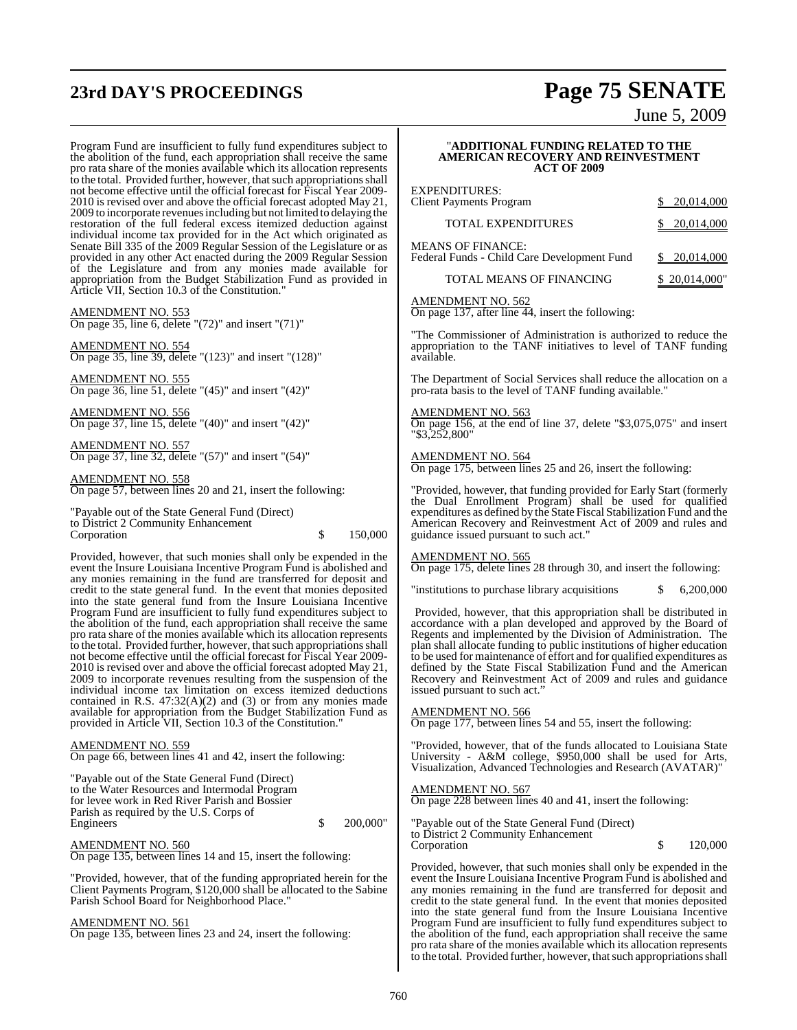# **23rd DAY'S PROCEEDINGS Page 75 SENATE**

June 5, 2009

Program Fund are insufficient to fully fund expenditures subject to the abolition of the fund, each appropriation shall receive the same pro rata share of the monies available which its allocation represents to the total. Provided further, however, that such appropriations shall not become effective until the official forecast for Fiscal Year 2009- 2010 is revised over and above the official forecast adopted May 21, 2009 to incorporate revenuesincluding but not limited to delaying the restoration of the full federal excess itemized deduction against individual income tax provided for in the Act which originated as Senate Bill 335 of the 2009 Regular Session of the Legislature or as provided in any other Act enacted during the 2009 Regular Session of the Legislature and from any monies made available for appropriation from the Budget Stabilization Fund as provided in Article VII, Section 10.3 of the Constitution."

#### AMENDMENT NO. 553

On page 35, line 6, delete "(72)" and insert "(71)"

AMENDMENT NO. 554 On page 35, line 39, delete "(123)" and insert "(128)"

AMENDMENT NO. 555 On page 36, line 51, delete " $(45)$ " and insert " $(42)$ "

AMENDMENT NO. 556 On page 37, line 15, delete "(40)" and insert "(42)"

AMENDMENT NO. 557 On page 37, line 32, delete "(57)" and insert "(54)"

AMENDMENT NO. 558 On page 57, between lines 20 and 21, insert the following:

"Payable out of the State General Fund (Direct) to District 2 Community Enhancement Corporation  $\qquad \qquad$  \$ 150,000

Provided, however, that such monies shall only be expended in the event the Insure Louisiana Incentive Program Fund is abolished and any monies remaining in the fund are transferred for deposit and credit to the state general fund. In the event that monies deposited into the state general fund from the Insure Louisiana Incentive Program Fund are insufficient to fully fund expenditures subject to the abolition of the fund, each appropriation shall receive the same pro rata share of the monies available which its allocation represents to the total. Provided further, however, that such appropriations shall not become effective until the official forecast for Fiscal Year 2009- 2010 is revised over and above the official forecast adopted May 21, 2009 to incorporate revenues resulting from the suspension of the individual income tax limitation on excess itemized deductions contained in R.S.  $47:32(A)(2)$  and  $(3)$  or from any monies made available for appropriation from the Budget Stabilization Fund as provided in Article VII, Section 10.3 of the Constitution."

AMENDMENT NO. 559 On page 66, between lines 41 and 42, insert the following:

"Payable out of the State General Fund (Direct) to the Water Resources and Intermodal Program for levee work in Red River Parish and Bossier Parish as required by the U.S. Corps of Engineers \$ 200,000"

AMENDMENT NO. 560 On page 135, between lines 14 and 15, insert the following:

"Provided, however, that of the funding appropriated herein for the Client Payments Program, \$120,000 shall be allocated to the Sabine Parish School Board for Neighborhood Place."

#### AMENDMENT NO. 561

On page 135, between lines 23 and 24, insert the following:

#### "**ADDITIONAL FUNDING RELATED TO THE AMERICAN RECOVERY AND REINVESTMENT ACT OF 2009**

| EXPENDITURES:<br>Client Payments Program                                | 20,014,000    |
|-------------------------------------------------------------------------|---------------|
| <b>TOTAL EXPENDITURES</b>                                               | 20,014,000    |
| <b>MEANS OF FINANCE:</b><br>Federal Funds - Child Care Development Fund | \$ 20,014,000 |
| TOTAL MEANS OF FINANCING                                                | \$20,014,000  |

#### AMENDMENT NO. 562

On page 137, after line 44, insert the following:

"The Commissioner of Administration is authorized to reduce the appropriation to the TANF initiatives to level of TANF funding available.

The Department of Social Services shall reduce the allocation on a pro-rata basis to the level of TANF funding available."

#### AMENDMENT NO. 563

On page 156, at the end of line 37, delete "\$3,075,075" and insert "\$3,252,800"

#### AMENDMENT NO. 564

On page 175, between lines 25 and 26, insert the following:

"Provided, however, that funding provided for Early Start (formerly the Dual Enrollment Program) shall be used for qualified expenditures as defined by the State Fiscal Stabilization Fund and the American Recovery and Reinvestment Act of 2009 and rules and guidance issued pursuant to such act."

#### AMENDMENT NO. 565

On page 175, delete lines 28 through 30, and insert the following:

"institutions to purchase library acquisitions \$ 6,200,000

Provided, however, that this appropriation shall be distributed in accordance with a plan developed and approved by the Board of Regents and implemented by the Division of Administration. The plan shall allocate funding to public institutions of higher education to be used for maintenance of effort and for qualified expenditures as defined by the State Fiscal Stabilization Fund and the American Recovery and Reinvestment Act of 2009 and rules and guidance issued pursuant to such act."

#### AMENDMENT NO. 566

On page 177, between lines 54 and 55, insert the following:

"Provided, however, that of the funds allocated to Louisiana State University - A&M college, \$950,000 shall be used for Arts, Visualization, Advanced Technologies and Research (AVATAR)"

#### AMENDMENT NO. 567

On page 228 between lines 40 and 41, insert the following:

"Payable out of the State General Fund (Direct) to District 2 Community Enhancement Corporation  $$ 120,000$ 

Provided, however, that such monies shall only be expended in the event the Insure Louisiana Incentive Program Fund is abolished and any monies remaining in the fund are transferred for deposit and credit to the state general fund. In the event that monies deposited into the state general fund from the Insure Louisiana Incentive Program Fund are insufficient to fully fund expenditures subject to the abolition of the fund, each appropriation shall receive the same pro rata share of the monies available which its allocation represents to the total. Provided further, however, that such appropriations shall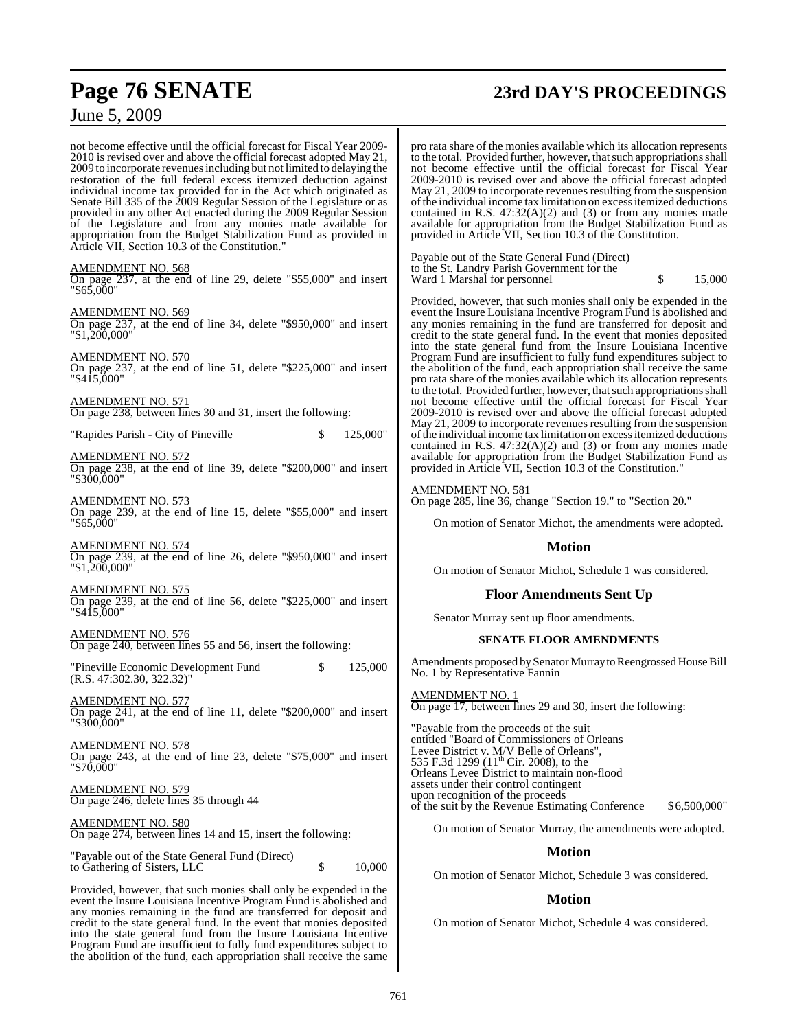# **Page 76 SENATE 23rd DAY'S PROCEEDINGS**

# June 5, 2009

not become effective until the official forecast for Fiscal Year 2009- 2010 is revised over and above the official forecast adopted May 21, 2009 to incorporate revenuesincluding but not limited to delaying the restoration of the full federal excess itemized deduction against individual income tax provided for in the Act which originated as Senate Bill 335 of the 2009 Regular Session of the Legislature or as provided in any other Act enacted during the 2009 Regular Session of the Legislature and from any monies made available for appropriation from the Budget Stabilization Fund as provided in Article VII, Section 10.3 of the Constitution."

#### AMENDMENT NO. 568

On page 237, at the end of line 29, delete "\$55,000" and insert "\$65,000"

#### AMENDMENT NO. 569

On page 237, at the end of line 34, delete "\$950,000" and insert "\$1,200,000"

AMENDMENT NO. 570

On page 237, at the end of line 51, delete "\$225,000" and insert "\$415,000"

AMENDMENT NO. 571 On page 238, between lines 30 and 31, insert the following:

"Rapides Parish - City of Pineville \$ 125,000"

AMENDMENT NO. 572 On page 238, at the end of line 39, delete "\$200,000" and insert "\$300,000"

AMENDMENT NO. 573 On page 239, at the end of line 15, delete "\$55,000" and insert "\$65,000"

#### AMENDMENT NO. 574

On page 239, at the end of line 26, delete "\$950,000" and insert "\$1,200,000"

#### AMENDMENT NO. 575

On page 239, at the end of line 56, delete "\$225,000" and insert "\$415,000"

AMENDMENT NO. 576 On page 240, between lines 55 and 56, insert the following:

"Pineville Economic Development Fund \$ 125,000 (R.S. 47:302.30, 322.32)"

AMENDMENT NO. 577 On page 241, at the end of line 11, delete "\$200,000" and insert "\$300,000"

AMENDMENT NO. 578 On page 243, at the end of line 23, delete "\$75,000" and insert "\$70,000"

AMENDMENT NO. 579 On page 246, delete lines 35 through 44

AMENDMENT NO. 580 On page 274, between lines 14 and 15, insert the following:

"Payable out of the State General Fund (Direct) to Gathering of Sisters, LLC \$ 10,000

Provided, however, that such monies shall only be expended in the event the Insure Louisiana Incentive Program Fund is abolished and any monies remaining in the fund are transferred for deposit and credit to the state general fund. In the event that monies deposited into the state general fund from the Insure Louisiana Incentive Program Fund are insufficient to fully fund expenditures subject to the abolition of the fund, each appropriation shall receive the same pro rata share of the monies available which its allocation represents to the total. Provided further, however, that such appropriations shall not become effective until the official forecast for Fiscal Year 2009-2010 is revised over and above the official forecast adopted May 21, 2009 to incorporate revenues resulting from the suspension ofthe individual income tax limitation on excessitemized deductions contained in R.S.  $47:32(A)(2)$  and  $(3)$  or from any monies made available for appropriation from the Budget Stabilization Fund as provided in Article VII, Section 10.3 of the Constitution.

Payable out of the State General Fund (Direct) to the St. Landry Parish Government for the Ward 1 Marshal for personnel  $\qquad \qquad$  \$ 15,000

Provided, however, that such monies shall only be expended in the event the Insure Louisiana Incentive Program Fund is abolished and any monies remaining in the fund are transferred for deposit and credit to the state general fund. In the event that monies deposited into the state general fund from the Insure Louisiana Incentive Program Fund are insufficient to fully fund expenditures subject to the abolition of the fund, each appropriation shall receive the same pro rata share of the monies available which its allocation represents to the total. Provided further, however, that such appropriations shall not become effective until the official forecast for Fiscal Year 2009-2010 is revised over and above the official forecast adopted May 21, 2009 to incorporate revenues resulting from the suspension ofthe individual income tax limitation on excessitemized deductions contained in R.S.  $47:32(A)(2)$  and  $(3)$  or from any monies made available for appropriation from the Budget Stabilization Fund as provided in Article VII, Section 10.3 of the Constitution."

#### AMENDMENT NO. 581

On page 285, line 36, change "Section 19." to "Section 20."

On motion of Senator Michot, the amendments were adopted.

#### **Motion**

On motion of Senator Michot, Schedule 1 was considered.

#### **Floor Amendments Sent Up**

Senator Murray sent up floor amendments.

#### **SENATE FLOOR AMENDMENTS**

Amendments proposed bySenator Murray to Reengrossed House Bill No. 1 by Representative Fannin

AMENDMENT NO. 1 On page 17, between lines 29 and 30, insert the following:

"Payable from the proceeds of the suit entitled "Board of Commissioners of Orleans Levee District v. M/V Belle of Orleans", 535 F.3d 1299 ( $11<sup>th</sup>$  Cir. 2008), to the Orleans Levee District to maintain non-flood assets under their control contingent upon recognition of the proceeds of the suit by the Revenue Estimating Conference  $$6,500,000"$ 

On motion of Senator Murray, the amendments were adopted.

#### **Motion**

On motion of Senator Michot, Schedule 3 was considered.

#### **Motion**

On motion of Senator Michot, Schedule 4 was considered.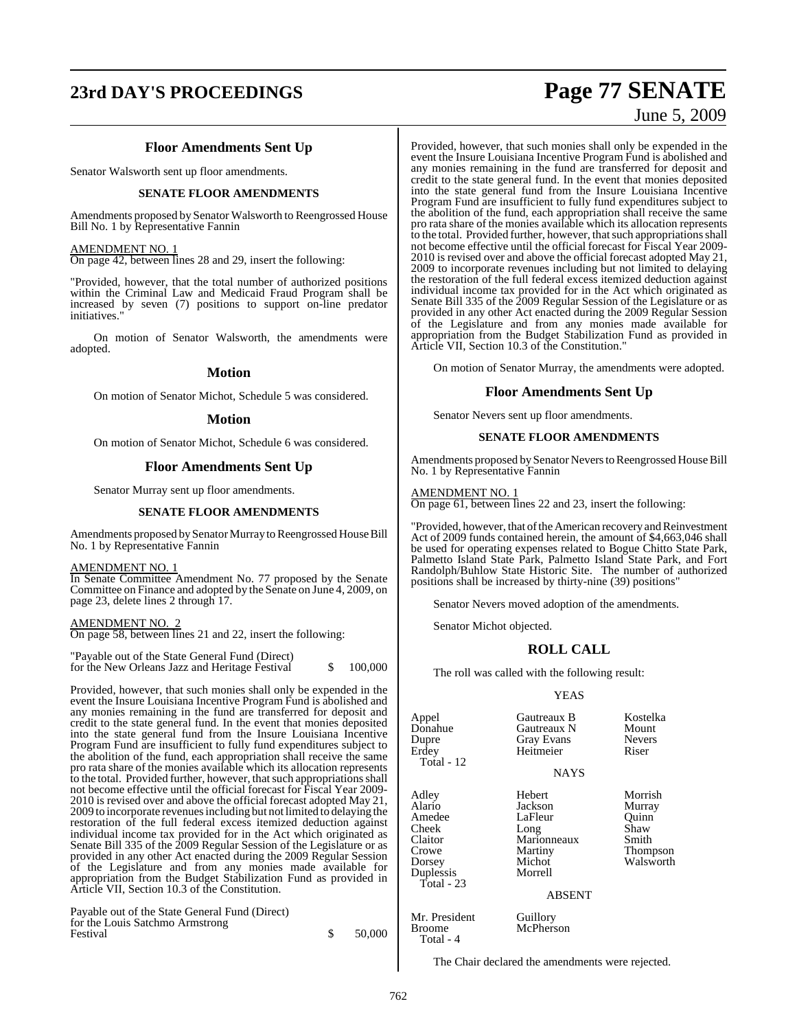# **23rd DAY'S PROCEEDINGS Page 77 SENATE**

# June 5, 2009

## **Floor Amendments Sent Up**

Senator Walsworth sent up floor amendments.

#### **SENATE FLOOR AMENDMENTS**

Amendments proposed by Senator Walsworth to Reengrossed House Bill No. 1 by Representative Fannin

#### AMENDMENT NO. 1

On page 42, between lines 28 and 29, insert the following:

"Provided, however, that the total number of authorized positions within the Criminal Law and Medicaid Fraud Program shall be increased by seven (7) positions to support on-line predator initiatives.

On motion of Senator Walsworth, the amendments were adopted.

#### **Motion**

On motion of Senator Michot, Schedule 5 was considered.

#### **Motion**

On motion of Senator Michot, Schedule 6 was considered.

#### **Floor Amendments Sent Up**

Senator Murray sent up floor amendments.

#### **SENATE FLOOR AMENDMENTS**

Amendments proposed by Senator Murray to Reengrossed House Bill No. 1 by Representative Fannin

#### AMENDMENT NO. 1

In Senate Committee Amendment No. 77 proposed by the Senate Committee on Finance and adopted by the Senate on June 4, 2009, on page 23, delete lines 2 through 17.

#### AMENDMENT NO. 2

On page 58, between lines 21 and 22, insert the following:

| "Payable out of the State General Fund (Direct) |         |
|-------------------------------------------------|---------|
| for the New Orleans Jazz and Heritage Festival  | 100,000 |

Provided, however, that such monies shall only be expended in the event the Insure Louisiana Incentive Program Fund is abolished and any monies remaining in the fund are transferred for deposit and credit to the state general fund. In the event that monies deposited into the state general fund from the Insure Louisiana Incentive Program Fund are insufficient to fully fund expenditures subject to the abolition of the fund, each appropriation shall receive the same pro rata share of the monies available which its allocation represents to the total. Provided further, however, that such appropriations shall not become effective until the official forecast for Fiscal Year 2009- 2010 is revised over and above the official forecast adopted May 21, 2009 to incorporate revenuesincluding but not limited to delaying the restoration of the full federal excess itemized deduction against individual income tax provided for in the Act which originated as Senate Bill 335 of the 2009 Regular Session of the Legislature or as provided in any other Act enacted during the 2009 Regular Session of the Legislature and from any monies made available for appropriation from the Budget Stabilization Fund as provided in Article VII, Section 10.3 of the Constitution.

Payable out of the State General Fund (Direct) for the Louis Satchmo Armstrong Festival  $\qquad \qquad$   $\qquad \qquad$  50,000

Provided, however, that such monies shall only be expended in the event the Insure Louisiana Incentive Program Fund is abolished and any monies remaining in the fund are transferred for deposit and credit to the state general fund. In the event that monies deposited into the state general fund from the Insure Louisiana Incentive Program Fund are insufficient to fully fund expenditures subject to the abolition of the fund, each appropriation shall receive the same pro rata share of the monies available which its allocation represents to the total. Provided further, however, that such appropriations shall not become effective until the official forecast for Fiscal Year 2009- 2010 is revised over and above the official forecast adopted May 21, 2009 to incorporate revenues including but not limited to delaying the restoration of the full federal excess itemized deduction against individual income tax provided for in the Act which originated as Senate Bill 335 of the 2009 Regular Session of the Legislature or as provided in any other Act enacted during the 2009 Regular Session of the Legislature and from any monies made available for appropriation from the Budget Stabilization Fund as provided in Article VII, Section 10.3 of the Constitution."

On motion of Senator Murray, the amendments were adopted.

#### **Floor Amendments Sent Up**

Senator Nevers sent up floor amendments.

#### **SENATE FLOOR AMENDMENTS**

Amendments proposed by Senator Nevers to Reengrossed House Bill No. 1 by Representative Fannin

#### AMENDMENT NO. 1

On page 61, between lines 22 and 23, insert the following:

"Provided, however, that of the American recovery and Reinvestment Act of 2009 funds contained herein, the amount of \$4,663,046 shall be used for operating expenses related to Bogue Chitto State Park, Palmetto Island State Park, Palmetto Island State Park, and Fort Randolph/Buhlow State Historic Site. The number of authorized positions shall be increased by thirty-nine (39) positions"

Senator Nevers moved adoption of the amendments.

Senator Michot objected.

#### **ROLL CALL**

The roll was called with the following result:

#### YEAS

| Appel<br>Donahue<br>Dupre<br>Erdey<br>Total - 12                                              | Gautreaux B<br>Gautreaux N<br><b>Gray Evans</b><br>Heitmeier<br><b>NAYS</b>                          | Kostelka<br>Mount<br><b>Nevers</b><br>Riser                          |
|-----------------------------------------------------------------------------------------------|------------------------------------------------------------------------------------------------------|----------------------------------------------------------------------|
| Adley<br>Alario<br>Amedee<br>Cheek<br>Claitor<br>Crowe<br>Dorsey<br>Duplessis<br>Total - $23$ | Hebert<br>Jackson<br>LaFleur<br>Long<br>Marionneaux<br>Martiny<br>Michot<br>Morrell<br><b>ABSENT</b> | Morrish<br>Murray<br>Ouinn<br>Shaw<br>Smith<br>Thompson<br>Walsworth |
| Mr. President<br><b>Broome</b>                                                                | Guillory<br>McPherson                                                                                |                                                                      |

McPherson Total - 4

The Chair declared the amendments were rejected.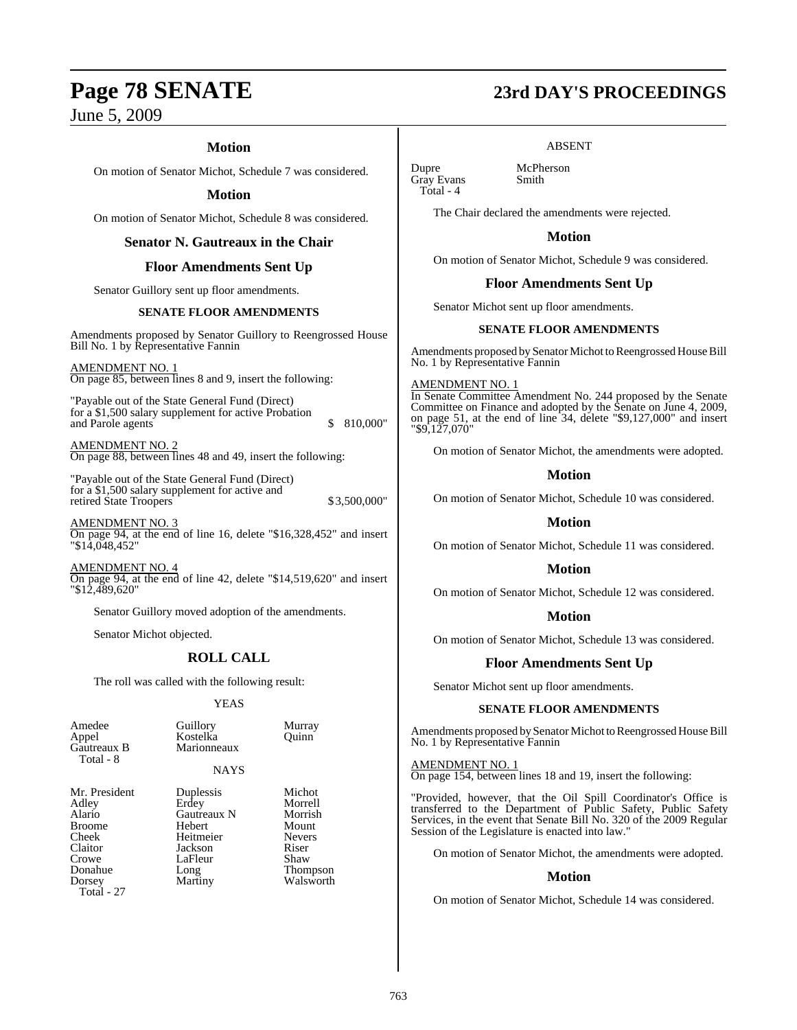### **Motion**

On motion of Senator Michot, Schedule 7 was considered.

#### **Motion**

On motion of Senator Michot, Schedule 8 was considered.

#### **Senator N. Gautreaux in the Chair**

#### **Floor Amendments Sent Up**

Senator Guillory sent up floor amendments.

#### **SENATE FLOOR AMENDMENTS**

Amendments proposed by Senator Guillory to Reengrossed House Bill No. 1 by Representative Fannin

#### AMENDMENT NO. 1

On page 85, between lines 8 and 9, insert the following:

"Payable out of the State General Fund (Direct) for a \$1,500 salary supplement for active Probation and Parole agents  $$ 810,000"$ 

AMENDMENT NO. 2 On page 88, between lines 48 and 49, insert the following:

"Payable out of the State General Fund (Direct) for a \$1,500 salary supplement for active and retired State Troopers  $$3,500,000"$ 

AMENDMENT NO. 3 On page 94, at the end of line 16, delete "\$16,328,452" and insert "\$14,048,452"

AMENDMENT NO. 4 On page 94, at the end of line 42, delete "\$14,519,620" and insert "\$12,489,620"

Senator Guillory moved adoption of the amendments.

Senator Michot objected.

## **ROLL CALL**

The roll was called with the following result:

YEAS

| Amedee<br>Appel<br>Gautreaux B<br>Total - 8 | Guillory<br>Kostelka<br>Marionneaux | Murray<br>Ouinn |
|---------------------------------------------|-------------------------------------|-----------------|
|                                             | <b>NAYS</b>                         |                 |
| Mr. President                               | Duplessis                           | Michot          |
| Adley                                       | Erdey                               | Morrell         |
| Alario                                      | Gautreaux N                         | Morrish         |
| <b>Broome</b>                               | Hebert                              | Mount           |
| Cheek                                       | Heitmeier                           | <b>Nevers</b>   |
| Claitor                                     | Jackson                             | Riser           |

Crowe LaFleur<br>Donahue Long Donahue Long Thompson<br>
Dorsey Martiny Walsworth Total - 27

# sis Michot Morrell<br>
Morrish Morrish Claitor **Jackson** Riser<br>Crowe LaFleur Shaw

Morrish Walsworth

# **Page 78 SENATE 23rd DAY'S PROCEEDINGS**

#### ABSENT

Dupre McPherson<br>Gray Evans Smith Gray Evans Total - 4

The Chair declared the amendments were rejected.

#### **Motion**

On motion of Senator Michot, Schedule 9 was considered.

#### **Floor Amendments Sent Up**

Senator Michot sent up floor amendments.

#### **SENATE FLOOR AMENDMENTS**

Amendments proposed by Senator Michot to Reengrossed House Bill No. 1 by Representative Fannin

#### AMENDMENT NO. 1

In Senate Committee Amendment No. 244 proposed by the Senate Committee on Finance and adopted by the Senate on June 4, 2009, on page 51, at the end of line 34, delete "\$9,127,000" and insert "\$9,127,070"

On motion of Senator Michot, the amendments were adopted.

#### **Motion**

On motion of Senator Michot, Schedule 10 was considered.

#### **Motion**

On motion of Senator Michot, Schedule 11 was considered.

#### **Motion**

On motion of Senator Michot, Schedule 12 was considered.

#### **Motion**

On motion of Senator Michot, Schedule 13 was considered.

## **Floor Amendments Sent Up**

Senator Michot sent up floor amendments.

#### **SENATE FLOOR AMENDMENTS**

Amendments proposed by Senator Michot to Reengrossed House Bill No. 1 by Representative Fannin

#### AMENDMENT NO. 1

On page 154, between lines 18 and 19, insert the following:

"Provided, however, that the Oil Spill Coordinator's Office is transferred to the Department of Public Safety, Public Safety Services, in the event that Senate Bill No. 320 of the 2009 Regular Session of the Legislature is enacted into law."

On motion of Senator Michot, the amendments were adopted.

#### **Motion**

On motion of Senator Michot, Schedule 14 was considered.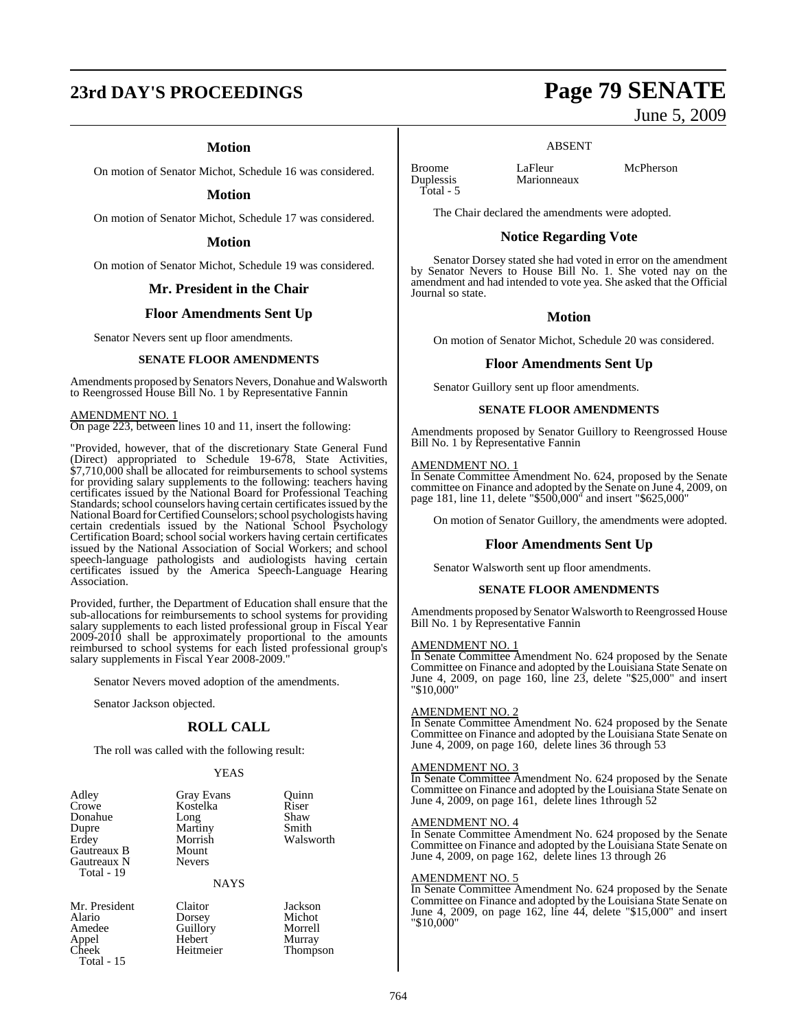# **23rd DAY'S PROCEEDINGS Page 79 SENATE**

#### **Motion**

On motion of Senator Michot, Schedule 16 was considered.

#### **Motion**

On motion of Senator Michot, Schedule 17 was considered.

#### **Motion**

On motion of Senator Michot, Schedule 19 was considered.

#### **Mr. President in the Chair**

#### **Floor Amendments Sent Up**

Senator Nevers sent up floor amendments.

#### **SENATE FLOOR AMENDMENTS**

Amendments proposed by Senators Nevers, Donahue and Walsworth to Reengrossed House Bill No. 1 by Representative Fannin

#### AMENDMENT NO. 1

On page 223, between lines 10 and 11, insert the following:

"Provided, however, that of the discretionary State General Fund (Direct) appropriated to Schedule 19-678, State Activities, \$7,710,000 shall be allocated for reimbursements to school systems for providing salary supplements to the following: teachers having certificates issued by the National Board for Professional Teaching Standards; school counselors having certain certificates issued by the National Board for Certified Counselors; school psychologists having certain credentials issued by the National School Psychology Certification Board; school social workers having certain certificates issued by the National Association of Social Workers; and school speech-language pathologists and audiologists having certain certificates issued by the America Speech-Language Hearing Association.

Provided, further, the Department of Education shall ensure that the sub-allocations for reimbursements to school systems for providing salary supplements to each listed professional group in Fiscal Year 2009-2010 shall be approximately proportional to the amounts reimbursed to school systems for each listed professional group's salary supplements in Fiscal Year 2008-2009.

Senator Nevers moved adoption of the amendments.

Senator Jackson objected.

#### **ROLL CALL**

The roll was called with the following result:

#### YEAS

| Adley       | <b>Gray Evans</b> | Quinn     |
|-------------|-------------------|-----------|
| Crowe       | Kostelka          | Riser     |
| Donahue     | Long              | Shaw      |
| Dupre       | Martiny           | Smith     |
| Erdev       | Morrish           | Walsworth |
| Gautreaux B | Mount             |           |
| Gautreaux N | <b>Nevers</b>     |           |
| Total - 19  |                   |           |
|             | NAYS              |           |

Mr. President Claitor<br>Alario Dorsey Amedee Guillor<br>Appel Hebert Appel Hebert Murray<br>Cheek Heitmeier Thomps Total - 15

Dorsey<br>Guillory

| Jackson        |  |
|----------------|--|
| Michot         |  |
| Morrell        |  |
| $\blacksquare$ |  |

Thompson

June 5, 2009

#### ABSENT

Broome LaFleur McPherson<br>
Duplessis Marionneaux Total - 5

The Chair declared the amendments were adopted.

**Marionneaux** 

#### **Notice Regarding Vote**

Senator Dorsey stated she had voted in error on the amendment by Senator Nevers to House Bill No. 1. She voted nay on the amendment and had intended to vote yea. She asked that the Official Journal so state.

#### **Motion**

On motion of Senator Michot, Schedule 20 was considered.

#### **Floor Amendments Sent Up**

Senator Guillory sent up floor amendments.

#### **SENATE FLOOR AMENDMENTS**

Amendments proposed by Senator Guillory to Reengrossed House Bill No. 1 by Representative Fannin

#### AMENDMENT NO. 1

In Senate Committee Amendment No. 624, proposed by the Senate committee on Finance and adopted by the Senate on June 4, 2009, on page 181, line 11, delete "\$500,000" and insert "\$625,000"

On motion of Senator Guillory, the amendments were adopted.

#### **Floor Amendments Sent Up**

Senator Walsworth sent up floor amendments.

#### **SENATE FLOOR AMENDMENTS**

Amendments proposed by Senator Walsworth to Reengrossed House Bill No. 1 by Representative Fannin

#### AMENDMENT NO. 1

In Senate Committee Amendment No. 624 proposed by the Senate Committee on Finance and adopted by the Louisiana State Senate on June 4, 2009, on page 160, line 23, delete "\$25,000" and insert "\$10,000"

#### AMENDMENT NO. 2

In Senate Committee Amendment No. 624 proposed by the Senate Committee on Finance and adopted by the Louisiana State Senate on June 4, 2009, on page 160, delete lines 36 through 53

#### AMENDMENT NO. 3

In Senate Committee Amendment No. 624 proposed by the Senate Committee on Finance and adopted by the Louisiana State Senate on June 4, 2009, on page 161, delete lines 1through 52

#### AMENDMENT NO. 4

In Senate Committee Amendment No. 624 proposed by the Senate Committee on Finance and adopted by the Louisiana State Senate on June 4, 2009, on page 162, delete lines 13 through 26

#### AMENDMENT NO. 5

In Senate Committee Amendment No. 624 proposed by the Senate Committee on Finance and adopted by the Louisiana State Senate on June 4, 2009, on page 162, line 44, delete "\$15,000" and insert "\$10,000"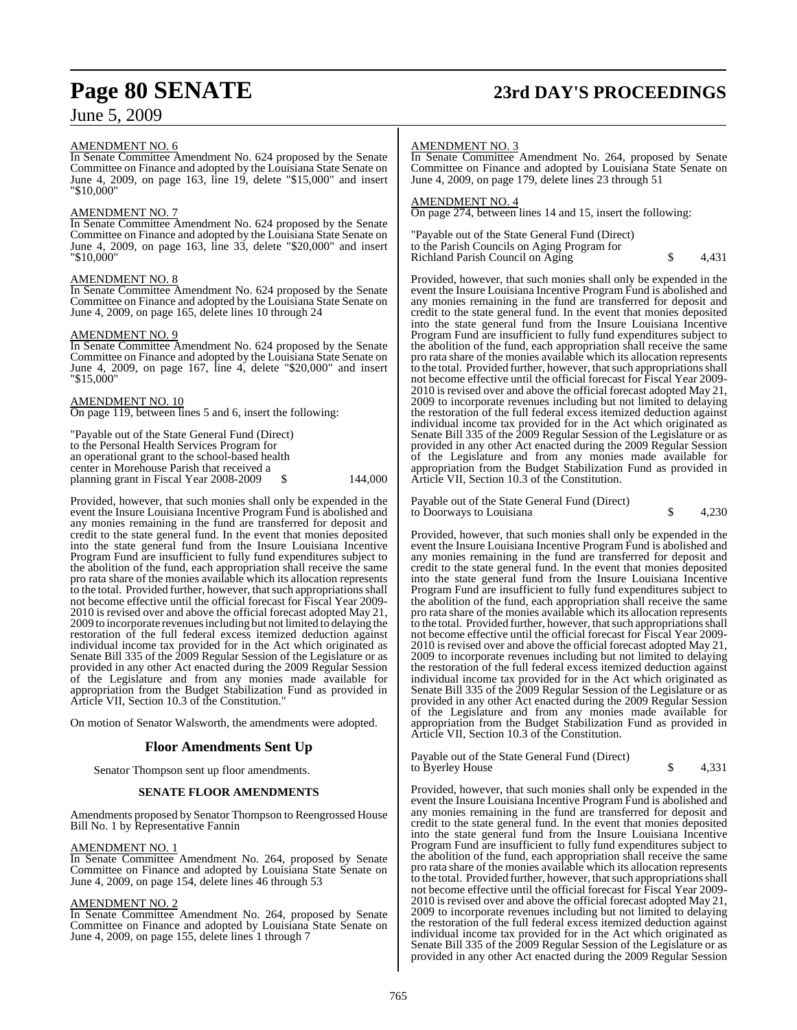# **Page 80 SENATE 23rd DAY'S PROCEEDINGS**

AMENDMENT NO. 6

In Senate Committee Amendment No. 624 proposed by the Senate Committee on Finance and adopted by the Louisiana State Senate on June 4, 2009, on page 163, line 19, delete "\$15,000" and insert "\$10,000"

#### AMENDMENT NO. 7

In Senate Committee Amendment No. 624 proposed by the Senate Committee on Finance and adopted by the Louisiana State Senate on June 4, 2009, on page 163, line 33, delete "\$20,000" and insert "\$10,000"

### AMENDMENT NO. 8

In Senate Committee Amendment No. 624 proposed by the Senate Committee on Finance and adopted by the Louisiana State Senate on June 4, 2009, on page 165, delete lines 10 through 24

#### AMENDMENT NO. 9

In Senate Committee Amendment No. 624 proposed by the Senate Committee on Finance and adopted by the Louisiana State Senate on June 4, 2009, on page 167, line 4, delete "\$20,000" and insert "\$15,000"

#### AMENDMENT NO. 10

On page 119, between lines 5 and 6, insert the following:

"Payable out of the State General Fund (Direct) to the Personal Health Services Program for an operational grant to the school-based health center in Morehouse Parish that received a planning grant in Fiscal Year 2008-2009 \$ 144,000

Provided, however, that such monies shall only be expended in the event the Insure Louisiana Incentive Program Fund is abolished and any monies remaining in the fund are transferred for deposit and credit to the state general fund. In the event that monies deposited into the state general fund from the Insure Louisiana Incentive Program Fund are insufficient to fully fund expenditures subject to the abolition of the fund, each appropriation shall receive the same pro rata share of the monies available which its allocation represents to the total. Provided further, however, that such appropriations shall not become effective until the official forecast for Fiscal Year 2009- 2010 is revised over and above the official forecast adopted May 21, 2009 to incorporate revenues including but not limited to delaying the restoration of the full federal excess itemized deduction against individual income tax provided for in the Act which originated as Senate Bill 335 of the 2009 Regular Session of the Legislature or as provided in any other Act enacted during the 2009 Regular Session of the Legislature and from any monies made available for appropriation from the Budget Stabilization Fund as provided in Article VII, Section 10.3 of the Constitution."

On motion of Senator Walsworth, the amendments were adopted.

#### **Floor Amendments Sent Up**

Senator Thompson sent up floor amendments.

#### **SENATE FLOOR AMENDMENTS**

Amendments proposed by Senator Thompson to Reengrossed House Bill No. 1 by Representative Fannin

#### AMENDMENT NO. 1

In Senate Committee Amendment No. 264, proposed by Senate Committee on Finance and adopted by Louisiana State Senate on June 4, 2009, on page 154, delete lines 46 through 53

#### AMENDMENT NO. 2

In Senate Committee Amendment No. 264, proposed by Senate Committee on Finance and adopted by Louisiana State Senate on June 4, 2009, on page 155, delete lines 1 through 7

#### AMENDMENT NO. 3

In Senate Committee Amendment No. 264, proposed by Senate Committee on Finance and adopted by Louisiana State Senate on June 4, 2009, on page 179, delete lines 23 through 51

#### AMENDMENT NO. 4

On page 274, between lines 14 and 15, insert the following:

"Payable out of the State General Fund (Direct) to the Parish Councils on Aging Program for Richland Parish Council on Aging  $$ 4,431$ 

Provided, however, that such monies shall only be expended in the event the Insure Louisiana Incentive Program Fund is abolished and any monies remaining in the fund are transferred for deposit and credit to the state general fund. In the event that monies deposited into the state general fund from the Insure Louisiana Incentive Program Fund are insufficient to fully fund expenditures subject to the abolition of the fund, each appropriation shall receive the same pro rata share of the monies available which its allocation represents to the total. Provided further, however, that such appropriations shall not become effective until the official forecast for Fiscal Year 2009- 2010 is revised over and above the official forecast adopted May 21, 2009 to incorporate revenues including but not limited to delaying the restoration of the full federal excess itemized deduction against individual income tax provided for in the Act which originated as Senate Bill 335 of the 2009 Regular Session of the Legislature or as provided in any other Act enacted during the 2009 Regular Session of the Legislature and from any monies made available for appropriation from the Budget Stabilization Fund as provided in Article VII, Section 10.3 of the Constitution.

Payable out of the State General Fund (Direct) to Doorways to Louisiana  $\qquad \qquad$  \$ 4,230

Provided, however, that such monies shall only be expended in the event the Insure Louisiana Incentive Program Fund is abolished and any monies remaining in the fund are transferred for deposit and credit to the state general fund. In the event that monies deposited into the state general fund from the Insure Louisiana Incentive Program Fund are insufficient to fully fund expenditures subject to the abolition of the fund, each appropriation shall receive the same pro rata share of the monies available which its allocation represents to the total. Provided further, however, that such appropriations shall not become effective until the official forecast for Fiscal Year 2009- 2010 is revised over and above the official forecast adopted May 21, 2009 to incorporate revenues including but not limited to delaying the restoration of the full federal excess itemized deduction against individual income tax provided for in the Act which originated as Senate Bill 335 of the 2009 Regular Session of the Legislature or as provided in any other Act enacted during the 2009 Regular Session of the Legislature and from any monies made available for appropriation from the Budget Stabilization Fund as provided in Article VII, Section 10.3 of the Constitution.

Payable out of the State General Fund (Direct) to Byerley House  $\qquad \qquad$  \$ 4,331

Provided, however, that such monies shall only be expended in the event the Insure Louisiana Incentive Program Fund is abolished and any monies remaining in the fund are transferred for deposit and credit to the state general fund. In the event that monies deposited into the state general fund from the Insure Louisiana Incentive Program Fund are insufficient to fully fund expenditures subject to the abolition of the fund, each appropriation shall receive the same pro rata share of the monies available which its allocation represents to the total. Provided further, however, that such appropriations shall not become effective until the official forecast for Fiscal Year 2009- 2010 is revised over and above the official forecast adopted May 21, 2009 to incorporate revenues including but not limited to delaying the restoration of the full federal excess itemized deduction against individual income tax provided for in the Act which originated as Senate Bill 335 of the 2009 Regular Session of the Legislature or as provided in any other Act enacted during the 2009 Regular Session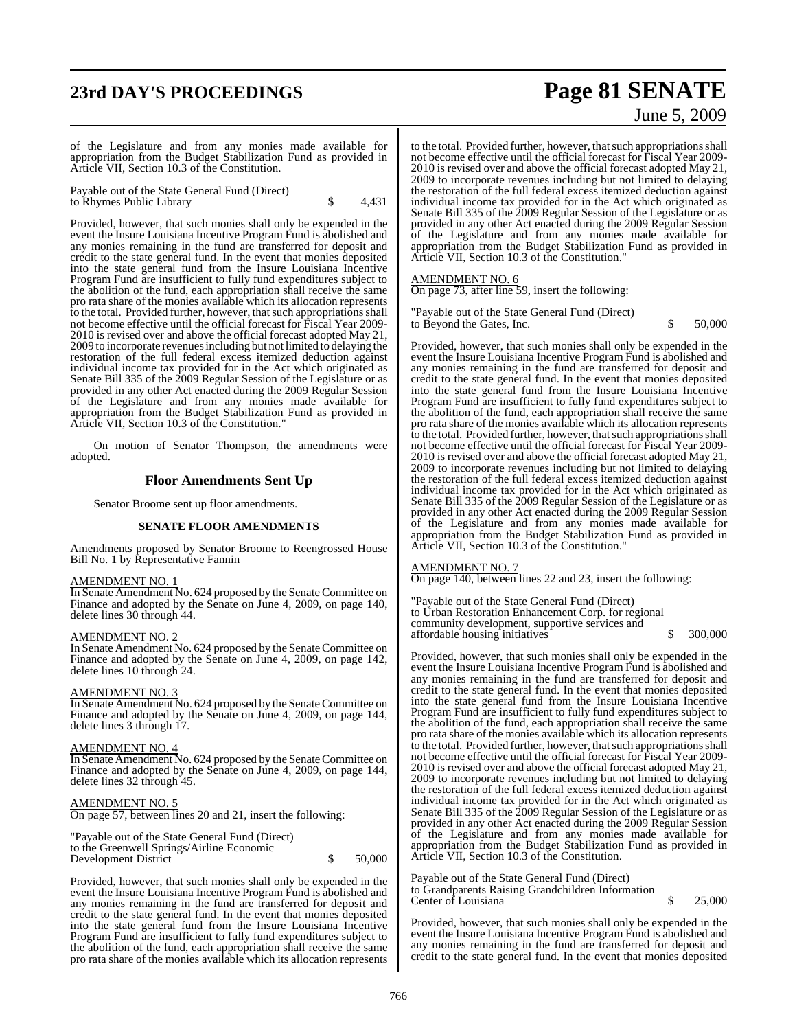# **23rd DAY'S PROCEEDINGS Page 81 SENATE**

# June 5, 2009

of the Legislature and from any monies made available for appropriation from the Budget Stabilization Fund as provided in Article VII, Section 10.3 of the Constitution.

Payable out of the State General Fund (Direct) to Rhymes Public Library  $\qquad \qquad$  \$ 4,431

Provided, however, that such monies shall only be expended in the event the Insure Louisiana Incentive Program Fund is abolished and any monies remaining in the fund are transferred for deposit and credit to the state general fund. In the event that monies deposited into the state general fund from the Insure Louisiana Incentive Program Fund are insufficient to fully fund expenditures subject to the abolition of the fund, each appropriation shall receive the same pro rata share of the monies available which its allocation represents to the total. Provided further, however, that such appropriations shall not become effective until the official forecast for Fiscal Year 2009- 2010 is revised over and above the official forecast adopted May 21, 2009 to incorporate revenuesincluding but not limited to delaying the restoration of the full federal excess itemized deduction against individual income tax provided for in the Act which originated as Senate Bill 335 of the 2009 Regular Session of the Legislature or as provided in any other Act enacted during the 2009 Regular Session of the Legislature and from any monies made available for appropriation from the Budget Stabilization Fund as provided in Article VII, Section 10.3 of the Constitution."

On motion of Senator Thompson, the amendments were adopted.

### **Floor Amendments Sent Up**

Senator Broome sent up floor amendments.

#### **SENATE FLOOR AMENDMENTS**

Amendments proposed by Senator Broome to Reengrossed House Bill No. 1 by Representative Fannin

#### AMENDMENT NO. 1

In Senate Amendment No. 624 proposed by the Senate Committee on Finance and adopted by the Senate on June 4, 2009, on page 140, delete lines 30 through 44.

#### AMENDMENT NO. 2

In Senate Amendment No. 624 proposed by the Senate Committee on Finance and adopted by the Senate on June 4, 2009, on page 142, delete lines 10 through 24.

#### AMENDMENT NO. 3

In Senate Amendment No. 624 proposed by the Senate Committee on Finance and adopted by the Senate on June 4, 2009, on page 144, delete lines 3 through 17.

#### AMENDMENT NO. 4

In Senate Amendment No. 624 proposed by the SenateCommittee on Finance and adopted by the Senate on June 4, 2009, on page 144, delete lines 32 through 45.

#### AMENDMENT NO. 5

On page 57, between lines 20 and 21, insert the following:

"Payable out of the State General Fund (Direct) to the Greenwell Springs/Airline Economic Development District  $$50,000$ 

Provided, however, that such monies shall only be expended in the event the Insure Louisiana Incentive Program Fund is abolished and any monies remaining in the fund are transferred for deposit and credit to the state general fund. In the event that monies deposited into the state general fund from the Insure Louisiana Incentive Program Fund are insufficient to fully fund expenditures subject to the abolition of the fund, each appropriation shall receive the same pro rata share of the monies available which its allocation represents

to the total. Provided further, however, that such appropriations shall not become effective until the official forecast for Fiscal Year 2009- 2010 is revised over and above the official forecast adopted May 21, 2009 to incorporate revenues including but not limited to delaying the restoration of the full federal excess itemized deduction against individual income tax provided for in the Act which originated as Senate Bill 335 of the 2009 Regular Session of the Legislature or as provided in any other Act enacted during the 2009 Regular Session of the Legislature and from any monies made available for appropriation from the Budget Stabilization Fund as provided in Article VII, Section 10.3 of the Constitution."

#### AMENDMENT NO. 6

On page 73, after line 59, insert the following:

"Payable out of the State General Fund (Direct) to Beyond the Gates, Inc.  $$50,000$ 

Provided, however, that such monies shall only be expended in the event the Insure Louisiana Incentive Program Fund is abolished and any monies remaining in the fund are transferred for deposit and credit to the state general fund. In the event that monies deposited into the state general fund from the Insure Louisiana Incentive Program Fund are insufficient to fully fund expenditures subject to the abolition of the fund, each appropriation shall receive the same pro rata share of the monies available which its allocation represents to the total. Provided further, however, that such appropriations shall not become effective until the official forecast for Fiscal Year 2009- 2010 is revised over and above the official forecast adopted May 21, 2009 to incorporate revenues including but not limited to delaying the restoration of the full federal excess itemized deduction against individual income tax provided for in the Act which originated as Senate Bill 335 of the 2009 Regular Session of the Legislature or as provided in any other Act enacted during the 2009 Regular Session of the Legislature and from any monies made available for appropriation from the Budget Stabilization Fund as provided in Article VII, Section 10.3 of the Constitution."

#### AMENDMENT NO. 7

On page 140, between lines 22 and 23, insert the following:

"Payable out of the State General Fund (Direct) to Urban Restoration Enhancement Corp. for regional community development, supportive services and affordable housing initiatives  $\qquad$  \$ 300,000

Provided, however, that such monies shall only be expended in the event the Insure Louisiana Incentive Program Fund is abolished and any monies remaining in the fund are transferred for deposit and credit to the state general fund. In the event that monies deposited into the state general fund from the Insure Louisiana Incentive Program Fund are insufficient to fully fund expenditures subject to the abolition of the fund, each appropriation shall receive the same pro rata share of the monies available which its allocation represents to the total. Provided further, however, that such appropriations shall not become effective until the official forecast for Fiscal Year 2009- 2010 is revised over and above the official forecast adopted May 21, 2009 to incorporate revenues including but not limited to delaying the restoration of the full federal excess itemized deduction against individual income tax provided for in the Act which originated as Senate Bill 335 of the 2009 Regular Session of the Legislature or as provided in any other Act enacted during the 2009 Regular Session of the Legislature and from any monies made available for appropriation from the Budget Stabilization Fund as provided in Article VII, Section 10.3 of the Constitution.

Payable out of the State General Fund (Direct) to Grandparents Raising Grandchildren Information Center of Louisiana  $\qquad \qquad$  \$ 25,000

Provided, however, that such monies shall only be expended in the event the Insure Louisiana Incentive Program Fund is abolished and any monies remaining in the fund are transferred for deposit and credit to the state general fund. In the event that monies deposited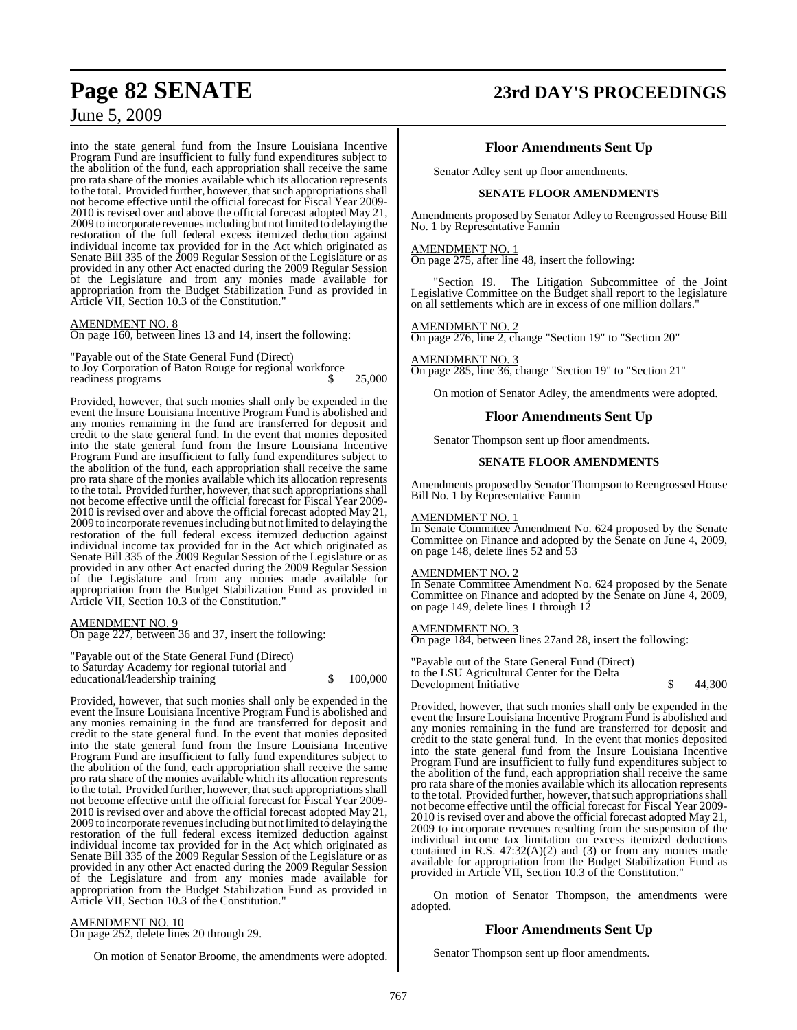# **Page 82 SENATE 23rd DAY'S PROCEEDINGS**

## June 5, 2009

into the state general fund from the Insure Louisiana Incentive Program Fund are insufficient to fully fund expenditures subject to the abolition of the fund, each appropriation shall receive the same pro rata share of the monies available which its allocation represents to the total. Provided further, however, that such appropriations shall not become effective until the official forecast for Fiscal Year 2009- 2010 is revised over and above the official forecast adopted May 21, 2009 to incorporate revenuesincluding but not limited to delaying the restoration of the full federal excess itemized deduction against individual income tax provided for in the Act which originated as Senate Bill 335 of the 2009 Regular Session of the Legislature or as provided in any other Act enacted during the 2009 Regular Session of the Legislature and from any monies made available for appropriation from the Budget Stabilization Fund as provided in Article VII, Section 10.3 of the Constitution."

#### AMENDMENT NO. 8

On page 160, between lines 13 and 14, insert the following:

"Payable out of the State General Fund (Direct) to Joy Corporation of Baton Rouge for regional workforce readiness programs  $\qquad \qquad$  \$ 25,000

Provided, however, that such monies shall only be expended in the event the Insure Louisiana Incentive Program Fund is abolished and any monies remaining in the fund are transferred for deposit and credit to the state general fund. In the event that monies deposited into the state general fund from the Insure Louisiana Incentive Program Fund are insufficient to fully fund expenditures subject to the abolition of the fund, each appropriation shall receive the same pro rata share of the monies available which its allocation represents to the total. Provided further, however, that such appropriations shall not become effective until the official forecast for Fiscal Year 2009- 2010 is revised over and above the official forecast adopted May 21, 2009 to incorporate revenuesincluding but not limited to delaying the restoration of the full federal excess itemized deduction against individual income tax provided for in the Act which originated as Senate Bill 335 of the 2009 Regular Session of the Legislature or as provided in any other Act enacted during the 2009 Regular Session of the Legislature and from any monies made available for appropriation from the Budget Stabilization Fund as provided in Article VII, Section 10.3 of the Constitution."

#### AMENDMENT NO. 9

On page 227, between 36 and 37, insert the following:

"Payable out of the State General Fund (Direct) to Saturday Academy for regional tutorial and educational/leadership training  $$ 100,000$ 

Provided, however, that such monies shall only be expended in the event the Insure Louisiana Incentive Program Fund is abolished and any monies remaining in the fund are transferred for deposit and credit to the state general fund. In the event that monies deposited into the state general fund from the Insure Louisiana Incentive Program Fund are insufficient to fully fund expenditures subject to the abolition of the fund, each appropriation shall receive the same pro rata share of the monies available which its allocation represents to the total. Provided further, however, that such appropriations shall not become effective until the official forecast for Fiscal Year 2009- 2010 is revised over and above the official forecast adopted May 21, 2009 to incorporate revenuesincluding but not limited to delaying the restoration of the full federal excess itemized deduction against individual income tax provided for in the Act which originated as Senate Bill 335 of the 2009 Regular Session of the Legislature or as provided in any other Act enacted during the 2009 Regular Session of the Legislature and from any monies made available for appropriation from the Budget Stabilization Fund as provided in Article VII, Section 10.3 of the Constitution."

#### AMENDMENT NO. 10

On page 252, delete lines 20 through 29.

On motion of Senator Broome, the amendments were adopted.

#### **Floor Amendments Sent Up**

Senator Adley sent up floor amendments.

#### **SENATE FLOOR AMENDMENTS**

Amendments proposed by Senator Adley to Reengrossed House Bill No. 1 by Representative Fannin

#### AMENDMENT NO. 1

On page 275, after line 48, insert the following:

"Section 19. The Litigation Subcommittee of the Joint Legislative Committee on the Budget shall report to the legislature on all settlements which are in excess of one million dollars."

#### AMENDMENT NO. 2

On page 276, line 2, change "Section 19" to "Section 20"

AMENDMENT NO. 3 On page 285, line 36, change "Section 19" to "Section 21"

On motion of Senator Adley, the amendments were adopted.

#### **Floor Amendments Sent Up**

Senator Thompson sent up floor amendments.

#### **SENATE FLOOR AMENDMENTS**

Amendments proposed by Senator Thompson to Reengrossed House Bill No. 1 by Representative Fannin

#### AMENDMENT NO. 1

In Senate Committee Amendment No. 624 proposed by the Senate Committee on Finance and adopted by the Senate on June 4, 2009, on page 148, delete lines 52 and 53

#### AMENDMENT NO. 2

In Senate Committee Amendment No. 624 proposed by the Senate Committee on Finance and adopted by the Senate on June 4, 2009, on page 149, delete lines 1 through 12

#### AMENDMENT NO. 3

On page 184, between lines 27and 28, insert the following:

"Payable out of the State General Fund (Direct) to the LSU Agricultural Center for the Delta Development Initiative \$ 44,300

Provided, however, that such monies shall only be expended in the event the Insure Louisiana Incentive Program Fund is abolished and any monies remaining in the fund are transferred for deposit and credit to the state general fund. In the event that monies deposited into the state general fund from the Insure Louisiana Incentive Program Fund are insufficient to fully fund expenditures subject to the abolition of the fund, each appropriation shall receive the same pro rata share of the monies available which its allocation represents to the total. Provided further, however, that such appropriations shall not become effective until the official forecast for Fiscal Year 2009- 2010 is revised over and above the official forecast adopted May 21, 2009 to incorporate revenues resulting from the suspension of the individual income tax limitation on excess itemized deductions contained in R.S.  $47:32(A)(2)$  and  $(3)$  or from any monies made available for appropriation from the Budget Stabilization Fund as provided in Article VII, Section 10.3 of the Constitution."

On motion of Senator Thompson, the amendments were adopted.

#### **Floor Amendments Sent Up**

Senator Thompson sent up floor amendments.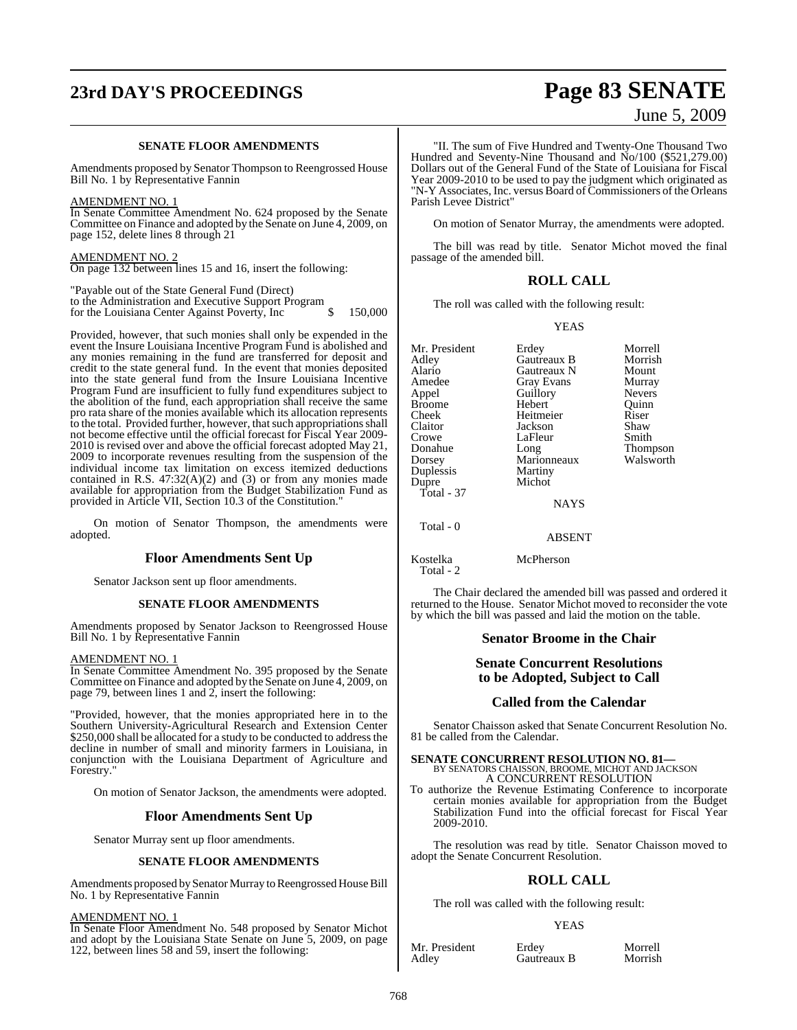# **23rd DAY'S PROCEEDINGS Page 83 SENATE**

#### **SENATE FLOOR AMENDMENTS**

Amendments proposed by Senator Thompson to Reengrossed House Bill No. 1 by Representative Fannin

#### AMENDMENT NO. 1

In Senate Committee Amendment No. 624 proposed by the Senate Committee on Finance and adopted by the Senate on June 4, 2009, on page 152, delete lines 8 through 21

#### AMENDMENT NO. 2

On page 132 between lines 15 and 16, insert the following:

"Payable out of the State General Fund (Direct) to the Administration and Executive Support Program for the Louisiana Center Against Poverty, Inc \$ 150,000

Provided, however, that such monies shall only be expended in the event the Insure Louisiana Incentive Program Fund is abolished and any monies remaining in the fund are transferred for deposit and credit to the state general fund. In the event that monies deposited into the state general fund from the Insure Louisiana Incentive Program Fund are insufficient to fully fund expenditures subject to the abolition of the fund, each appropriation shall receive the same pro rata share of the monies available which its allocation represents to the total. Provided further, however, that such appropriations shall not become effective until the official forecast for Fiscal Year 2009- 2010 is revised over and above the official forecast adopted May 21, 2009 to incorporate revenues resulting from the suspension of the individual income tax limitation on excess itemized deductions contained in R.S.  $47:32(A)(2)$  and (3) or from any monies made available for appropriation from the Budget Stabilization Fund as provided in Article VII, Section 10.3 of the Constitution."

On motion of Senator Thompson, the amendments were adopted.

#### **Floor Amendments Sent Up**

Senator Jackson sent up floor amendments.

#### **SENATE FLOOR AMENDMENTS**

Amendments proposed by Senator Jackson to Reengrossed House Bill No. 1 by Representative Fannin

#### AMENDMENT NO. 1

In Senate Committee Amendment No. 395 proposed by the Senate Committee on Finance and adopted by the Senate on June 4, 2009, on page 79, between lines 1 and 2, insert the following:

"Provided, however, that the monies appropriated here in to the Southern University-Agricultural Research and Extension Center \$250,000 shall be allocated for a study to be conducted to address the decline in number of small and minority farmers in Louisiana, in conjunction with the Louisiana Department of Agriculture and Forestry."

On motion of Senator Jackson, the amendments were adopted.

#### **Floor Amendments Sent Up**

Senator Murray sent up floor amendments.

#### **SENATE FLOOR AMENDMENTS**

Amendments proposed bySenator Murray to Reengrossed House Bill No. 1 by Representative Fannin

#### AMENDMENT NO. 1

In Senate Floor Amendment No. 548 proposed by Senator Michot and adopt by the Louisiana State Senate on June 5, 2009, on page 122, between lines 58 and 59, insert the following:

# June 5, 2009

"II. The sum of Five Hundred and Twenty-One Thousand Two Hundred and Seventy-Nine Thousand and No/100 (\$521,279.00) Dollars out of the General Fund of the State of Louisiana for Fiscal Year 2009-2010 to be used to pay the judgment which originated as "N-Y Associates, Inc. versus Board of Commissioners of the Orleans Parish Levee District"

On motion of Senator Murray, the amendments were adopted.

The bill was read by title. Senator Michot moved the final passage of the amended bill.

#### **ROLL CALL**

The roll was called with the following result:

YEAS

| Mr. President | Erdey             | Morrell       |
|---------------|-------------------|---------------|
| Adlev         | Gautreaux B       | Morrish       |
| Alario        | Gautreaux N       | Mount         |
| Amedee        | <b>Gray Evans</b> | Murray        |
| Appel         | Guillory          | <b>Nevers</b> |
| Broome        | Hebert            | Ouinn         |
| Cheek         | Heitmeier         | Riser         |
| Claitor       | Jackson           | Shaw          |
| Crowe         | LaFleur           | Smith         |
| Donahue       | Long              | Thompson      |
| Dorsey        | Marionneaux       | Walsworth     |
| Duplessis     | Martiny           |               |
| Dupre         | Michot            |               |
| Total - 37    |                   |               |
|               | <b>NAYS</b>       |               |
| Total - 0     | <b>ABSENT</b>     |               |
|               |                   |               |

Kostelka McPherson Total - 2

The Chair declared the amended bill was passed and ordered it returned to the House. Senator Michot moved to reconsider the vote by which the bill was passed and laid the motion on the table.

#### **Senator Broome in the Chair**

#### **Senate Concurrent Resolutions to be Adopted, Subject to Call**

#### **Called from the Calendar**

Senator Chaisson asked that Senate Concurrent Resolution No. 81 be called from the Calendar.

## **SENATE CONCURRENT RESOLUTION NO. 81—** BY SENATORS CHAISSON, BROOME, MICHOT AND JACKSON A CONCURRENT RESOLUTION

To authorize the Revenue Estimating Conference to incorporate certain monies available for appropriation from the Budget Stabilization Fund into the official forecast for Fiscal Year 2009-2010.

The resolution was read by title. Senator Chaisson moved to adopt the Senate Concurrent Resolution.

## **ROLL CALL**

The roll was called with the following result:

#### YEAS

Mr. President Erdey Morrell<br>Adley Gautreaux B Morrish

Gautreaux B